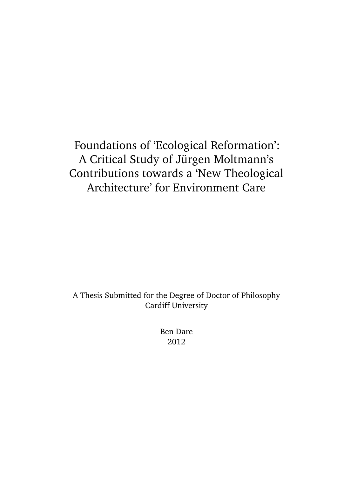## Foundations of 'Ecological Reformation': A Critical Study of Jürgen Moltmann's Contributions towards a 'New Theological Architecture' for Environment Care

A Thesis Submitted for the Degree of Doctor of Philosophy Cardiff University

> Ben Dare 2012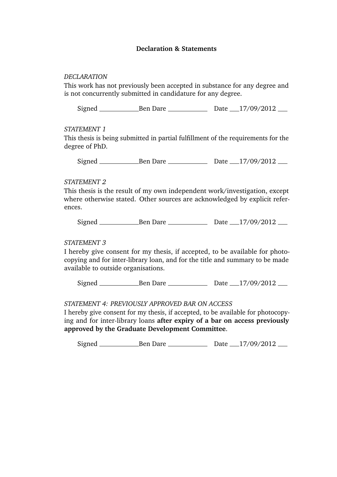#### **Declaration & Statements**

#### *DECLARATION*

This work has not previously been accepted in substance for any degree and is not concurrently submitted in candidature for any degree.

 $Signal$  Ben Dare Dare Date 17/09/2012

### *STATEMENT 1*

This thesis is being submitted in partial fulfillment of the requirements for the degree of PhD.

Signed Ben Dare Date 17/09/2012

### *STATEMENT 2*

This thesis is the result of my own independent work/investigation, except where otherwise stated. Other sources are acknowledged by explicit references.

Signed Ben Dare Date 17/09/2012

### *STATEMENT 3*

I hereby give consent for my thesis, if accepted, to be available for photocopying and for inter-library loan, and for the title and summary to be made available to outside organisations.

Signed Ben Dare Date 17/09/2012

### *STATEMENT 4: PREVIOUSLY APPROVED BAR ON ACCESS*

I hereby give consent for my thesis, if accepted, to be available for photocopying and for inter-library loans **after expiry of a bar on access previously approved by the Graduate Development Committee**.

 $Signal$  Ben Dare Dare Date 17/09/2012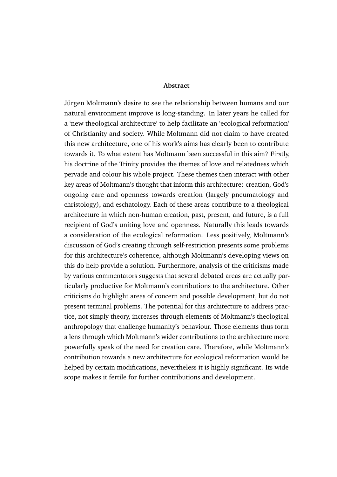#### **Abstract**

Jürgen Moltmann's desire to see the relationship between humans and our natural environment improve is long-standing. In later years he called for a 'new theological architecture' to help facilitate an 'ecological reformation' of Christianity and society. While Moltmann did not claim to have created this new architecture, one of his work's aims has clearly been to contribute towards it. To what extent has Moltmann been successful in this aim? Firstly, his doctrine of the Trinity provides the themes of love and relatedness which pervade and colour his whole project. These themes then interact with other key areas of Moltmann's thought that inform this architecture: creation, God's ongoing care and openness towards creation (largely pneumatology and christology), and eschatology. Each of these areas contribute to a theological architecture in which non-human creation, past, present, and future, is a full recipient of God's uniting love and openness. Naturally this leads towards a consideration of the ecological reformation. Less positively, Moltmann's discussion of God's creating through self-restriction presents some problems for this architecture's coherence, although Moltmann's developing views on this do help provide a solution. Furthermore, analysis of the criticisms made by various commentators suggests that several debated areas are actually particularly productive for Moltmann's contributions to the architecture. Other criticisms do highlight areas of concern and possible development, but do not present terminal problems. The potential for this architecture to address practice, not simply theory, increases through elements of Moltmann's theological anthropology that challenge humanity's behaviour. Those elements thus form a lens through which Moltmann's wider contributions to the architecture more powerfully speak of the need for creation care. Therefore, while Moltmann's contribution towards a new architecture for ecological reformation would be helped by certain modifications, nevertheless it is highly significant. Its wide scope makes it fertile for further contributions and development.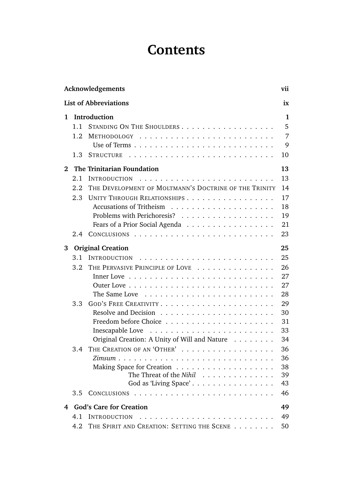# **Contents**

|              | Acknowledgements<br>vii            |                                                       |              |  |  |  |  |  |
|--------------|------------------------------------|-------------------------------------------------------|--------------|--|--|--|--|--|
|              | <b>List of Abbreviations</b><br>ix |                                                       |              |  |  |  |  |  |
| 1            |                                    | Introduction                                          | $\mathbf{1}$ |  |  |  |  |  |
|              | $1\;1$                             | STANDING ON THE SHOULDERS                             | 5            |  |  |  |  |  |
|              | 1.2                                |                                                       | 7            |  |  |  |  |  |
|              |                                    |                                                       | 9            |  |  |  |  |  |
|              | 1.3                                |                                                       | 10           |  |  |  |  |  |
| $\mathbf{2}$ |                                    | The Trinitarian Foundation                            | 13           |  |  |  |  |  |
|              | 2.1                                | <b>INTRODUCTION</b>                                   | 13           |  |  |  |  |  |
|              | 2.2                                | THE DEVELOPMENT OF MOLTMANN'S DOCTRINE OF THE TRINITY | 14           |  |  |  |  |  |
|              | 2.3                                | UNITY THROUGH RELATIONSHIPS                           | 17           |  |  |  |  |  |
|              |                                    |                                                       | 18           |  |  |  |  |  |
|              |                                    |                                                       | 19           |  |  |  |  |  |
|              |                                    | Fears of a Prior Social Agenda                        | 21           |  |  |  |  |  |
|              | 2.4                                |                                                       | 23           |  |  |  |  |  |
| 3            |                                    | <b>Original Creation</b>                              | 25           |  |  |  |  |  |
|              | 3.1                                | <b>INTRODUCTION</b>                                   | 25           |  |  |  |  |  |
|              | 3.2                                | THE PERVASIVE PRINCIPLE OF LOVE                       | 26           |  |  |  |  |  |
|              |                                    |                                                       | 27           |  |  |  |  |  |
|              |                                    |                                                       | 27           |  |  |  |  |  |
|              |                                    | The Same Love                                         | 28           |  |  |  |  |  |
|              | 3.3                                |                                                       | 29           |  |  |  |  |  |
|              |                                    |                                                       | 30           |  |  |  |  |  |
|              |                                    |                                                       | 31           |  |  |  |  |  |
|              |                                    |                                                       | 33           |  |  |  |  |  |
|              |                                    | Original Creation: A Unity of Will and Nature         | 34           |  |  |  |  |  |
|              | 3.4                                | THE CREATION OF AN 'OTHER'                            | 36           |  |  |  |  |  |
|              |                                    |                                                       | 36           |  |  |  |  |  |
|              |                                    |                                                       | 38           |  |  |  |  |  |
|              |                                    | The Threat of the Nihil                               | 39           |  |  |  |  |  |
|              |                                    | God as 'Living Space'                                 | 43           |  |  |  |  |  |
|              | 3.5                                |                                                       | 46           |  |  |  |  |  |
| 4            |                                    | <b>God's Care for Creation</b>                        | 49           |  |  |  |  |  |
|              | 4.1                                | <b>INTRODUCTION</b>                                   | 49           |  |  |  |  |  |
|              | 4.2                                | THE SPIRIT AND CREATION: SETTING THE SCENE            | 50           |  |  |  |  |  |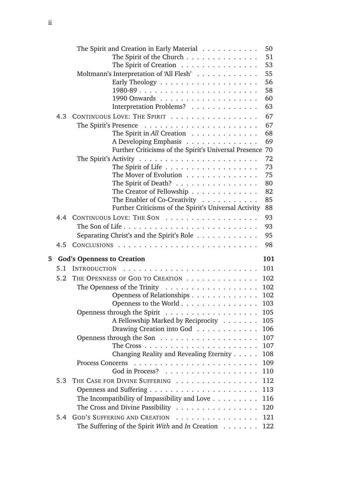|   |     | The Spirit and Creation in Early Material $\ldots \ldots \ldots$         | 50       |
|---|-----|--------------------------------------------------------------------------|----------|
|   |     | The Spirit of the Church                                                 | 51       |
|   |     | The Spirit of Creation                                                   | 53       |
|   |     | Moltmann's Interpretation of 'All Flesh'                                 | 55       |
|   |     |                                                                          | 56       |
|   |     |                                                                          | 58       |
|   |     |                                                                          | 60       |
|   |     | Interpretation Problems?                                                 | 63       |
|   | 4.3 | CONTINUOUS LOVE: THE SPIRIT                                              | 67       |
|   |     | The Spirit's Presence $\ldots \ldots \ldots \ldots \ldots \ldots \ldots$ | 67       |
|   |     | The Spirit in All Creation $\ldots \ldots \ldots \ldots$                 | 68       |
|   |     | A Developing Emphasis                                                    | 69       |
|   |     | Further Criticisms of the Spirit's Universal Presence                    | 70       |
|   |     |                                                                          | 72       |
|   |     | The Spirit of Life                                                       | 73       |
|   |     | The Mover of Evolution                                                   | 75       |
|   |     | The Spirit of Death?                                                     | 80<br>82 |
|   |     | The Creator of Fellowship<br>The Enabler of Co-Creativity                | 85       |
|   |     | Further Criticisms of the Spirit's Universal Activity                    | 88       |
|   | 4.4 | CONTINUOUS LOVE: THE SON                                                 | 93       |
|   |     |                                                                          | 93       |
|   |     |                                                                          | 95       |
|   | 4.5 | Separating Christ's and the Spirit's Role                                | 98       |
|   |     |                                                                          |          |
| 5 |     | <b>God's Openness to Creation</b>                                        | 101      |
|   | 5.1 | <b>INTRODUCTION</b><br>.                                                 | 101      |
|   | 5.2 | THE OPENNESS OF GOD TO CREATION                                          | 102      |
|   |     | The Openness of the Trinity $\dots \dots \dots \dots \dots \dots$        | 102      |
|   |     | Openness of Relationships                                                | 102      |
|   |     | Openness to the World                                                    | 103      |
|   |     | Openness through the Spirit $\ldots \ldots \ldots \ldots \ldots$         | 105      |
|   |     | A Fellowship Marked by Reciprocity                                       | 105      |
|   |     | Drawing Creation into God                                                | 106      |
|   |     | Openness through the Son $\dots \dots \dots \dots \dots \dots$           | 107      |
|   |     |                                                                          | 107      |
|   |     | Changing Reality and Revealing Eternity                                  | 108      |
|   |     | <b>Process Concerns</b>                                                  | 109      |
|   |     | God in Process?                                                          | 110      |
|   | 5.3 | THE CASE FOR DIVINE SUFFERING                                            | 112      |
|   |     |                                                                          | 113      |
|   |     | The Incompatibility of Impassibility and Love $\dots \dots$              | 116      |
|   |     | The Cross and Divine Passibility $\dots \dots \dots \dots \dots \dots$   | 120      |
|   | 5.4 | GOD'S SUFFERING AND CREATION                                             | 121      |
|   |     |                                                                          |          |
|   |     | The Suffering of the Spirit With and In Creation $\dots \dots$           | 122      |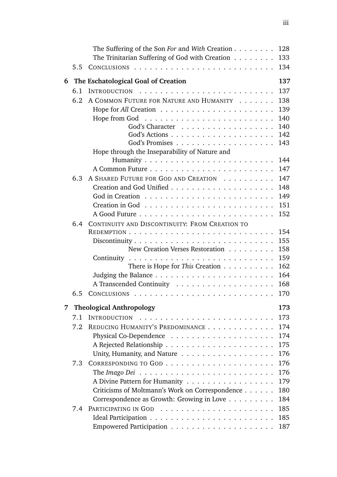|   |     | The Suffering of the Son For and With Creation $\dots \dots$                   | 128 |
|---|-----|--------------------------------------------------------------------------------|-----|
|   |     | The Trinitarian Suffering of God with Creation $\ldots \ldots$                 | 133 |
|   | 5.5 |                                                                                | 134 |
| 6 |     | The Eschatological Goal of Creation                                            | 137 |
|   | 6.1 | <b>INTRODUCTION</b>                                                            | 137 |
|   | 6.2 | A COMMON FUTURE FOR NATURE AND HUMANITY                                        | 138 |
|   |     |                                                                                | 139 |
|   |     |                                                                                | 140 |
|   |     | God's Character                                                                | 140 |
|   |     |                                                                                | 142 |
|   |     |                                                                                | 143 |
|   |     | Hope through the Inseparability of Nature and                                  |     |
|   |     |                                                                                | 144 |
|   |     |                                                                                | 147 |
|   | 6.3 | A SHARED FUTURE FOR GOD AND CREATION                                           | 147 |
|   |     |                                                                                | 148 |
|   |     |                                                                                | 149 |
|   |     |                                                                                | 151 |
|   |     |                                                                                | 152 |
|   | 6.4 | CONTINUITY AND DISCONTINUITY: FROM CREATION TO                                 |     |
|   |     |                                                                                | 154 |
|   |     | Discontinuity $\ldots \ldots \ldots \ldots \ldots \ldots \ldots \ldots \ldots$ | 155 |
|   |     | New Creation Verses Restoration                                                | 158 |
|   |     |                                                                                | 159 |
|   |     | There is Hope for This Creation $\dots \dots \dots$                            | 162 |
|   |     |                                                                                | 164 |
|   |     |                                                                                | 168 |
|   | 6.5 |                                                                                | 170 |
| 7 |     | <b>Theological Anthropology</b>                                                | 173 |
|   | 7.1 | <b>INTRODUCTION</b><br>.                                                       | 173 |
|   | 7.2 | REDUCING HUMANITY'S PREDOMINANCE                                               | 174 |
|   |     |                                                                                | 174 |
|   |     |                                                                                | 175 |
|   |     |                                                                                | 176 |
|   | 7.3 |                                                                                | 176 |
|   |     | The Imago Dei $\ldots \ldots \ldots \ldots \ldots \ldots \ldots \ldots \ldots$ | 176 |
|   |     | A Divine Pattern for Humanity                                                  | 179 |
|   |     | Criticisms of Moltmann's Work on Correspondence                                | 180 |
|   |     | Correspondence as Growth: Growing in Love                                      | 184 |
|   | 7.4 |                                                                                | 185 |
|   |     |                                                                                | 185 |
|   |     |                                                                                | 187 |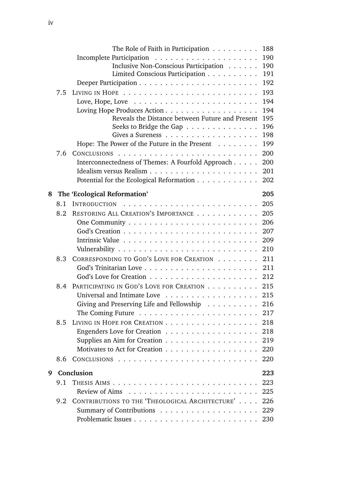|   |     | The Role of Faith in Participation $\dots \dots \dots$                   | 188        |
|---|-----|--------------------------------------------------------------------------|------------|
|   |     |                                                                          | 190        |
|   |     | Inclusive Non-Conscious Participation                                    | 190        |
|   |     | Limited Conscious Participation                                          | 191        |
|   |     |                                                                          | 192        |
|   | 7.5 |                                                                          | 193        |
|   |     | Love, Hope, Love $\dots \dots \dots \dots \dots \dots \dots \dots \dots$ | 194        |
|   |     |                                                                          | 194        |
|   |     | Reveals the Distance between Future and Present                          | 195        |
|   |     | Seeks to Bridge the Gap $\dots \dots \dots \dots \dots$                  | 196        |
|   |     |                                                                          | 198<br>199 |
|   |     | Hope: The Power of the Future in the Present $\dots \dots$               |            |
|   | 7.6 |                                                                          | 200<br>200 |
|   |     | Interconnectedness of Themes: A Fourfold Approach                        | 201        |
|   |     | Potential for the Ecological Reformation                                 | 202        |
|   |     |                                                                          |            |
| 8 |     | The 'Ecological Reformation'                                             | 205        |
|   | 8.1 | <b>INTRODUCTION</b>                                                      | 205        |
|   | 8.2 | RESTORING ALL CREATION'S IMPORTANCE                                      | 205        |
|   |     |                                                                          | 206        |
|   |     |                                                                          | 207        |
|   |     |                                                                          | 209        |
|   |     |                                                                          | 210        |
|   | 8.3 | CORRESPONDING TO GOD'S LOVE FOR CREATION                                 | 211        |
|   |     |                                                                          | 211        |
|   |     |                                                                          | 212        |
|   | 8.4 | PARTICIPATING IN GOD'S LOVE FOR CREATION                                 | 215        |
|   |     |                                                                          | 215        |
|   |     | Giving and Preserving Life and Fellowship 216                            |            |
|   |     |                                                                          |            |
|   | 8.5 | LIVING IN HOPE FOR CREATION 218                                          |            |
|   |     | Engenders Love for Creation 218                                          |            |
|   |     | Supplies an Aim for Creation 219                                         |            |
|   |     | Motivates to Act for Creation 220                                        |            |
|   | 8.6 |                                                                          |            |
| 9 |     | Conclusion                                                               | 223        |
|   | 9.1 |                                                                          | 223        |
|   |     |                                                                          | 225        |
|   | 9.2 | CONTRIBUTIONS TO THE 'THEOLOGICAL ARCHITECTURE' 226                      |            |
|   |     |                                                                          |            |
|   |     |                                                                          |            |
|   |     |                                                                          |            |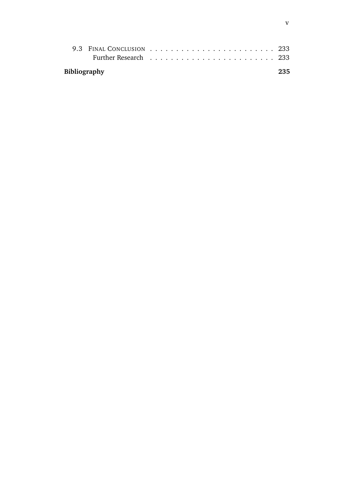| <b>Bibliography</b> |  |  |  |  |  |  |  |  |  |  |  | 235 |
|---------------------|--|--|--|--|--|--|--|--|--|--|--|-----|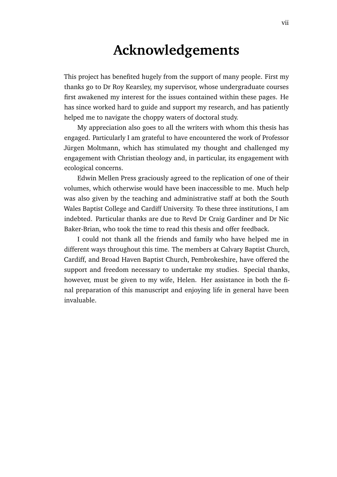## **Acknowledgements**

This project has benefited hugely from the support of many people. First my thanks go to Dr Roy Kearsley, my supervisor, whose undergraduate courses first awakened my interest for the issues contained within these pages. He has since worked hard to guide and support my research, and has patiently helped me to navigate the choppy waters of doctoral study.

My appreciation also goes to all the writers with whom this thesis has engaged. Particularly I am grateful to have encountered the work of Professor Jürgen Moltmann, which has stimulated my thought and challenged my engagement with Christian theology and, in particular, its engagement with ecological concerns.

Edwin Mellen Press graciously agreed to the replication of one of their volumes, which otherwise would have been inaccessible to me. Much help was also given by the teaching and administrative staff at both the South Wales Baptist College and Cardiff University. To these three institutions, I am indebted. Particular thanks are due to Revd Dr Craig Gardiner and Dr Nic Baker-Brian, who took the time to read this thesis and offer feedback.

I could not thank all the friends and family who have helped me in different ways throughout this time. The members at Calvary Baptist Church, Cardiff, and Broad Haven Baptist Church, Pembrokeshire, have offered the support and freedom necessary to undertake my studies. Special thanks, however, must be given to my wife, Helen. Her assistance in both the final preparation of this manuscript and enjoying life in general have been invaluable.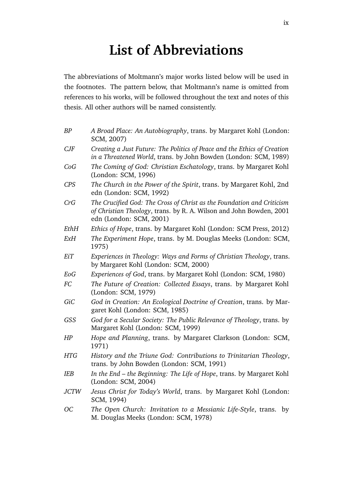# **List of Abbreviations**

The abbreviations of Moltmann's major works listed below will be used in the footnotes. The pattern below, that Moltmann's name is omitted from references to his works, will be followed throughout the text and notes of this thesis. All other authors will be named consistently.

| ΒP          | A Broad Place: An Autobiography, trans. by Margaret Kohl (London:<br>SCM, 2007)                                                                                          |
|-------------|--------------------------------------------------------------------------------------------------------------------------------------------------------------------------|
| CJF         | Creating a Just Future: The Politics of Peace and the Ethics of Creation<br>in a Threatened World, trans. by John Bowden (London: SCM, 1989)                             |
| CoG         | The Coming of God: Christian Eschatology, trans. by Margaret Kohl<br>(London: SCM, 1996)                                                                                 |
| <b>CPS</b>  | The Church in the Power of the Spirit, trans. by Margaret Kohl, 2nd<br>edn (London: SCM, 1992)                                                                           |
| CrG         | The Crucified God: The Cross of Christ as the Foundation and Criticism<br>of Christian Theology, trans. by R. A. Wilson and John Bowden, 2001<br>edn (London: SCM, 2001) |
| EthH        | Ethics of Hope, trans. by Margaret Kohl (London: SCM Press, 2012)                                                                                                        |
| ExH         | The Experiment Hope, trans. by M. Douglas Meeks (London: SCM,<br>1975)                                                                                                   |
| EiT         | Experiences in Theology: Ways and Forms of Christian Theology, trans.<br>by Margaret Kohl (London: SCM, 2000)                                                            |
| EoG         | Experiences of God, trans. by Margaret Kohl (London: SCM, 1980)                                                                                                          |
| FC          | The Future of Creation: Collected Essays, trans. by Margaret Kohl<br>(London: SCM, 1979)                                                                                 |
| GiC         | God in Creation: An Ecological Doctrine of Creation, trans. by Mar-<br>garet Kohl (London: SCM, 1985)                                                                    |
| GSS         | God for a Secular Society: The Public Relevance of Theology, trans. by<br>Margaret Kohl (London: SCM, 1999)                                                              |
| HP          | Hope and Planning, trans. by Margaret Clarkson (London: SCM,<br>1971)                                                                                                    |
| <b>HTG</b>  | History and the Triune God: Contributions to Trinitarian Theology,<br>trans. by John Bowden (London: SCM, 1991)                                                          |
| IEB         | In the End - the Beginning: The Life of Hope, trans. by Margaret Kohl<br>(London: SCM, 2004)                                                                             |
| <b>JCTW</b> | Jesus Christ for Today's World, trans. by Margaret Kohl (London:<br>SCM, 1994)                                                                                           |
| ОC          | The Open Church: Invitation to a Messianic Life-Style, trans.<br>by<br>M. Douglas Meeks (London: SCM, 1978)                                                              |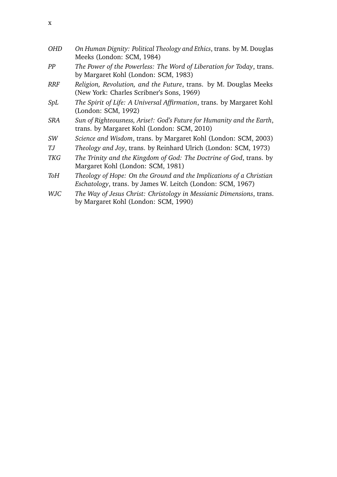| <b>OHD</b> | On Human Dignity: Political Theology and Ethics, trans. by M. Douglas<br>Meeks (London: SCM, 1984)                                |
|------------|-----------------------------------------------------------------------------------------------------------------------------------|
| PP         | The Power of the Powerless: The Word of Liberation for Today, trans.<br>by Margaret Kohl (London: SCM, 1983)                      |
| <b>RRF</b> | Religion, Revolution, and the Future, trans. by M. Douglas Meeks<br>(New York: Charles Scribner's Sons, 1969)                     |
| SpL        | The Spirit of Life: A Universal Affirmation, trans. by Margaret Kohl<br>(London: SCM, 1992)                                       |
| <b>SRA</b> | Sun of Righteousness, Arise!: God's Future for Humanity and the Earth,<br>trans. by Margaret Kohl (London: SCM, 2010)             |
| SW         | Science and Wisdom, trans. by Margaret Kohl (London: SCM, 2003)                                                                   |
| TJ         | Theology and Joy, trans. by Reinhard Ulrich (London: SCM, 1973)                                                                   |
| <b>TKG</b> | The Trinity and the Kingdom of God: The Doctrine of God, trans. by<br>Margaret Kohl (London: SCM, 1981)                           |
| <b>ToH</b> | Theology of Hope: On the Ground and the Implications of a Christian<br>Eschatology, trans. by James W. Leitch (London: SCM, 1967) |
| <b>WJC</b> | The Way of Jesus Christ: Christology in Messianic Dimensions, trans.                                                              |

by Margaret Kohl (London: SCM, 1990)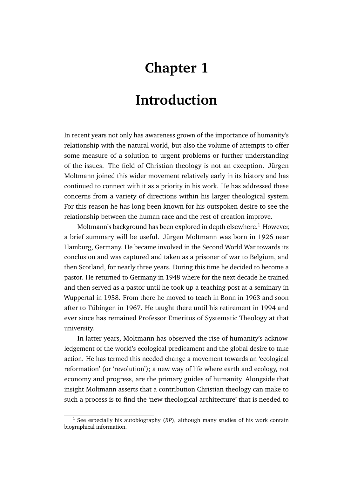# **Chapter 1**

# **Introduction**

In recent years not only has awareness grown of the importance of humanity's relationship with the natural world, but also the volume of attempts to offer some measure of a solution to urgent problems or further understanding of the issues. The field of Christian theology is not an exception. Jürgen Moltmann joined this wider movement relatively early in its history and has continued to connect with it as a priority in his work. He has addressed these concerns from a variety of directions within his larger theological system. For this reason he has long been known for his outspoken desire to see the relationship between the human race and the rest of creation improve.

Moltmann's background has been explored in depth elsewhere.<sup>1</sup> However, a brief summary will be useful. Jürgen Moltmann was born in 1926 near Hamburg, Germany. He became involved in the Second World War towards its conclusion and was captured and taken as a prisoner of war to Belgium, and then Scotland, for nearly three years. During this time he decided to become a pastor. He returned to Germany in 1948 where for the next decade he trained and then served as a pastor until he took up a teaching post at a seminary in Wuppertal in 1958. From there he moved to teach in Bonn in 1963 and soon after to Tübingen in 1967. He taught there until his retirement in 1994 and ever since has remained Professor Emeritus of Systematic Theology at that university.

In latter years, Moltmann has observed the rise of humanity's acknowledgement of the world's ecological predicament and the global desire to take action. He has termed this needed change a movement towards an 'ecological reformation' (or 'revolution'); a new way of life where earth and ecology, not economy and progress, are the primary guides of humanity. Alongside that insight Moltmann asserts that a contribution Christian theology can make to such a process is to find the 'new theological architecture' that is needed to

<sup>&</sup>lt;sup>1</sup> See especially his autobiography (BP), although many studies of his work contain biographical information.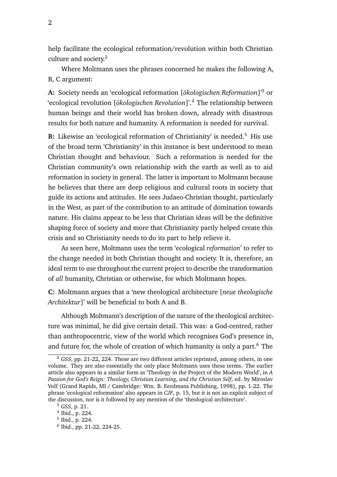help facilitate the ecological reformation/revolution within both Christian culture and society.<sup>2</sup>

Where Moltmann uses the phrases concerned he makes the following A, B, C argument:

**A:** Society needs an 'ecological reformation [*ökologischen Reformation*]'<sup>3</sup> or 'ecological revolution [*ökologischen Revolution*]'.<sup>4</sup> The relationship between human beings and their world has broken down, already with disastrous results for both nature and humanity. A reformation is needed for survival.

**B:** Likewise an 'ecological reformation of Christianity' is needed.<sup>5</sup> His use of the broad term 'Christianity' in this instance is best understood to mean Christian thought and behaviour. Such a reformation is needed for the Christian community's own relationship with the earth as well as to aid reformation in society in general. The latter is important to Moltmann because he believes that there are deep religious and cultural roots in society that guide its actions and attitudes. He sees Judaeo-Christian thought, particularly in the West, as part of the contribution to an attitude of domination towards nature. His claims appear to be less that Christian ideas will be the definitive shaping force of society and more that Christianity partly helped create this crisis and so Christianity needs to do its part to help relieve it.

As seen here, Moltmann uses the term 'ecological *reformation*' to refer to the change needed in both Christian thought and society. It is, therefore, an ideal term to use throughout the current project to describe the transformation of *all* humanity, Christian or otherwise, for which Moltmann hopes.

**C:** Moltmann argues that a 'new theological architecture [*neue theologische Architektur*]' will be beneficial to both A and B.

Although Moltmann's description of the nature of the theological architecture was minimal, he did give certain detail. This was: a God-centred, rather than anthropocentric, view of the world which recognises God's presence in, and future for, the whole of creation of which humanity is only a part. $6$  The

<sup>2</sup> *GSS*, pp. 21-22, 224. These are two different articles reprinted, among others, in one volume. They are also essentially the only place Moltmann uses these terms. The earlier article also appears in a similar form as 'Theology in the Project of the Modern World', in *A Passion for God's Reign: Theology, Christian Learning, and the Christian Self*, ed. by Miroslav Volf (Grand Rapids, MI / Cambridge: Wm. B. Eerdmans Publishing, 1998), pp. 1-22. The phrase 'ecological reformation' also appears in *CJF*, p. 15, but it is not an explicit subject of the discussion, nor is it followed by any mention of the 'theological architecture'.

<sup>3</sup> *GSS*, p. 21.

<sup>4</sup> Ibid., p. 224.

<sup>5</sup> Ibid., p. 224.

<sup>6</sup> Ibid., pp. 21-22, 224-25.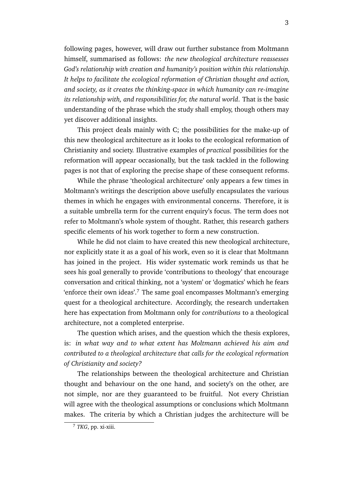following pages, however, will draw out further substance from Moltmann himself, summarised as follows: *the new theological architecture reassesses God's relationship with creation and humanity's position within this relationship. It helps to facilitate the ecological reformation of Christian thought and action, and society, as it creates the thinking-space in which humanity can re-imagine its relationship with, and responsibilities for, the natural world*. That is the basic understanding of the phrase which the study shall employ, though others may yet discover additional insights.

This project deals mainly with C; the possibilities for the make-up of this new theological architecture as it looks to the ecological reformation of Christianity and society. Illustrative examples of *practical* possibilities for the reformation will appear occasionally, but the task tackled in the following pages is not that of exploring the precise shape of these consequent reforms.

While the phrase 'theological architecture' only appears a few times in Moltmann's writings the description above usefully encapsulates the various themes in which he engages with environmental concerns. Therefore, it is a suitable umbrella term for the current enquiry's focus. The term does not refer to Moltmann's whole system of thought. Rather, this research gathers specific elements of his work together to form a new construction.

While he did not claim to have created this new theological architecture, nor explicitly state it as a goal of his work, even so it is clear that Moltmann has joined in the project. His wider systematic work reminds us that he sees his goal generally to provide 'contributions to theology' that encourage conversation and critical thinking, not a 'system' or 'dogmatics' which he fears 'enforce their own ideas'.<sup>7</sup> The same goal encompasses Moltmann's emerging quest for a theological architecture. Accordingly, the research undertaken here has expectation from Moltmann only for *contributions* to a theological architecture, not a completed enterprise.

The question which arises, and the question which the thesis explores, is: *in what way and to what extent has Moltmann achieved his aim and contributed to a theological architecture that calls for the ecological reformation of Christianity and society?*

The relationships between the theological architecture and Christian thought and behaviour on the one hand, and society's on the other, are not simple, nor are they guaranteed to be fruitful. Not every Christian will agree with the theological assumptions or conclusions which Moltmann makes. The criteria by which a Christian judges the architecture will be

<sup>7</sup> *TKG*, pp. xi-xiii.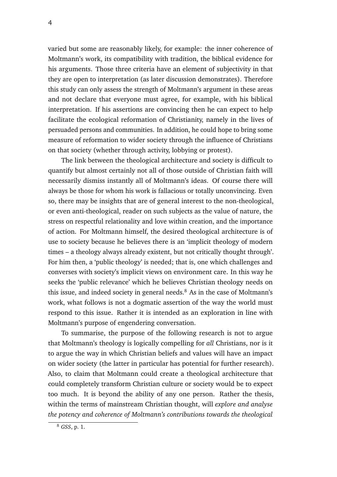varied but some are reasonably likely, for example: the inner coherence of Moltmann's work, its compatibility with tradition, the biblical evidence for his arguments. Those three criteria have an element of subjectivity in that they are open to interpretation (as later discussion demonstrates). Therefore this study can only assess the strength of Moltmann's argument in these areas and not declare that everyone must agree, for example, with his biblical interpretation. If his assertions are convincing then he can expect to help facilitate the ecological reformation of Christianity, namely in the lives of persuaded persons and communities. In addition, he could hope to bring some measure of reformation to wider society through the influence of Christians on that society (whether through activity, lobbying or protest).

The link between the theological architecture and society is difficult to quantify but almost certainly not all of those outside of Christian faith will necessarily dismiss instantly all of Moltmann's ideas. Of course there will always be those for whom his work is fallacious or totally unconvincing. Even so, there may be insights that are of general interest to the non-theological, or even anti-theological, reader on such subjects as the value of nature, the stress on respectful relationality and love within creation, and the importance of action. For Moltmann himself, the desired theological architecture is of use to society because he believes there is an 'implicit theology of modern times – a theology always already existent, but not critically thought through'. For him then, a 'public theology' is needed; that is, one which challenges and converses with society's implicit views on environment care. In this way he seeks the 'public relevance' which he believes Christian theology needs on this issue, and indeed society in general needs. $8$  As in the case of Moltmann's work, what follows is not a dogmatic assertion of the way the world must respond to this issue. Rather it is intended as an exploration in line with Moltmann's purpose of engendering conversation.

To summarise, the purpose of the following research is not to argue that Moltmann's theology is logically compelling for *all* Christians, nor is it to argue the way in which Christian beliefs and values will have an impact on wider society (the latter in particular has potential for further research). Also, to claim that Moltmann could create a theological architecture that could completely transform Christian culture or society would be to expect too much. It is beyond the ability of any one person. Rather the thesis, within the terms of mainstream Christian thought, will *explore and analyse the potency and coherence of Moltmann's contributions towards the theological*

<sup>4</sup>

<sup>8</sup> *GSS*, p. 1.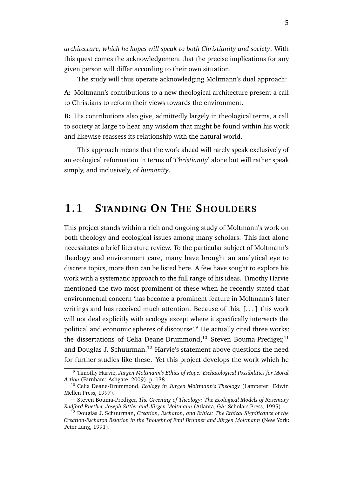*architecture, which he hopes will speak to both Christianity and society*. With this quest comes the acknowledgement that the precise implications for any given person will differ according to their own situation.

The study will thus operate acknowledging Moltmann's dual approach:

**A:** Moltmann's contributions to a new theological architecture present a call to Christians to reform their views towards the environment.

**B:** His contributions also give, admittedly largely in theological terms, a call to society at large to hear any wisdom that might be found within his work and likewise reassess its relationship with the natural world.

This approach means that the work ahead will rarely speak exclusively of an ecological reformation in terms of '*Christianity*' alone but will rather speak simply, and inclusively, of *humanity*.

## **1.1 STANDING ON THE SHOULDERS**

This project stands within a rich and ongoing study of Moltmann's work on both theology and ecological issues among many scholars. This fact alone necessitates a brief literature review. To the particular subject of Moltmann's theology and environment care, many have brought an analytical eye to discrete topics, more than can be listed here. A few have sought to explore his work with a systematic approach to the full range of his ideas. Timothy Harvie mentioned the two most prominent of these when he recently stated that environmental concern 'has become a prominent feature in Moltmann's later writings and has received much attention. Because of this, [...] this work will not deal explicitly with ecology except where it specifically intersects the political and economic spheres of discourse'.<sup>9</sup> He actually cited three works: the dissertations of Celia Deane-Drummond,<sup>10</sup> Steven Bouma-Prediger,<sup>11</sup> and Douglas J. Schuurman.<sup>12</sup> Harvie's statement above questions the need for further studies like these. Yet this project develops the work which he

<sup>9</sup> Timothy Harvie, *Jürgen Moltmann's Ethics of Hope: Eschatological Possibilities for Moral Action* (Farnham: Ashgate, 2009), p. 138.

<sup>10</sup> Celia Deane-Drummond, *Ecology in Jürgen Moltmann's Theology* (Lampeter: Edwin Mellen Press, 1997).

<sup>11</sup> Steven Bouma-Prediger, *The Greening of Theology: The Ecological Models of Rosemary Radford Ruether, Joseph Sittler and Jürgen Moltmann* (Atlanta, GA: Scholars Press, 1995).

<sup>12</sup> Douglas J. Schuurman, *Creation, Eschaton, and Ethics: The Ethical Significance of the Creation-Eschaton Relation in the Thought of Emil Brunner and Jürgen Moltmann* (New York: Peter Lang, 1991).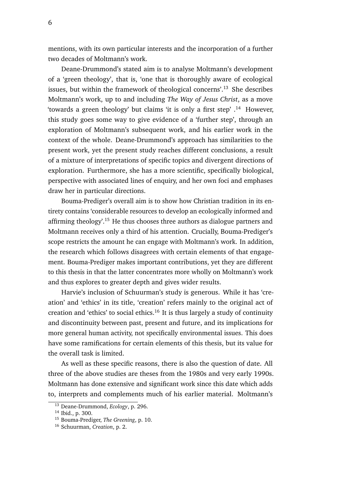mentions, with its own particular interests and the incorporation of a further two decades of Moltmann's work.

Deane-Drummond's stated aim is to analyse Moltmann's development of a 'green theology', that is, 'one that is thoroughly aware of ecological issues, but within the framework of theological concerns'.<sup>13</sup> She describes Moltmann's work, up to and including *The Way of Jesus Christ*, as a move 'towards a green theology' but claims 'it is only a first step'  $\cdot$ <sup>14</sup> However, this study goes some way to give evidence of a 'further step', through an exploration of Moltmann's subsequent work, and his earlier work in the context of the whole. Deane-Drummond's approach has similarities to the present work, yet the present study reaches different conclusions, a result of a mixture of interpretations of specific topics and divergent directions of exploration. Furthermore, she has a more scientific, specifically biological, perspective with associated lines of enquiry, and her own foci and emphases draw her in particular directions.

Bouma-Prediger's overall aim is to show how Christian tradition in its entirety contains 'considerable resources to develop an ecologically informed and affirming theology'.<sup>15</sup> He thus chooses three authors as dialogue partners and Moltmann receives only a third of his attention. Crucially, Bouma-Prediger's scope restricts the amount he can engage with Moltmann's work. In addition, the research which follows disagrees with certain elements of that engagement. Bouma-Prediger makes important contributions, yet they are different to this thesis in that the latter concentrates more wholly on Moltmann's work and thus explores to greater depth and gives wider results.

Harvie's inclusion of Schuurman's study is generous. While it has 'creation' and 'ethics' in its title, 'creation' refers mainly to the original act of creation and 'ethics' to social ethics.<sup>16</sup> It is thus largely a study of continuity and discontinuity between past, present and future, and its implications for more general human activity, not specifically environmental issues. This does have some ramifications for certain elements of this thesis, but its value for the overall task is limited.

As well as these specific reasons, there is also the question of date. All three of the above studies are theses from the 1980s and very early 1990s. Moltmann has done extensive and significant work since this date which adds to, interprets and complements much of his earlier material. Moltmann's

<sup>13</sup> Deane-Drummond, *Ecology*, p. 296.

<sup>14</sup> Ibid., p. 300.

<sup>15</sup> Bouma-Prediger, *The Greening*, p. 10.

<sup>16</sup> Schuurman, *Creation*, p. 2.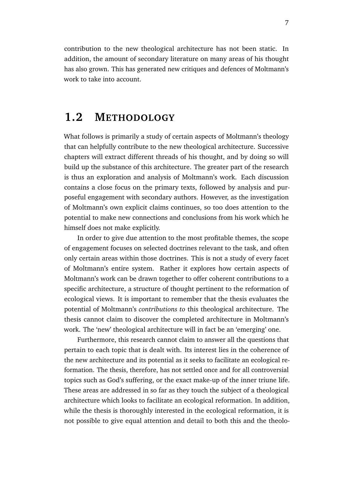contribution to the new theological architecture has not been static. In addition, the amount of secondary literature on many areas of his thought has also grown. This has generated new critiques and defences of Moltmann's work to take into account.

## **1.2 METHODOLOGY**

What follows is primarily a study of certain aspects of Moltmann's theology that can helpfully contribute to the new theological architecture. Successive chapters will extract different threads of his thought, and by doing so will build up the substance of this architecture. The greater part of the research is thus an exploration and analysis of Moltmann's work. Each discussion contains a close focus on the primary texts, followed by analysis and purposeful engagement with secondary authors. However, as the investigation of Moltmann's own explicit claims continues, so too does attention to the potential to make new connections and conclusions from his work which he himself does not make explicitly.

In order to give due attention to the most profitable themes, the scope of engagement focuses on selected doctrines relevant to the task, and often only certain areas within those doctrines. This is not a study of every facet of Moltmann's entire system. Rather it explores how certain aspects of Moltmann's work can be drawn together to offer coherent contributions to a specific architecture, a structure of thought pertinent to the reformation of ecological views. It is important to remember that the thesis evaluates the potential of Moltmann's *contributions to* this theological architecture. The thesis cannot claim to discover the completed architecture in Moltmann's work. The 'new' theological architecture will in fact be an 'emerging' one.

Furthermore, this research cannot claim to answer all the questions that pertain to each topic that is dealt with. Its interest lies in the coherence of the new architecture and its potential as it seeks to facilitate an ecological reformation. The thesis, therefore, has not settled once and for all controversial topics such as God's suffering, or the exact make-up of the inner triune life. These areas are addressed in so far as they touch the subject of a theological architecture which looks to facilitate an ecological reformation. In addition, while the thesis is thoroughly interested in the ecological reformation, it is not possible to give equal attention and detail to both this and the theolo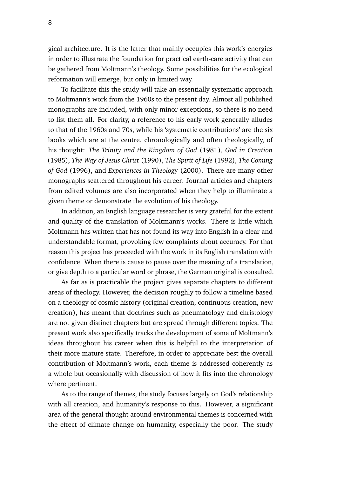gical architecture. It is the latter that mainly occupies this work's energies in order to illustrate the foundation for practical earth-care activity that can be gathered from Moltmann's theology. Some possibilities for the ecological reformation will emerge, but only in limited way.

To facilitate this the study will take an essentially systematic approach to Moltmann's work from the 1960s to the present day. Almost all published monographs are included, with only minor exceptions, so there is no need to list them all. For clarity, a reference to his early work generally alludes to that of the 1960s and 70s, while his 'systematic contributions' are the six books which are at the centre, chronologically and often theologically, of his thought: *The Trinity and the Kingdom of God* (1981), *God in Creation* (1985), *The Way of Jesus Christ* (1990), *The Spirit of Life* (1992), *The Coming of God* (1996), and *Experiences in Theology* (2000). There are many other monographs scattered throughout his career. Journal articles and chapters from edited volumes are also incorporated when they help to illuminate a given theme or demonstrate the evolution of his theology.

In addition, an English language researcher is very grateful for the extent and quality of the translation of Moltmann's works. There is little which Moltmann has written that has not found its way into English in a clear and understandable format, provoking few complaints about accuracy. For that reason this project has proceeded with the work in its English translation with confidence. When there is cause to pause over the meaning of a translation, or give depth to a particular word or phrase, the German original is consulted.

As far as is practicable the project gives separate chapters to different areas of theology. However, the decision roughly to follow a timeline based on a theology of cosmic history (original creation, continuous creation, new creation), has meant that doctrines such as pneumatology and christology are not given distinct chapters but are spread through different topics. The present work also specifically tracks the development of some of Moltmann's ideas throughout his career when this is helpful to the interpretation of their more mature state. Therefore, in order to appreciate best the overall contribution of Moltmann's work, each theme is addressed coherently as a whole but occasionally with discussion of how it fits into the chronology where pertinent.

As to the range of themes, the study focuses largely on God's relationship with all creation, and humanity's response to this. However, a significant area of the general thought around environmental themes is concerned with the effect of climate change on humanity, especially the poor. The study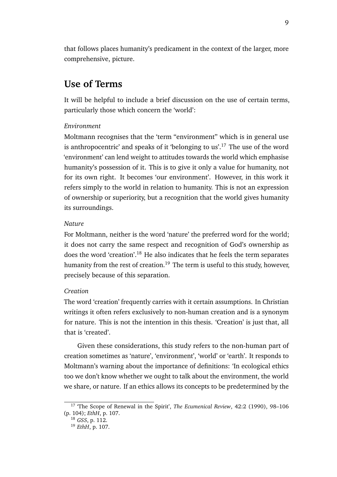that follows places humanity's predicament in the context of the larger, more comprehensive, picture.

### **Use of Terms**

It will be helpful to include a brief discussion on the use of certain terms, particularly those which concern the 'world':

### *Environment*

Moltmann recognises that the 'term "environment" which is in general use is anthropocentric' and speaks of it 'belonging to us'.<sup>17</sup> The use of the word 'environment' can lend weight to attitudes towards the world which emphasise humanity's possession of it. This is to give it only a value for humanity, not for its own right. It becomes 'our environment'. However, in this work it refers simply to the world in relation to humanity. This is not an expression of ownership or superiority, but a recognition that the world gives humanity its surroundings.

### *Nature*

For Moltmann, neither is the word 'nature' the preferred word for the world; it does not carry the same respect and recognition of God's ownership as does the word 'creation'.<sup>18</sup> He also indicates that he feels the term separates humanity from the rest of creation.<sup>19</sup> The term is useful to this study, however, precisely because of this separation.

### *Creation*

The word 'creation' frequently carries with it certain assumptions. In Christian writings it often refers exclusively to non-human creation and is a synonym for nature. This is not the intention in this thesis. 'Creation' is just that, all that is 'created'.

Given these considerations, this study refers to the non-human part of creation sometimes as 'nature', 'environment', 'world' or 'earth'. It responds to Moltmann's warning about the importance of definitions: 'In ecological ethics too we don't know whether we ought to talk about the environment, the world we share, or nature. If an ethics allows its concepts to be predetermined by the

<sup>17</sup> 'The Scope of Renewal in the Spirit', *The Ecumenical Review*, 42:2 (1990), 98–106 (p. 104); *EthH*, p. 107.

<sup>18</sup> *GSS*, p. 112.

<sup>19</sup> *EthH*, p. 107.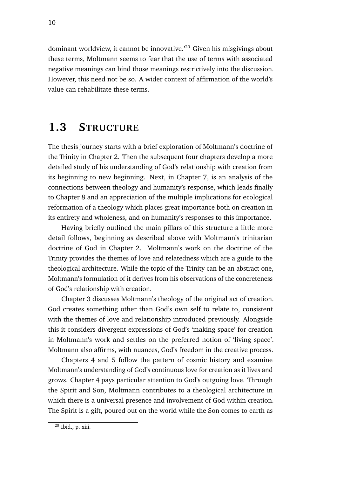dominant worldview, it cannot be innovative.'<sup>20</sup> Given his misgivings about these terms, Moltmann seems to fear that the use of terms with associated negative meanings can bind those meanings restrictively into the discussion. However, this need not be so. A wider context of affirmation of the world's value can rehabilitate these terms.

## **1.3 STRUCTURE**

The thesis journey starts with a brief exploration of Moltmann's doctrine of the Trinity in Chapter 2. Then the subsequent four chapters develop a more detailed study of his understanding of God's relationship with creation from its beginning to new beginning. Next, in Chapter 7, is an analysis of the connections between theology and humanity's response, which leads finally to Chapter 8 and an appreciation of the multiple implications for ecological reformation of a theology which places great importance both on creation in its entirety and wholeness, and on humanity's responses to this importance.

Having briefly outlined the main pillars of this structure a little more detail follows, beginning as described above with Moltmann's trinitarian doctrine of God in Chapter 2. Moltmann's work on the doctrine of the Trinity provides the themes of love and relatedness which are a guide to the theological architecture. While the topic of the Trinity can be an abstract one, Moltmann's formulation of it derives from his observations of the concreteness of God's relationship with creation.

Chapter 3 discusses Moltmann's theology of the original act of creation. God creates something other than God's own self to relate to, consistent with the themes of love and relationship introduced previously. Alongside this it considers divergent expressions of God's 'making space' for creation in Moltmann's work and settles on the preferred notion of 'living space'. Moltmann also affirms, with nuances, God's freedom in the creative process.

Chapters 4 and 5 follow the pattern of cosmic history and examine Moltmann's understanding of God's continuous love for creation as it lives and grows. Chapter 4 pays particular attention to God's outgoing love. Through the Spirit and Son, Moltmann contributes to a theological architecture in which there is a universal presence and involvement of God within creation. The Spirit is a gift, poured out on the world while the Son comes to earth as

 $20$  Ibid., p. xiii.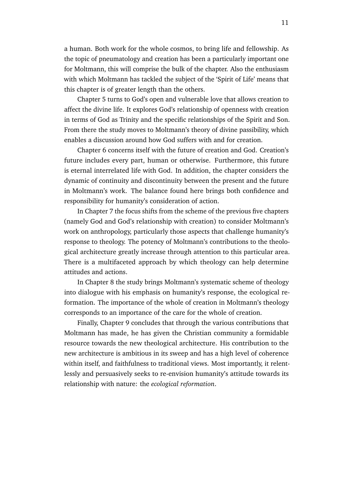a human. Both work for the whole cosmos, to bring life and fellowship. As the topic of pneumatology and creation has been a particularly important one for Moltmann, this will comprise the bulk of the chapter. Also the enthusiasm with which Moltmann has tackled the subject of the 'Spirit of Life' means that this chapter is of greater length than the others.

Chapter 5 turns to God's open and vulnerable love that allows creation to affect the divine life. It explores God's relationship of openness with creation in terms of God as Trinity and the specific relationships of the Spirit and Son. From there the study moves to Moltmann's theory of divine passibility, which enables a discussion around how God suffers with and for creation.

Chapter 6 concerns itself with the future of creation and God. Creation's future includes every part, human or otherwise. Furthermore, this future is eternal interrelated life with God. In addition, the chapter considers the dynamic of continuity and discontinuity between the present and the future in Moltmann's work. The balance found here brings both confidence and responsibility for humanity's consideration of action.

In Chapter 7 the focus shifts from the scheme of the previous five chapters (namely God and God's relationship with creation) to consider Moltmann's work on anthropology, particularly those aspects that challenge humanity's response to theology. The potency of Moltmann's contributions to the theological architecture greatly increase through attention to this particular area. There is a multifaceted approach by which theology can help determine attitudes and actions.

In Chapter 8 the study brings Moltmann's systematic scheme of theology into dialogue with his emphasis on humanity's response, the ecological reformation. The importance of the whole of creation in Moltmann's theology corresponds to an importance of the care for the whole of creation.

Finally, Chapter 9 concludes that through the various contributions that Moltmann has made, he has given the Christian community a formidable resource towards the new theological architecture. His contribution to the new architecture is ambitious in its sweep and has a high level of coherence within itself, and faithfulness to traditional views. Most importantly, it relentlessly and persuasively seeks to re-envision humanity's attitude towards its relationship with nature: the *ecological reformation*.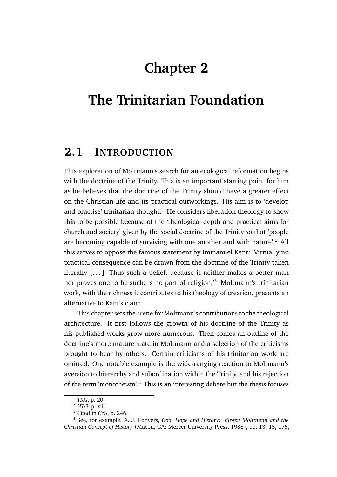# **Chapter 2**

# **The Trinitarian Foundation**

## **2.1 INTRODUCTION**

This exploration of Moltmann's search for an ecological reformation begins with the doctrine of the Trinity. This is an important starting point for him as he believes that the doctrine of the Trinity should have a greater effect on the Christian life and its practical outworkings. His aim is to 'develop and practise' trinitarian thought.<sup>1</sup> He considers liberation theology to show this to be possible because of the 'theological depth and practical aims for church and society' given by the social doctrine of the Trinity so that 'people are becoming capable of surviving with one another and with nature'.<sup>2</sup> All this serves to oppose the famous statement by Immanuel Kant: 'Virtually no practical consequence can be drawn from the doctrine of the Trinity taken literally [...] Thus such a belief, because it neither makes a better man nor proves one to be such, is no part of religion.'<sup>3</sup> Moltmann's trinitarian work, with the richness it contributes to his theology of creation, presents an alternative to Kant's claim.

This chapter sets the scene for Moltmann's contributions to the theological architecture. It first follows the growth of his doctrine of the Trinity as his published works grow more numerous. Then comes an outline of the doctrine's more mature state in Moltmann and a selection of the criticisms brought to bear by others. Certain criticisms of his trinitarian work are omitted. One notable example is the wide-ranging reaction to Moltmann's aversion to hierarchy and subordination within the Trinity, and his rejection of the term 'monotheism'.<sup>4</sup> This is an interesting debate but the thesis focuses

<sup>1</sup> *TKG*, p. 20.

<sup>2</sup> *HTG*, p. xiii.

<sup>3</sup> Cited in *CrG*, p. 246.

<sup>4</sup> See, for example, A. J. Conyers, *God, Hope and History: Jürgen Moltmann and the Christian Concept of History* (Macon, GA: Mercer University Press, 1988), pp. 13, 15, 175,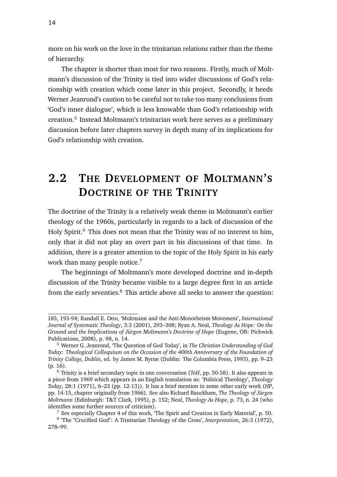more on his work on the love in the trinitarian relations rather than the theme of hierarchy.

The chapter is shorter than most for two reasons. Firstly, much of Moltmann's discussion of the Trinity is tied into wider discussions of God's relationship with creation which come later in this project. Secondly, it heeds Werner Jeanrond's caution to be careful not to take too many conclusions from 'God's inner dialogue', which is less knowable than God's relationship with creation.<sup>5</sup> Instead Moltmann's trinitarian work here serves as a preliminary discussion before later chapters survey in depth many of its implications for God's relationship with creation.

## **2.2 THE DEVELOPMENT OF MOLTMANN'S DOCTRINE OF THE TRINITY**

The doctrine of the Trinity is a relatively weak theme in Moltmann's earlier theology of the 1960s, particularly in regards to a lack of discussion of the Holy Spirit.<sup>6</sup> This does not mean that the Trinity was of no interest to him, only that it did not play an overt part in his discussions of that time. In addition, there is a greater attention to the topic of the Holy Spirit in his early work than many people notice.<sup>7</sup>

The beginnings of Moltmann's more developed doctrine and in-depth discussion of the Trinity became visible to a large degree first in an article from the early seventies.<sup>8</sup> This article above all seeks to answer the question:

<sup>185, 193-94;</sup> Randall E. Otto, 'Moltmann and the Anti-Monotheism Movement', *International Journal of Systematic Theology*, 3:3 (2001), 293–308; Ryan A. Neal, *Theology As Hope: On the Ground and the Implications of Jürgen Moltmann's Doctrine of Hope* (Eugene, OR: Pickwick Publications, 2008), p. 98, n. 14.

<sup>5</sup> Werner G. Jeanrond, 'The Question of God Today', in *The Christian Understanding of God Today: Theological Colloquium on the Occasion of the 400th Anniversary of the Foundation of Trinity College, Dublin*, ed. by James M. Byrne (Dublin: The Columbia Press, 1993), pp. 9–23 (p. 16).

<sup>6</sup> Trinity is a brief secondary topic in one conversation (*ToH*, pp. 50-58). It also appears in a piece from 1969 which appears in an English translation as: 'Political Theology', *Theology Today*, 28:1 (1971), 6–23 (pp. 12-13)). It has a brief mention in some other early work (*HP*, pp. 14-15, chapter originally from 1966). See also Richard Bauckham, *The Theology of Jürgen Moltmann* (Edinburgh: T&T Clark, 1995), p. 152; Neal, *Theology As Hope*, p. 73, n. 24 (who identifies some further sources of criticism).

<sup>7</sup> See especially Chapter 4 of this work, 'The Spirit and Creation in Early Material', p. 50.

<sup>8</sup> 'The "Crucified God": A Trinitarian Theology of the Cross', *Interpretation*, 26:3 (1972), 278–99.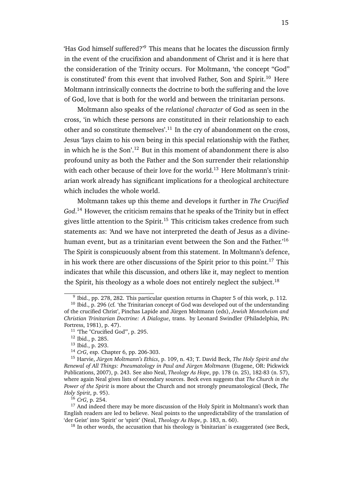'Has God himself suffered?'<sup>9</sup> This means that he locates the discussion firmly in the event of the crucifixion and abandonment of Christ and it is here that the consideration of the Trinity occurs. For Moltmann, 'the concept "God" is constituted' from this event that involved Father, Son and Spirit.<sup>10</sup> Here Moltmann intrinsically connects the doctrine to both the suffering and the love of God, love that is both for the world and between the trinitarian persons.

Moltmann also speaks of the *relational character* of God as seen in the cross, 'in which these persons are constituted in their relationship to each other and so constitute themselves'.<sup>11</sup> In the cry of abandonment on the cross, Jesus 'lays claim to his own being in this special relationship with the Father, in which he is the Son'.<sup>12</sup> But in this moment of abandonment there is also profound unity as both the Father and the Son surrender their relationship with each other because of their love for the world.<sup>13</sup> Here Moltmann's trinitarian work already has significant implications for a theological architecture which includes the whole world.

Moltmann takes up this theme and develops it further in *The Crucified God*. <sup>14</sup> However, the criticism remains that he speaks of the Trinity but in effect gives little attention to the Spirit.<sup>15</sup> This criticism takes credence from such statements as: 'And we have not interpreted the death of Jesus as a divinehuman event, but as a trinitarian event between the Son and the Father.<sup>16</sup> The Spirit is conspicuously absent from this statement. In Moltmann's defence, in his work there are other discussions of the Spirit prior to this point.<sup>17</sup> This indicates that while this discussion, and others like it, may neglect to mention the Spirit, his theology as a whole does not entirely neglect the subject.<sup>18</sup>

<sup>16</sup> *CrG*, p. 254.

<sup>&</sup>lt;sup>9</sup> Ibid., pp. 278, 282. This particular question returns in Chapter 5 of this work, p. 112.

<sup>&</sup>lt;sup>10</sup> Ibid., p. 296 (cf. 'the Trinitarian concept of God was developed out of the understanding of the crucified Christ', Pinchas Lapide and Jürgen Moltmann (eds), *Jewish Monotheism and Christian Trinitarian Doctrine: A Dialogue*, trans. by Leonard Swindler (Philadelphia, PA: Fortress, 1981), p. 47).

<sup>&</sup>lt;sup>11</sup> 'The "Crucified God"', p. 295.

<sup>12</sup> Ibid., p. 285.

<sup>13</sup> Ibid., p. 293.

<sup>14</sup> *CrG*, esp. Chapter 6, pp. 206-303.

<sup>15</sup> Harvie, *Jürgen Moltmann's Ethics*, p. 109, n. 43; T. David Beck, *The Holy Spirit and the Renewal of All Things: Pneumatology in Paul and Jürgen Moltmann* (Eugene, OR: Pickwick Publications, 2007), p. 243. See also Neal, *Theology As Hope*, pp. 178 (n. 25), 182-83 (n. 57), where again Neal gives lists of secondary sources. Beck even suggests that *The Church in the Power of the Spirit* is more about the Church and not strongly pneumatological (Beck, *The Holy Spirit*, p. 95).

<sup>&</sup>lt;sup>17</sup> And indeed there may be more discussion of the Holy Spirit in Moltmann's work than English readers are led to believe. Neal points to the unpredictability of the translation of 'der Geist' into 'Spirit' or 'spirit' (Neal, *Theology As Hope*, p. 183, n. 60).

 $18$  In other words, the accusation that his theology is 'binitarian' is exaggerated (see Beck,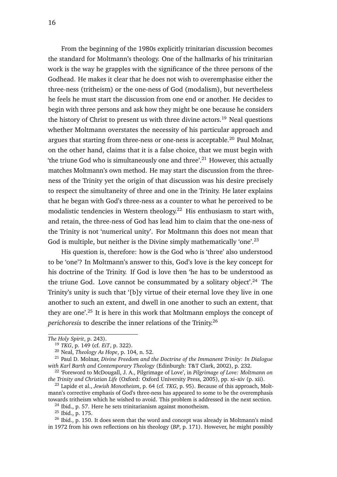From the beginning of the 1980s explicitly trinitarian discussion becomes the standard for Moltmann's theology. One of the hallmarks of his trinitarian work is the way he grapples with the significance of the three persons of the Godhead. He makes it clear that he does not wish to overemphasise either the three-ness (tritheism) or the one-ness of God (modalism), but nevertheless he feels he must start the discussion from one end or another. He decides to begin with three persons and ask how they might be one because he considers the history of Christ to present us with three divine actors.<sup>19</sup> Neal questions whether Moltmann overstates the necessity of his particular approach and argues that starting from three-ness or one-ness is acceptable.<sup>20</sup> Paul Molnar, on the other hand, claims that it is a false choice, that we must begin with 'the triune God who is simultaneously one and three'.<sup>21</sup> However, this actually matches Moltmann's own method. He may start the discussion from the threeness of the Trinity yet the origin of that discussion was his desire precisely to respect the simultaneity of three and one in the Trinity. He later explains that he began with God's three-ness as a counter to what he perceived to be modalistic tendencies in Western theology.<sup>22</sup> His enthusiasm to start with, and retain, the three-ness of God has lead him to claim that the one-ness of the Trinity is not 'numerical unity'. For Moltmann this does not mean that God is multiple, but neither is the Divine simply mathematically 'one'.<sup>23</sup>

His question is, therefore: how is the God who is 'three' also understood to be 'one'? In Moltmann's answer to this, God's love is the key concept for his doctrine of the Trinity. If God is love then 'he has to be understood as the triune God. Love cannot be consummated by a solitary object'.<sup>24</sup> The Trinity's unity is such that '[b]y virtue of their eternal love they live in one another to such an extent, and dwell in one another to such an extent, that they are one'.<sup>25</sup> It is here in this work that Moltmann employs the concept of *perichoresis* to describe the inner relations of the Trinity.<sup>26</sup>

 $24$  Ibid., p. 57. Here he sets trinitarianism against monotheism.

<sup>25</sup> Ibid., p. 175.

*The Holy Spirit*, p. 243).

<sup>19</sup> *TKG*, p. 149 (cf. *EiT*, p. 322).

<sup>20</sup> Neal, *Theology As Hope*, p. 104, n. 52.

<sup>21</sup> Paul D. Molnar, *Divine Freedom and the Doctrine of the Immanent Trinity: In Dialogue with Karl Barth and Contemporary Theology* (Edinburgh: T&T Clark, 2002), p. 232.

<sup>22</sup> 'Foreword to McDougall, J. A., Pilgrimage of Love', in *Pilgrimage of Love: Moltmann on the Trinity and Christian Life* (Oxford: Oxford University Press, 2005), pp. xi–xiv (p. xii).

<sup>23</sup> Lapide et al., *Jewish Monotheism*, p. 64 (cf. *TKG*, p. 95). Because of this approach, Moltmann's corrective emphasis of God's three-ness has appeared to some to be the overemphasis towards tritheism which he wished to avoid. This problem is addressed in the next section.

 $^{26}$  Ibid., p. 150. It does seem that the word and concept was already in Moltmann's mind in 1972 from his own reflections on his theology (*BP*, p. 171). However, he might possibly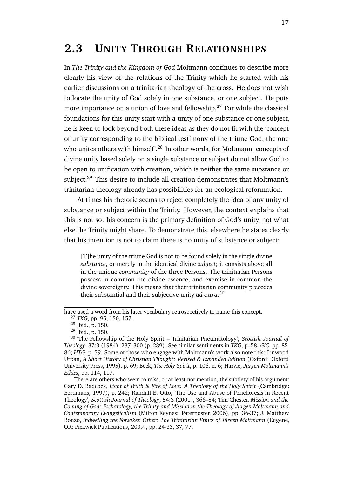## **2.3 UNITY THROUGH RELATIONSHIPS**

In *The Trinity and the Kingdom of God* Moltmann continues to describe more clearly his view of the relations of the Trinity which he started with his earlier discussions on a trinitarian theology of the cross. He does not wish to locate the unity of God solely in one substance, or one subject. He puts more importance on a union of love and fellowship.<sup>27</sup> For while the classical foundations for this unity start with a unity of one substance or one subject, he is keen to look beyond both these ideas as they do not fit with the 'concept of unity corresponding to the biblical testimony of the triune God, the one who unites others with himself'.<sup>28</sup> In other words, for Moltmann, concepts of divine unity based solely on a single substance or subject do not allow God to be open to unification with creation, which is neither the same substance or subject.<sup>29</sup> This desire to include all creation demonstrates that Moltmann's trinitarian theology already has possibilities for an ecological reformation.

At times his rhetoric seems to reject completely the idea of any unity of substance or subject within the Trinity. However, the context explains that this is not so: his concern is the primary definition of God's unity, not what else the Trinity might share. To demonstrate this, elsewhere he states clearly that his intention is not to claim there is no unity of substance or subject:

[T]he unity of the triune God is not to be found solely in the single divine *substance*, or merely in the identical divine *subject*; it consists above all in the unique *community* of the three Persons. The trinitarian Persons possess in common the divine essence, and exercise in common the divine sovereignty. This means that their trinitarian community precedes their substantial and their subjective unity *ad extra*. 30

have used a word from his later vocabulary retrospectively to name this concept.

<sup>27</sup> *TKG*, pp. 95, 150, 157.

 $28$  Ibid., p. 150.

<sup>29</sup> Ibid., p. 150.

<sup>30</sup> 'The Fellowship of the Holy Spirit – Trinitarian Pneumatology', *Scottish Journal of Theology*, 37:3 (1984), 287–300 (p. 289). See similar sentiments in *TKG*, p. 58; *GiC*, pp. 85- 86; *HTG*, p. 59. Some of those who engage with Moltmann's work also note this: Linwood Urban, *A Short History of Christian Thought: Revised & Expanded Edition* (Oxford: Oxford University Press, 1995), p. 69; Beck, *The Holy Spirit*, p. 106, n. 6; Harvie, *Jürgen Moltmann's Ethics*, pp. 114, 117.

There are others who seem to miss, or at least not mention, the subtlety of his argument: Gary D. Badcock, *Light of Truth & Fire of Love: A Theology of the Holy Spirit* (Cambridge: Eerdmans, 1997), p. 242; Randall E. Otto, 'The Use and Abuse of Perichoresis in Recent Theology', *Scottish Journal of Theology*, 54:3 (2001), 366–84; Tim Chester, *Mission and the Coming of God: Eschatology, the Trinity and Mission in the Theology of Jürgen Moltmann and Contemporary Evangelicalism* (Milton Keynes: Paternoster, 2006), pp. 36-37; J. Matthew Bonzo, *Indwelling the Forsaken Other: The Trinitarian Ethics of Jürgen Moltmann* (Eugene, OR: Pickwick Publications, 2009), pp. 24-33, 37, 77.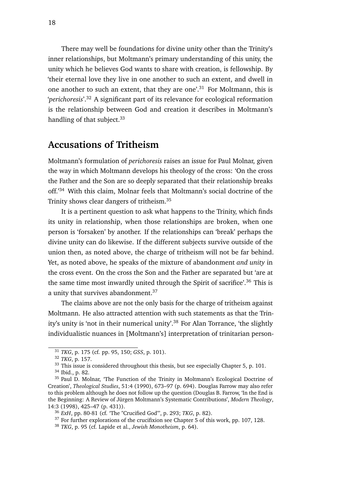There may well be foundations for divine unity other than the Trinity's inner relationships, but Moltmann's primary understanding of this unity, the unity which he believes God wants to share with creation, is fellowship. By 'their eternal love they live in one another to such an extent, and dwell in one another to such an extent, that they are one'.<sup>31</sup> For Moltmann, this is '*perichoresis*'.<sup>32</sup> A significant part of its relevance for ecological reformation is the relationship between God and creation it describes in Moltmann's handling of that subject.<sup>33</sup>

### **Accusations of Tritheism**

Moltmann's formulation of *perichoresis* raises an issue for Paul Molnar, given the way in which Moltmann develops his theology of the cross: 'On the cross the Father and the Son are so deeply separated that their relationship breaks off.'<sup>34</sup> With this claim, Molnar feels that Moltmann's social doctrine of the Trinity shows clear dangers of tritheism.<sup>35</sup>

It is a pertinent question to ask what happens to the Trinity, which finds its unity in relationship, when those relationships are broken, when one person is 'forsaken' by another. If the relationships can 'break' perhaps the divine unity can do likewise. If the different subjects survive outside of the union then, as noted above, the charge of tritheism will not be far behind. Yet, as noted above, he speaks of the mixture of abandonment *and unity* in the cross event. On the cross the Son and the Father are separated but 'are at the same time most inwardly united through the Spirit of sacrifice'.<sup>36</sup> This is a unity that survives abandonment.<sup>37</sup>

The claims above are not the only basis for the charge of tritheism against Moltmann. He also attracted attention with such statements as that the Trinity's unity is 'not in their numerical unity'.<sup>38</sup> For Alan Torrance, 'the slightly individualistic nuances in [Moltmann's] interpretation of trinitarian person-

<sup>31</sup> *TKG*, p. 175 (cf. pp. 95, 150; *GSS*, p. 101).

<sup>32</sup> *TKG*, p. 157.

<sup>&</sup>lt;sup>33</sup> This issue is considered throughout this thesis, but see especially Chapter 5, p. 101.

<sup>34</sup> Ibid., p. 82.

<sup>&</sup>lt;sup>35</sup> Paul D. Molnar, 'The Function of the Trinity in Moltmann's Ecological Doctrine of Creation', *Theological Studies*, 51:4 (1990), 673–97 (p. 694). Douglas Farrow may also refer to this problem although he does not follow up the question (Douglas B. Farrow, 'In the End is the Beginning: A Review of Jürgen Moltmann's Systematic Contributions', *Modern Theology*, 14:3 (1998), 425–47 (p. 431)).

<sup>36</sup> *ExH*, pp. 80-81 (cf. 'The "Crucified God"', p. 293; *TKG*, p. 82).

<sup>&</sup>lt;sup>37</sup> For further explorations of the crucifixion see Chapter 5 of this work, pp. 107, 128.

<sup>38</sup> *TKG*, p. 95 (cf. Lapide et al., *Jewish Monotheism*, p. 64).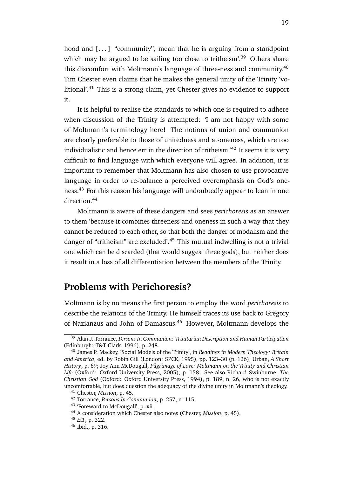hood and  $[...]$  "community", mean that he is arguing from a standpoint which may be argued to be sailing too close to tritheism'.<sup>39</sup> Others share this discomfort with Moltmann's language of three-ness and community.<sup>40</sup> Tim Chester even claims that he makes the general unity of the Trinity 'volitional'.<sup>41</sup> This is a strong claim, yet Chester gives no evidence to support it.

It is helpful to realise the standards to which one is required to adhere when discussion of the Trinity is attempted: 'I am not happy with some of Moltmann's terminology here! The notions of union and communion are clearly preferable to those of unitedness and at-oneness, which are too individualistic and hence err in the direction of tritheism.'<sup>42</sup> It seems it is very difficult to find language with which everyone will agree. In addition, it is important to remember that Moltmann has also chosen to use provocative language in order to re-balance a perceived overemphasis on God's oneness.<sup>43</sup> For this reason his language will undoubtedly appear to lean in one direction.<sup>44</sup>

Moltmann is aware of these dangers and sees *perichoresis* as an answer to them 'because it combines threeness and oneness in such a way that they cannot be reduced to each other, so that both the danger of modalism and the danger of "tritheism" are excluded'.<sup>45</sup> This mutual indwelling is not a trivial one which can be discarded (that would suggest three gods), but neither does it result in a loss of all differentiation between the members of the Trinity.

### **Problems with Perichoresis?**

Moltmann is by no means the first person to employ the word *perichoresis* to describe the relations of the Trinity. He himself traces its use back to Gregory of Nazianzus and John of Damascus.<sup>46</sup> However, Moltmann develops the

<sup>39</sup> Alan J. Torrance, *Persons In Communion: Trinitarian Description and Human Participation* (Edinburgh: T&T Clark, 1996), p. 248.

<sup>40</sup> James P. Mackey, 'Social Models of the Trinity', in *Readings in Modern Theology: Britain and America*, ed. by Robin Gill (London: SPCK, 1995), pp. 123–30 (p. 126); Urban, *A Short History*, p. 69; Joy Ann McDougall, *Pilgrimage of Love: Moltmann on the Trinity and Christian Life* (Oxford: Oxford University Press, 2005), p. 158. See also Richard Swinburne, *The Christian God* (Oxford: Oxford University Press, 1994), p. 189, n. 26, who is not exactly uncomfortable, but does question the adequacy of the divine unity in Moltmann's theology.

<sup>41</sup> Chester, *Mission*, p. 45.

<sup>42</sup> Torrance, *Persons In Communion*, p. 257, n. 115.

<sup>43</sup> 'Foreward to McDougall', p. xii.

<sup>44</sup> A consideration which Chester also notes (Chester, *Mission*, p. 45).

<sup>45</sup> *EiT*, p. 322.

<sup>46</sup> Ibid., p. 316.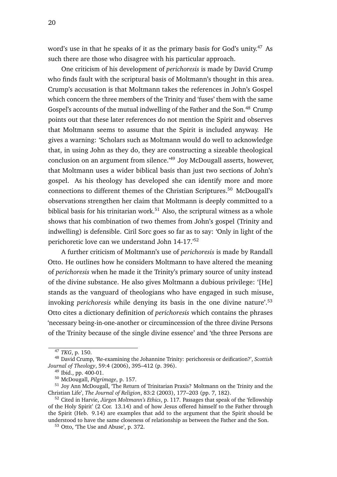word's use in that he speaks of it as the primary basis for God's unity.<sup>47</sup> As such there are those who disagree with his particular approach.

One criticism of his development of *perichoresis* is made by David Crump who finds fault with the scriptural basis of Moltmann's thought in this area. Crump's accusation is that Moltmann takes the references in John's Gospel which concern the three members of the Trinity and 'fuses' them with the same Gospel's accounts of the mutual indwelling of the Father and the Son.<sup>48</sup> Crump points out that these later references do not mention the Spirit and observes that Moltmann seems to assume that the Spirit is included anyway. He gives a warning: 'Scholars such as Moltmann would do well to acknowledge that, in using John as they do, they are constructing a sizeable theological conclusion on an argument from silence.'<sup>49</sup> Joy McDougall asserts, however, that Moltmann uses a wider biblical basis than just two sections of John's gospel. As his theology has developed she can identify more and more connections to different themes of the Christian Scriptures.<sup>50</sup> McDougall's observations strengthen her claim that Moltmann is deeply committed to a biblical basis for his trinitarian work.<sup>51</sup> Also, the scriptural witness as a whole shows that his combination of two themes from John's gospel (Trinity and indwelling) is defensible. Ciril Sorc goes so far as to say: 'Only in light of the perichoretic love can we understand John 14-17.'<sup>52</sup>

A further criticism of Moltmann's use of *perichoresis* is made by Randall Otto. He outlines how he considers Moltmann to have altered the meaning of *perichoresis* when he made it the Trinity's primary source of unity instead of the divine substance. He also gives Moltmann a dubious privilege: '[He] stands as the vanguard of theologians who have engaged in such misuse, invoking *perichoresis* while denying its basis in the one divine nature'.<sup>53</sup> Otto cites a dictionary definition of *perichoresis* which contains the phrases 'necessary being-in-one-another or circumincession of the three divine Persons of the Trinity because of the single divine essence' and 'the three Persons are

<sup>47</sup> *TKG*, p. 150.

<sup>48</sup> David Crump, 'Re-examining the Johannine Trinity: perichoresis or deification?', *Scottish Journal of Theology*, 59:4 (2006), 395–412 (p. 396).

<sup>49</sup> Ibid., pp. 400-01.

<sup>50</sup> McDougall, *Pilgrimage*, p. 157.

<sup>&</sup>lt;sup>51</sup> Joy Ann McDougall, 'The Return of Trinitarian Praxis? Moltmann on the Trinity and the Christian Life', *The Journal of Religion*, 83:2 (2003), 177–203 (pp. 7, 182).

<sup>52</sup> Cited in Harvie, *Jürgen Moltmann's Ethics*, p. 117. Passages that speak of the 'fellowship of the Holy Spirit' (2 Cor. 13.14) and of how Jesus offered himself to the Father through the Spirit (Heb. 9.14) are examples that add to the argument that the Spirit should be understood to have the same closeness of relationship as between the Father and the Son.

<sup>53</sup> Otto, 'The Use and Abuse', p. 372.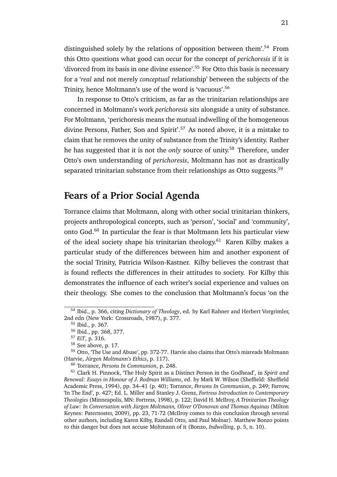distinguished solely by the relations of opposition between them'.<sup>54</sup> From this Otto questions what good can occur for the concept of *perichoresis* if it is 'divorced from its basis in one divine essence'.<sup>55</sup> For Otto this basis is necessary for a '*real* and not merely *conceptual* relationship' between the subjects of the Trinity, hence Moltmann's use of the word is 'vacuous'.<sup>56</sup>

In response to Otto's criticism, as far as the trinitarian relationships are concerned in Moltmann's work *perichoresis* sits alongside a unity of substance. For Moltmann, 'perichoresis means the mutual indwelling of the homogeneous divine Persons, Father, Son and Spirit'.<sup>57</sup> As noted above, it is a mistake to claim that he removes the unity of substance from the Trinity's identity. Rather he has suggested that it is not the *only* source of unity.<sup>58</sup> Therefore, under Otto's own understanding of *perichoresis*, Moltmann has not as drastically separated trinitarian substance from their relationships as Otto suggests.<sup>59</sup>

#### **Fears of a Prior Social Agenda**

Torrance claims that Moltmann, along with other social trinitarian thinkers, projects anthropological concepts, such as 'person', 'social' and 'community', onto God.<sup>60</sup> In particular the fear is that Moltmann lets his particular view of the ideal society shape his trinitarian theology.<sup>61</sup> Karen Kilby makes a particular study of the differences between him and another exponent of the social Trinity, Patricia Wilson-Kastner. Kilby believes the contrast that is found reflects the differences in their attitudes to society. For Kilby this demonstrates the influence of each writer's social experience and values on their theology. She comes to the conclusion that Moltmann's focus 'on the

<sup>54</sup> Ibid., p. 366, citing *Dictionary of Theology*, ed. by Karl Rahner and Herbert Vorgrimler, 2nd edn (New York: Crossroads, 1987), p. 377.

<sup>55</sup> Ibid., p. 367.

<sup>56</sup> Ibid., pp. 368, 377.

<sup>57</sup> *EiT*, p. 316.

<sup>58</sup> See above, p. 17.

<sup>59</sup> Otto, 'The Use and Abuse', pp. 372-77. Harvie also claims that Otto's misreads Moltmann (Harvie, *Jürgen Moltmann's Ethics*, p. 117).

<sup>60</sup> Torrance, *Persons In Communion*, p. 248.

<sup>61</sup> Clark H. Pinnock, 'The Holy Spirit as a Distinct Person in the Godhead', in *Spirit and Renewal: Essays in Honour of J. Rodman Williams*, ed. by Mark W. Wilson (Sheffield: Sheffield Academic Press, 1994), pp. 34–41 (p. 40); Torrance, *Persons In Communion*, p. 249; Farrow, 'In The End', p. 427; Ed. L. Miller and Stanley J. Grenz, *Fortress Introduction to Contemporary Theologies* (Minneapolis, MN: Fortress, 1998), p. 122; David H. McIlroy, *A Trinitarian Theology of Law: In Conversation with Jürgen Moltmann, Oliver O'Donovan and Thomas Aquinas* (Milton Keynes: Paternoster, 2009), pp. 23, 71-72 (McIlroy comes to this conclusion through several other authors, including Karen Kilby, Randall Otto, and Paul Molnar). Matthew Bonzo points to this danger but does not accuse Moltmann of it (Bonzo, *Indwelling*, p. 5, n. 10).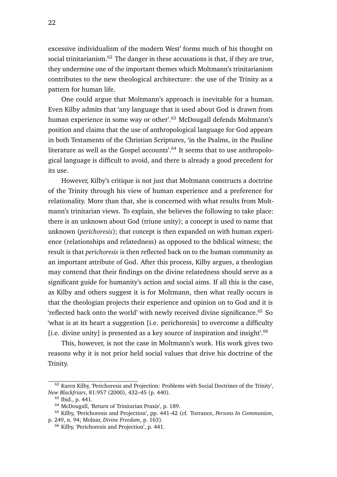excessive individualism of the modern West' forms much of his thought on social trinitarianism.<sup>62</sup> The danger in these accusations is that, if they are true, they undermine one of the important themes which Moltmann's trinitarianism contributes to the new theological architecture: the use of the Trinity as a pattern for human life.

One could argue that Moltmann's approach is inevitable for a human. Even Kilby admits that 'any language that is used about God is drawn from human experience in some way or other'.<sup>63</sup> McDougall defends Moltmann's position and claims that the use of anthropological language for God appears in both Testaments of the Christian Scriptures, 'in the Psalms, in the Pauline literature as well as the Gospel accounts'.<sup>64</sup> It seems that to use anthropological language is difficult to avoid, and there is already a good precedent for its use.

However, Kilby's critique is not just that Moltmann constructs a doctrine of the Trinity through his view of human experience and a preference for relationality. More than that, she is concerned with what results from Moltmann's trinitarian views. To explain, she believes the following to take place: there is an unknown about God (triune unity); a concept is used to name that unknown (*perichoresis*); that concept is then expanded on with human experience (relationships and relatedness) as opposed to the biblical witness; the result is that *perichoresis* is then reflected back on to the human community as an important attribute of God. After this process, Kilby argues, a theologian may contend that their findings on the divine relatedness should serve as a significant guide for humanity's action and social aims. If all this is the case, as Kilby and others suggest it is for Moltmann, then what really occurs is that the theologian projects their experience and opinion on to God and it is 'reflected back onto the world' with newly received divine significance.<sup>65</sup> So 'what is at its heart a suggestion [i.e. perichoresis] to overcome a difficulty [i.e. divine unity] is presented as a key source of inspiration and insight'.<sup>66</sup>

This, however, is not the case in Moltmann's work. His work gives two reasons why it is not prior held social values that drive his doctrine of the Trinity.

<sup>62</sup> Karen Kilby, 'Perichoresis and Projection: Problems with Social Doctrines of the Trinity', *New Blackfriars*, 81:957 (2000), 432–45 (p. 440).

<sup>63</sup> Ibid., p. 441.

<sup>64</sup> McDougall, 'Return of Trinitarian Praxis', p. 189.

<sup>65</sup> Kilby, 'Perichoresis and Projection', pp. 441-42 (cf. Torrance, *Persons In Communion*, p. 249, n. 94; Molnar, *Divine Freedom*, p. 163).

<sup>66</sup> Kilby, 'Perichoresis and Projection', p. 441.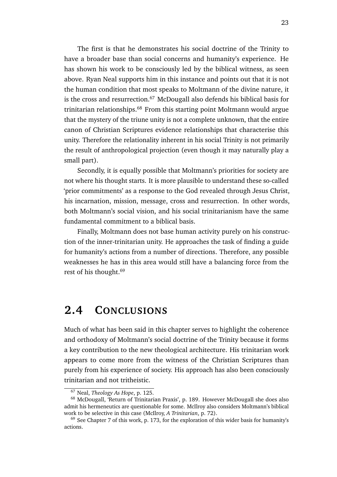The first is that he demonstrates his social doctrine of the Trinity to have a broader base than social concerns and humanity's experience. He has shown his work to be consciously led by the biblical witness, as seen above. Ryan Neal supports him in this instance and points out that it is not the human condition that most speaks to Moltmann of the divine nature, it is the cross and resurrection.<sup>67</sup> McDougall also defends his biblical basis for trinitarian relationships. $68$  From this starting point Moltmann would argue that the mystery of the triune unity is not a complete unknown, that the entire canon of Christian Scriptures evidence relationships that characterise this unity. Therefore the relationality inherent in his social Trinity is not primarily the result of anthropological projection (even though it may naturally play a small part).

Secondly, it is equally possible that Moltmann's priorities for society are not where his thought starts. It is more plausible to understand these so-called 'prior commitments' as a response to the God revealed through Jesus Christ, his incarnation, mission, message, cross and resurrection. In other words, both Moltmann's social vision, and his social trinitarianism have the same fundamental commitment to a biblical basis.

Finally, Moltmann does not base human activity purely on his construction of the inner-trinitarian unity. He approaches the task of finding a guide for humanity's actions from a number of directions. Therefore, any possible weaknesses he has in this area would still have a balancing force from the rest of his thought.<sup>69</sup>

## **2.4 CONCLUSIONS**

Much of what has been said in this chapter serves to highlight the coherence and orthodoxy of Moltmann's social doctrine of the Trinity because it forms a key contribution to the new theological architecture. His trinitarian work appears to come more from the witness of the Christian Scriptures than purely from his experience of society. His approach has also been consciously trinitarian and not tritheistic.

<sup>67</sup> Neal, *Theology As Hope*, p. 125.

<sup>68</sup> McDougall, 'Return of Trinitarian Praxis', p. 189. However McDougall she does also admit his hermeneutics are questionable for some. McIlroy also considers Moltmann's biblical work to be selective in this case (McIlroy, *A Trinitarian*, p. 72).

 $69$  See Chapter 7 of this work, p. 173, for the exploration of this wider basis for humanity's actions.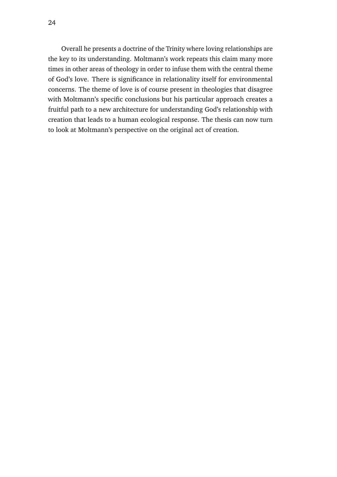Overall he presents a doctrine of the Trinity where loving relationships are the key to its understanding. Moltmann's work repeats this claim many more times in other areas of theology in order to infuse them with the central theme of God's love. There is significance in relationality itself for environmental concerns. The theme of love is of course present in theologies that disagree with Moltmann's specific conclusions but his particular approach creates a fruitful path to a new architecture for understanding God's relationship with creation that leads to a human ecological response. The thesis can now turn to look at Moltmann's perspective on the original act of creation.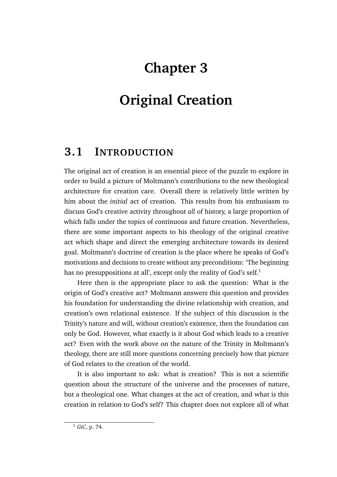# **Chapter 3**

# **Original Creation**

## **3.1 INTRODUCTION**

The original act of creation is an essential piece of the puzzle to explore in order to build a picture of Moltmann's contributions to the new theological architecture for creation care. Overall there is relatively little written by him about the *initial* act of creation. This results from his enthusiasm to discuss God's creative activity throughout *all* of history, a large proportion of which falls under the topics of continuous and future creation. Nevertheless, there are some important aspects to his theology of the original creative act which shape and direct the emerging architecture towards its desired goal. Moltmann's doctrine of creation is the place where he speaks of God's motivations and decisions to create without any preconditions: 'The beginning has no presuppositions at all', except only the reality of God's self.<sup>1</sup>

Here then is the appropriate place to ask the question: What is the origin of God's creative act? Moltmann answers this question and provides his foundation for understanding the divine relationship with creation, and creation's own relational existence. If the subject of this discussion is the Trinity's nature and will, without creation's existence, then the foundation can only be God. However, what exactly is it about God which leads to a creative act? Even with the work above on the nature of the Trinity in Moltmann's theology, there are still more questions concerning precisely how that picture of God relates to the creation of the world.

It is also important to ask: what is creation? This is not a scientific question about the structure of the universe and the processes of nature, but a theological one. What changes at the act of creation, and what is this creation in relation to God's self? This chapter does not explore all of what

<sup>1</sup> *GiC*, p. 74.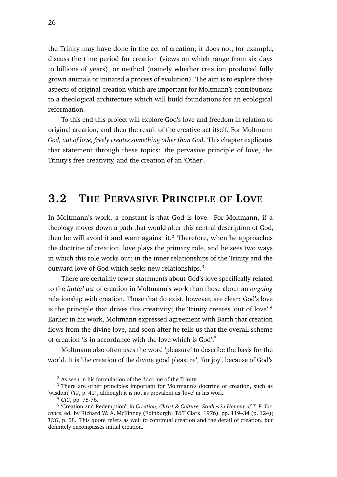the Trinity may have done in the act of creation; it does not, for example, discuss the time period for creation (views on which range from six days to billions of years), or method (namely whether creation produced fully grown animals or initiated a process of evolution). The aim is to explore those aspects of original creation which are important for Moltmann's contributions to a theological architecture which will build foundations for an ecological reformation.

To this end this project will explore God's love and freedom in relation to original creation, and then the result of the creative act itself. For Moltmann *God, out of love, freely creates something other than God*. This chapter explicates that statement through these topics: the pervasive principle of love, the Trinity's free creativity, and the creation of an 'Other'.

## **3.2 THE PERVASIVE PRINCIPLE OF LOVE**

In Moltmann's work, a constant is that God is love. For Moltmann, if a theology moves down a path that would alter this central description of God, then he will avoid it and warn against it.<sup>2</sup> Therefore, when he approaches the doctrine of creation, love plays the primary role, and he sees two ways in which this role works out: in the inner relationships of the Trinity and the outward love of God which seeks new relationships.<sup>3</sup>

There are certainly fewer statements about God's love specifically related to the *initial act* of creation in Moltmann's work than those about an *ongoing* relationship with creation. Those that do exist, however, are clear: God's love is the principle that drives this creativity; the Trinity creates 'out of love'.<sup>4</sup> Earlier in his work, Moltmann expressed agreement with Barth that creation flows from the divine love, and soon after he tells us that the overall scheme of creation 'is in accordance with the love which is God'.<sup>5</sup>

Moltmann also often uses the word 'pleasure' to describe the basis for the world. It is 'the creation of the divine good pleasure', 'for joy', because of God's

 $2$  As seen in his formulation of the doctrine of the Trinity.

<sup>&</sup>lt;sup>3</sup> There are other principles important for Moltmann's doctrine of creation, such as 'wisdom' (*TJ*, p. 41), although it is not as prevalent as 'love' in his work.

<sup>4</sup> *GiC*, pp. 75-76.

<sup>5</sup> 'Creation and Redemption', in *Creation, Christ & Culture: Studies in Honour of T. F. Torrance*, ed. by Richard W. A. McKinney (Edinburgh: T&T Clark, 1976), pp. 119–34 (p. 124); *TKG*, p. 58. This quote refers as well to continual creation and the detail of creation, but definitely encompasses initial creation.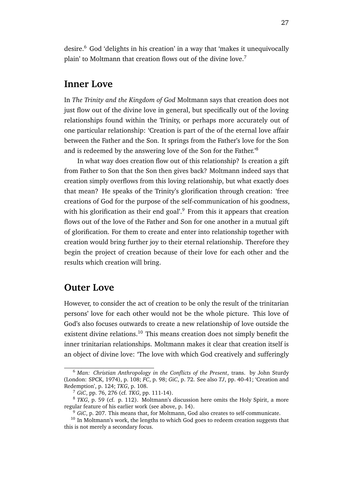desire.<sup>6</sup> God 'delights in his creation' in a way that 'makes it unequivocally plain' to Moltmann that creation flows out of the divine love.<sup>7</sup>

#### **Inner Love**

In *The Trinity and the Kingdom of God* Moltmann says that creation does not just flow out of the divine love in general, but specifically out of the loving relationships found within the Trinity, or perhaps more accurately out of one particular relationship: 'Creation is part of the of the eternal love affair between the Father and the Son. It springs from the Father's love for the Son and is redeemed by the answering love of the Son for the Father.'<sup>8</sup>

In what way does creation flow out of this relationship? Is creation a gift from Father to Son that the Son then gives back? Moltmann indeed says that creation simply overflows from this loving relationship, but what exactly does that mean? He speaks of the Trinity's glorification through creation: 'free creations of God for the purpose of the self-communication of his goodness, with his glorification as their end goal'.<sup>9</sup> From this it appears that creation flows out of the love of the Father and Son for one another in a mutual gift of glorification. For them to create and enter into relationship together with creation would bring further joy to their eternal relationship. Therefore they begin the project of creation because of their love for each other and the results which creation will bring.

#### **Outer Love**

However, to consider the act of creation to be only the result of the trinitarian persons' love for each other would not be the whole picture. This love of God's also focuses outwards to create a new relationship of love outside the existent divine relations.<sup>10</sup> This means creation does not simply benefit the inner trinitarian relationships. Moltmann makes it clear that creation itself is an object of divine love: 'The love with which God creatively and sufferingly

<sup>6</sup> *Man: Christian Anthropology in the Conflicts of the Present*, trans. by John Sturdy (London: SPCK, 1974), p. 108; *FC*, p. 98; *GiC*, p. 72. See also *TJ*, pp. 40-41; 'Creation and Redemption', p. 124; *TKG*, p. 108.

<sup>7</sup> *GiC*, pp. 76, 276 (cf. *TKG*, pp. 111-14).

<sup>&</sup>lt;sup>8</sup> *TKG*, p. 59 (cf. p. 112). Moltmann's discussion here omits the Holy Spirit, a more regular feature of his earlier work (see above, p. 14).

<sup>&</sup>lt;sup>9</sup> *GiC*, p. 207. This means that, for Moltmann, God also creates to self-communicate.

<sup>&</sup>lt;sup>10</sup> In Moltmann's work, the lengths to which God goes to redeem creation suggests that this is not merely a secondary focus.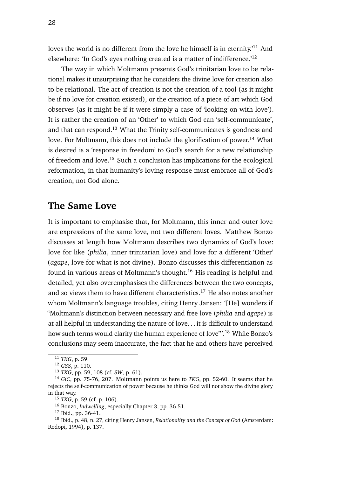loves the world is no different from the love he himself is in eternity.<sup>'11</sup> And elsewhere: 'In God's eyes nothing created is a matter of indifference.'<sup>12</sup>

The way in which Moltmann presents God's trinitarian love to be relational makes it unsurprising that he considers the divine love for creation also to be relational. The act of creation is not the creation of a tool (as it might be if no love for creation existed), or the creation of a piece of art which God observes (as it might be if it were simply a case of 'looking on with love'). It is rather the creation of an 'Other' to which God can 'self-communicate', and that can respond.<sup>13</sup> What the Trinity self-communicates is goodness and love. For Moltmann, this does not include the glorification of power.<sup>14</sup> What is desired is a 'response in freedom' to God's search for a new relationship of freedom and love.<sup>15</sup> Such a conclusion has implications for the ecological reformation, in that humanity's loving response must embrace all of God's creation, not God alone.

#### **The Same Love**

It is important to emphasise that, for Moltmann, this inner and outer love are expressions of the same love, not two different loves. Matthew Bonzo discusses at length how Moltmann describes two dynamics of God's love: love for like (*philia*, inner trinitarian love) and love for a different 'Other' (*agape*, love for what is not divine). Bonzo discusses this differentiation as found in various areas of Moltmann's thought.<sup>16</sup> His reading is helpful and detailed, yet also overemphasises the differences between the two concepts, and so views them to have different characteristics.<sup>17</sup> He also notes another whom Moltmann's language troubles, citing Henry Jansen: '[He] wonders if "Moltmann's distinction between necessary and free love (*philia* and *agape*) is at all helpful in understanding the nature of love. . . it is difficult to understand how such terms would clarify the human experience of love"'.<sup>18</sup> While Bonzo's conclusions may seem inaccurate, the fact that he and others have perceived

 $\frac{11}{11}$  *TKG*, p. 59.

<sup>12</sup> *GSS*, p. 110.

<sup>13</sup> *TKG*, pp. 59, 108 (cf. *SW*, p. 61).

<sup>14</sup> *GiC*, pp. 75-76, 207. Moltmann points us here to *TKG*, pp. 52-60. It seems that he rejects the self-communication of power because he thinks God will not show the divine glory in that way.

<sup>15</sup> *TKG*, p. 59 (cf. p. 106).

<sup>16</sup> Bonzo, *Indwelling*, especially Chapter 3, pp. 36-51.

<sup>17</sup> Ibid., pp. 36-41.

<sup>18</sup> Ibid., p. 48, n. 27, citing Henry Jansen, *Relationality and the Concept of God* (Amsterdam: Rodopi, 1994), p. 137.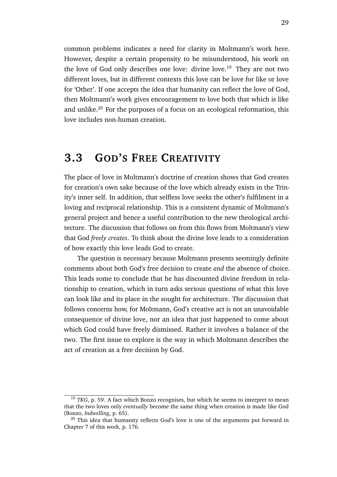common problems indicates a need for clarity in Moltmann's work here. However, despite a certain propensity to be misunderstood, his work on the love of God only describes one love: divine love.<sup>19</sup> They are not two different loves, but in different contexts this love can be love for like or love for 'Other'. If one accepts the idea that humanity can reflect the love of God, then Moltmann's work gives encouragement to love both that which is like and unlike.<sup>20</sup> For the purposes of a focus on an ecological reformation, this love includes non-human creation.

## **3.3 GOD'S FREE CREATIVITY**

The place of love in Moltmann's doctrine of creation shows that God creates for creation's own sake because of the love which already exists in the Trinity's inner self. In addition, that selfless love seeks the other's fulfilment in a loving and reciprocal relationship. This is a consistent dynamic of Moltmann's general project and hence a useful contribution to the new theological architecture. The discussion that follows on from this flows from Moltmann's view that God *freely creates*. To think about the divine love leads to a consideration of how exactly this love leads God to create.

The question is necessary because Moltmann presents seemingly definite comments about both God's free decision to create *and* the absence of choice. This leads some to conclude that he has discounted divine freedom in relationship to creation, which in turn asks serious questions of what this love can look like and its place in the sought for architecture. The discussion that follows concerns how, for Moltmann, God's creative act is not an unavoidable consequence of divine love, nor an idea that just happened to come about which God could have freely dismissed. Rather it involves a balance of the two. The first issue to explore is the way in which Moltmann describes the act of creation as a free decision by God.

<sup>&</sup>lt;sup>19</sup> *TKG*, p. 59. A fact which Bonzo recognises, but which he seems to interpret to mean that the two loves only *eventually* become the same thing when creation is made like God (Bonzo, *Indwelling*, p. 65).

<sup>&</sup>lt;sup>20</sup> This idea that humanity reflects God's love is one of the arguments put forward in Chapter 7 of this work, p. 176.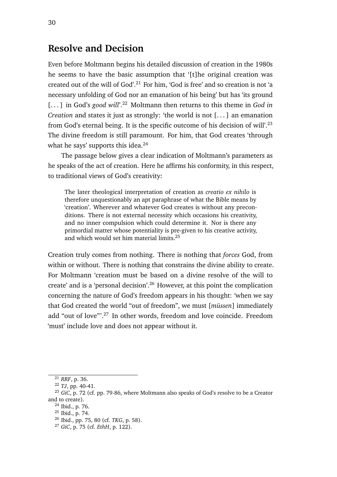### **Resolve and Decision**

Even before Moltmann begins his detailed discussion of creation in the 1980s he seems to have the basic assumption that '[t]he original creation was created out of the will of God'.<sup>21</sup> For him, 'God is free' and so creation is not 'a necessary unfolding of God nor an emanation of his being' but has 'its ground [...] in God's *good will*'.<sup>22</sup> Moltmann then returns to this theme in *God in Creation* and states it just as strongly: 'the world is not [...] an emanation from God's eternal being. It is the specific outcome of his decision of will'.<sup>23</sup> The divine freedom is still paramount. For him, that God creates 'through what he says' supports this idea.<sup>24</sup>

The passage below gives a clear indication of Moltmann's parameters as he speaks of the act of creation. Here he affirms his conformity, in this respect, to traditional views of God's creativity:

The later theological interpretation of creation as *creatio ex nihilo* is therefore unquestionably an apt paraphrase of what the Bible means by 'creation'. Wherever and whatever God creates is without any preconditions. There is not external necessity which occasions his creativity, and no inner compulsion which could determine it. Nor is there any primordial matter whose potentiality is pre-given to his creative activity, and which would set him material limits.<sup>25</sup>

Creation truly comes from nothing. There is nothing that *forces* God, from within or without. There is nothing that constrains the divine ability to create. For Moltmann 'creation must be based on a divine resolve of the will to create' and is a 'personal decision'.<sup>26</sup> However, at this point the complication concerning the nature of God's freedom appears in his thought: 'when we say that God created the world "out of freedom", we must [*müssen*] immediately add "out of love"<sup>27</sup> In other words, freedom and love coincide. Freedom 'must' include love and does not appear without it.

<sup>21</sup> *RRF*, p. 36.

<sup>22</sup> *TJ*, pp. 40-41.

<sup>23</sup> *GiC*, p. 72 (cf. pp. 79-86, where Moltmann also speaks of God's resolve to be a Creator and to create).

<sup>24</sup> Ibid., p. 76.

<sup>25</sup> Ibid., p. 74.

<sup>26</sup> Ibid., pp. 75, 80 (cf. *TKG*, p. 58).

<sup>27</sup> *GiC*, p. 75 (cf. *EthH*, p. 122).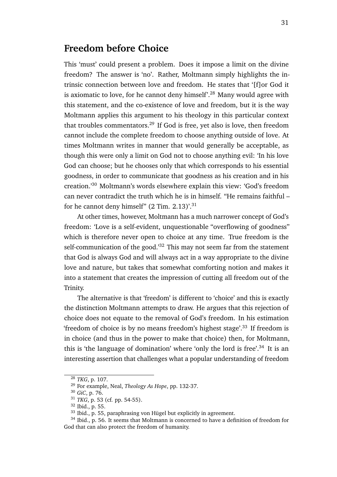## **Freedom before Choice**

This 'must' could present a problem. Does it impose a limit on the divine freedom? The answer is 'no'. Rather, Moltmann simply highlights the intrinsic connection between love and freedom. He states that '[f]or God it is axiomatic to love, for he cannot deny himself'.<sup>28</sup> Many would agree with this statement, and the co-existence of love and freedom, but it is the way Moltmann applies this argument to his theology in this particular context that troubles commentators.<sup>29</sup> If God is free, yet also is love, then freedom cannot include the complete freedom to choose anything outside of love. At times Moltmann writes in manner that would generally be acceptable, as though this were only a limit on God not to choose anything evil: 'In his love God can choose; but he chooses only that which corresponds to his essential goodness, in order to communicate that goodness as his creation and in his creation.'<sup>30</sup> Moltmann's words elsewhere explain this view: 'God's freedom can never contradict the truth which he is in himself. "He remains faithful – for he cannot deny himself" (2 Tim. 2.13)'.<sup>31</sup>

At other times, however, Moltmann has a much narrower concept of God's freedom: 'Love is a self-evident, unquestionable "overflowing of goodness" which is therefore never open to choice at any time. True freedom is the self-communication of the good.'<sup>32</sup> This may not seem far from the statement that God is always God and will always act in a way appropriate to the divine love and nature, but takes that somewhat comforting notion and makes it into a statement that creates the impression of cutting all freedom out of the Trinity.

The alternative is that 'freedom' is different to 'choice' and this is exactly the distinction Moltmann attempts to draw. He argues that this rejection of choice does not equate to the removal of God's freedom. In his estimation 'freedom of choice is by no means freedom's highest stage'.<sup>33</sup> If freedom is in choice (and thus in the power to make that choice) then, for Moltmann, this is 'the language of domination' where 'only the lord is free'.<sup>34</sup> It is an interesting assertion that challenges what a popular understanding of freedom

<sup>28</sup> *TKG*, p. 107.

<sup>29</sup> For example, Neal, *Theology As Hope*, pp. 132-37.

<sup>30</sup> *GiC*, p. 76.

<sup>31</sup> *TKG*, p. 53 (cf. pp. 54-55).

<sup>32</sup> Ibid., p. 55.

<sup>&</sup>lt;sup>33</sup> Ibid., p. 55, paraphrasing von Hügel but explicitly in agreement.

<sup>&</sup>lt;sup>34</sup> Ibid., p. 56. It seems that Moltmann is concerned to have a definition of freedom for God that can also protect the freedom of humanity.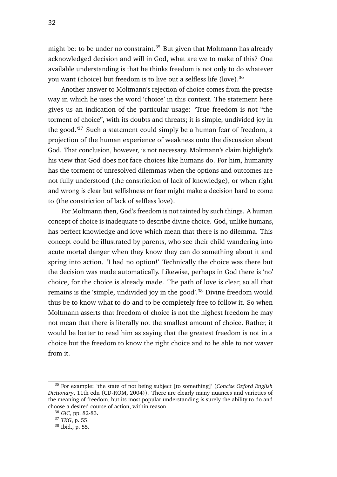might be: to be under no constraint.<sup>35</sup> But given that Moltmann has already acknowledged decision and will in God, what are we to make of this? One available understanding is that he thinks freedom is not only to do whatever you want (choice) but freedom is to live out a selfless life (love).<sup>36</sup>

Another answer to Moltmann's rejection of choice comes from the precise way in which he uses the word 'choice' in this context. The statement here gives us an indication of the particular usage: 'True freedom is not "the torment of choice", with its doubts and threats; it is simple, undivided joy in the good.'<sup>37</sup> Such a statement could simply be a human fear of freedom, a projection of the human experience of weakness onto the discussion about God. That conclusion, however, is not necessary. Moltmann's claim highlight's his view that God does not face choices like humans do. For him, humanity has the torment of unresolved dilemmas when the options and outcomes are not fully understood (the constriction of lack of knowledge), or when right and wrong is clear but selfishness or fear might make a decision hard to come to (the constriction of lack of selfless love).

For Moltmann then, God's freedom is not tainted by such things. A human concept of choice is inadequate to describe divine choice. God, unlike humans, has perfect knowledge and love which mean that there is no dilemma. This concept could be illustrated by parents, who see their child wandering into acute mortal danger when they know they can do something about it and spring into action. 'I had no option!' Technically the choice was there but the decision was made automatically. Likewise, perhaps in God there is 'no' choice, for the choice is already made. The path of love is clear, so all that remains is the 'simple, undivided joy in the good'.<sup>38</sup> Divine freedom would thus be to know what to do and to be completely free to follow it. So when Moltmann asserts that freedom of choice is not the highest freedom he may not mean that there is literally not the smallest amount of choice. Rather, it would be better to read him as saying that the greatest freedom is not in a choice but the freedom to know the right choice and to be able to not waver from it.

<sup>35</sup> For example: 'the state of not being subject [to something]' (*Concise Oxford English Dictionary*, 11th edn (CD-ROM, 2004)). There are clearly many nuances and varieties of the meaning of freedom, but its most popular understanding is surely the ability to do and choose a desired course of action, within reason.

<sup>36</sup> *GiC*, pp. 82-83.

<sup>37</sup> *TKG*, p. 55.

<sup>38</sup> Ibid., p. 55.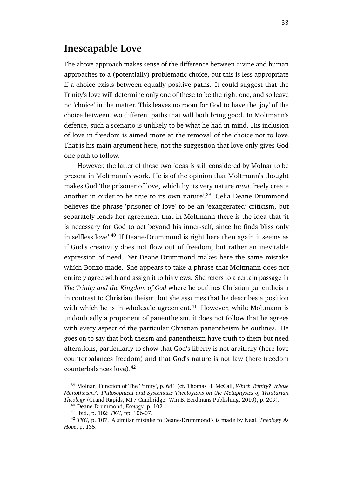### **Inescapable Love**

The above approach makes sense of the difference between divine and human approaches to a (potentially) problematic choice, but this is less appropriate if a choice exists between equally positive paths. It could suggest that the Trinity's love will determine only one of these to be the right one, and so leave no 'choice' in the matter. This leaves no room for God to have the 'joy' of the choice between two different paths that will both bring good. In Moltmann's defence, such a scenario is unlikely to be what he had in mind. His inclusion of love in freedom is aimed more at the removal of the choice not to love. That is his main argument here, not the suggestion that love only gives God one path to follow.

However, the latter of those two ideas is still considered by Molnar to be present in Moltmann's work. He is of the opinion that Moltmann's thought makes God 'the prisoner of love, which by its very nature *must* freely create another in order to be true to its own nature'.<sup>39</sup> Celia Deane-Drummond believes the phrase 'prisoner of love' to be an 'exaggerated' criticism, but separately lends her agreement that in Moltmann there is the idea that 'it is necessary for God to act beyond his inner-self, since he finds bliss only in selfless love'.<sup>40</sup> If Deane-Drummond is right here then again it seems as if God's creativity does not flow out of freedom, but rather an inevitable expression of need. Yet Deane-Drummond makes here the same mistake which Bonzo made. She appears to take a phrase that Moltmann does not entirely agree with and assign it to his views. She refers to a certain passage in *The Trinity and the Kingdom of God* where he outlines Christian panentheism in contrast to Christian theism, but she assumes that he describes a position with which he is in wholesale agreement.<sup>41</sup> However, while Moltmann is undoubtedly a proponent of panentheism, it does not follow that he agrees with every aspect of the particular Christian panentheism he outlines. He goes on to say that both theism and panentheism have truth to them but need alterations, particularly to show that God's liberty is not arbitrary (here love counterbalances freedom) and that God's nature is not law (here freedom counterbalances love).<sup>42</sup>

<sup>39</sup> Molnar, 'Function of The Trinity', p. 681 (cf. Thomas H. McCall, *Which Trinity? Whose Monotheism?: Philosophical and Systematic Theologians on the Metaphysics of Trinitarian Theology* (Grand Rapids, MI / Cambridge: Wm B. Eerdmans Publishing, 2010), p. 209).

<sup>40</sup> Deane-Drummond, *Ecology*, p. 102.

<sup>41</sup> Ibid., p. 102; *TKG*, pp. 106-07.

<sup>42</sup> *TKG*, p. 107. A similar mistake to Deane-Drummond's is made by Neal, *Theology As Hope*, p. 135.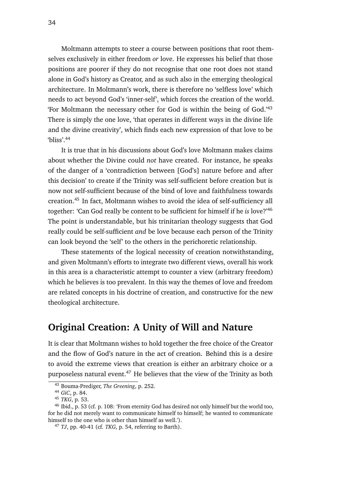Moltmann attempts to steer a course between positions that root themselves exclusively in either freedom *or* love. He expresses his belief that those positions are poorer if they do not recognise that one root does not stand alone in God's history as Creator, and as such also in the emerging theological architecture. In Moltmann's work, there is therefore no 'selfless love' which needs to act beyond God's 'inner-self', which forces the creation of the world. 'For Moltmann the necessary other for God is within the being of God.'<sup>43</sup> There is simply the one love, 'that operates in different ways in the divine life and the divine creativity', which finds each new expression of that love to be 'bliss'.<sup>44</sup>

It is true that in his discussions about God's love Moltmann makes claims about whether the Divine could *not* have created. For instance, he speaks of the danger of a 'contradiction between [God's] nature before and after this decision' to create if the Trinity was self-sufficient before creation but is now not self-sufficient because of the bind of love and faithfulness towards creation.<sup>45</sup> In fact, Moltmann wishes to avoid the idea of self-sufficiency all together: 'Can God really be content to be sufficient for himself if he *is* love?'<sup>46</sup> The point is understandable, but his trinitarian theology suggests that God really could be self-sufficient *and* be love because each person of the Trinity can look beyond the 'self' to the others in the perichoretic relationship.

These statements of the logical necessity of creation notwithstanding, and given Moltmann's efforts to integrate two different views, overall his work in this area is a characteristic attempt to counter a view (arbitrary freedom) which he believes is too prevalent. In this way the themes of love and freedom are related concepts in his doctrine of creation, and constructive for the new theological architecture.

### **Original Creation: A Unity of Will and Nature**

It is clear that Moltmann wishes to hold together the free choice of the Creator and the flow of God's nature in the act of creation. Behind this is a desire to avoid the extreme views that creation is either an arbitrary choice or a purposeless natural event.<sup>47</sup> He believes that the view of the Trinity as both

<sup>43</sup> Bouma-Prediger, *The Greening*, p. 252.

<sup>44</sup> *GiC*, p. 84.

<sup>45</sup> *TKG*, p. 53.

<sup>46</sup> Ibid., p. 53 (cf. p. 108: 'From eternity God has desired not only himself but the world too, for he did not merely want to communicate himself to himself; he wanted to communicate himself to the one who is other than himself as well.').

<sup>47</sup> *TJ*, pp. 40-41 (cf. *TKG*, p. 54, referring to Barth).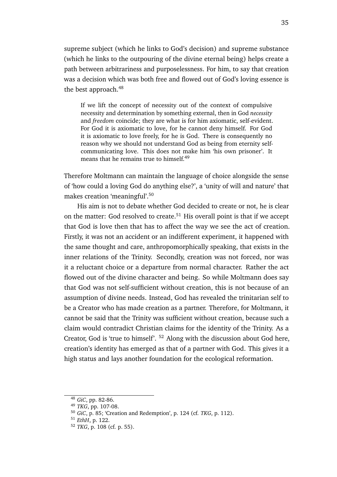supreme subject (which he links to God's decision) and supreme substance (which he links to the outpouring of the divine eternal being) helps create a path between arbitrariness and purposelessness. For him, to say that creation was a decision which was both free and flowed out of God's loving essence is the best approach.<sup>48</sup>

If we lift the concept of necessity out of the context of compulsive necessity and determination by something external, then in God *necessity* and *freedom* coincide; they are what is for him axiomatic, self-evident. For God it is axiomatic to love, for he cannot deny himself. For God it is axiomatic to love freely, for he is God. There is consequently no reason why we should not understand God as being from eternity selfcommunicating love. This does not make him 'his own prisoner'. It means that he remains true to himself.<sup>49</sup>

Therefore Moltmann can maintain the language of choice alongside the sense of 'how could a loving God do anything else?', a 'unity of will and nature' that makes creation 'meaningful'.<sup>50</sup>

His aim is not to debate whether God decided to create or not, he is clear on the matter: God resolved to create.<sup>51</sup> His overall point is that if we accept that God is love then that has to affect the way we see the act of creation. Firstly, it was not an accident or an indifferent experiment, it happened with the same thought and care, anthropomorphically speaking, that exists in the inner relations of the Trinity. Secondly, creation was not forced, nor was it a reluctant choice or a departure from normal character. Rather the act flowed out of the divine character and being. So while Moltmann does say that God was not self-sufficient without creation, this is not because of an assumption of divine needs. Instead, God has revealed the trinitarian self to be a Creator who has made creation as a partner. Therefore, for Moltmann, it cannot be said that the Trinity was sufficient without creation, because such a claim would contradict Christian claims for the identity of the Trinity. As a Creator, God is 'true to himself'. <sup>52</sup> Along with the discussion about God here, creation's identity has emerged as that of a partner with God. This gives it a high status and lays another foundation for the ecological reformation.

<sup>48</sup> *GiC*, pp. 82-86.

<sup>49</sup> *TKG*, pp. 107-08.

<sup>50</sup> *GiC*, p. 85; 'Creation and Redemption', p. 124 (cf. *TKG*, p. 112).

<sup>51</sup> *EthH*, p. 122.

<sup>52</sup> *TKG*, p. 108 (cf. p. 55).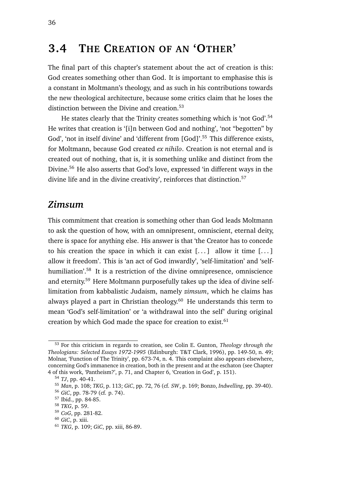## **3.4 THE CREATION OF AN 'OTHER'**

The final part of this chapter's statement about the act of creation is this: God creates something other than God. It is important to emphasise this is a constant in Moltmann's theology, and as such in his contributions towards the new theological architecture, because some critics claim that he loses the distinction between the Divine and creation.<sup>53</sup>

He states clearly that the Trinity creates something which is 'not God'.<sup>54</sup> He writes that creation is '[i]n between God and nothing', 'not "begotten" by God', 'not in itself divine' and 'different from [God]'.<sup>55</sup> This difference exists, for Moltmann, because God created *ex nihilo*. Creation is not eternal and is created out of nothing, that is, it is something unlike and distinct from the Divine.<sup>56</sup> He also asserts that God's love, expressed 'in different ways in the divine life and in the divine creativity', reinforces that distinction.<sup>57</sup>

#### *Zimsum*

This commitment that creation is something other than God leads Moltmann to ask the question of how, with an omnipresent, omniscient, eternal deity, there is space for anything else. His answer is that 'the Creator has to concede to his creation the space in which it can exist  $[\dots]$  allow it time  $[\dots]$ allow it freedom'. This is 'an act of God inwardly', 'self-limitation' and 'selfhumiliation'.<sup>58</sup> It is a restriction of the divine omnipresence, omniscience and eternity.<sup>59</sup> Here Moltmann purposefully takes up the idea of divine selflimitation from kabbalistic Judaism, namely *zimsum*, which he claims has always played a part in Christian theology.<sup>60</sup> He understands this term to mean 'God's self-limitation' or 'a withdrawal into the self' during original creation by which God made the space for creation to exist. $61$ 

<sup>53</sup> For this criticism in regards to creation, see Colin E. Gunton, *Theology through the Theologians: Selected Essays 1972-1995* (Edinburgh: T&T Clark, 1996), pp. 149-50, n. 49; Molnar, 'Function of The Trinity', pp. 673-74, n. 4. This complaint also appears elsewhere, concerning God's immanence in creation, both in the present and at the eschaton (see Chapter 4 of this work, 'Pantheism?', p. 71, and Chapter 6, 'Creation in God', p. 151).

<sup>54</sup> *TJ*, pp. 40-41.

<sup>55</sup> *Man*, p. 108; *TKG*, p. 113; *GiC*, pp. 72, 76 (cf. *SW*, p. 169; Bonzo, *Indwelling*, pp. 39-40).

<sup>56</sup> *GiC*, pp. 78-79 (cf. p. 74).

<sup>57</sup> Ibid., pp. 84-85.

<sup>58</sup> *TKG*, p. 59.

<sup>59</sup> *CoG*, pp. 281-82.

<sup>60</sup> *GiC*, p. xiii.

<sup>61</sup> *TKG*, p. 109; *GiC*, pp. xiii, 86-89.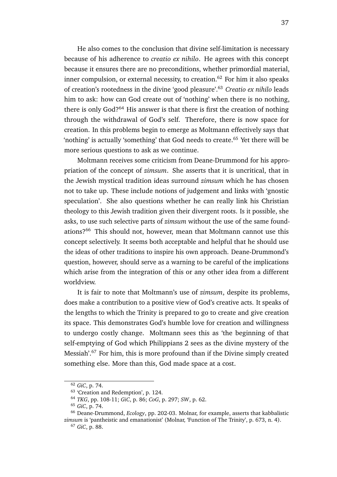He also comes to the conclusion that divine self-limitation is necessary because of his adherence to *creatio ex nihilo*. He agrees with this concept because it ensures there are no preconditions, whether primordial material, inner compulsion, or external necessity, to creation.<sup>62</sup> For him it also speaks of creation's rootedness in the divine 'good pleasure'.<sup>63</sup> *Creatio ex nihilo* leads him to ask: how can God create out of 'nothing' when there is no nothing, there is only God?<sup>64</sup> His answer is that there is first the creation of nothing through the withdrawal of God's self. Therefore, there is now space for creation. In this problems begin to emerge as Moltmann effectively says that 'nothing' is actually 'something' that God needs to create.<sup>65</sup> Yet there will be more serious questions to ask as we continue.

Moltmann receives some criticism from Deane-Drummond for his appropriation of the concept of *zimsum*. She asserts that it is uncritical, that in the Jewish mystical tradition ideas surround *zimsum* which he has chosen not to take up. These include notions of judgement and links with 'gnostic speculation'. She also questions whether he can really link his Christian theology to this Jewish tradition given their divergent roots. Is it possible, she asks, to use such selective parts of *zimsum* without the use of the same foundations?<sup>66</sup> This should not, however, mean that Moltmann cannot use this concept selectively. It seems both acceptable and helpful that he should use the ideas of other traditions to inspire his own approach. Deane-Drummond's question, however, should serve as a warning to be careful of the implications which arise from the integration of this or any other idea from a different worldview.

It is fair to note that Moltmann's use of *zimsum*, despite its problems, does make a contribution to a positive view of God's creative acts. It speaks of the lengths to which the Trinity is prepared to go to create and give creation its space. This demonstrates God's humble love for creation and willingness to undergo costly change. Moltmann sees this as 'the beginning of that self-emptying of God which Philippians 2 sees as the divine mystery of the Messiah'.<sup>67</sup> For him, this is more profound than if the Divine simply created something else. More than this, God made space at a cost.

<sup>62</sup> *GiC*, p. 74.

<sup>63</sup> 'Creation and Redemption', p. 124.

<sup>64</sup> *TKG*, pp. 108-11; *GiC*, p. 86; *CoG*, p. 297; *SW*, p. 62.

<sup>65</sup> *GiC*, p. 74.

<sup>66</sup> Deane-Drummond, *Ecology*, pp. 202-03. Molnar, for example, asserts that kabbalistic *zimsum* is 'pantheistic and emanationist' (Molnar, 'Function of The Trinity', p. 673, n. 4).

<sup>67</sup> *GiC*, p. 88.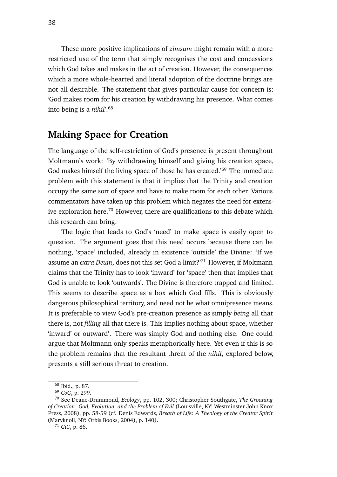These more positive implications of *zimsum* might remain with a more restricted use of the term that simply recognises the cost and concessions which God takes and makes in the act of creation. However, the consequences which a more whole-hearted and literal adoption of the doctrine brings are not all desirable. The statement that gives particular cause for concern is: 'God makes room for his creation by withdrawing his presence. What comes into being is a *nihil*'.<sup>68</sup>

### **Making Space for Creation**

The language of the self-restriction of God's presence is present throughout Moltmann's work: 'By withdrawing himself and giving his creation space, God makes himself the living space of those he has created.<sup>'69</sup> The immediate problem with this statement is that it implies that the Trinity and creation occupy the same sort of space and have to make room for each other. Various commentators have taken up this problem which negates the need for extensive exploration here.<sup>70</sup> However, there are qualifications to this debate which this research can bring.

The logic that leads to God's 'need' to make space is easily open to question. The argument goes that this need occurs because there can be nothing, 'space' included, already in existence 'outside' the Divine: 'If we assume an *extra Deum*, does not this set God a limit?'<sup>71</sup> However, if Moltmann claims that the Trinity has to look 'inward' for 'space' then that implies that God is unable to look 'outwards'. The Divine is therefore trapped and limited. This seems to describe space as a box which God fills. This is obviously dangerous philosophical territory, and need not be what omnipresence means. It is preferable to view God's pre-creation presence as simply *being* all that there is, not *filling* all that there is. This implies nothing about space, whether 'inward' or outward'. There was simply God and nothing else. One could argue that Moltmann only speaks metaphorically here. Yet even if this is so the problem remains that the resultant threat of the *nihil*, explored below, presents a still serious threat to creation.

<sup>68</sup> Ibid., p. 87.

<sup>69</sup> *CoG*, p. 299.

<sup>70</sup> See Deane-Drummond, *Ecology*, pp. 102, 300; Christopher Southgate, *The Groaning of Creation: God, Evolution, and the Problem of Evil* (Louisville, KY: Westminster John Knox Press, 2008), pp. 58-59 (cf. Denis Edwards, *Breath of Life: A Theology of the Creator Spirit* (Maryknoll, NY: Orbis Books, 2004), p. 140).

<sup>71</sup> *GiC*, p. 86.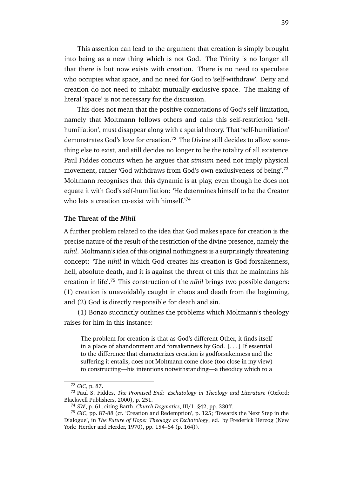This assertion can lead to the argument that creation is simply brought into being as a new thing which is not God. The Trinity is no longer all that there is but now exists with creation. There is no need to speculate who occupies what space, and no need for God to 'self-withdraw'. Deity and creation do not need to inhabit mutually exclusive space. The making of literal 'space' is not necessary for the discussion.

This does not mean that the positive connotations of God's self-limitation, namely that Moltmann follows others and calls this self-restriction 'selfhumiliation', must disappear along with a spatial theory. That 'self-humiliation' demonstrates God's love for creation.<sup>72</sup> The Divine still decides to allow something else to exist, and still decides no longer to be the totality of all existence. Paul Fiddes concurs when he argues that *zimsum* need not imply physical movement, rather 'God withdraws from God's own exclusiveness of being'.<sup>73</sup> Moltmann recognises that this dynamic is at play, even though he does not equate it with God's self-humiliation: 'He determines himself to be the Creator who lets a creation co-exist with himself.<sup>'74</sup>

#### **The Threat of the** *Nihil*

A further problem related to the idea that God makes space for creation is the precise nature of the result of the restriction of the divine presence, namely the *nihil*. Moltmann's idea of this original nothingness is a surprisingly threatening concept: 'The *nihil* in which God creates his creation is God-forsakenness, hell, absolute death, and it is against the threat of this that he maintains his creation in life'.<sup>75</sup> This construction of the *nihil* brings two possible dangers: (1) creation is unavoidably caught in chaos and death from the beginning, and (2) God is directly responsible for death and sin.

(1) Bonzo succinctly outlines the problems which Moltmann's theology raises for him in this instance:

The problem for creation is that as God's different Other, it finds itself in a place of abandonment and forsakenness by God. [. . . ] If essential to the difference that characterizes creation is godforsakenness and the suffering it entails, does not Moltmann come close (too close in my view) to constructing—his intentions notwithstanding—a theodicy which to a

<sup>72</sup> *GiC*, p. 87.

<sup>73</sup> Paul S. Fiddes, *The Promised End: Eschatology in Theology and Literature* (Oxford: Blackwell Publishers, 2000), p. 251.

<sup>74</sup> *SW*, p. 61, citing Barth, *Church Dogmatics*, III/1, §42, pp. 330ff.

<sup>75</sup> *GiC*, pp. 87-88 (cf. 'Creation and Redemption', p. 125; 'Towards the Next Step in the Dialogue', in *The Future of Hope: Theology as Eschatology*, ed. by Frederick Herzog (New York: Herder and Herder, 1970), pp. 154–64 (p. 164)).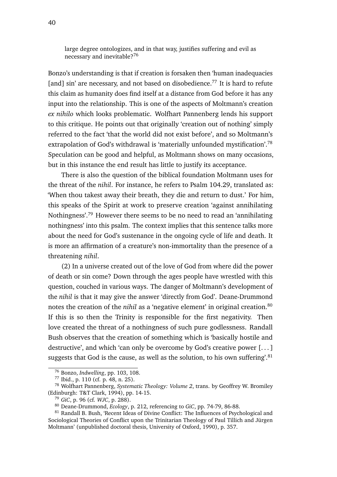large degree ontologizes, and in that way, justifies suffering and evil as necessary and inevitable?<sup>76</sup>

Bonzo's understanding is that if creation is forsaken then 'human inadequacies [and] sin' are necessary, and not based on disobedience.<sup>77</sup> It is hard to refute this claim as humanity does find itself at a distance from God before it has any input into the relationship. This is one of the aspects of Moltmann's creation *ex nihilo* which looks problematic. Wolfhart Pannenberg lends his support to this critique. He points out that originally 'creation out of nothing' simply referred to the fact 'that the world did not exist before', and so Moltmann's extrapolation of God's withdrawal is 'materially unfounded mystification'.<sup>78</sup> Speculation can be good and helpful, as Moltmann shows on many occasions, but in this instance the end result has little to justify its acceptance.

There is also the question of the biblical foundation Moltmann uses for the threat of the *nihil*. For instance, he refers to Psalm 104.29, translated as: 'When thou takest away their breath, they die and return to dust.' For him, this speaks of the Spirit at work to preserve creation 'against annihilating Nothingness'.<sup>79</sup> However there seems to be no need to read an 'annihilating nothingness' into this psalm. The context implies that this sentence talks more about the need for God's sustenance in the ongoing cycle of life and death. It is more an affirmation of a creature's non-immortality than the presence of a threatening *nihil*.

(2) In a universe created out of the love of God from where did the power of death or sin come? Down through the ages people have wrestled with this question, couched in various ways. The danger of Moltmann's development of the *nihil* is that it may give the answer 'directly from God'. Deane-Drummond notes the creation of the *nihil* as a 'negative element' in original creation.<sup>80</sup> If this is so then the Trinity is responsible for the first negativity. Then love created the threat of a nothingness of such pure godlessness. Randall Bush observes that the creation of something which is 'basically hostile and destructive', and which 'can only be overcome by God's creative power [. . . ] suggests that God is the cause, as well as the solution, to his own suffering'.<sup>81</sup>

<sup>76</sup> Bonzo, *Indwelling*, pp. 103, 108.

<sup>77</sup> Ibid., p. 110 (cf. p. 48, n. 25).

<sup>78</sup> Wolfhart Pannenberg, *Systematic Theology: Volume 2*, trans. by Geoffrey W. Bromiley (Edinburgh: T&T Clark, 1994), pp. 14-15.

<sup>79</sup> *GiC*, p. 96 (cf. *WJC*, p. 288).

<sup>80</sup> Deane-Drummond, *Ecology*, p. 212, referencing to *GiC*, pp. 74-79, 86-88.

<sup>81</sup> Randall B. Bush, 'Recent Ideas of Divine Conflict: The Influences of Psychological and Sociological Theories of Conflict upon the Trinitarian Theology of Paul Tillich and Jürgen Moltmann' (unpublished doctoral thesis, University of Oxford, 1990), p. 357.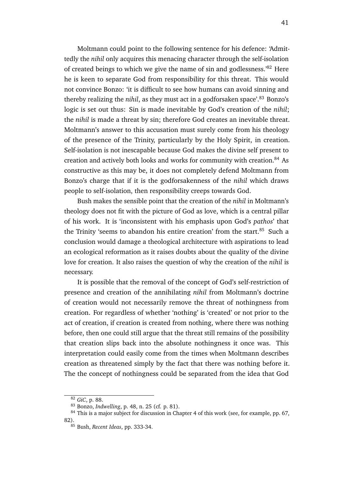Moltmann could point to the following sentence for his defence: 'Admittedly the *nihil* only acquires this menacing character through the self-isolation of created beings to which we give the name of sin and godlessness.'<sup>82</sup> Here he is keen to separate God from responsibility for this threat. This would not convince Bonzo: 'it is difficult to see how humans can avoid sinning and thereby realizing the *nihil*, as they must act in a godforsaken space'.<sup>83</sup> Bonzo's logic is set out thus: Sin is made inevitable by God's creation of the *nihil*; the *nihil* is made a threat by sin; therefore God creates an inevitable threat. Moltmann's answer to this accusation must surely come from his theology of the presence of the Trinity, particularly by the Holy Spirit, in creation. Self-isolation is not inescapable because God makes the divine self present to creation and actively both looks and works for community with creation.<sup>84</sup> As constructive as this may be, it does not completely defend Moltmann from Bonzo's charge that if it is the godforsakenness of the *nihil* which draws people to self-isolation, then responsibility creeps towards God.

Bush makes the sensible point that the creation of the *nihil* in Moltmann's theology does not fit with the picture of God as love, which is a central pillar of his work. It is 'inconsistent with his emphasis upon God's *pathos*' that the Trinity 'seems to abandon his entire creation' from the start.<sup>85</sup> Such a conclusion would damage a theological architecture with aspirations to lead an ecological reformation as it raises doubts about the quality of the divine love for creation. It also raises the question of why the creation of the *nihil* is necessary.

It is possible that the removal of the concept of God's self-restriction of presence and creation of the annihilating *nihil* from Moltmann's doctrine of creation would not necessarily remove the threat of nothingness from creation. For regardless of whether 'nothing' is 'created' or not prior to the act of creation, if creation is created from nothing, where there was nothing before, then one could still argue that the threat still remains of the possibility that creation slips back into the absolute nothingness it once was. This interpretation could easily come from the times when Moltmann describes creation as threatened simply by the fact that there was nothing before it. The the concept of nothingness could be separated from the idea that God

<sup>82</sup> *GiC*, p. 88.

<sup>83</sup> Bonzo, *Indwelling*, p. 48, n. 25 (cf. p. 81).

<sup>&</sup>lt;sup>84</sup> This is a major subject for discussion in Chapter 4 of this work (see, for example, pp. 67, 82).

<sup>85</sup> Bush, *Recent Ideas*, pp. 333-34.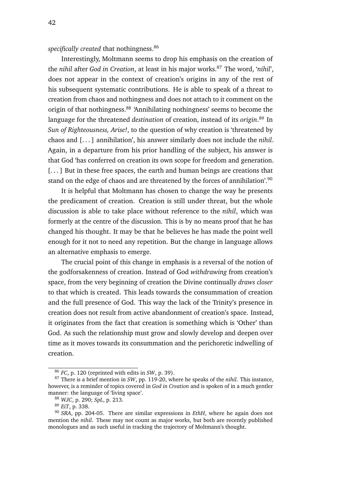specifically created that nothingness.<sup>86</sup>

Interestingly, Moltmann seems to drop his emphasis on the creation of the *nihil* after *God in Creation*, at least in his major works.<sup>87</sup> The word, '*nihil*', does not appear in the context of creation's origins in any of the rest of his subsequent systematic contributions. He is able to speak of a threat to creation from chaos and nothingness and does not attach to it comment on the origin of that nothingness.<sup>88</sup> 'Annihilating nothingness' seems to become the language for the threatened *destination* of creation, instead of its *origin*. <sup>89</sup> In *Sun of Righteousness, Arise!*, to the question of why creation is 'threatened by chaos and [. . . ] annihilation', his answer similarly does not include the *nihil*. Again, in a departure from his prior handling of the subject, his answer is that God 'has conferred on creation its own scope for freedom and generation. [...] But in these free spaces, the earth and human beings are creations that stand on the edge of chaos and are threatened by the forces of annihilation'.<sup>90</sup>

It is helpful that Moltmann has chosen to change the way he presents the predicament of creation. Creation is still under threat, but the whole discussion is able to take place without reference to the *nihil*, which was formerly at the centre of the discussion. This is by no means proof that he has changed his thought. It may be that he believes he has made the point well enough for it not to need any repetition. But the change in language allows an alternative emphasis to emerge.

The crucial point of this change in emphasis is a reversal of the notion of the godforsakenness of creation. Instead of God *withdrawing* from creation's space, from the very beginning of creation the Divine continually *draws closer* to that which is created. This leads towards the consummation of creation and the full presence of God. This way the lack of the Trinity's presence in creation does not result from active abandonment of creation's space. Instead, it originates from the fact that creation is something which is 'Other' than God. As such the relationship must grow and slowly develop and deepen over time as it moves towards its consummation and the perichoretic indwelling of creation.

<sup>86</sup> *FC*, p. 120 (reprinted with edits in *SW*, p. 39).

<sup>87</sup> There is a brief mention in *SW*, pp. 119-20, where he speaks of the *nihil*. This instance, however, is a reminder of topics covered in *God in Creation* and is spoken of in a much gentler manner: the language of 'living space'.

<sup>88</sup> *WJC*, p. 290; *SpL*, p. 213.

<sup>89</sup> *EiT*, p. 338.

<sup>90</sup> *SRA*, pp. 204-05. There are similar expressions in *EthH*, where he again does not mention the *nihil*. These may not count as major works, but both are recently published monologues and as such useful in tracking the trajectory of Moltmann's thought.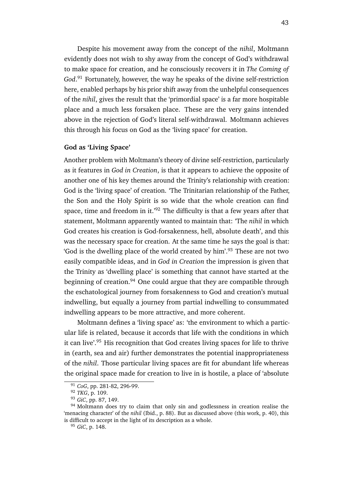Despite his movement away from the concept of the *nihil*, Moltmann evidently does not wish to shy away from the concept of God's withdrawal to make space for creation, and he consciously recovers it in *The Coming of God*. <sup>91</sup> Fortunately, however, the way he speaks of the divine self-restriction here, enabled perhaps by his prior shift away from the unhelpful consequences of the *nihil*, gives the result that the 'primordial space' is a far more hospitable place and a much less forsaken place. These are the very gains intended above in the rejection of God's literal self-withdrawal. Moltmann achieves this through his focus on God as the 'living space' for creation.

#### **God as 'Living Space'**

Another problem with Moltmann's theory of divine self-restriction, particularly as it features in *God in Creation*, is that it appears to achieve the opposite of another one of his key themes around the Trinity's relationship with creation: God is the 'living space' of creation. 'The Trinitarian relationship of the Father, the Son and the Holy Spirit is so wide that the whole creation can find space, time and freedom in it.<sup>'92</sup> The difficulty is that a few years after that statement, Moltmann apparently wanted to maintain that: 'The *nihil* in which God creates his creation is God-forsakenness, hell, absolute death', and this was the necessary space for creation. At the same time he says the goal is that: 'God is the dwelling place of the world created by him'.<sup>93</sup> These are not two easily compatible ideas, and in *God in Creation* the impression is given that the Trinity as 'dwelling place' is something that cannot have started at the beginning of creation.<sup>94</sup> One could argue that they are compatible through the eschatological journey from forsakenness to God and creation's mutual indwelling, but equally a journey from partial indwelling to consummated indwelling appears to be more attractive, and more coherent.

Moltmann defines a 'living space' as: 'the environment to which a particular life is related, because it accords that life with the conditions in which it can live'.<sup>95</sup> His recognition that God creates living spaces for life to thrive in (earth, sea and air) further demonstrates the potential inappropriateness of the *nihil*. Those particular living spaces are fit for abundant life whereas the original space made for creation to live in is hostile, a place of 'absolute

<sup>91</sup> *CoG*, pp. 281-82, 296-99.

<sup>92</sup> *TKG*, p. 109.

<sup>93</sup> *GiC*, pp. 87, 149.

<sup>&</sup>lt;sup>94</sup> Moltmann does try to claim that only sin and godlessness in creation realise the 'menacing character' of the *nihil* (Ibid., p. 88). But as discussed above (this work, p. 40), this is difficult to accept in the light of its description as a whole.

<sup>95</sup> *GiC*, p. 148.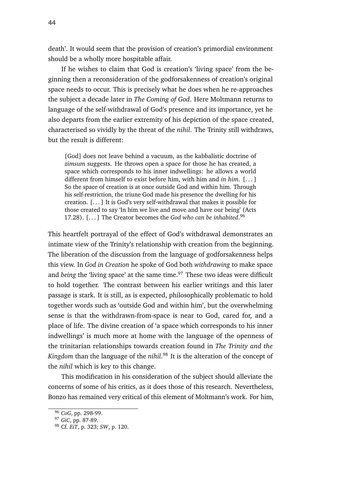death'. It would seem that the provision of creation's primordial environment should be a wholly more hospitable affair.

If he wishes to claim that God is creation's 'living space' from the beginning then a reconsideration of the godforsakenness of creation's original space needs to occur. This is precisely what he does when he re-approaches the subject a decade later in *The Coming of God*. Here Moltmann returns to language of the self-withdrawal of God's presence and its importance, yet he also departs from the earlier extremity of his depiction of the space created, characterised so vividly by the threat of the *nihil*. The Trinity still withdraws, but the result is different:

[God] does not leave behind a vacuum, as the kabbalistic doctrine of *zimsum* suggests. He throws open a space for those he has created, a space which corresponds to his inner indwellings: he allows a world different from himself to exist before him, with him and *in him*. [. . . ] So the space of creation is at once outside God and within him. Through his self-restriction, the triune God made his presence the dwelling for his creation. [. . . ] It is God's very self-withdrawal that makes it possible for those created to say 'In him we live and move and have our being' (Acts 17.28). [. . . ] The Creator becomes the *God who can be inhabited*. 96

This heartfelt portrayal of the effect of God's withdrawal demonstrates an intimate view of the Trinity's relationship with creation from the beginning. The liberation of the discussion from the language of godforsakenness helps this view. In *God in Creation* he spoke of God both *withdrawing* to make space and *being* the 'living space' at the same time.<sup>97</sup> These two ideas were difficult to hold together. The contrast between his earlier writings and this later passage is stark. It is still, as is expected, philosophically problematic to hold together words such as 'outside God and within him', but the overwhelming sense is that the withdrawn-from-space is near to God, cared for, and a place of life. The divine creation of 'a space which corresponds to his inner indwellings' is much more at home with the language of the openness of the trinitarian relationships towards creation found in *The Trinity and the Kingdom* than the language of the *nihil*. <sup>98</sup> It is the alteration of the concept of the *nihil* which is key to this change.

This modification in his consideration of the subject should alleviate the concerns of some of his critics, as it does those of this research. Nevertheless, Bonzo has remained very critical of this element of Moltmann's work. For him,

<sup>96</sup> *CoG*, pp. 298-99.

<sup>97</sup> *GiC*, pp. 87-89.

<sup>98</sup> Cf. *EiT*, p. 323; *SW*, p. 120.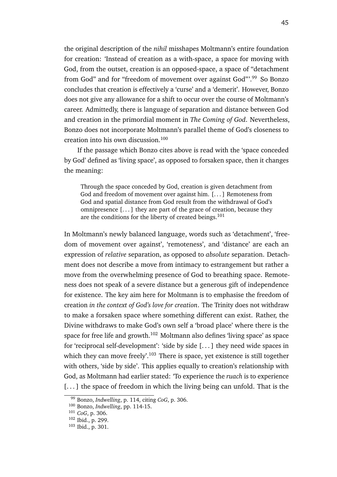the original description of the *nihil* misshapes Moltmann's entire foundation for creation: 'Instead of creation as a with-space, a space for moving with God, from the outset, creation is an opposed-space, a space of "detachment from God" and for "freedom of movement over against God"<sup>.99</sup> So Bonzo concludes that creation is effectively a 'curse' and a 'demerit'. However, Bonzo does not give any allowance for a shift to occur over the course of Moltmann's career. Admittedly, there is language of separation and distance between God and creation in the primordial moment in *The Coming of God*. Nevertheless, Bonzo does not incorporate Moltmann's parallel theme of God's closeness to creation into his own discussion.<sup>100</sup>

If the passage which Bonzo cites above is read with the 'space conceded by God' defined as 'living space', as opposed to forsaken space, then it changes the meaning:

Through the space conceded by God, creation is given detachment from God and freedom of movement over against him. [. . . ] Remoteness from God and spatial distance from God result from the withdrawal of God's omnipresence [. . . ] they are part of the grace of creation, because they are the conditions for the liberty of created beings.<sup>101</sup>

In Moltmann's newly balanced language, words such as 'detachment', 'freedom of movement over against', 'remoteness', and 'distance' are each an expression of *relative* separation, as opposed to *absolute* separation. Detachment does not describe a move from intimacy to estrangement but rather a move from the overwhelming presence of God to breathing space. Remoteness does not speak of a severe distance but a generous gift of independence for existence. The key aim here for Moltmann is to emphasise the freedom of creation *in the context of God's love for creation*. The Trinity does not withdraw to make a forsaken space where something different can exist. Rather, the Divine withdraws to make God's own self a 'broad place' where there is the space for free life and growth.<sup>102</sup> Moltmann also defines 'living space' as space for 'reciprocal self-development': 'side by side [. . . ] they need wide spaces in which they can move freely'.<sup>103</sup> There is space, yet existence is still together with others, 'side by side'. This applies equally to creation's relationship with God, as Moltmann had earlier stated: 'To experience the *ruach* is to experience [...] the space of freedom in which the living being can unfold. That is the

<sup>99</sup> Bonzo, *Indwelling*, p. 114, citing *CoG*, p. 306.

<sup>100</sup> Bonzo, *Indwelling*, pp. 114-15.

<sup>101</sup> *CoG*, p. 306.

<sup>102</sup> Ibid., p. 299.

<sup>103</sup> Ibid., p. 301.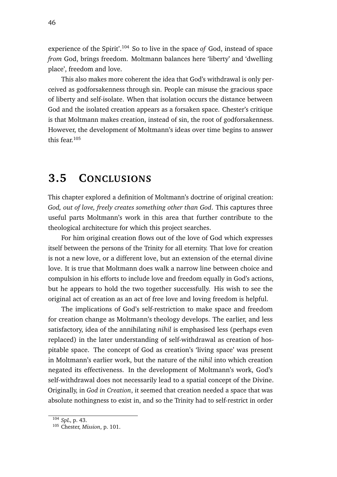experience of the Spirit'.<sup>104</sup> So to live in the space *of* God, instead of space *from* God, brings freedom. Moltmann balances here 'liberty' and 'dwelling place', freedom and love.

This also makes more coherent the idea that God's withdrawal is only perceived as godforsakenness through sin. People can misuse the gracious space of liberty and self-isolate. When that isolation occurs the distance between God and the isolated creation appears as a forsaken space. Chester's critique is that Moltmann makes creation, instead of sin, the root of godforsakenness. However, the development of Moltmann's ideas over time begins to answer this fear.<sup>105</sup>

## **3.5 CONCLUSIONS**

This chapter explored a definition of Moltmann's doctrine of original creation: *God, out of love, freely creates something other than God*. This captures three useful parts Moltmann's work in this area that further contribute to the theological architecture for which this project searches.

For him original creation flows out of the love of God which expresses itself between the persons of the Trinity for all eternity. That love for creation is not a new love, or a different love, but an extension of the eternal divine love. It is true that Moltmann does walk a narrow line between choice and compulsion in his efforts to include love and freedom equally in God's actions, but he appears to hold the two together successfully. His wish to see the original act of creation as an act of free love and loving freedom is helpful.

The implications of God's self-restriction to make space and freedom for creation change as Moltmann's theology develops. The earlier, and less satisfactory, idea of the annihilating *nihil* is emphasised less (perhaps even replaced) in the later understanding of self-withdrawal as creation of hospitable space. The concept of God as creation's 'living space' was present in Moltmann's earlier work, but the nature of the *nihil* into which creation negated its effectiveness. In the development of Moltmann's work, God's self-withdrawal does not necessarily lead to a spatial concept of the Divine. Originally, in *God in Creation*, it seemed that creation needed a space that was absolute nothingness to exist in, and so the Trinity had to self-restrict in order

<sup>104</sup> *SpL*, p. 43.

<sup>105</sup> Chester, *Mission*, p. 101.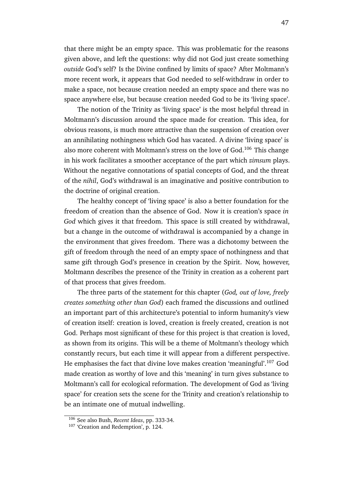that there might be an empty space. This was problematic for the reasons given above, and left the questions: why did not God just create something *outside* God's self? Is the Divine confined by limits of space? After Moltmann's more recent work, it appears that God needed to self-withdraw in order to make a space, not because creation needed an empty space and there was no space anywhere else, but because creation needed God to be its 'living space'.

The notion of the Trinity as 'living space' is the most helpful thread in Moltmann's discussion around the space made for creation. This idea, for obvious reasons, is much more attractive than the suspension of creation over an annihilating nothingness which God has vacated. A divine 'living space' is also more coherent with Moltmann's stress on the love of God.<sup>106</sup> This change in his work facilitates a smoother acceptance of the part which *zimsum* plays. Without the negative connotations of spatial concepts of God, and the threat of the *nihil*, God's withdrawal is an imaginative and positive contribution to the doctrine of original creation.

The healthy concept of 'living space' is also a better foundation for the freedom of creation than the absence of God. Now it is creation's space *in God* which gives it that freedom. This space is still created by withdrawal, but a change in the outcome of withdrawal is accompanied by a change in the environment that gives freedom. There was a dichotomy between the gift of freedom through the need of an empty space of nothingness and that same gift through God's presence in creation by the Spirit. Now, however, Moltmann describes the presence of the Trinity in creation as a coherent part of that process that gives freedom.

The three parts of the statement for this chapter (*God, out of love, freely creates something other than God*) each framed the discussions and outlined an important part of this architecture's potential to inform humanity's view of creation itself: creation is loved, creation is freely created, creation is not God. Perhaps most significant of these for this project is that creation is loved, as shown from its origins. This will be a theme of Moltmann's theology which constantly recurs, but each time it will appear from a different perspective. He emphasises the fact that divine love makes creation 'meaningful'.<sup>107</sup> God made creation as worthy of love and this 'meaning' in turn gives substance to Moltmann's call for ecological reformation. The development of God as 'living space' for creation sets the scene for the Trinity and creation's relationship to be an intimate one of mutual indwelling.

<sup>106</sup> See also Bush, *Recent Ideas*, pp. 333-34.

<sup>&</sup>lt;sup>107</sup> 'Creation and Redemption', p. 124.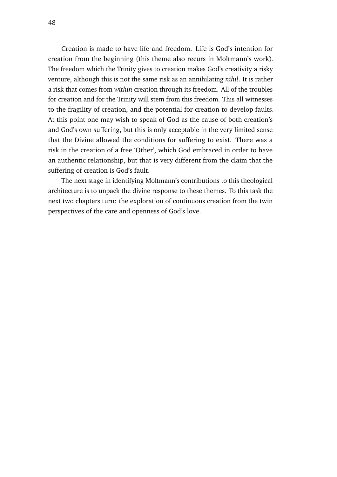Creation is made to have life and freedom. Life is God's intention for creation from the beginning (this theme also recurs in Moltmann's work). The freedom which the Trinity gives to creation makes God's creativity a risky venture, although this is not the same risk as an annihilating *nihil*. It is rather a risk that comes from *within* creation through its freedom. All of the troubles for creation and for the Trinity will stem from this freedom. This all witnesses to the fragility of creation, and the potential for creation to develop faults. At this point one may wish to speak of God as the cause of both creation's and God's own suffering, but this is only acceptable in the very limited sense that the Divine allowed the conditions for suffering to exist. There was a risk in the creation of a free 'Other', which God embraced in order to have an authentic relationship, but that is very different from the claim that the suffering of creation is God's fault.

The next stage in identifying Moltmann's contributions to this theological architecture is to unpack the divine response to these themes. To this task the next two chapters turn: the exploration of continuous creation from the twin perspectives of the care and openness of God's love.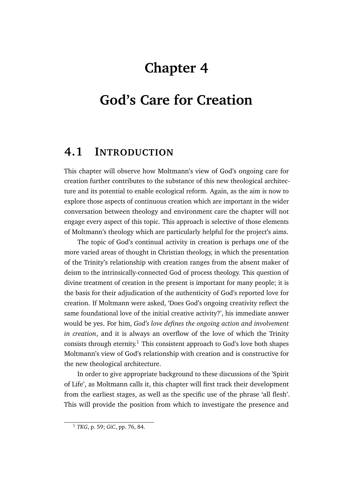# **Chapter 4**

# **God's Care for Creation**

## **4.1 INTRODUCTION**

This chapter will observe how Moltmann's view of God's ongoing care for creation further contributes to the substance of this new theological architecture and its potential to enable ecological reform. Again, as the aim is now to explore those aspects of continuous creation which are important in the wider conversation between theology and environment care the chapter will not engage every aspect of this topic. This approach is selective of those elements of Moltmann's theology which are particularly helpful for the project's aims.

The topic of God's continual activity in creation is perhaps one of the more varied areas of thought in Christian theology, in which the presentation of the Trinity's relationship with creation ranges from the absent maker of deism to the intrinsically-connected God of process theology. This question of divine treatment of creation in the present is important for many people; it is the basis for their adjudication of the authenticity of God's reported love for creation. If Moltmann were asked, 'Does God's ongoing creativity reflect the same foundational love of the initial creative activity?', his immediate answer would be yes. For him, *God's love defines the ongoing action and involvement in creation*, and it is always an overflow of the love of which the Trinity consists through eternity.<sup>1</sup> This consistent approach to God's love both shapes Moltmann's view of God's relationship with creation and is constructive for the new theological architecture.

In order to give appropriate background to these discussions of the 'Spirit of Life', as Moltmann calls it, this chapter will first track their development from the earliest stages, as well as the specific use of the phrase 'all flesh'. This will provide the position from which to investigate the presence and

<sup>1</sup> *TKG*, p. 59; *GiC*, pp. 76, 84.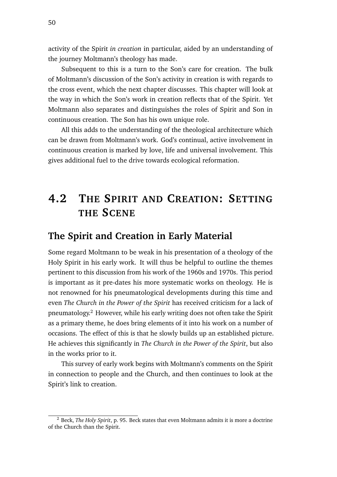activity of the Spirit *in creation* in particular, aided by an understanding of the journey Moltmann's theology has made.

Subsequent to this is a turn to the Son's care for creation. The bulk of Moltmann's discussion of the Son's activity in creation is with regards to the cross event, which the next chapter discusses. This chapter will look at the way in which the Son's work in creation reflects that of the Spirit. Yet Moltmann also separates and distinguishes the roles of Spirit and Son in continuous creation. The Son has his own unique role.

All this adds to the understanding of the theological architecture which can be drawn from Moltmann's work. God's continual, active involvement in continuous creation is marked by love, life and universal involvement. This gives additional fuel to the drive towards ecological reformation.

# **4.2 THE SPIRIT AND CREATION: SETTING THE SCENE**

### **The Spirit and Creation in Early Material**

Some regard Moltmann to be weak in his presentation of a theology of the Holy Spirit in his early work. It will thus be helpful to outline the themes pertinent to this discussion from his work of the 1960s and 1970s. This period is important as it pre-dates his more systematic works on theology. He is not renowned for his pneumatological developments during this time and even *The Church in the Power of the Spirit* has received criticism for a lack of pneumatology.<sup>2</sup> However, while his early writing does not often take the Spirit as a primary theme, he does bring elements of it into his work on a number of occasions. The effect of this is that he slowly builds up an established picture. He achieves this significantly in *The Church in the Power of the Spirit*, but also in the works prior to it.

This survey of early work begins with Moltmann's comments on the Spirit in connection to people and the Church, and then continues to look at the Spirit's link to creation.

<sup>2</sup> Beck, *The Holy Spirit*, p. 95. Beck states that even Moltmann admits it is more a doctrine of the Church than the Spirit.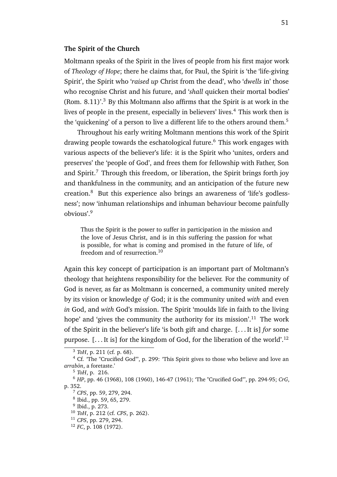#### **The Spirit of the Church**

Moltmann speaks of the Spirit in the lives of people from his first major work of *Theology of Hope*; there he claims that, for Paul, the Spirit is 'the 'life-giving Spirit', the Spirit who '*raised up* Christ from the dead', who '*dwells* in' those who recognise Christ and his future, and '*shall* quicken their mortal bodies' (Rom.  $8.11$ )'.<sup>3</sup> By this Moltmann also affirms that the Spirit is at work in the lives of people in the present, especially in believers' lives.<sup>4</sup> This work then is the 'quickening' of a person to live a different life to the others around them.<sup>5</sup>

Throughout his early writing Moltmann mentions this work of the Spirit drawing people towards the eschatological future.<sup>6</sup> This work engages with various aspects of the believer's life: it is the Spirit who 'unites, orders and preserves' the 'people of God', and frees them for fellowship with Father, Son and Spirit.<sup>7</sup> Through this freedom, or liberation, the Spirit brings forth joy and thankfulness in the community, and an anticipation of the future new creation.<sup>8</sup> But this experience also brings an awareness of 'life's godlessness'; now 'inhuman relationships and inhuman behaviour become painfully obvious'.<sup>9</sup>

Thus the Spirit is the power to suffer in participation in the mission and the love of Jesus Christ, and is in this suffering the passion for what is possible, for what is coming and promised in the future of life, of freedom and of resurrection.<sup>10</sup>

Again this key concept of participation is an important part of Moltmann's theology that heightens responsibility for the believer. For the community of God is never, as far as Moltmann is concerned, a community united merely by its vision or knowledge *of* God; it is the community united *with* and even *in* God, and *with* God's mission. The Spirit 'moulds life in faith to the living hope' and 'gives the community the authority for its mission'.<sup>11</sup> The work of the Spirit in the believer's life 'is both gift and charge. [. . . It is] *for* some purpose.  $[\dots]$  is for the kingdom of God, for the liberation of the world'.<sup>12</sup>

<sup>5</sup> *ToH*, p. 216.

9 Ibid., p. 273.

<sup>3</sup> *ToH*, p. 211 (cf. p. 68).

<sup>4</sup> Cf. 'The "Crucified God"', p. 299: 'This Spirit gives to those who believe and love an *arrabon¯* , a foretaste.'

<sup>6</sup> *HP*, pp. 46 (1968), 108 (1960), 146-47 (1961); 'The "Crucified God"', pp. 294-95; *CrG*, p. 352.

<sup>7</sup> *CPS*, pp. 59, 279, 294.

<sup>8</sup> Ibid., pp. 59, 65, 279.

<sup>10</sup> *ToH*, p. 212 (cf. *CPS*, p. 262).

<sup>11</sup> *CPS*, pp. 279, 294.

<sup>12</sup> *FC*, p. 108 (1972).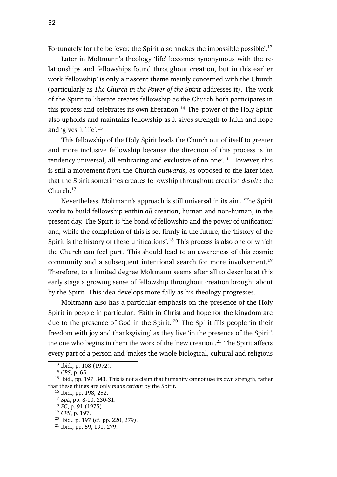Fortunately for the believer, the Spirit also 'makes the impossible possible'.<sup>13</sup>

Later in Moltmann's theology 'life' becomes synonymous with the relationships and fellowships found throughout creation, but in this earlier work 'fellowship' is only a nascent theme mainly concerned with the Church (particularly as *The Church in the Power of the Spirit* addresses it). The work of the Spirit to liberate creates fellowship as the Church both participates in this process and celebrates its own liberation.<sup>14</sup> The 'power of the Holy Spirit' also upholds and maintains fellowship as it gives strength to faith and hope and 'gives it life'.<sup>15</sup>

This fellowship of the Holy Spirit leads the Church out of itself to greater and more inclusive fellowship because the direction of this process is 'in tendency universal, all-embracing and exclusive of no-one'.<sup>16</sup> However, this is still a movement *from* the Church *outwards*, as opposed to the later idea that the Spirit sometimes creates fellowship throughout creation *despite* the Church.<sup>17</sup>

Nevertheless, Moltmann's approach is still universal in its aim. The Spirit works to build fellowship within *all* creation, human and non-human, in the present day. The Spirit is 'the bond of fellowship and the power of unification' and, while the completion of this is set firmly in the future, the 'history of the Spirit is the history of these unifications'.<sup>18</sup> This process is also one of which the Church can feel part. This should lead to an awareness of this cosmic community and a subsequent intentional search for more involvement.<sup>19</sup> Therefore, to a limited degree Moltmann seems after all to describe at this early stage a growing sense of fellowship throughout creation brought about by the Spirit. This idea develops more fully as his theology progresses.

Moltmann also has a particular emphasis on the presence of the Holy Spirit in people in particular: 'Faith in Christ and hope for the kingdom are due to the presence of God in the Spirit.<sup>20</sup> The Spirit fills people 'in their freedom with joy and thanksgiving' as they live 'in the presence of the Spirit', the one who begins in them the work of the 'new creation'.<sup>21</sup> The Spirit affects every part of a person and 'makes the whole biological, cultural and religious

<sup>&</sup>lt;sup>13</sup> Ibid., p. 108 (1972).

<sup>14</sup> *CPS*, p. 65.

<sup>&</sup>lt;sup>15</sup> Ibid., pp. 197, 343. This is not a claim that humanity cannot use its own strength, rather that these things are only *made certain* by the Spirit.

<sup>16</sup> Ibid., pp. 198, 252.

<sup>17</sup> *SpL*, pp. 8-10, 230-31.

<sup>18</sup> *FC*, p. 91 (1975).

<sup>19</sup> *CPS*, p. 197.

<sup>20</sup> Ibid., p. 197 (cf. pp. 220, 279).

 $21$  Ibid., pp. 59, 191, 279.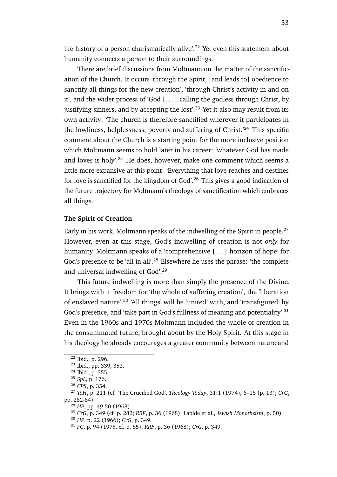life history of a person charismatically alive'.<sup>22</sup> Yet even this statement about humanity connects a person to their surroundings.

There are brief discussions from Moltmann on the matter of the sanctification of the Church. It occurs 'through the Spirit, [and leads to] obedience to sanctify all things for the new creation', 'through Christ's activity in and on it', and the wider process of 'God [. . . ] calling the godless through Christ, by justifying sinners, and by accepting the lost'.<sup>23</sup> Yet it also may result from its own activity: 'The church is therefore sanctified wherever it participates in the lowliness, helplessness, poverty and suffering of Christ.<sup> $24$ </sup> This specific comment about the Church is a starting point for the more inclusive position which Moltmann seems to hold later in his career: 'whatever God has made and loves is holy'.<sup>25</sup> He does, however, make one comment which seems a little more expansive at this point: 'Everything that love reaches and destines for love is sanctified for the kingdom of God'.<sup>26</sup> This gives a good indication of the future trajectory for Moltmann's theology of sanctification which embraces all things.

#### **The Spirit of Creation**

Early in his work, Moltmann speaks of the indwelling of the Spirit in people.<sup>27</sup> However, even at this stage, God's indwelling of creation is not *only* for humanity. Moltmann speaks of a 'comprehensive [. . . ] horizon of hope' for God's presence to be 'all in all'.<sup>28</sup> Elsewhere he uses the phrase: 'the complete and universal indwelling of God'.<sup>29</sup>

This future indwelling is more than simply the presence of the Divine. It brings with it freedom for 'the whole of suffering creation', the 'liberation of enslaved nature'.<sup>30</sup> 'All things' will be 'united' with, and 'transfigured' by, God's presence, and 'take part in God's fullness of meaning and potentiality'.<sup>31</sup> Even in the 1960s and 1970s Moltmann included the whole of creation in the consummated future, brought about by the Holy Spirit. At this stage in his theology he already encourages a greater community between nature and

 $22$  Ibid., p. 296.

<sup>23</sup> Ibid., pp. 339, 353.

<sup>24</sup> Ibid., p. 355.

<sup>25</sup> *SpL*, p. 176.

<sup>26</sup> *CPS*, p. 354.

<sup>27</sup> *ToH*, p. 211 (cf. 'The Crucified God', *Theology Today*, 31:1 (1974), 6–18 (p. 13); *CrG*, pp. 282-84).

<sup>28</sup> *HP*, pp. 49-50 (1968).

<sup>29</sup> *CrG*, p. 349 (cf. p. 282; *RRF*, p. 36 (1968); Lapide et al., *Jewish Monotheism*, p. 50).

<sup>30</sup> *HP*, p. 22 (1966); *CrG*, p. 349.

<sup>31</sup> *FC*, p. 94 (1975, cf. p. 85); *RRF*, p. 36 (1968); *CrG*, p. 349.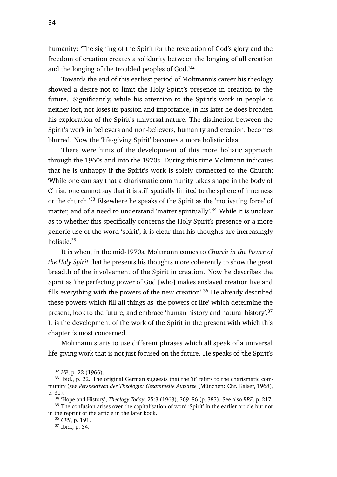humanity: 'The sighing of the Spirit for the revelation of God's glory and the freedom of creation creates a solidarity between the longing of all creation and the longing of the troubled peoples of God.'<sup>32</sup>

Towards the end of this earliest period of Moltmann's career his theology showed a desire not to limit the Holy Spirit's presence in creation to the future. Significantly, while his attention to the Spirit's work in people is neither lost, nor loses its passion and importance, in his later he does broaden his exploration of the Spirit's universal nature. The distinction between the Spirit's work in believers and non-believers, humanity and creation, becomes blurred. Now the 'life-giving Spirit' becomes a more holistic idea.

There were hints of the development of this more holistic approach through the 1960s and into the 1970s. During this time Moltmann indicates that he is unhappy if the Spirit's work is solely connected to the Church: 'While one can say that a charismatic community takes shape in the body of Christ, one cannot say that it is still spatially limited to the sphere of innerness or the church.'<sup>33</sup> Elsewhere he speaks of the Spirit as the 'motivating force' of matter, and of a need to understand 'matter spiritually'.<sup>34</sup> While it is unclear as to whether this specifically concerns the Holy Spirit's presence or a more generic use of the word 'spirit', it is clear that his thoughts are increasingly holistic.<sup>35</sup>

It is when, in the mid-1970s, Moltmann comes to *Church in the Power of the Holy Spirit* that he presents his thoughts more coherently to show the great breadth of the involvement of the Spirit in creation. Now he describes the Spirit as 'the perfecting power of God [who] makes enslaved creation live and fills everything with the powers of the new creation'.<sup>36</sup> He already described these powers which fill all things as 'the powers of life' which determine the present, look to the future, and embrace 'human history and natural history'.<sup>37</sup> It is the development of the work of the Spirit in the present with which this chapter is most concerned.

Moltmann starts to use different phrases which all speak of a universal life-giving work that is not just focused on the future. He speaks of 'the Spirit's

<sup>32</sup> *HP*, p. 22 (1966).

<sup>&</sup>lt;sup>33</sup> Ibid., p. 22. The original German suggests that the 'it' refers to the charismatic community (see *Perspektiven der Theologie: Gesammelte Aufsätze* (München: Chr. Kaiser, 1968), p. 31).

<sup>34</sup> 'Hope and History', *Theology Today*, 25:3 (1968), 369–86 (p. 383). See also *RRF*, p. 217.

<sup>&</sup>lt;sup>35</sup> The confusion arises over the capitalisation of word 'Spirit' in the earlier article but not in the reprint of the article in the later book.

<sup>36</sup> *CPS*, p. 191.

<sup>37</sup> Ibid., p. 34.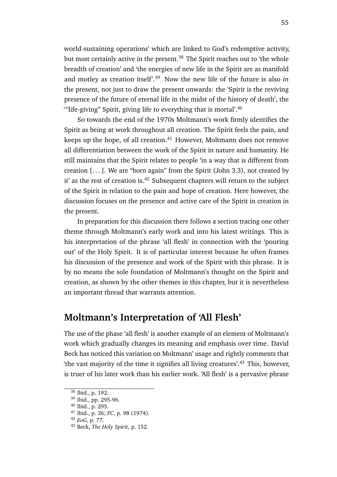world-sustaining operations' which are linked to God's redemptive activity, but most certainly active in the present.<sup>38</sup> The Spirit reaches out to 'the whole breadth of creation' and 'the energies of new life in the Spirit are as manifold and motley as creation itself'.<sup>39</sup> Now the new life of the future is also *in* the present, not just to draw the present onwards: the 'Spirit is the reviving presence of the future of eternal life in the midst of the history of death', the "life-giving" Spirit, giving life to everything that is mortal". $40$ 

So towards the end of the 1970s Moltmann's work firmly identifies the Spirit as being at work throughout all creation. The Spirit feels the pain, and keeps up the hope, of all creation. $41$  However, Moltmann does not remove all differentiation between the work of the Spirit in nature and humanity. He still maintains that the Spirit relates to people 'in a way that is different from creation  $[\dots]$ . We are "born again" from the Spirit (John 3.3), not created by it' as the rest of creation is.<sup>42</sup> Subsequent chapters will return to the subject of the Spirit in relation to the pain and hope of creation. Here however, the discussion focuses on the presence and active care of the Spirit in creation in the present.

In preparation for this discussion there follows a section tracing one other theme through Moltmann's early work and into his latest writings. This is his interpretation of the phrase 'all flesh' in connection with the 'pouring out' of the Holy Spirit. It is of particular interest because he often frames his discussion of the presence and work of the Spirit with this phrase. It is by no means the sole foundation of Moltmann's thought on the Spirit and creation, as shown by the other themes in this chapter, but it is nevertheless an important thread that warrants attention.

#### **Moltmann's Interpretation of 'All Flesh'**

The use of the phase 'all flesh' is another example of an element of Moltmann's work which gradually changes its meaning and emphasis over time. David Beck has noticed this variation on Moltmann' usage and rightly comments that 'the vast majority of the time it signifies all living creatures'.<sup>43</sup> This, however, is truer of his later work than his earlier work. 'All flesh' is a pervasive phrase

<sup>38</sup> Ibid., p. 192.

<sup>39</sup> Ibid., pp. 295-96.

<sup>40</sup> Ibid., p. 295.

<sup>41</sup> Ibid., p. 36; *FC*, p. 98 (1974).

<sup>42</sup> *EoG*, p. 77.

<sup>43</sup> Beck, *The Holy Spirit*, p. 152.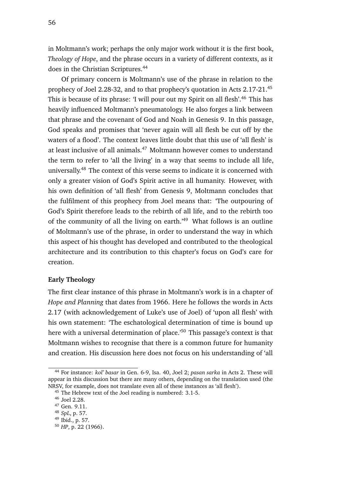in Moltmann's work; perhaps the only major work without it is the first book, *Theology of Hope*, and the phrase occurs in a variety of different contexts, as it

does in the Christian Scriptures.<sup>44</sup>

Of primary concern is Moltmann's use of the phrase in relation to the prophecy of Joel 2.28-32, and to that prophecy's quotation in Acts 2.17-21.<sup>45</sup> This is because of its phrase: 'I will pour out my Spirit on all flesh'.<sup>46</sup> This has heavily influenced Moltmann's pneumatology. He also forges a link between that phrase and the covenant of God and Noah in Genesis 9. In this passage, God speaks and promises that 'never again will all flesh be cut off by the waters of a flood'. The context leaves little doubt that this use of 'all flesh' is at least inclusive of all animals.<sup>47</sup> Moltmann however comes to understand the term to refer to 'all the living' in a way that seems to include all life, universally.<sup>48</sup> The context of this verse seems to indicate it is concerned with only a greater vision of God's Spirit active in all humanity. However, with his own definition of 'all flesh' from Genesis 9, Moltmann concludes that the fulfilment of this prophecy from Joel means that: 'The outpouring of God's Spirit therefore leads to the rebirth of all life, and to the rebirth too of the community of all the living on earth.'<sup>49</sup> What follows is an outline of Moltmann's use of the phrase, in order to understand the way in which this aspect of his thought has developed and contributed to the theological architecture and its contribution to this chapter's focus on God's care for creation.

#### **Early Theology**

The first clear instance of this phrase in Moltmann's work is in a chapter of *Hope and Planning* that dates from 1966. Here he follows the words in Acts 2.17 (with acknowledgement of Luke's use of Joel) of 'upon all flesh' with his own statement: 'The eschatological determination of time is bound up here with a universal determination of place.'<sup>50</sup> This passage's context is that Moltmann wishes to recognise that there is a common future for humanity and creation. His discussion here does not focus on his understanding of 'all

<sup>44</sup> For instance: *kol' basar* in Gen. 6-9, Isa. 40, Joel 2; *pasan sarka* in Acts 2. These will appear in this discussion but there are many others, depending on the translation used (the NRSV, for example, does not translate even all of these instances as 'all flesh').

<sup>&</sup>lt;sup>45</sup> The Hebrew text of the Joel reading is numbered: 3.1-5.

<sup>46</sup> Joel 2.28.

<sup>47</sup> Gen. 9.11.

<sup>48</sup> *SpL*, p. 57.

<sup>49</sup> Ibid., p. 57.

<sup>50</sup> *HP*, p. 22 (1966).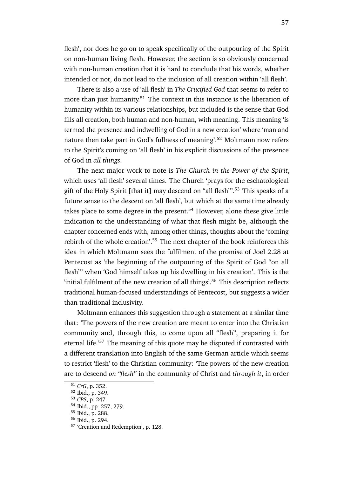flesh', nor does he go on to speak specifically of the outpouring of the Spirit on non-human living flesh. However, the section is so obviously concerned with non-human creation that it is hard to conclude that his words, whether intended or not, do not lead to the inclusion of all creation within 'all flesh'.

There is also a use of 'all flesh' in *The Crucified God* that seems to refer to more than just humanity.<sup>51</sup> The context in this instance is the liberation of humanity within its various relationships, but included is the sense that God fills all creation, both human and non-human, with meaning. This meaning 'is termed the presence and indwelling of God in a new creation' where 'man and nature then take part in God's fullness of meaning'.<sup>52</sup> Moltmann now refers to the Spirit's coming on 'all flesh' in his explicit discussions of the presence of God in *all things*.

The next major work to note is *The Church in the Power of the Spirit*, which uses 'all flesh' several times. The Church 'prays for the eschatological gift of the Holy Spirit [that it] may descend on "all flesh"'.<sup>53</sup> This speaks of a future sense to the descent on 'all flesh', but which at the same time already takes place to some degree in the present.<sup>54</sup> However, alone these give little indication to the understanding of what that flesh might be, although the chapter concerned ends with, among other things, thoughts about the 'coming rebirth of the whole creation'.<sup>55</sup> The next chapter of the book reinforces this idea in which Moltmann sees the fulfilment of the promise of Joel 2.28 at Pentecost as 'the beginning of the outpouring of the Spirit of God "on all flesh"' when 'God himself takes up his dwelling in his creation'. This is the 'initial fulfilment of the new creation of all things'.<sup>56</sup> This description reflects traditional human-focused understandings of Pentecost, but suggests a wider than traditional inclusivity.

Moltmann enhances this suggestion through a statement at a similar time that: 'The powers of the new creation are meant to enter into the Christian community and, through this, to come upon all "flesh", preparing it for eternal life.'<sup>57</sup> The meaning of this quote may be disputed if contrasted with a different translation into English of the same German article which seems to restrict 'flesh' to the Christian community: 'The powers of the new creation are to descend *on "flesh"* in the community of Christ and *through it*, in order

<sup>51</sup> *CrG*, p. 352.

<sup>52</sup> Ibid., p. 349.

<sup>53</sup> *CPS*, p. 247.

<sup>54</sup> Ibid., pp. 257, 279.

<sup>55</sup> Ibid., p. 288.

<sup>56</sup> Ibid., p. 294.

<sup>57</sup> 'Creation and Redemption', p. 128.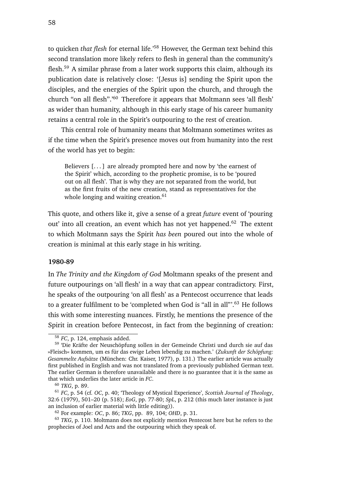to quicken *that flesh* for eternal life.'<sup>58</sup> However, the German text behind this second translation more likely refers to flesh in general than the community's flesh.<sup>59</sup> A similar phrase from a later work supports this claim, although its publication date is relatively close: '[Jesus is] sending the Spirit upon the disciples, and the energies of the Spirit upon the church, and through the church "on all flesh".'<sup>60</sup> Therefore it appears that Moltmann sees 'all flesh' as wider than humanity, although in this early stage of his career humanity retains a central role in the Spirit's outpouring to the rest of creation.

This central role of humanity means that Moltmann sometimes writes as if the time when the Spirit's presence moves out from humanity into the rest of the world has yet to begin:

Believers  $[\dots]$  are already prompted here and now by 'the earnest of the Spirit' which, according to the prophetic promise, is to be 'poured out on all flesh'. That is why they are not separated from the world, but as the first fruits of the new creation, stand as representatives for the whole longing and waiting creation. $61$ 

This quote, and others like it, give a sense of a great *future* event of 'pouring out' into all creation, an event which has not yet happened.<sup>62</sup> The extent to which Moltmann says the Spirit *has been* poured out into the whole of creation is minimal at this early stage in his writing.

### **1980-89**

In *The Trinity and the Kingdom of God* Moltmann speaks of the present and future outpourings on 'all flesh' in a way that can appear contradictory. First, he speaks of the outpouring 'on all flesh' as a Pentecost occurrence that leads to a greater fulfilment to be 'completed when God is "all in all"'.<sup>63</sup> He follows this with some interesting nuances. Firstly, he mentions the presence of the Spirit in creation before Pentecost, in fact from the beginning of creation:

<sup>58</sup> *FC*, p. 124, emphasis added.

<sup>59</sup> 'Die Kräfte der Neuschöpfung sollen in der Gemeinde Christi und durch sie auf das »Fleisch« kommen, um es für das ewige Leben lebendig zu machen.' (*Zukunft der Schöpfung: Gesammelte Aufsätze* (München: Chr. Kaiser, 1977), p. 131.) The earlier article was actually first published in English and was not translated from a previously published German text. The earlier German is therefore unavailable and there is no guarantee that it is the same as that which underlies the later article in *FC*.

<sup>60</sup> *TKG*, p. 89.

<sup>61</sup> *FC*, p. 54 (cf. *OC*, p. 40; 'Theology of Mystical Experience', *Scottish Journal of Theology*, 32:6 (1979), 501–20 (p. 518); *EoG*, pp. 77-80; *SpL*, p. 212 (this much later instance is just an inclusion of earlier material with little editing)).

<sup>62</sup> For example: *OC*, p. 86; *TKG*, pp. 89, 104; *OHD*, p. 31.

<sup>63</sup> *TKG*, p. 110. Moltmann does not explicitly mention Pentecost here but he refers to the prophecies of Joel and Acts and the outpouring which they speak of.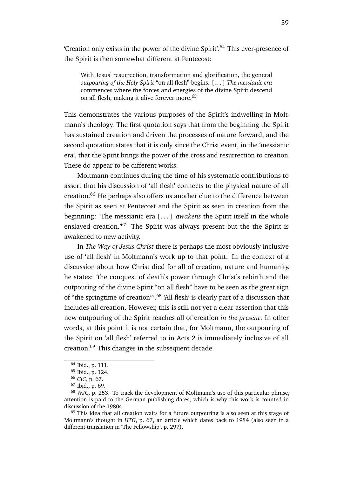'Creation only exists in the power of the divine Spirit'.<sup>64</sup> This ever-presence of the Spirit is then somewhat different at Pentecost:

With Jesus' resurrection, transformation and glorification, the general *outpouring of the Holy Spirit* "on all flesh" begins. [. . . ] *The messianic era* commences where the forces and energies of the divine Spirit descend on all flesh, making it alive forever more.<sup>65</sup>

This demonstrates the various purposes of the Spirit's indwelling in Moltmann's theology. The first quotation says that from the beginning the Spirit has sustained creation and driven the processes of nature forward, and the second quotation states that it is only since the Christ event, in the 'messianic era', that the Spirit brings the power of the cross and resurrection to creation. These do appear to be different works.

Moltmann continues during the time of his systematic contributions to assert that his discussion of 'all flesh' connects to the physical nature of all creation.<sup>66</sup> He perhaps also offers us another clue to the difference between the Spirit as seen at Pentecost and the Spirit as seen in creation from the beginning: 'The messianic era [. . . ] *awakens* the Spirit itself in the whole enslaved creation.<sup>'67</sup> The Spirit was always present but the the Spirit is awakened to new activity.

In *The Way of Jesus Christ* there is perhaps the most obviously inclusive use of 'all flesh' in Moltmann's work up to that point. In the context of a discussion about how Christ died for all of creation, nature and humanity, he states: 'the conquest of death's power through Christ's rebirth and the outpouring of the divine Spirit "on all flesh" have to be seen as the great sign of "the springtime of creation"'.<sup>68</sup> 'All flesh' is clearly part of a discussion that includes all creation. However, this is still not yet a clear assertion that this new outpouring of the Spirit reaches all of creation *in the present*. In other words, at this point it is not certain that, for Moltmann, the outpouring of the Spirit on 'all flesh' referred to in Acts 2 is immediately inclusive of all creation.<sup>69</sup> This changes in the subsequent decade.

<sup>64</sup> Ibid., p. 111.

<sup>65</sup> Ibid., p. 124.

<sup>66</sup> *GiC*, p. 67.

<sup>67</sup> Ibid., p. 69.

<sup>68</sup> *WJC*, p. 253. To track the development of Moltmann's use of this particular phrase, attention is paid to the German publishing dates, which is why this work is counted in discussion of the 1980s.

<sup>&</sup>lt;sup>69</sup> This idea that all creation waits for a future outpouring is also seen at this stage of Moltmann's thought in *HTG*, p. 67, an article which dates back to 1984 (also seen in a different translation in 'The Fellowship', p. 297).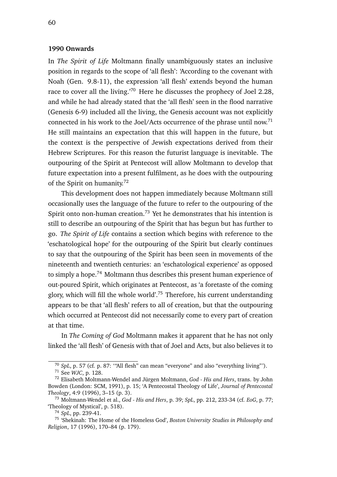# **1990 Onwards**

In *The Spirit of Life* Moltmann finally unambiguously states an inclusive position in regards to the scope of 'all flesh': 'According to the covenant with Noah (Gen. 9.8-11), the expression 'all flesh' extends beyond the human race to cover all the living.'<sup>70</sup> Here he discusses the prophecy of Joel 2.28, and while he had already stated that the 'all flesh' seen in the flood narrative (Genesis 6-9) included all the living, the Genesis account was not explicitly connected in his work to the Joel/Acts occurrence of the phrase until now.<sup>71</sup> He still maintains an expectation that this will happen in the future, but the context is the perspective of Jewish expectations derived from their Hebrew Scriptures. For this reason the futurist language is inevitable. The outpouring of the Spirit at Pentecost will allow Moltmann to develop that future expectation into a present fulfilment, as he does with the outpouring of the Spirit on humanity.<sup>72</sup>

This development does not happen immediately because Moltmann still occasionally uses the language of the future to refer to the outpouring of the Spirit onto non-human creation.<sup>73</sup> Yet he demonstrates that his intention is still to describe an outpouring of the Spirit that has begun but has further to go. *The Spirit of Life* contains a section which begins with reference to the 'eschatological hope' for the outpouring of the Spirit but clearly continues to say that the outpouring of the Spirit has been seen in movements of the nineteenth and twentieth centuries: an 'eschatological experience' as opposed to simply a hope.<sup>74</sup> Moltmann thus describes this present human experience of out-poured Spirit, which originates at Pentecost, as 'a foretaste of the coming glory, which will fill the whole world'.<sup>75</sup> Therefore, his current understanding appears to be that 'all flesh' refers to all of creation, but that the outpouring which occurred at Pentecost did not necessarily come to every part of creation at that time.

In *The Coming of God* Moltmann makes it apparent that he has not only linked the 'all flesh' of Genesis with that of Joel and Acts, but also believes it to

<sup>70</sup> *SpL*, p. 57 (cf. p. 87: '"All flesh" can mean "everyone" and also "everything living"').

<sup>71</sup> See *WJC*, p. 128.

<sup>72</sup> Elisabeth Moltmann-Wendel and Jürgen Moltmann, *God - His and Hers*, trans. by John Bowden (London: SCM, 1991), p. 15; 'A Pentecostal Theology of Life', *Journal of Pentecostal Theology*, 4:9 (1996), 3–15 (p. 3).

<sup>73</sup> Moltmann-Wendel et al., *God - His and Hers*, p. 39; *SpL*, pp. 212, 233-34 (cf. *EoG*, p. 77; 'Theology of Mystical', p. 518).

<sup>74</sup> *SpL*, pp. 239-41.

<sup>75</sup> 'Shekinah: The Home of the Homeless God', *Boston University Studies in Philosophy and Religion*, 17 (1996), 170–84 (p. 179).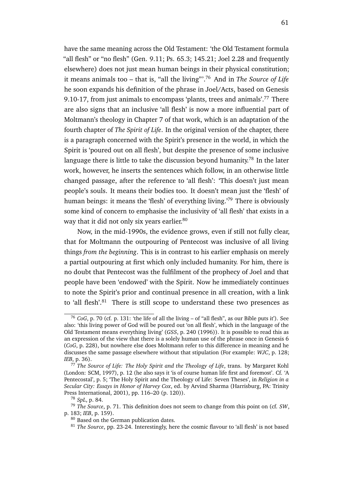have the same meaning across the Old Testament: 'the Old Testament formula "all flesh" or "no flesh" (Gen. 9.11; Ps.  $65.3$ ; 145.21; Joel 2.28 and frequently elsewhere) does not just mean human beings in their physical constitution; it means animals too – that is, "all the living"'.<sup>76</sup> And in *The Source of Life* he soon expands his definition of the phrase in Joel/Acts, based on Genesis 9.10-17, from just animals to encompass 'plants, trees and animals'.<sup>77</sup> There are also signs that an inclusive 'all flesh' is now a more influential part of Moltmann's theology in Chapter 7 of that work, which is an adaptation of the fourth chapter of *The Spirit of Life*. In the original version of the chapter, there is a paragraph concerned with the Spirit's presence in the world, in which the Spirit is 'poured out on all flesh', but despite the presence of some inclusive language there is little to take the discussion beyond humanity.<sup>78</sup> In the later work, however, he inserts the sentences which follow, in an otherwise little changed passage, after the reference to 'all flesh': 'This doesn't just mean people's souls. It means their bodies too. It doesn't mean just the 'flesh' of human beings: it means the 'flesh' of everything living.<sup>'79</sup> There is obviously some kind of concern to emphasise the inclusivity of 'all flesh' that exists in a way that it did not only six years earlier.<sup>80</sup>

Now, in the mid-1990s, the evidence grows, even if still not fully clear, that for Moltmann the outpouring of Pentecost was inclusive of all living things *from the beginning*. This is in contrast to his earlier emphasis on merely a partial outpouring at first which only included humanity. For him, there is no doubt that Pentecost was the fulfilment of the prophecy of Joel and that people have been 'endowed' with the Spirit. Now he immediately continues to note the Spirit's prior and continual presence in all creation, with a link to 'all flesh'. $81$  There is still scope to understand these two presences as

<sup>76</sup> *CoG*, p. 70 (cf. p. 131: 'the life of all the living – of "all flesh", as our Bible puts it'). See also: 'this living power of God will be poured out 'on all flesh', which in the language of the Old Testament means everything living' (*GSS*, p. 240 (1996)). It is possible to read this as an expression of the view that there is a solely human use of the phrase once in Genesis 6 (*CoG*, p. 228), but nowhere else does Moltmann refer to this difference in meaning and he discusses the same passage elsewhere without that stipulation (For example: *WJC*, p. 128; *IEB*, p. 36).

<sup>77</sup> *The Source of Life: The Holy Spirit and the Theology of Life*, trans. by Margaret Kohl (London: SCM, 1997), p. 12 (he also says it 'is of course human life first and foremost'. Cf. 'A Pentecostal', p. 5; 'The Holy Spirit and the Theology of Life: Seven Theses', in *Religion in a Secular City: Essays in Honor of Harvey Cox*, ed. by Arvind Sharma (Harrisburg, PA: Trinity Press International, 2001), pp. 116–20 (p. 120)).

<sup>78</sup> *SpL*, p. 84.

<sup>79</sup> *The Source*, p. 71. This definition does not seem to change from this point on (cf. *SW*, p. 183; *IEB*, p. 159).

<sup>80</sup> Based on the German publication dates.

<sup>81</sup> *The Source*, pp. 23-24. Interestingly, here the cosmic flavour to 'all flesh' is not based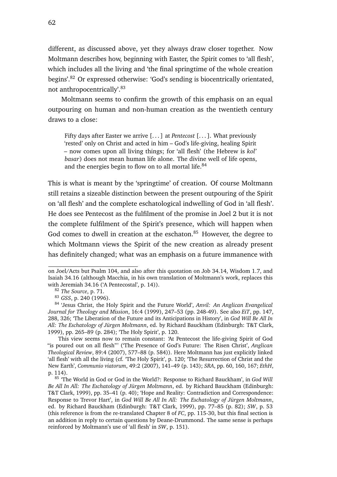different, as discussed above, yet they always draw closer together. Now Moltmann describes how, beginning with Easter, the Spirit comes to 'all flesh', which includes all the living and 'the final springtime of the whole creation begins'.<sup>82</sup> Or expressed otherwise: 'God's sending is biocentrically orientated, not anthropocentrically'.<sup>83</sup>

Moltmann seems to confirm the growth of this emphasis on an equal outpouring on human and non-human creation as the twentieth century draws to a close:

Fifty days after Easter we arrive [. . . ] at *Pentecost* [. . . ]. What previously 'rested' only on Christ and acted in him – God's life-giving, healing Spirit – now comes upon all living things; for 'all flesh' (the Hebrew is *kol' basar*) does not mean human life alone. The divine well of life opens, and the energies begin to flow on to all mortal life.<sup>84</sup>

This is what is meant by the 'springtime' of creation. Of course Moltmann still retains a sizeable distinction between the present outpouring of the Spirit on 'all flesh' and the complete eschatological indwelling of God in 'all flesh'. He does see Pentecost as the fulfilment of the promise in Joel 2 but it is not the complete fulfilment of the Spirit's presence, which will happen when God comes to dwell in creation at the eschaton.<sup>85</sup> However, the degree to which Moltmann views the Spirit of the new creation as already present has definitely changed; what was an emphasis on a future immanence with

This view seems now to remain constant: 'At Pentecost the life-giving Spirit of God "is poured out on all flesh"' ('The Presence of God's Future: The Risen Christ', *Anglican Theological Review*, 89:4 (2007), 577–88 (p. 584)). Here Moltmann has just explicitly linked 'all flesh' with all the living (cf. 'The Holy Spirit', p. 120; 'The Resurrection of Christ and the New Earth', *Communio viatorum*, 49:2 (2007), 141–49 (p. 143); *SRA*, pp. 60, 160, 167; *EthH*, p. 114).

on Joel/Acts but Psalm 104, and also after this quotation on Job 34.14, Wisdom 1.7, and Isaiah 34.16 (although Macchia, in his own translation of Moltmann's work, replaces this with Jeremiah 34.16 ('A Pentecostal', p. 14)).

<sup>82</sup> *The Source*, p. 71.

<sup>83</sup> *GSS*, p. 240 (1996).

<sup>84</sup> 'Jesus Christ, the Holy Spirit and the Future World', *Anvil: An Anglican Evangelical Journal for Theology and Mission*, 16:4 (1999), 247–53 (pp. 248-49). See also *EiT*, pp. 147, 288, 326; 'The Liberation of the Future and its Anticipations in History', in *God Will Be All In All: The Eschatology of Jürgen Moltmann*, ed. by Richard Bauckham (Edinburgh: T&T Clark, 1999), pp. 265–89 (p. 284); 'The Holy Spirit', p. 120.

<sup>85</sup> 'The World in God or God in the World?: Response to Richard Bauckham', in *God Will Be All In All: The Eschatology of Jürgen Moltmann*, ed. by Richard Bauckham (Edinburgh: T&T Clark, 1999), pp. 35–41 (p. 40); 'Hope and Reality: Contradiction and Correspondence: Response to Trevor Hart', in *God Will Be All In All: The Eschatology of Jürgen Moltmann*, ed. by Richard Bauckham (Edinburgh: T&T Clark, 1999), pp. 77–85 (p. 82); *SW*, p. 53 (this reference is from the re-translated Chapter 8 of *FC*, pp. 115-30, but this final section is an addition in reply to certain questions by Deane-Drummond. The same sense is perhaps reinforced by Moltmann's use of 'all flesh' in *SW*, p. 151).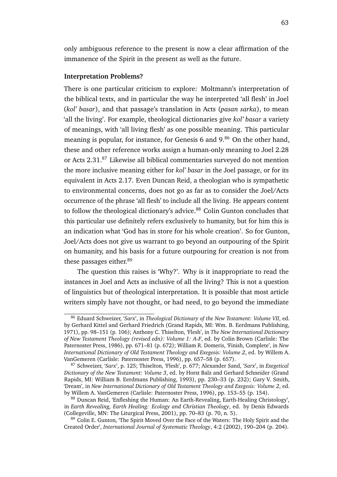only ambiguous reference to the present is now a clear affirmation of the immanence of the Spirit in the present as well as the future.

#### **Interpretation Problems?**

There is one particular criticism to explore: Moltmann's interpretation of the biblical texts, and in particular the way he interpreted 'all flesh' in Joel (*kol' basar*), and that passage's translation in Acts (*pasan sarka*), to mean 'all the living'. For example, theological dictionaries give *kol' basar* a variety of meanings, with 'all living flesh' as one possible meaning. This particular meaning is popular, for instance, for Genesis  $6$  and  $9<sup>86</sup>$  On the other hand, these and other reference works assign a human-only meaning to Joel 2.28 or Acts 2.31.<sup>87</sup> Likewise all biblical commentaries surveyed do not mention the more inclusive meaning either for *kol' basar* in the Joel passage, or for its equivalent in Acts 2.17. Even Duncan Reid, a theologian who is sympathetic to environmental concerns, does not go as far as to consider the Joel/Acts occurrence of the phrase 'all flesh' to include all the living. He appears content to follow the theological dictionary's advice.<sup>88</sup> Colin Gunton concludes that this particular use definitely refers exclusively to humanity, but for him this is an indication what 'God has in store for his whole creation'. So for Gunton, Joel/Acts does not give us warrant to go beyond an outpouring of the Spirit on humanity, and his basis for a future outpouring for creation is not from these passages either.<sup>89</sup>

The question this raises is 'Why?'. Why is it inappropriate to read the instances in Joel and Acts as inclusive of all the living? This is not a question of linguistics but of theological interpretation. It is possible that most article writers simply have not thought, or had need, to go beyond the immediate

<sup>86</sup> Eduard Schweizer, '*Sarx*', in *Theological Dictionary of the New Testament: Volume VII*, ed. by Gerhard Kittel and Gerhard Friedrich (Grand Rapids, MI: Wm. B. Eerdmans Publishing, 1971), pp. 98–151 (p. 106); Anthony C. Thiselton, 'Flesh', in *The New International Dictionary of New Testament Theology (revised edn): Volume 1: A-F*, ed. by Colin Brown (Carlisle: The Paternoster Press, 1986), pp. 671–81 (p. 672); William R. Domeris, 'Finish, Complete', in *New International Dictionary of Old Testament Theology and Exegesis: Volume 2*, ed. by Willem A. VanGemeren (Carlisle: Paternoster Press, 1996), pp. 657–58 (p. 657).

<sup>87</sup> Schweizer, '*Sarx*', p. 125; Thiselton, 'Flesh', p. 677; Alexander Sand, '*Sarx*', in *Exegetical Dictionary of the New Testament: Volume 3*, ed. by Horst Balz and Gerhard Schneider (Grand Rapids, MI: William B. Eerdmans Publishing, 1993), pp. 230–33 (p. 232); Gary V. Smith, 'Dream', in *New International Dictionary of Old Testament Theology and Exegesis: Volume 2*, ed. by Willem A. VanGemeren (Carlisle: Paternoster Press, 1996), pp. 153–55 (p. 154).

<sup>88</sup> Duncan Reid, 'Enfleshing the Human: An Earth-Revealing, Earth-Healing Christology', in *Earth Revealing, Earth Healing: Ecology and Christian Theology*, ed. by Denis Edwards (Collegeville, MN: The Liturgical Press, 2001), pp. 70–83 (p. 70, n. 5).

<sup>&</sup>lt;sup>89</sup> Colin E. Gunton, 'The Spirit Moved Over the Face of the Waters: The Holy Spirit and the Created Order', *International Journal of Systematic Theology*, 4:2 (2002), 190–204 (p. 204).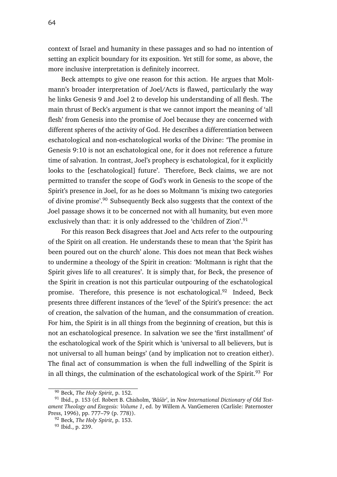context of Israel and humanity in these passages and so had no intention of setting an explicit boundary for its exposition. Yet still for some, as above, the more inclusive interpretation is definitely incorrect.

Beck attempts to give one reason for this action. He argues that Moltmann's broader interpretation of Joel/Acts is flawed, particularly the way he links Genesis 9 and Joel 2 to develop his understanding of all flesh. The main thrust of Beck's argument is that we cannot import the meaning of 'all flesh' from Genesis into the promise of Joel because they are concerned with different spheres of the activity of God. He describes a differentiation between eschatological and non-eschatological works of the Divine: 'The promise in Genesis 9:10 is not an eschatological one, for it does not reference a future time of salvation. In contrast, Joel's prophecy is eschatological, for it explicitly looks to the [eschatological] future'. Therefore, Beck claims, we are not permitted to transfer the scope of God's work in Genesis to the scope of the Spirit's presence in Joel, for as he does so Moltmann 'is mixing two categories of divine promise'.<sup>90</sup> Subsequently Beck also suggests that the context of the Joel passage shows it to be concerned not with all humanity, but even more exclusively than that: it is only addressed to the 'children of Zion'.<sup>91</sup>

For this reason Beck disagrees that Joel and Acts refer to the outpouring of the Spirit on all creation. He understands these to mean that 'the Spirit has been poured out on the church' alone. This does not mean that Beck wishes to undermine a theology of the Spirit in creation: 'Moltmann is right that the Spirit gives life to all creatures'. It is simply that, for Beck, the presence of the Spirit in creation is not this particular outpouring of the eschatological promise. Therefore, this presence is not eschatological.<sup>92</sup> Indeed, Beck presents three different instances of the 'level' of the Spirit's presence: the act of creation, the salvation of the human, and the consummation of creation. For him, the Spirit is in all things from the beginning of creation, but this is not an eschatological presence. In salvation we see the 'first installment' of the eschatological work of the Spirit which is 'universal to all believers, but is not universal to all human beings' (and by implication not to creation either). The final act of consummation is when the full indwelling of the Spirit is in all things, the culmination of the eschatological work of the Spirit.<sup>93</sup> For

<sup>90</sup> Beck, *The Holy Spirit*, p. 152.

<sup>&</sup>lt;sup>91</sup> Ibid., p. 153 (cf. Robert B. Chisholm, '*Bāśār*', in *New International Dictionary of Old Testament Theology and Exegesis: Volume 1*, ed. by Willem A. VanGemeren (Carlisle: Paternoster Press, 1996), pp. 777–79 (p. 778)).

<sup>92</sup> Beck, *The Holy Spirit*, p. 153.

<sup>93</sup> Ibid., p. 239.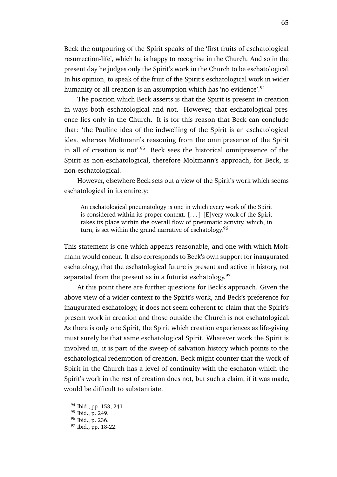Beck the outpouring of the Spirit speaks of the 'first fruits of eschatological resurrection-life', which he is happy to recognise in the Church. And so in the present day he judges only the Spirit's work in the Church to be eschatological. In his opinion, to speak of the fruit of the Spirit's eschatological work in wider humanity or all creation is an assumption which has 'no evidence'.<sup>94</sup>

The position which Beck asserts is that the Spirit is present in creation in ways both eschatological and not. However, that eschatological presence lies only in the Church. It is for this reason that Beck can conclude that: 'the Pauline idea of the indwelling of the Spirit is an eschatological idea, whereas Moltmann's reasoning from the omnipresence of the Spirit in all of creation is not'. $95$  Beck sees the historical omnipresence of the Spirit as non-eschatological, therefore Moltmann's approach, for Beck, is non-eschatological.

However, elsewhere Beck sets out a view of the Spirit's work which seems eschatological in its entirety:

An eschatological pneumatology is one in which every work of the Spirit is considered within its proper context. [. . . ] [E]very work of the Spirit takes its place within the overall flow of pneumatic activity, which, in turn, is set within the grand narrative of eschatology.<sup>96</sup>

This statement is one which appears reasonable, and one with which Moltmann would concur. It also corresponds to Beck's own support for inaugurated eschatology, that the eschatological future is present and active in history, not separated from the present as in a futurist eschatology. $97$ 

At this point there are further questions for Beck's approach. Given the above view of a wider context to the Spirit's work, and Beck's preference for inaugurated eschatology, it does not seem coherent to claim that the Spirit's present work in creation and those outside the Church is not eschatological. As there is only one Spirit, the Spirit which creation experiences as life-giving must surely be that same eschatological Spirit. Whatever work the Spirit is involved in, it is part of the sweep of salvation history which points to the eschatological redemption of creation. Beck might counter that the work of Spirit in the Church has a level of continuity with the eschaton which the Spirit's work in the rest of creation does not, but such a claim, if it was made, would be difficult to substantiate.

<sup>94</sup> Ibid., pp. 153, 241.

<sup>95</sup> Ibid., p. 249.

<sup>96</sup> Ibid., p. 236.

<sup>97</sup> Ibid., pp. 18-22.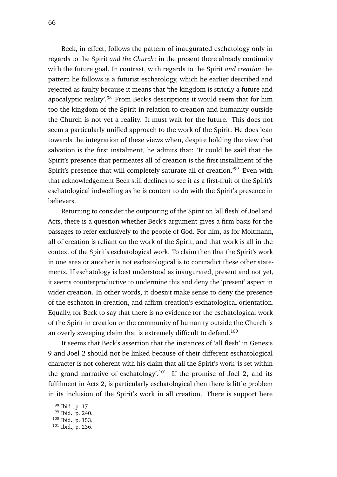Beck, in effect, follows the pattern of inaugurated eschatology only in regards to the Spirit *and the Church*: in the present there already continuity with the future goal. In contrast, with regards to the Spirit *and creation* the pattern he follows is a futurist eschatology, which he earlier described and rejected as faulty because it means that 'the kingdom is strictly a future and apocalyptic reality'.<sup>98</sup> From Beck's descriptions it would seem that for him too the kingdom of the Spirit in relation to creation and humanity outside the Church is not yet a reality. It must wait for the future. This does not seem a particularly unified approach to the work of the Spirit. He does lean towards the integration of these views when, despite holding the view that salvation is the first instalment, he admits that: 'It could be said that the Spirit's presence that permeates all of creation is the first installment of the Spirit's presence that will completely saturate all of creation.<sup>'99</sup> Even with that acknowledgement Beck still declines to see it as a first-fruit of the Spirit's eschatological indwelling as he is content to do with the Spirit's presence in believers.

Returning to consider the outpouring of the Spirit on 'all flesh' of Joel and Acts, there is a question whether Beck's argument gives a firm basis for the passages to refer exclusively to the people of God. For him, as for Moltmann, all of creation is reliant on the work of the Spirit, and that work is all in the context of the Spirit's eschatological work. To claim then that the Spirit's work in one area or another is not eschatological is to contradict these other statements. If eschatology is best understood as inaugurated, present and not yet, it seems counterproductive to undermine this and deny the 'present' aspect in wider creation. In other words, it doesn't make sense to deny the presence of the eschaton in creation, and affirm creation's eschatological orientation. Equally, for Beck to say that there is no evidence for the eschatological work of the Spirit in creation or the community of humanity outside the Church is an overly sweeping claim that is extremely difficult to defend.<sup>100</sup>

It seems that Beck's assertion that the instances of 'all flesh' in Genesis 9 and Joel 2 should not be linked because of their different eschatological character is not coherent with his claim that all the Spirit's work 'is set within the grand narrative of eschatology'.<sup>101</sup> If the promise of Joel 2, and its fulfilment in Acts 2, is particularly eschatological then there is little problem in its inclusion of the Spirit's work in all creation. There is support here

<sup>98</sup> Ibid., p. 17.

<sup>99</sup> Ibid., p. 240.

<sup>100</sup> Ibid., p. 153.

<sup>101</sup> Ibid., p. 236.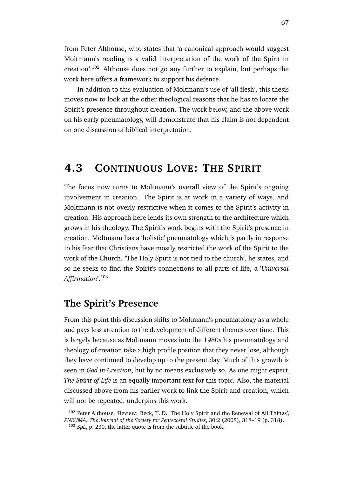from Peter Althouse, who states that 'a canonical approach would suggest Moltmann's reading is a valid interpretation of the work of the Spirit in creation'.<sup>102</sup> Althouse does not go any further to explain, but perhaps the work here offers a framework to support his defence.

In addition to this evaluation of Moltmann's use of 'all flesh', this thesis moves now to look at the other theological reasons that he has to locate the Spirit's presence throughout creation. The work below, and the above work on his early pneumatology, will demonstrate that his claim is not dependent on one discussion of biblical interpretation.

# **4.3 CONTINUOUS LOVE: THE SPIRIT**

The focus now turns to Moltmann's overall view of the Spirit's ongoing involvement in creation. The Spirit is at work in a variety of ways, and Moltmann is not overly restrictive when it comes to the Spirit's activity in creation. His approach here lends its own strength to the architecture which grows in his theology. The Spirit's work begins with the Spirit's presence in creation. Moltmann has a 'holistic' pneumatology which is partly in response to his fear that Christians have mostly restricted the work of the Spirit to the work of the Church. 'The Holy Spirit is not tied to the church', he states, and so he seeks to find the Spirit's connections to all parts of life, a '*Universal Affirmation*'.<sup>103</sup>

# **The Spirit's Presence**

From this point this discussion shifts to Moltmann's pneumatology as a whole and pays less attention to the development of different themes over time. This is largely because as Moltmann moves into the 1980s his pneumatology and theology of creation take a high profile position that they never lose, although they have continued to develop up to the present day. Much of this growth is seen in *God in Creation*, but by no means exclusively so. As one might expect, *The Spirit of Life* is an equally important text for this topic. Also, the material discussed above from his earlier work to link the Spirit and creation, which will not be repeated, underpins this work.

<sup>102</sup> Peter Althouse, 'Review: Beck, T. D., The Holy Spirit and the Renewal of All Things', *PNEUMA: The Journal of the Society for Pentecostal Studies*, 30:2 (2008), 318–19 (p. 318).

<sup>103</sup> *SpL*, p. 230, the latter quote is from the subtitle of the book.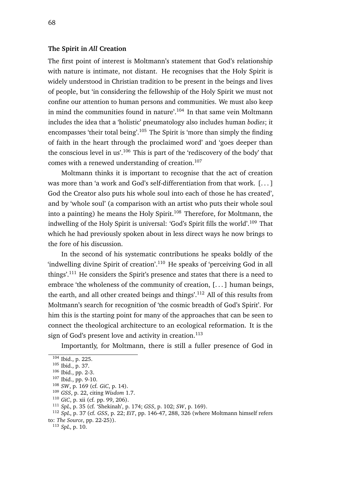# **The Spirit in** *All* **Creation**

The first point of interest is Moltmann's statement that God's relationship with nature is intimate, not distant. He recognises that the Holy Spirit is widely understood in Christian tradition to be present in the beings and lives of people, but 'in considering the fellowship of the Holy Spirit we must not confine our attention to human persons and communities. We must also keep in mind the communities found in nature'.<sup>104</sup> In that same vein Moltmann includes the idea that a 'holistic' pneumatology also includes human *bodies*; it encompasses 'their total being'.<sup>105</sup> The Spirit is 'more than simply the finding of faith in the heart through the proclaimed word' and 'goes deeper than the conscious level in us'.<sup>106</sup> This is part of the 'rediscovery of the body' that comes with a renewed understanding of creation.<sup>107</sup>

Moltmann thinks it is important to recognise that the act of creation was more than 'a work and God's self-differentiation from that work. [...] God the Creator also puts his whole soul into each of those he has created', and by 'whole soul' (a comparison with an artist who puts their whole soul into a painting) he means the Holy Spirit.<sup>108</sup> Therefore, for Moltmann, the indwelling of the Holy Spirit is universal: 'God's Spirit fills the world'.<sup>109</sup> That which he had previously spoken about in less direct ways he now brings to the fore of his discussion.

In the second of his systematic contributions he speaks boldly of the  $'$ indwelling divine Spirit of creation'.<sup>110</sup> He speaks of  $'$ perceiving God in all things'.<sup>111</sup> He considers the Spirit's presence and states that there is a need to embrace 'the wholeness of the community of creation, [. . . ] human beings, the earth, and all other created beings and things'.<sup>112</sup> All of this results from Moltmann's search for recognition of 'the cosmic breadth of God's Spirit'. For him this is the starting point for many of the approaches that can be seen to connect the theological architecture to an ecological reformation. It is the sign of God's present love and activity in creation. $113$ 

Importantly, for Moltmann, there is still a fuller presence of God in

<sup>113</sup> *SpL*, p. 10.

 $104$  Ibid., p. 225.

<sup>105</sup> Ibid., p. 37.

<sup>106</sup> Ibid., pp. 2-3.

<sup>107</sup> Ibid., pp. 9-10.

<sup>108</sup> *SW*, p. 169 (cf. *GiC*, p. 14).

<sup>109</sup> *GSS*, p. 22, citing *Wisdom* 1.7.

<sup>110</sup> *GiC*, p. xii (cf. pp. 99, 206).

<sup>111</sup> *SpL*, p. 35 (cf. 'Shekinah', p. 174; *GSS*, p. 102; *SW*, p. 169).

<sup>112</sup> *SpL*, p. 37 (cf. *GSS*, p. 22; *EiT*, pp. 146-47, 288, 326 (where Moltmann himself refers to: *The Source*, pp. 22-25)).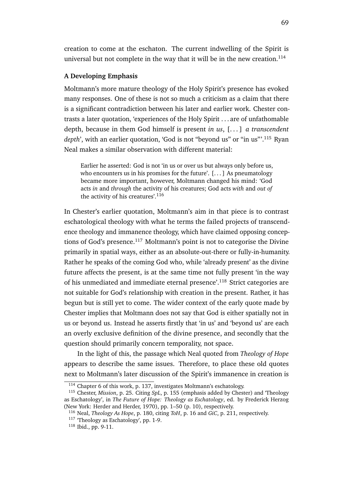creation to come at the eschaton. The current indwelling of the Spirit is universal but not complete in the way that it will be in the new creation.<sup>114</sup>

### **A Developing Emphasis**

Moltmann's more mature theology of the Holy Spirit's presence has evoked many responses. One of these is not so much a criticism as a claim that there is a significant contradiction between his later and earlier work. Chester contrasts a later quotation, 'experiences of the Holy Spirit . . . are of unfathomable depth, because in them God himself is present *in us*, [. . . ] *a transcendent* depth', with an earlier quotation, 'God is not "beyond us" or "in us"<sup>'</sup>.<sup>115</sup> Ryan Neal makes a similar observation with different material:

Earlier he asserted: God is not 'in us or over us but always only before us, who encounters us in his promises for the future'.  $[\dots]$  As pneumatology became more important, however, Moltmann changed his mind: 'God acts *in* and *through* the activity of his creatures; God acts *with* and *out of* the activity of his creatures'.<sup>116</sup>

In Chester's earlier quotation, Moltmann's aim in that piece is to contrast eschatological theology with what he terms the failed projects of transcendence theology and immanence theology, which have claimed opposing conceptions of God's presence.<sup>117</sup> Moltmann's point is not to categorise the Divine primarily in spatial ways, either as an absolute-out-there or fully-in-humanity. Rather he speaks of the coming God who, while 'already present' as the divine future affects the present, is at the same time not fully present 'in the way of his unmediated and immediate eternal presence'.<sup>118</sup> Strict categories are not suitable for God's relationship with creation in the present. Rather, it has begun but is still yet to come. The wider context of the early quote made by Chester implies that Moltmann does not say that God is either spatially not in us or beyond us. Instead he asserts firstly that 'in us' and 'beyond us' are each an overly exclusive definition of the divine presence, and secondly that the question should primarily concern temporality, not space.

In the light of this, the passage which Neal quoted from *Theology of Hope* appears to describe the same issues. Therefore, to place these old quotes next to Moltmann's later discussion of the Spirit's immanence in creation is

<sup>114</sup> Chapter 6 of this work, p. 137, investigates Moltmann's eschatology.

<sup>115</sup> Chester, *Mission*, p. 25. Citing *SpL*, p. 155 (emphasis added by Chester) and 'Theology as Eschatology', in *The Future of Hope: Theology as Eschatology*, ed. by Frederick Herzog (New York: Herder and Herder, 1970), pp. 1–50 (p. 10), respectively.

<sup>116</sup> Neal, *Theology As Hope*, p. 180, citing *ToH*, p. 16 and *GiC*, p. 211, respectively.

<sup>117</sup> 'Theology as Eschatology', pp. 1-9.

<sup>118</sup> Ibid., pp. 9-11.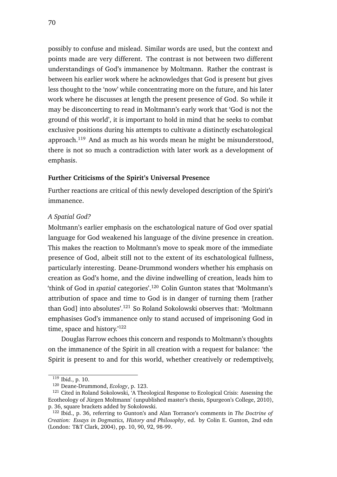possibly to confuse and mislead. Similar words are used, but the context and points made are very different. The contrast is not between two different understandings of God's immanence by Moltmann. Rather the contrast is between his earlier work where he acknowledges that God is present but gives less thought to the 'now' while concentrating more on the future, and his later work where he discusses at length the present presence of God. So while it may be disconcerting to read in Moltmann's early work that 'God is not the ground of this world', it is important to hold in mind that he seeks to combat exclusive positions during his attempts to cultivate a distinctly eschatological approach.<sup>119</sup> And as much as his words mean he might be misunderstood, there is not so much a contradiction with later work as a development of emphasis.

# **Further Criticisms of the Spirit's Universal Presence**

Further reactions are critical of this newly developed description of the Spirit's immanence.

### *A Spatial God?*

Moltmann's earlier emphasis on the eschatological nature of God over spatial language for God weakened his language of the divine presence in creation. This makes the reaction to Moltmann's move to speak more of the immediate presence of God, albeit still not to the extent of its eschatological fullness, particularly interesting. Deane-Drummond wonders whether his emphasis on creation as God's home, and the divine indwelling of creation, leads him to 'think of God in *spatial* categories'.<sup>120</sup> Colin Gunton states that 'Moltmann's attribution of space and time to God is in danger of turning them [rather than God] into absolutes'.<sup>121</sup> So Roland Sokolowski observes that: 'Moltmann' emphasises God's immanence only to stand accused of imprisoning God in time, space and history.<sup>'122</sup>

Douglas Farrow echoes this concern and responds to Moltmann's thoughts on the immanence of the Spirit in all creation with a request for balance: 'the Spirit is present to and for this world, whether creatively or redemptively,

<sup>119</sup> Ibid., p. 10.

<sup>120</sup> Deane-Drummond, *Ecology*, p. 123.

<sup>&</sup>lt;sup>121</sup> Cited in Roland Sokolowski, 'A Theological Response to Ecological Crisis: Assessing the Ecotheology of Jürgen Moltmann' (unpublished master's thesis, Spurgeon's College, 2010), p. 36, square brackets added by Sokolowski.

<sup>122</sup> Ibid., p. 36, referring to Gunton's and Alan Torrance's comments in *The Doctrine of Creation: Essays in Dogmatics, History and Philosophy*, ed. by Colin E. Gunton, 2nd edn (London: T&T Clark, 2004), pp. 10, 90, 92, 98-99.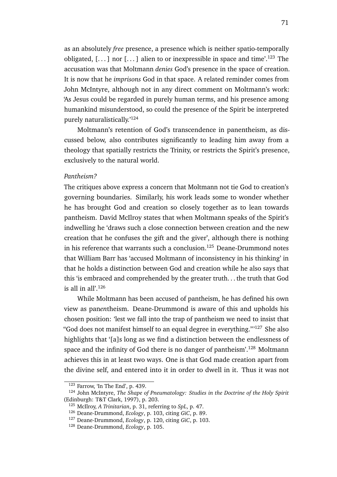as an absolutely *free* presence, a presence which is neither spatio-temporally obligated,  $[\dots]$  nor  $[\dots]$  alien to or inexpressible in space and time'.<sup>123</sup> The accusation was that Moltmann *denies* God's presence in the space of creation. It is now that he *imprisons* God in that space. A related reminder comes from John McIntyre, although not in any direct comment on Moltmann's work: 'As Jesus could be regarded in purely human terms, and his presence among humankind misunderstood, so could the presence of the Spirit be interpreted purely naturalistically.'<sup>124</sup>

Moltmann's retention of God's transcendence in panentheism, as discussed below, also contributes significantly to leading him away from a theology that spatially restricts the Trinity, or restricts the Spirit's presence, exclusively to the natural world.

#### *Pantheism?*

The critiques above express a concern that Moltmann not tie God to creation's governing boundaries. Similarly, his work leads some to wonder whether he has brought God and creation so closely together as to lean towards pantheism. David McIlroy states that when Moltmann speaks of the Spirit's indwelling he 'draws such a close connection between creation and the new creation that he confuses the gift and the giver', although there is nothing in his reference that warrants such a conclusion.<sup>125</sup> Deane-Drummond notes that William Barr has 'accused Moltmann of inconsistency in his thinking' in that he holds a distinction between God and creation while he also says that this 'is embraced and comprehended by the greater truth. . . the truth that God is all in all'. $126$ 

While Moltmann has been accused of pantheism, he has defined his own view as pan*en*theism. Deane-Drummond is aware of this and upholds his chosen position: 'lest we fall into the trap of pantheism we need to insist that "God does not manifest himself to an equal degree in everything."'<sup>127</sup> She also highlights that '[a]s long as we find a distinction between the endlessness of space and the infinity of God there is no danger of pantheism'.<sup>128</sup> Moltmann achieves this in at least two ways. One is that God made creation apart from the divine self, and entered into it in order to dwell in it. Thus it was not

<sup>123</sup> Farrow, 'In The End', p. 439.

<sup>124</sup> John McIntyre, *The Shape of Pneumatology: Studies in the Doctrine of the Holy Spirit* (Edinburgh: T&T Clark, 1997), p. 203.

<sup>125</sup> McIlroy, *A Trinitarian*, p. 31, referring to *SpL*, p. 47.

<sup>126</sup> Deane-Drummond, *Ecology*, p. 103, citing *GiC*, p. 89.

<sup>127</sup> Deane-Drummond, *Ecology*, p. 120, citing *GiC*, p. 103.

<sup>128</sup> Deane-Drummond, *Ecology*, p. 105.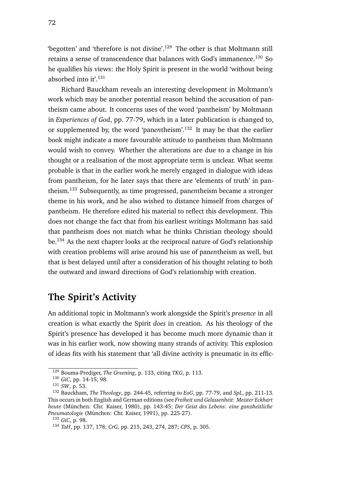'begotten' and 'therefore is not divine'.<sup>129</sup> The other is that Moltmann still retains a sense of transcendence that balances with God's immanence.<sup>130</sup> So he qualifies his views: the Holy Spirit is present in the world 'without being absorbed into it'.<sup>131</sup>

Richard Bauckham reveals an interesting development in Moltmann's work which may be another potential reason behind the accusation of pantheism came about. It concerns uses of the word 'pantheism' by Moltmann in *Experiences of God*, pp. 77-79, which in a later publication is changed to, or supplemented by, the word 'pan*en*theism'.<sup>132</sup> It may be that the earlier book might indicate a more favourable attitude to pantheism than Moltmann would wish to convey. Whether the alterations are due to a change in his thought or a realisation of the most appropriate term is unclear. What seems probable is that in the earlier work he merely engaged in dialogue with ideas from pantheism, for he later says that there are 'elements of truth' in pantheism.<sup>133</sup> Subsequently, as time progressed, pan*en*theism became a stronger theme in his work, and he also wished to distance himself from charges of pantheism. He therefore edited his material to reflect this development. This does not change the fact that from his earliest writings Moltmann has said that pantheism does not match what he thinks Christian theology should be.<sup>134</sup> As the next chapter looks at the reciprocal nature of God's relationship with creation problems will arise around his use of pan*en*theism as well, but that is best delayed until after a consideration of his thought relating to both the outward and inward directions of God's relationship with creation.

# **The Spirit's Activity**

An additional topic in Moltmann's work alongside the Spirit's *presence* in all creation is what exactly the Spirit *does* in creation. As his theology of the Spirit's presence has developed it has become much more dynamic than it was in his earlier work, now showing many strands of activity. This explosion of ideas fits with his statement that 'all divine activity is pneumatic in its effic-

<sup>129</sup> Bouma-Prediger, *The Greening*, p. 133, citing *TKG*, p. 113.

<sup>130</sup> *GiC*, pp. 14-15, 98.

<sup>131</sup> *SW*, p. 53.

<sup>132</sup> Bauckham, *The Theology*, pp. 244-45, referring to *EoG*, pp. 77-79, and *SpL*, pp. 211-13. This occurs in both English and German editions (see *Freiheit und Gelassenheit: Meister Eckhart heute* (München: Chr. Kaiser, 1980), pp. 143-45; *Der Geist des Lebens: eine ganzheitliche Pneumatologie* (München: Chr. Kaiser, 1991), pp. 225-27).

<sup>133</sup> *GiC*, p. 98.

<sup>134</sup> *ToH*, pp. 137, 178; *CrG*, pp. 215, 243, 274, 287; *CPS*, p. 305.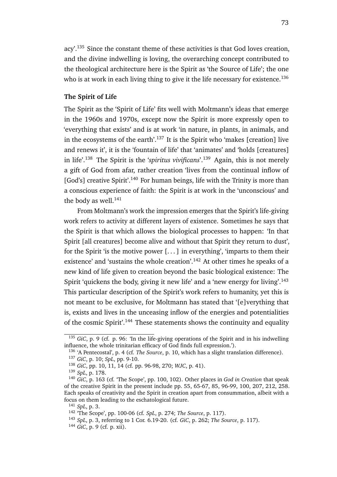acy'.<sup>135</sup> Since the constant theme of these activities is that God loves creation, and the divine indwelling is loving, the overarching concept contributed to the theological architecture here is the Spirit as 'the Source of Life'; the one who is at work in each living thing to give it the life necessary for existence.<sup>136</sup>

# **The Spirit of Life**

The Spirit as the 'Spirit of Life' fits well with Moltmann's ideas that emerge in the 1960s and 1970s, except now the Spirit is more expressly open to 'everything that exists' and is at work 'in nature, in plants, in animals, and in the ecosystems of the earth'.<sup>137</sup> It is the Spirit who 'makes [creation] live and renews it', it is the 'fountain of life' that 'animates' and 'holds [creatures] in life'.<sup>138</sup> The Spirit is the '*spiritus vivificans*'.<sup>139</sup> Again, this is not merely a gift of God from afar, rather creation 'lives from the continual inflow of [God's] creative Spirit<sup>', 140</sup> For human beings, life with the Trinity is more than a conscious experience of faith: the Spirit is at work in the 'unconscious' and the body as well. $141$ 

From Moltmann's work the impression emerges that the Spirit's life-giving work refers to activity at different layers of existence. Sometimes he says that the Spirit is that which allows the biological processes to happen: 'In that Spirit [all creatures] become alive and without that Spirit they return to dust', for the Spirit 'is the motive power  $[...]$  in everything', 'imparts to them their existence' and 'sustains the whole creation'.<sup>142</sup> At other times he speaks of a new kind of life given to creation beyond the basic biological existence: The Spirit 'quickens the body, giving it new life' and a 'new energy for living'.<sup>143</sup> This particular description of the Spirit's work refers to humanity, yet this is not meant to be exclusive, for Moltmann has stated that '[e]verything that is, exists and lives in the unceasing inflow of the energies and potentialities of the cosmic Spirit'.<sup>144</sup> These statements shows the continuity and equality

<sup>135</sup> *GiC*, p. 9 (cf. p. 96: 'In the life-giving operations of the Spirit and in his indwelling influence, the whole trinitarian efficacy of God finds full expression.').

<sup>136</sup> 'A Pentecostal', p. 4 (cf. *The Source*, p. 10, which has a slight translation difference).

<sup>137</sup> *GiC*, p. 10; *SpL*, pp. 9-10.

<sup>138</sup> *GiC*, pp. 10, 11, 14 (cf. pp. 96-98, 270; *WJC*, p. 41).

<sup>139</sup> *SpL*, p. 178.

<sup>140</sup> *GiC*, p. 163 (cf. 'The Scope', pp. 100, 102). Other places in *God in Creation* that speak of the creative Spirit in the present include pp. 55, 65-67, 85, 96-99, 100, 207, 212, 258. Each speaks of creativity and the Spirit in creation apart from consummation, albeit with a focus on them leading to the eschatological future.

<sup>141</sup> *SpL*, p. 3.

<sup>142</sup> 'The Scope', pp. 100-06 (cf. *SpL*, p. 274; *The Source*, p. 117).

<sup>143</sup> *SpL*, p. 3, referring to 1 Cor. 6.19-20. (cf. *GiC*, p. 262; *The Source*, p. 117).

<sup>144</sup> *GiC*, p. 9 (cf. p. xii).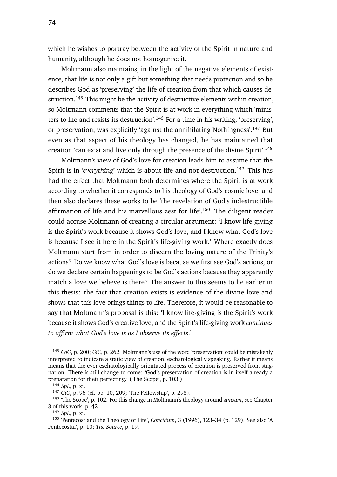which he wishes to portray between the activity of the Spirit in nature and humanity, although he does not homogenise it.

Moltmann also maintains, in the light of the negative elements of existence, that life is not only a gift but something that needs protection and so he describes God as 'preserving' the life of creation from that which causes destruction.<sup>145</sup> This might be the activity of destructive elements within creation, so Moltmann comments that the Spirit is at work in everything which 'ministers to life and resists its destruction'.<sup>146</sup> For a time in his writing, 'preserving', or preservation, was explicitly 'against the annihilating Nothingness'.<sup>147</sup> But even as that aspect of his theology has changed, he has maintained that creation 'can exist and live only through the presence of the divine Spirit'.<sup>148</sup>

Moltmann's view of God's love for creation leads him to assume that the Spirit is in 'everything' which is about life and not destruction.<sup>149</sup> This has had the effect that Moltmann both determines where the Spirit is at work according to whether it corresponds to his theology of God's cosmic love, and then also declares these works to be 'the revelation of God's indestructible affirmation of life and his marvellous zest for life'.<sup>150</sup> The diligent reader could accuse Moltmann of creating a circular argument: 'I know life-giving is the Spirit's work because it shows God's love, and I know what God's love is because I see it here in the Spirit's life-giving work.' Where exactly does Moltmann start from in order to discern the loving nature of the Trinity's actions? Do we know what God's love is because we first see God's actions, or do we declare certain happenings to be God's actions because they apparently match a love we believe is there? The answer to this seems to lie earlier in this thesis: the fact that creation exists is evidence of the divine love and shows that this love brings things to life. Therefore, it would be reasonable to say that Moltmann's proposal is this: 'I know life-giving is the Spirit's work because it shows God's creative love, and the Spirit's life-giving work *continues to affirm what God's love is as I observe its effects*.'

<sup>145</sup> *CoG*, p. 200; *GiC*, p. 262. Moltmann's use of the word 'preservation' could be mistakenly interpreted to indicate a static view of creation, eschatologically speaking. Rather it means means that the ever eschatologically orientated process of creation is preserved from stagnation. There is still change to come: 'God's preservation of creation is in itself already a preparation for their perfecting.' ('The Scope', p. 103.)

<sup>146</sup> *SpL*, p. xi.

<sup>147</sup> *GiC*, p. 96 (cf. pp. 10, 209; 'The Fellowship', p. 298).

<sup>148</sup> 'The Scope', p. 102. For this change in Moltmann's theology around *zimsum*, see Chapter 3 of this work, p. 42.

<sup>149</sup> *SpL*, p. xi.

<sup>150</sup> 'Pentecost and the Theology of Life', *Concilium*, 3 (1996), 123–34 (p. 129). See also 'A Pentecostal', p. 10; *The Source*, p. 19.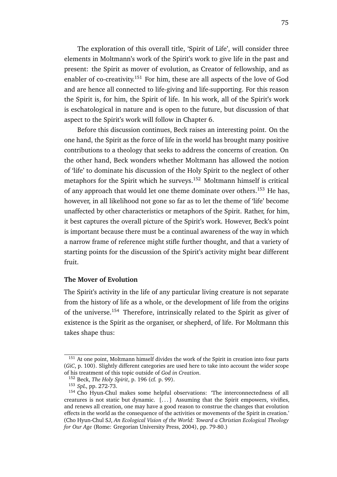The exploration of this overall title, 'Spirit of Life', will consider three elements in Moltmann's work of the Spirit's work to give life in the past and present: the Spirit as mover of evolution, as Creator of fellowship, and as enabler of co-creativity.<sup>151</sup> For him, these are all aspects of the love of God and are hence all connected to life-giving and life-supporting. For this reason the Spirit is, for him, the Spirit of life. In his work, all of the Spirit's work is eschatological in nature and is open to the future, but discussion of that aspect to the Spirit's work will follow in Chapter 6.

Before this discussion continues, Beck raises an interesting point. On the one hand, the Spirit as the force of life in the world has brought many positive contributions to a theology that seeks to address the concerns of creation. On the other hand, Beck wonders whether Moltmann has allowed the notion of 'life' to dominate his discussion of the Holy Spirit to the neglect of other metaphors for the Spirit which he surveys.<sup>152</sup> Moltmann himself is critical of any approach that would let one theme dominate over others.<sup>153</sup> He has, however, in all likelihood not gone so far as to let the theme of 'life' become unaffected by other characteristics or metaphors of the Spirit. Rather, for him, it best captures the overall picture of the Spirit's work. However, Beck's point is important because there must be a continual awareness of the way in which a narrow frame of reference might stifle further thought, and that a variety of starting points for the discussion of the Spirit's activity might bear different fruit.

# **The Mover of Evolution**

The Spirit's activity in the life of any particular living creature is not separate from the history of life as a whole, or the development of life from the origins of the universe.<sup>154</sup> Therefore, intrinsically related to the Spirit as giver of existence is the Spirit as the organiser, or shepherd, of life. For Moltmann this takes shape thus:

<sup>&</sup>lt;sup>151</sup> At one point, Moltmann himself divides the work of the Spirit in creation into four parts (*GiC*, p. 100). Slightly different categories are used here to take into account the wider scope of his treatment of this topic outside of *God in Creation*.

<sup>152</sup> Beck, *The Holy Spirit*, p. 196 (cf. p. 99).

<sup>153</sup> *SpL*, pp. 272-73.

<sup>&</sup>lt;sup>154</sup> Cho Hyun-Chul makes some helpful observations: 'The interconnectedness of all creatures is not static but dynamic. [. . . ] Assuming that the Spirit empowers, vivifies, and renews all creation, one may have a good reason to construe the changes that evolution effects in the world as the consequence of the activities or movements of the Spirit in creation.' (Cho Hyun-Chul SJ, *An Ecological Vision of the World: Toward a Christian Ecological Theology for Our Age* (Rome: Gregorian University Press, 2004), pp. 79-80.)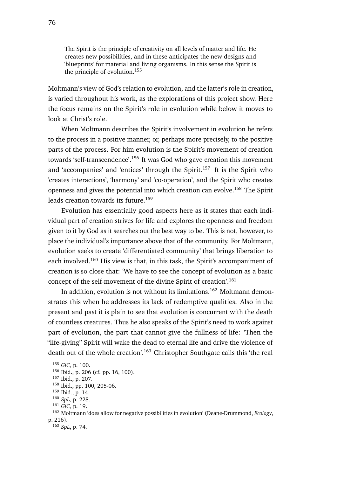The Spirit is the principle of creativity on all levels of matter and life. He creates new possibilities, and in these anticipates the new designs and 'blueprints' for material and living organisms. In this sense the Spirit is the principle of evolution.<sup>155</sup>

Moltmann's view of God's relation to evolution, and the latter's role in creation, is varied throughout his work, as the explorations of this project show. Here the focus remains on the Spirit's role in evolution while below it moves to look at Christ's role.

When Moltmann describes the Spirit's involvement in evolution he refers to the process in a positive manner, or, perhaps more precisely, to the positive parts of the process. For him evolution is the Spirit's movement of creation towards 'self-transcendence'.<sup>156</sup> It was God who gave creation this movement and 'accompanies' and 'entices' through the Spirit.<sup>157</sup> It is the Spirit who 'creates interactions', 'harmony' and 'co-operation', and the Spirit who creates openness and gives the potential into which creation can evolve.<sup>158</sup> The Spirit leads creation towards its future.<sup>159</sup>

Evolution has essentially good aspects here as it states that each individual part of creation strives for life and explores the openness and freedom given to it by God as it searches out the best way to be. This is not, however, to place the individual's importance above that of the community. For Moltmann, evolution seeks to create 'differentiated community' that brings liberation to each involved.<sup>160</sup> His view is that, in this task, the Spirit's accompaniment of creation is so close that: 'We have to see the concept of evolution as a basic concept of the self-movement of the divine Spirit of creation'.<sup>161</sup>

In addition, evolution is not without its limitations.<sup>162</sup> Moltmann demonstrates this when he addresses its lack of redemptive qualities. Also in the present and past it is plain to see that evolution is concurrent with the death of countless creatures. Thus he also speaks of the Spirit's need to work against part of evolution, the part that cannot give the fullness of life: 'Then the "life-giving" Spirit will wake the dead to eternal life and drive the violence of death out of the whole creation'.<sup>163</sup> Christopher Southgate calls this 'the real

<sup>155</sup> *GiC*, p. 100.

<sup>156</sup> Ibid., p. 206 (cf. pp. 16, 100).

<sup>157</sup> Ibid., p. 207.

<sup>158</sup> Ibid., pp. 100, 205-06.

<sup>159</sup> Ibid., p. 14.

<sup>160</sup> *SpL*, p. 228.

<sup>161</sup> *GiC*, p. 19.

<sup>162</sup> Moltmann 'does allow for negative possibilities in evolution' (Deane-Drummond, *Ecology*, p. 216).

<sup>163</sup> *SpL*, p. 74.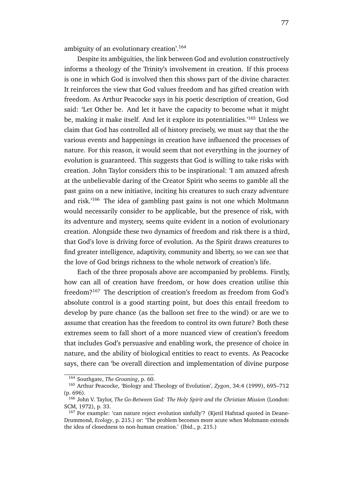ambiguity of an evolutionary creation'.<sup>164</sup>

Despite its ambiguities, the link between God and evolution constructively informs a theology of the Trinity's involvement in creation. If this process is one in which God is involved then this shows part of the divine character. It reinforces the view that God values freedom and has gifted creation with freedom. As Arthur Peacocke says in his poetic description of creation, God said: 'Let Other be. And let it have the capacity to become what it might be, making it make itself. And let it explore its potentialities.<sup>'165</sup> Unless we claim that God has controlled all of history precisely, we must say that the the various events and happenings in creation have influenced the processes of nature. For this reason, it would seem that not everything in the journey of evolution is guaranteed. This suggests that God is willing to take risks with creation. John Taylor considers this to be inspirational: 'I am amazed afresh at the unbelievable daring of the Creator Spirit who seems to gamble all the past gains on a new initiative, inciting his creatures to such crazy adventure and risk.'<sup>166</sup> The idea of gambling past gains is not one which Moltmann would necessarily consider to be applicable, but the presence of risk, with its adventure and mystery, seems quite evident in a notion of evolutionary creation. Alongside these two dynamics of freedom and risk there is a third, that God's love is driving force of evolution. As the Spirit draws creatures to find greater intelligence, adaptivity, community and liberty, so we can see that the love of God brings richness to the whole network of creation's life.

Each of the three proposals above are accompanied by problems. Firstly, how can all of creation have freedom, or how does creation utilise this freedom?<sup>167</sup> The description of creation's freedom as freedom from God's absolute control is a good starting point, but does this entail freedom to develop by pure chance (as the balloon set free to the wind) or are we to assume that creation has the freedom to control its own future? Both these extremes seem to fall short of a more nuanced view of creation's freedom that includes God's persuasive and enabling work, the presence of choice in nature, and the ability of biological entities to react to events. As Peacocke says, there can 'be overall direction and implementation of divine purpose

<sup>164</sup> Southgate, *The Groaning*, p. 60.

<sup>165</sup> Arthur Peacocke, 'Biology and Theology of Evolution', *Zygon*, 34:4 (1999), 695–712 (p. 696).

<sup>166</sup> John V. Taylor, *The Go-Between God: The Holy Spirit and the Christian Mission* (London: SCM, 1972), p. 33.

<sup>&</sup>lt;sup>167</sup> For example: 'can nature reject evolution sinfully'? (Kjetil Hafstad quoted in Deane-Drummond, *Ecology*, p. 215.) or: 'The problem becomes more acute when Moltmann extends the idea of closedness to non-human creation.' (Ibid., p. 215.)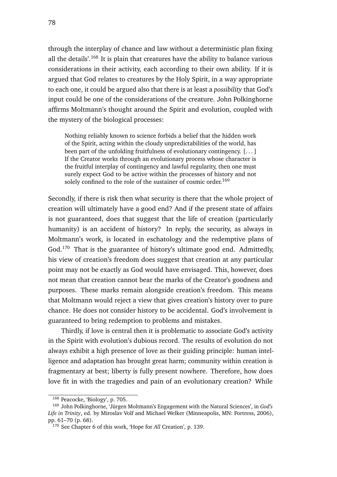through the interplay of chance and law without a deterministic plan fixing all the details'.<sup>168</sup> It is plain that creatures have the ability to balance various considerations in their activity, each according to their own ability. If it is argued that God relates to creatures by the Holy Spirit, in a way appropriate to each one, it could be argued also that there is at least a *possibility* that God's input could be one of the considerations of the creature. John Polkinghorne affirms Moltmann's thought around the Spirit and evolution, coupled with the mystery of the biological processes:

Nothing reliably known to science forbids a belief that the hidden work of the Spirit, acting within the cloudy unpredictabilities of the world, has been part of the unfolding fruitfulness of evolutionary contingency. [. . . ] If the Creator works through an evolutionary process whose character is the fruitful interplay of contingency and lawful regularity, then one must surely expect God to be active within the processes of history and not solely confined to the role of the sustainer of cosmic order.<sup>169</sup>

Secondly, if there is risk then what security is there that the whole project of creation will ultimately have a good end? And if the present state of affairs is not guaranteed, does that suggest that the life of creation (particularly humanity) is an accident of history? In reply, the security, as always in Moltmann's work, is located in eschatology and the redemptive plans of God.<sup>170</sup> That is the guarantee of history's ultimate good end. Admittedly, his view of creation's freedom does suggest that creation at any particular point may not be exactly as God would have envisaged. This, however, does not mean that creation cannot bear the marks of the Creator's goodness and purposes. These marks remain alongside creation's freedom. This means that Moltmann would reject a view that gives creation's history over to pure chance. He does not consider history to be accidental. God's involvement is guaranteed to bring redemption to problems and mistakes.

Thirdly, if love is central then it is problematic to associate God's activity in the Spirit with evolution's dubious record. The results of evolution do not always exhibit a high presence of love as their guiding principle: human intelligence and adaptation has brought great harm; community within creation is fragmentary at best; liberty is fully present nowhere. Therefore, how does love fit in with the tragedies and pain of an evolutionary creation? While

<sup>168</sup> Peacocke, 'Biology', p. 705.

<sup>169</sup> John Polkinghorne, 'Jürgen Moltmann's Engagement with the Natural Sciences', in *God's Life in Trinity*, ed. by Miroslav Volf and Michael Welker (Minneapolis, MN: Fortress, 2006), pp. 61–70 (p. 68).

<sup>170</sup> See Chapter 6 of this work, 'Hope for *All* Creation', p. 139.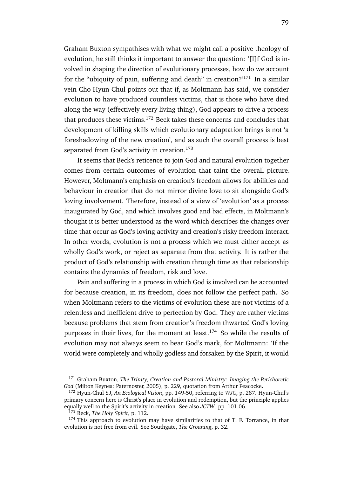Graham Buxton sympathises with what we might call a positive theology of evolution, he still thinks it important to answer the question: '[I]f God is involved in shaping the direction of evolutionary processes, how do we account for the "ubiquity of pain, suffering and death" in creation?'<sup>171</sup> In a similar vein Cho Hyun-Chul points out that if, as Moltmann has said, we consider evolution to have produced countless victims, that is those who have died along the way (effectively every living thing), God appears to drive a process that produces these victims.<sup>172</sup> Beck takes these concerns and concludes that development of killing skills which evolutionary adaptation brings is not 'a foreshadowing of the new creation', and as such the overall process is best separated from God's activity in creation.<sup>173</sup>

It seems that Beck's reticence to join God and natural evolution together comes from certain outcomes of evolution that taint the overall picture. However, Moltmann's emphasis on creation's freedom allows for abilities and behaviour in creation that do not mirror divine love to sit alongside God's loving involvement. Therefore, instead of a view of 'evolution' as a process inaugurated by God, and which involves good and bad effects, in Moltmann's thought it is better understood as the word which describes the changes over time that occur as God's loving activity and creation's risky freedom interact. In other words, evolution is not a process which we must either accept as wholly God's work, or reject as separate from that activity. It is rather the product of God's relationship with creation through time as that relationship contains the dynamics of freedom, risk and love.

Pain and suffering in a process in which God is involved can be accounted for because creation, in its freedom, does not follow the perfect path. So when Moltmann refers to the victims of evolution these are not victims of a relentless and inefficient drive to perfection by God. They are rather victims because problems that stem from creation's freedom thwarted God's loving purposes in their lives, for the moment at least.<sup>174</sup> So while the results of evolution may not always seem to bear God's mark, for Moltmann: 'If the world were completely and wholly godless and forsaken by the Spirit, it would

<sup>171</sup> Graham Buxton, *The Trinity, Creation and Pastoral Ministry: Imaging the Perichoretic God* (Milton Keynes: Paternoster, 2005), p. 229, quotation from Arthur Peacocke.

<sup>172</sup> Hyun-Chul SJ, *An Ecological Vision*, pp. 149-50, referring to *WJC*, p. 287. Hyun-Chul's primary concern here is Christ's place in evolution and redemption, but the principle applies equally well to the Spirit's activity in creation. See also *JCTW*, pp. 101-06.

<sup>173</sup> Beck, *The Holy Spirit*, p. 112.

<sup>&</sup>lt;sup>174</sup> This approach to evolution may have similarities to that of T. F. Torrance, in that evolution is not free from evil. See Southgate, *The Groaning*, p. 32.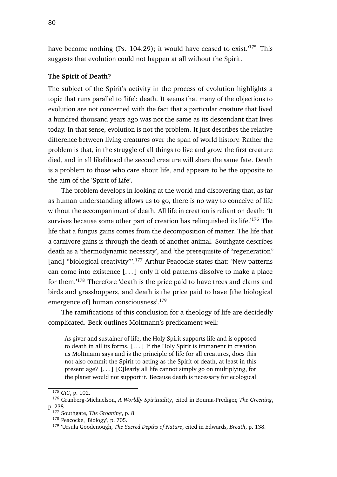have become nothing (Ps. 104.29); it would have ceased to exist.<sup>'175</sup> This suggests that evolution could not happen at all without the Spirit.

### **The Spirit of Death?**

The subject of the Spirit's activity in the process of evolution highlights a topic that runs parallel to 'life': death. It seems that many of the objections to evolution are not concerned with the fact that a particular creature that lived a hundred thousand years ago was not the same as its descendant that lives today. In that sense, evolution is not the problem. It just describes the relative difference between living creatures over the span of world history. Rather the problem is that, in the struggle of all things to live and grow, the first creature died, and in all likelihood the second creature will share the same fate. Death is a problem to those who care about life, and appears to be the opposite to the aim of the 'Spirit of Life'.

The problem develops in looking at the world and discovering that, as far as human understanding allows us to go, there is no way to conceive of life without the accompaniment of death. All life in creation is reliant on death: 'It survives because some other part of creation has relinquished its life.<sup>'176</sup> The life that a fungus gains comes from the decomposition of matter. The life that a carnivore gains is through the death of another animal. Southgate describes death as a 'thermodynamic necessity', and 'the prerequisite of "regeneration" [and] "biological creativity"'.<sup>177</sup> Arthur Peacocke states that: 'New patterns can come into existence [. . . ] only if old patterns dissolve to make a place for them.'<sup>178</sup> Therefore 'death is the price paid to have trees and clams and birds and grasshoppers, and death is the price paid to have [the biological emergence of] human consciousness'.<sup>179</sup>

The ramifications of this conclusion for a theology of life are decidedly complicated. Beck outlines Moltmann's predicament well:

As giver and sustainer of life, the Holy Spirit supports life and is opposed to death in all its forms. [. . . ] If the Holy Spirit is immanent in creation as Moltmann says and is the principle of life for all creatures, does this not also commit the Spirit to acting as the Spirit of death, at least in this present age? [. . . ] [C]learly all life cannot simply go on multiplying, for the planet would not support it. Because death is necessary for ecological

<sup>175</sup> *GiC*, p. 102.

<sup>176</sup> Granberg-Michaelson, *A Worldly Spirituality*, cited in Bouma-Prediger, *The Greening*, p. 238.

<sup>177</sup> Southgate, *The Groaning*, p. 8.

<sup>178</sup> Peacocke, 'Biology', p. 705.

<sup>179</sup> 'Ursula Goodenough, *The Sacred Depths of Nature*, cited in Edwards, *Breath*, p. 138.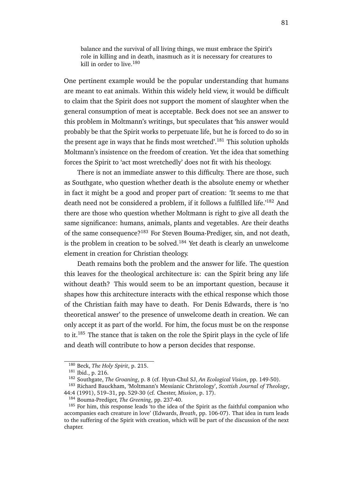balance and the survival of all living things, we must embrace the Spirit's role in killing and in death, inasmuch as it is necessary for creatures to kill in order to live.<sup>180</sup>

One pertinent example would be the popular understanding that humans are meant to eat animals. Within this widely held view, it would be difficult to claim that the Spirit does not support the moment of slaughter when the general consumption of meat is acceptable. Beck does not see an answer to this problem in Moltmann's writings, but speculates that 'his answer would probably be that the Spirit works to perpetuate life, but he is forced to do so in the present age in ways that he finds most wretched'.<sup>181</sup> This solution upholds Moltmann's insistence on the freedom of creation. Yet the idea that something forces the Spirit to 'act most wretchedly' does not fit with his theology.

There is not an immediate answer to this difficulty. There are those, such as Southgate, who question whether death is the absolute enemy or whether in fact it might be a good and proper part of creation: 'It seems to me that death need not be considered a problem, if it follows a fulfilled life.<sup>'182</sup> And there are those who question whether Moltmann is right to give all death the same significance: humans, animals, plants and vegetables. Are their deaths of the same consequence?<sup>183</sup> For Steven Bouma-Prediger, sin, and not death, is the problem in creation to be solved.<sup>184</sup> Yet death is clearly an unwelcome element in creation for Christian theology.

Death remains both the problem and the answer for life. The question this leaves for the theological architecture is: can the Spirit bring any life without death? This would seem to be an important question, because it shapes how this architecture interacts with the ethical response which those of the Christian faith may have to death. For Denis Edwards, there is 'no theoretical answer' to the presence of unwelcome death in creation. We can only accept it as part of the world. For him, the focus must be on the response to it.<sup>185</sup> The stance that is taken on the role the Spirit plays in the cycle of life and death will contribute to how a person decides that response.

<sup>180</sup> Beck, *The Holy Spirit*, p. 215.

<sup>181</sup> Ibid., p. 216.

<sup>182</sup> Southgate, *The Groaning*, p. 8 (cf. Hyun-Chul SJ, *An Ecological Vision*, pp. 149-50).

<sup>183</sup> Richard Bauckham, 'Moltmann's Messianic Christology', *Scottish Journal of Theology*, 44:4 (1991), 519–31, pp. 529-30 (cf. Chester, *Mission*, p. 17).

<sup>184</sup> Bouma-Prediger, *The Greening*, pp. 237-40.

<sup>&</sup>lt;sup>185</sup> For him, this response leads 'to the idea of the Spirit as the faithful companion who accompanies each creature in love' (Edwards, *Breath*, pp. 106-07). That idea in turn leads to the suffering of the Spirit with creation, which will be part of the discussion of the next chapter.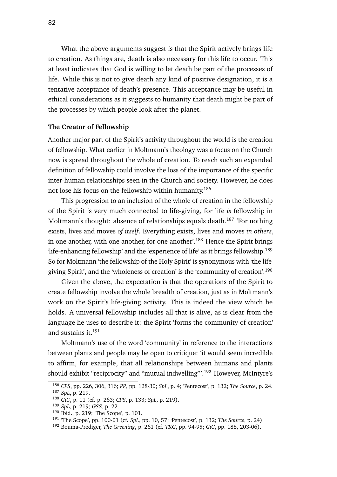What the above arguments suggest is that the Spirit actively brings life to creation. As things are, death is also necessary for this life to occur. This at least indicates that God is willing to let death be part of the processes of life. While this is not to give death any kind of positive designation, it is a tentative acceptance of death's presence. This acceptance may be useful in ethical considerations as it suggests to humanity that death might be part of the processes by which people look after the planet.

# **The Creator of Fellowship**

Another major part of the Spirit's activity throughout the world is the creation of fellowship. What earlier in Moltmann's theology was a focus on the Church now is spread throughout the whole of creation. To reach such an expanded definition of fellowship could involve the loss of the importance of the specific inter-human relationships seen in the Church and society. However, he does not lose his focus on the fellowship within humanity.<sup>186</sup>

This progression to an inclusion of the whole of creation in the fellowship of the Spirit is very much connected to life-giving, for life *is* fellowship in Moltmann's thought: absence of relationships equals death.<sup>187</sup> 'For nothing exists, lives and moves *of itself*. Everything exists, lives and moves *in others*, in one another, with one another, for one another'.<sup>188</sup> Hence the Spirit brings 'life-enhancing fellowship' and the 'experience of life' as it brings fellowship.<sup>189</sup> So for Moltmann 'the fellowship of the Holy Spirit' is synonymous with 'the lifegiving Spirit', and the 'wholeness of creation' is the 'community of creation'.<sup>190</sup>

Given the above, the expectation is that the operations of the Spirit to create fellowship involve the whole breadth of creation, just as in Moltmann's work on the Spirit's life-giving activity. This is indeed the view which he holds. A universal fellowship includes all that is alive, as is clear from the language he uses to describe it: the Spirit 'forms the community of creation' and sustains it.<sup>191</sup>

Moltmann's use of the word 'community' in reference to the interactions between plants and people may be open to critique: 'it would seem incredible to affirm, for example, that all relationships between humans and plants should exhibit "reciprocity" and "mutual indwelling"'.<sup>192</sup> However, McIntyre's

<sup>186</sup> *CPS*, pp. 226, 306, 316; *PP*, pp. 128-30; *SpL*, p. 4; 'Pentecost', p. 132; *The Source*, p. 24. <sup>187</sup> *SpL*, p. 219.

<sup>188</sup> *GiC*, p. 11 (cf. p. 263; *CPS*, p. 133; *SpL*, p. 219).

<sup>189</sup> *SpL*, p. 219; *GSS*, p. 22.

<sup>190</sup> Ibid., p. 219; 'The Scope', p. 101.

<sup>191</sup> 'The Scope', pp. 100-01 (cf. *SpL*, pp. 10, 57; 'Pentecost', p. 132; *The Source*, p. 24).

<sup>192</sup> Bouma-Prediger, *The Greening*, p. 261 (cf. *TKG*, pp. 94-95; *GiC*, pp. 188, 203-06).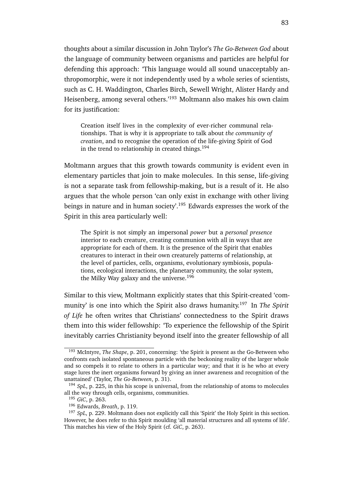thoughts about a similar discussion in John Taylor's *The Go-Between God* about the language of community between organisms and particles are helpful for defending this approach: 'This language would all sound unacceptably anthropomorphic, were it not independently used by a whole series of scientists, such as C. H. Waddington, Charles Birch, Sewell Wright, Alister Hardy and Heisenberg, among several others.'<sup>193</sup> Moltmann also makes his own claim for its justification:

Creation itself lives in the complexity of ever-richer communal relationships. That is why it is appropriate to talk about *the community of creation*, and to recognise the operation of the life-giving Spirit of God in the trend to relationship in created things.<sup>194</sup>

Moltmann argues that this growth towards community is evident even in elementary particles that join to make molecules. In this sense, life-giving is not a separate task from fellowship-making, but is a result of it. He also argues that the whole person 'can only exist in exchange with other living beings in nature and in human society'.<sup>195</sup> Edwards expresses the work of the Spirit in this area particularly well:

The Spirit is not simply an impersonal *power* but a *personal presence* interior to each creature, creating communion with all in ways that are appropriate for each of them. It is the presence of the Spirit that enables creatures to interact in their own creaturely patterns of relationship, at the level of particles, cells, organisms, evolutionary symbiosis, populations, ecological interactions, the planetary community, the solar system, the Milky Way galaxy and the universe.<sup>196</sup>

Similar to this view, Moltmann explicitly states that this Spirit-created 'community' is one into which the Spirit also draws humanity.<sup>197</sup> In *The Spirit of Life* he often writes that Christians' connectedness to the Spirit draws them into this wider fellowship: 'To experience the fellowship of the Spirit inevitably carries Christianity beyond itself into the greater fellowship of all

<sup>193</sup> McIntyre, *The Shape*, p. 201, concerning: 'the Spirit is present as the Go-Between who confronts each isolated spontaneous particle with the beckoning reality of the larger whole and so compels it to relate to others in a particular way; and that it is he who at every stage lures the inert organisms forward by giving an inner awareness and recognition of the unattained' (Taylor, *The Go-Between*, p. 31).

<sup>194</sup> *SpL*, p. 225, in this his scope is universal, from the relationship of atoms to molecules all the way through cells, organisms, communities.

<sup>195</sup> *GiC*, p. 263.

<sup>196</sup> Edwards, *Breath*, p. 119.

<sup>197</sup> *SpL*, p. 229. Moltmann does not explicitly call this 'Spirit' the Holy Spirit in this section. However, he does refer to this Spirit moulding 'all material structures and all systems of life'. This matches his view of the Holy Spirit (cf. *GiC*, p. 263).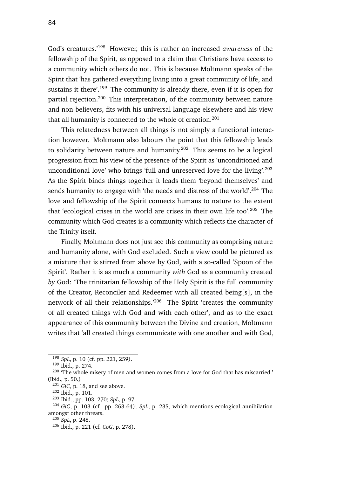God's creatures.'<sup>198</sup> However, this is rather an increased *awareness* of the fellowship of the Spirit, as opposed to a claim that Christians have access to a community which others do not. This is because Moltmann speaks of the Spirit that 'has gathered everything living into a great community of life, and sustains it there'.<sup>199</sup> The community is already there, even if it is open for partial rejection.<sup>200</sup> This interpretation, of the community between nature and non-believers, fits with his universal language elsewhere and his view that all humanity is connected to the whole of creation. $201$ 

This relatedness between all things is not simply a functional interaction however. Moltmann also labours the point that this fellowship leads to solidarity between nature and humanity.<sup>202</sup> This seems to be a logical progression from his view of the presence of the Spirit as 'unconditioned and unconditional love' who brings 'full and unreserved love for the living'.<sup>203</sup> As the Spirit binds things together it leads them 'beyond themselves' and sends humanity to engage with 'the needs and distress of the world'.<sup>204</sup> The love and fellowship of the Spirit connects humans to nature to the extent that 'ecological crises in the world are crises in their own life too'.<sup>205</sup> The community which God creates is a community which reflects the character of the Trinity itself.

Finally, Moltmann does not just see this community as comprising nature and humanity alone, with God excluded. Such a view could be pictured as a mixture that is stirred from above by God, with a so-called 'Spoon of the Spirit'. Rather it is as much a community *with* God as a community created *by* God: 'The trinitarian fellowship of the Holy Spirit is the full community of the Creator, Reconciler and Redeemer with all created being[s], in the network of all their relationships.'<sup>206</sup> The Spirit 'creates the community of all created things with God and with each other', and as to the exact appearance of this community between the Divine and creation, Moltmann writes that 'all created things communicate with one another and with God,

<sup>198</sup> *SpL*, p. 10 (cf. pp. 221, 259).

<sup>199</sup> Ibid., p. 274.

<sup>&</sup>lt;sup>200</sup> 'The whole misery of men and women comes from a love for God that has miscarried.' (Ibid., p. 50.)

<sup>201</sup> *GiC*, p. 18, and see above.

<sup>202</sup> Ibid., p. 101.

<sup>203</sup> Ibid., pp. 103, 270; *SpL*, p. 97.

<sup>204</sup> *GiC*, p. 103 (cf. pp. 263-64); *SpL*, p. 235, which mentions ecological annihilation amongst other threats.

<sup>205</sup> *SpL*, p. 248.

<sup>206</sup> Ibid., p. 221 (cf. *CoG*, p. 278).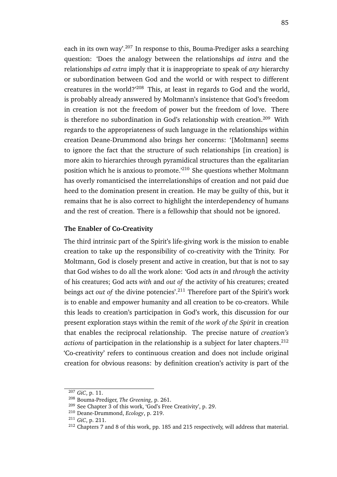each in its own way'.<sup>207</sup> In response to this, Bouma-Prediger asks a searching question: 'Does the analogy between the relationships *ad intra* and the relationships *ad extra* imply that it is inappropriate to speak of *any* hierarchy or subordination between God and the world or with respect to different creatures in the world?'<sup>208</sup> This, at least in regards to God and the world, is probably already answered by Moltmann's insistence that God's freedom in creation is not the freedom of power but the freedom of love. There is therefore no subordination in God's relationship with creation.<sup>209</sup> With regards to the appropriateness of such language in the relationships within creation Deane-Drummond also brings her concerns: '[Moltmann] seems to ignore the fact that the structure of such relationships [in creation] is more akin to hierarchies through pyramidical structures than the egalitarian position which he is anxious to promote.'<sup>210</sup> She questions whether Moltmann has overly romanticised the interrelationships of creation and not paid due heed to the domination present in creation. He may be guilty of this, but it remains that he is also correct to highlight the interdependency of humans and the rest of creation. There is a fellowship that should not be ignored.

### **The Enabler of Co-Creativity**

The third intrinsic part of the Spirit's life-giving work is the mission to enable creation to take up the responsibility of co-creativity with the Trinity. For Moltmann, God is closely present and active in creation, but that is not to say that God wishes to do all the work alone: 'God acts *in* and *through* the activity of his creatures; God acts *with* and *out of* the activity of his creatures; created beings act *out of* the divine potencies'.<sup>211</sup> Therefore part of the Spirit's work is to enable and empower humanity and all creation to be co-creators. While this leads to creation's participation in God's work, this discussion for our present exploration stays within the remit of *the work of the Spirit* in creation that enables the reciprocal relationship. The precise nature of *creation's* actions of participation in the relationship is a subject for later chapters.<sup>212</sup> 'Co-creativity' refers to continuous creation and does not include original creation for obvious reasons: by definition creation's activity is part of the

<sup>207</sup> *GiC*, p. 11.

<sup>208</sup> Bouma-Prediger, *The Greening*, p. 261.

<sup>209</sup> See Chapter 3 of this work, 'God's Free Creativity', p. 29.

<sup>210</sup> Deane-Drummond, *Ecology*, p. 219.

<sup>211</sup> *GiC*, p. 211.

<sup>212</sup> Chapters 7 and 8 of this work, pp. 185 and 215 respectively, will address that material.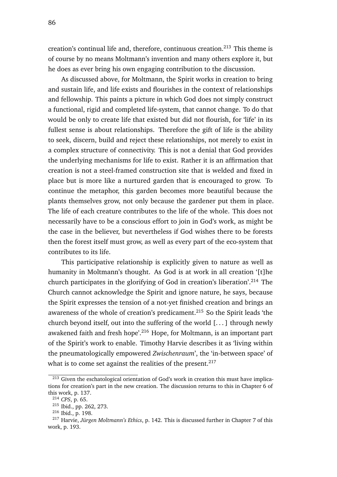creation's continual life and, therefore, continuous creation.<sup>213</sup> This theme is of course by no means Moltmann's invention and many others explore it, but he does as ever bring his own engaging contribution to the discussion.

As discussed above, for Moltmann, the Spirit works in creation to bring and sustain life, and life exists and flourishes in the context of relationships and fellowship. This paints a picture in which God does not simply construct a functional, rigid and completed life-system, that cannot change. To do that would be only to create life that existed but did not flourish, for 'life' in its fullest sense is about relationships. Therefore the gift of life is the ability to seek, discern, build and reject these relationships, not merely to exist in a complex structure of connectivity. This is not a denial that God provides the underlying mechanisms for life to exist. Rather it is an affirmation that creation is not a steel-framed construction site that is welded and fixed in place but is more like a nurtured garden that is encouraged to grow. To continue the metaphor, this garden becomes more beautiful because the plants themselves grow, not only because the gardener put them in place. The life of each creature contributes to the life of the whole. This does not necessarily have to be a conscious effort to join in God's work, as might be the case in the believer, but nevertheless if God wishes there to be forests then the forest itself must grow, as well as every part of the eco-system that contributes to its life.

This participative relationship is explicitly given to nature as well as humanity in Moltmann's thought. As God is at work in all creation '[t]he church participates in the glorifying of God in creation's liberation'.<sup>214</sup> The Church cannot acknowledge the Spirit and ignore nature, he says, because the Spirit expresses the tension of a not-yet finished creation and brings an awareness of the whole of creation's predicament.<sup>215</sup> So the Spirit leads 'the church beyond itself, out into the suffering of the world  $[...]$  through newly awakened faith and fresh hope'.<sup>216</sup> Hope, for Moltmann, is an important part of the Spirit's work to enable. Timothy Harvie describes it as 'living within the pneumatologically empowered *Zwischenraum*', the 'in-between space' of what is to come set against the realities of the present.  $2^{17}$ 

<sup>&</sup>lt;sup>213</sup> Given the eschatological orientation of God's work in creation this must have implications for creation's part in the new creation. The discussion returns to this in Chapter 6 of this work, p. 137.

<sup>214</sup> *CPS*, p. 65.

<sup>215</sup> Ibid., pp. 262, 273.

<sup>216</sup> Ibid., p. 198.

<sup>217</sup> Harvie, *Jürgen Moltmann's Ethics*, p. 142. This is discussed further in Chapter 7 of this work, p. 193.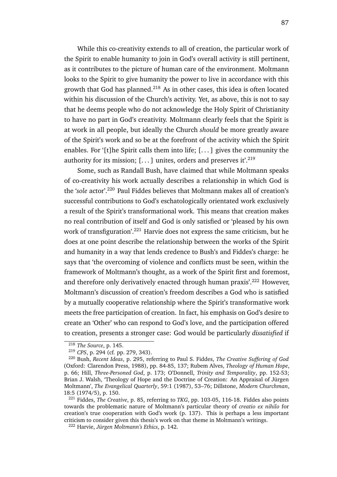While this co-creativity extends to all of creation, the particular work of the Spirit to enable humanity to join in God's overall activity is still pertinent, as it contributes to the picture of human care of the environment. Moltmann looks to the Spirit to give humanity the power to live in accordance with this growth that God has planned.<sup>218</sup> As in other cases, this idea is often located within his discussion of the Church's activity. Yet, as above, this is not to say that he deems people who do not acknowledge the Holy Spirit of Christianity to have no part in God's creativity. Moltmann clearly feels that the Spirit is at work in all people, but ideally the Church *should* be more greatly aware of the Spirit's work and so be at the forefront of the activity which the Spirit enables. For '[t]he Spirit calls them into life;  $[...]$  gives the community the authority for its mission;  $[\dots]$  unites, orders and preserves it'.<sup>219</sup>

Some, such as Randall Bush, have claimed that while Moltmann speaks of co-creativity his work actually describes a relationship in which God is the '*sole* actor'.<sup>220</sup> Paul Fiddes believes that Moltmann makes all of creation's successful contributions to God's eschatologically orientated work exclusively a result of the Spirit's transformational work. This means that creation makes no real contribution of itself and God is only satisfied or 'pleased by his own work of transfiguration<sup>'.221</sup> Harvie does not express the same criticism, but he does at one point describe the relationship between the works of the Spirit and humanity in a way that lends credence to Bush's and Fiddes's charge: he says that 'the overcoming of violence and conflicts must be seen, within the framework of Moltmann's thought, as a work of the Spirit first and foremost, and therefore only derivatively enacted through human praxis'.<sup>222</sup> However, Moltmann's discussion of creation's freedom describes a God who is satisfied by a mutually cooperative relationship where the Spirit's transformative work meets the free participation of creation. In fact, his emphasis on God's desire to create an 'Other' who can respond to God's love, and the participation offered to creation, presents a stronger case: God would be particularly *dissatisfied* if

<sup>218</sup> *The Source*, p. 145.

<sup>219</sup> *CPS*, p. 294 (cf. pp. 279, 343).

<sup>220</sup> Bush, *Recent Ideas*, p. 295, referring to Paul S. Fiddes, *The Creative Suffering of God* (Oxford: Clarendon Press, 1988), pp. 84-85, 137; Rubem Alves, *Theology of Human Hope*, p. 66; Hill, *Three-Personed God*, p. 173; O'Donnell, *Trinity and Temporality*, pp. 152-53; Brian J. Walsh, 'Theology of Hope and the Doctrine of Creation: An Appraisal of Jürgen Moltmann', *The Evangelical Quarterly*, 59:1 (1987), 53–76; Dillstone, *Modern Churchman*, 18:5 (1974/5), p. 150.

<sup>221</sup> Fiddes, *The Creative*, p. 85, referring to *TKG*, pp. 103-05, 116-18. Fiddes also points towards the problematic nature of Moltmann's particular theory of *creatio ex nihilo* for creation's true cooperation with God's work (p. 137). This is perhaps a less important criticism to consider given this thesis's work on that theme in Moltmann's writings.

<sup>222</sup> Harvie, *Jürgen Moltmann's Ethics*, p. 142.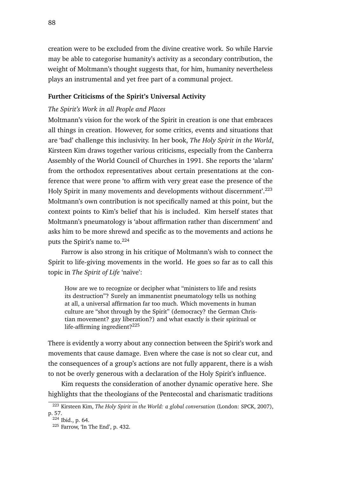creation were to be excluded from the divine creative work. So while Harvie may be able to categorise humanity's activity as a secondary contribution, the weight of Moltmann's thought suggests that, for him, humanity nevertheless plays an instrumental and yet free part of a communal project.

# **Further Criticisms of the Spirit's Universal Activity**

# *The Spirit's Work in all People and Places*

Moltmann's vision for the work of the Spirit in creation is one that embraces all things in creation. However, for some critics, events and situations that are 'bad' challenge this inclusivity. In her book, *The Holy Spirit in the World*, Kirsteen Kim draws together various criticisms, especially from the Canberra Assembly of the World Council of Churches in 1991. She reports the 'alarm' from the orthodox representatives about certain presentations at the conference that were prone 'to affirm with very great ease the presence of the Holy Spirit in many movements and developments without discernment'.<sup>223</sup> Moltmann's own contribution is not specifically named at this point, but the context points to Kim's belief that his is included. Kim herself states that Moltmann's pneumatology is 'about affirmation rather than discernment' and asks him to be more shrewd and specific as to the movements and actions he puts the Spirit's name to.<sup>224</sup>

Farrow is also strong in his critique of Moltmann's wish to connect the Spirit to life-giving movements in the world. He goes so far as to call this topic in *The Spirit of Life* 'naïve':

How are we to recognize or decipher what "ministers to life and resists its destruction"? Surely an immanentist pneumatology tells us nothing at all, a universal affirmation far too much. Which movements in human culture are "shot through by the Spirit" (democracy? the German Christian movement? gay liberation?) and what exactly is their spiritual or life-affirming ingredient?<sup>225</sup>

There is evidently a worry about any connection between the Spirit's work and movements that cause damage. Even where the case is not so clear cut, and the consequences of a group's actions are not fully apparent, there is a wish to not be overly generous with a declaration of the Holy Spirit's influence.

Kim requests the consideration of another dynamic operative here. She highlights that the theologians of the Pentecostal and charismatic traditions

<sup>223</sup> Kirsteen Kim, *The Holy Spirit in the World: a global conversation* (London: SPCK, 2007), p. 57.

<sup>224</sup> Ibid., p. 64.

<sup>225</sup> Farrow, 'In The End', p. 432.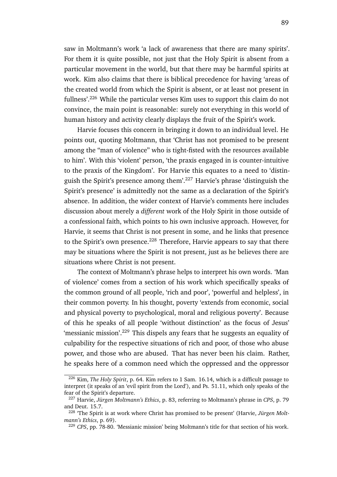saw in Moltmann's work 'a lack of awareness that there are many spirits'. For them it is quite possible, not just that the Holy Spirit is absent from a particular movement in the world, but that there may be harmful spirits at work. Kim also claims that there is biblical precedence for having 'areas of the created world from which the Spirit is absent, or at least not present in fullness'.<sup>226</sup> While the particular verses Kim uses to support this claim do not convince, the main point is reasonable: surely not everything in this world of human history and activity clearly displays the fruit of the Spirit's work.

Harvie focuses this concern in bringing it down to an individual level. He points out, quoting Moltmann, that 'Christ has not promised to be present among the "man of violence" who is tight-fisted with the resources available to him'. With this 'violent' person, 'the praxis engaged in is counter-intuitive to the praxis of the Kingdom'. For Harvie this equates to a need to 'distinguish the Spirit's presence among them'.<sup>227</sup> Harvie's phrase 'distinguish the Spirit's presence' is admittedly not the same as a declaration of the Spirit's absence. In addition, the wider context of Harvie's comments here includes discussion about merely a *different* work of the Holy Spirit in those outside of a confessional faith, which points to his own inclusive approach. However, for Harvie, it seems that Christ is not present in some, and he links that presence to the Spirit's own presence. $228$  Therefore, Harvie appears to say that there may be situations where the Spirit is not present, just as he believes there are situations where Christ is not present.

The context of Moltmann's phrase helps to interpret his own words. 'Man of violence' comes from a section of his work which specifically speaks of the common ground of all people, 'rich and poor', 'powerful and helpless', in their common poverty. In his thought, poverty 'extends from economic, social and physical poverty to psychological, moral and religious poverty'. Because of this he speaks of all people 'without distinction' as the focus of Jesus' 'messianic mission'.<sup>229</sup> This dispels any fears that he suggests an equality of culpability for the respective situations of rich and poor, of those who abuse power, and those who are abused. That has never been his claim. Rather, he speaks here of a common need which the oppressed and the oppressor

<sup>226</sup> Kim, *The Holy Spirit*, p. 64. Kim refers to 1 Sam. 16.14, which is a difficult passage to interpret (it speaks of an 'evil spirit from the Lord'), and Ps. 51.11, which only speaks of the fear of the Spirit's departure.

<sup>227</sup> Harvie, *Jürgen Moltmann's Ethics*, p. 83, referring to Moltmann's phrase in *CPS*, p. 79 and Deut. 15.7.

<sup>228</sup> 'The Spirit is at work where Christ has promised to be present' (Harvie, *Jürgen Moltmann's Ethics*, p. 69).

<sup>229</sup> *CPS*, pp. 78-80. 'Messianic mission' being Moltmann's title for that section of his work.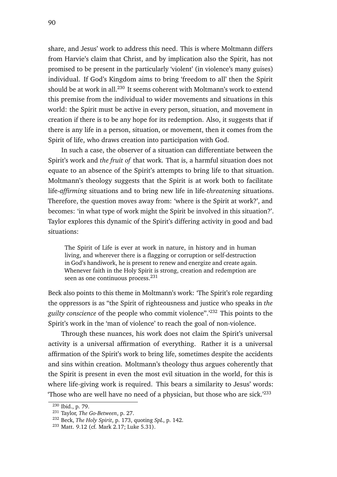share, and Jesus' work to address this need. This is where Moltmann differs from Harvie's claim that Christ, and by implication also the Spirit, has not promised to be present in the particularly 'violent' (in violence's many guises) individual. If God's Kingdom aims to bring 'freedom to all' then the Spirit should be at work in all.<sup>230</sup> It seems coherent with Moltmann's work to extend this premise from the individual to wider movements and situations in this world: the Spirit must be active in every person, situation, and movement in creation if there is to be any hope for its redemption. Also, it suggests that if there is any life in a person, situation, or movement, then it comes from the Spirit of life, who draws creation into participation with God.

In such a case, the observer of a situation can differentiate between the Spirit's work and *the fruit of* that work. That is, a harmful situation does not equate to an absence of the Spirit's attempts to bring life to that situation. Moltmann's theology suggests that the Spirit is at work both to facilitate life-*affirming* situations and to bring new life in life-*threatening* situations. Therefore, the question moves away from: 'where is the Spirit at work?', and becomes: 'in what type of work might the Spirit be involved in this situation?'. Taylor explores this dynamic of the Spirit's differing activity in good and bad situations:

The Spirit of Life is ever at work in nature, in history and in human living, and wherever there is a flagging or corruption or self-destruction in God's handiwork, he is present to renew and energize and create again. Whenever faith in the Holy Spirit is strong, creation and redemption are seen as one continuous process.<sup>231</sup>

Beck also points to this theme in Moltmann's work: 'The Spirit's role regarding the oppressors is as "the Spirit of righteousness and justice who speaks in *the guilty conscience* of the people who commit violence".'<sup>232</sup> This points to the Spirit's work in the 'man of violence' to reach the goal of non-violence.

Through these nuances, his work does not claim the Spirit's universal activity is a universal affirmation of everything. Rather it is a universal affirmation of the Spirit's work to bring life, sometimes despite the accidents and sins within creation. Moltmann's theology thus argues coherently that the Spirit is present in even the most evil situation in the world, for this is where life-giving work is required. This bears a similarity to Jesus' words: 'Those who are well have no need of a physician, but those who are sick.'<sup>233</sup>

<sup>230</sup> Ibid., p. 79.

<sup>231</sup> Taylor, *The Go-Between*, p. 27.

<sup>232</sup> Beck, *The Holy Spirit*, p. 173, quoting *SpL*, p. 142.

<sup>233</sup> Matt. 9.12 (cf. Mark 2.17; Luke 5.31).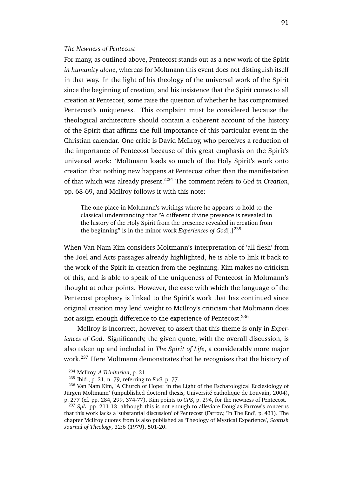### *The Newness of Pentecost*

For many, as outlined above, Pentecost stands out as a new work of the Spirit *in humanity alone*, whereas for Moltmann this event does not distinguish itself in that way. In the light of his theology of the universal work of the Spirit since the beginning of creation, and his insistence that the Spirit comes to all creation at Pentecost, some raise the question of whether he has compromised Pentecost's uniqueness. This complaint must be considered because the theological architecture should contain a coherent account of the history of the Spirit that affirms the full importance of this particular event in the Christian calendar. One critic is David McIlroy, who perceives a reduction of the importance of Pentecost because of this great emphasis on the Spirit's universal work: 'Moltmann loads so much of the Holy Spirit's work onto creation that nothing new happens at Pentecost other than the manifestation of that which was already present.'<sup>234</sup> The comment refers to *God in Creation*, pp. 68-69, and McIlroy follows it with this note:

The one place in Moltmann's writings where he appears to hold to the classical understanding that "A different divine presence is revealed in the history of the Holy Spirit from the presence revealed in creation from the beginning" is in the minor work *Experiences of God*[.]<sup>235</sup>

When Van Nam Kim considers Moltmann's interpretation of 'all flesh' from the Joel and Acts passages already highlighted, he is able to link it back to the work of the Spirit in creation from the beginning. Kim makes no criticism of this, and is able to speak of the uniqueness of Pentecost in Moltmann's thought at other points. However, the ease with which the language of the Pentecost prophecy is linked to the Spirit's work that has continued since original creation may lend weight to McIlroy's criticism that Moltmann does not assign enough difference to the experience of Pentecost.<sup>236</sup>

McIlroy is incorrect, however, to assert that this theme is only in *Experiences of God*. Significantly, the given quote, with the overall discussion, is also taken up and included in *The Spirit of Life*, a considerably more major work.<sup>237</sup> Here Moltmann demonstrates that he recognises that the history of

<sup>234</sup> McIlroy, *A Trinitarian*, p. 31.

<sup>235</sup> Ibid., p. 31, n. 79, referring to *EoG*, p. 77.

<sup>236</sup> Van Nam Kim, 'A Church of Hope: in the Light of the Eschatological Ecclesiology of Jürgen Moltmann' (unpublished doctoral thesis, Université catholique de Louvain, 2004), p. 277 (cf. pp. 284, 299, 374-77). Kim points to *CPS*, p. 294, for the newness of Pentecost.

<sup>&</sup>lt;sup>237</sup> SpL, pp. 211-13, although this is not enough to alleviate Douglas Farrow's concerns that this work lacks a 'substantial discussion' of Pentecost (Farrow, 'In The End', p. 431). The chapter McIlroy quotes from is also published as 'Theology of Mystical Experience', *Scottish Journal of Theology*, 32:6 (1979), 501-20.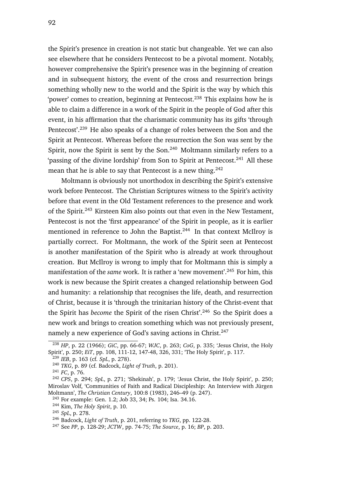the Spirit's presence in creation is not static but changeable. Yet we can also see elsewhere that he considers Pentecost to be a pivotal moment. Notably, however comprehensive the Spirit's presence was in the beginning of creation and in subsequent history, the event of the cross and resurrection brings something wholly new to the world and the Spirit is the way by which this 'power' comes to creation, beginning at Pentecost.<sup>238</sup> This explains how he is able to claim a difference in a work of the Spirit in the people of God after this event, in his affirmation that the charismatic community has its gifts 'through Pentecost'.<sup>239</sup> He also speaks of a change of roles between the Son and the Spirit at Pentecost. Whereas before the resurrection the Son was sent by the Spirit, now the Spirit is sent by the Son.<sup>240</sup> Moltmann similarly refers to a 'passing of the divine lordship' from Son to Spirit at Pentecost.<sup>241</sup> All these mean that he is able to say that Pentecost is a new thing.<sup>242</sup>

Moltmann is obviously not unorthodox in describing the Spirit's extensive work before Pentecost. The Christian Scriptures witness to the Spirit's activity before that event in the Old Testament references to the presence and work of the Spirit.<sup>243</sup> Kirsteen Kim also points out that even in the New Testament, Pentecost is not the 'first appearance' of the Spirit in people, as it is earlier mentioned in reference to John the Baptist.<sup>244</sup> In that context McIlroy is partially correct. For Moltmann, the work of the Spirit seen at Pentecost is another manifestation of the Spirit who is already at work throughout creation. But McIlroy is wrong to imply that for Moltmann this is simply a manifestation of the *same* work. It is rather a 'new movement'.<sup>245</sup> For him, this work is new because the Spirit creates a changed relationship between God and humanity: a relationship that recognises the life, death, and resurrection of Christ, because it is 'through the trinitarian history of the Christ-event that the Spirit has *become* the Spirit of the risen Christ'.<sup>246</sup> So the Spirit does a new work and brings to creation something which was not previously present, namely a new experience of God's saving actions in Christ.<sup>247</sup>

<sup>238</sup> *HP*, p. 22 (1966); *GiC*, pp. 66-67; *WJC*, p. 263; *CoG*, p. 335; 'Jesus Christ, the Holy Spirit', p. 250; *EiT*, pp. 108, 111-12, 147-48, 326, 331; 'The Holy Spirit', p. 117.

<sup>239</sup> *IEB*, p. 163 (cf. *SpL*, p. 278).

<sup>240</sup> *TKG*, p. 89 (cf. Badcock, *Light of Truth*, p. 201).

<sup>241</sup> *FC*, p. 76.

<sup>242</sup> *CPS*, p. 294; *SpL*, p. 271; 'Shekinah', p. 179; 'Jesus Christ, the Holy Spirit', p. 250; Miroslav Volf, 'Communities of Faith and Radical Discipleship: An Interview with Jürgen Moltmann', *The Christian Century*, 100:8 (1983), 246–49 (p. 247).

<sup>243</sup> For example: Gen. 1.2; Job 33, 34; Ps. 104; Isa. 34.16.

<sup>244</sup> Kim, *The Holy Spirit*, p. 10.

<sup>245</sup> *SpL*, p. 278.

<sup>246</sup> Badcock, *Light of Truth*, p. 201, referring to *TKG*, pp. 122-28.

<sup>247</sup> See *PP*, p. 128-29; *JCTW*, pp. 74-75; *The Source*, p. 16; *BP*, p. 203.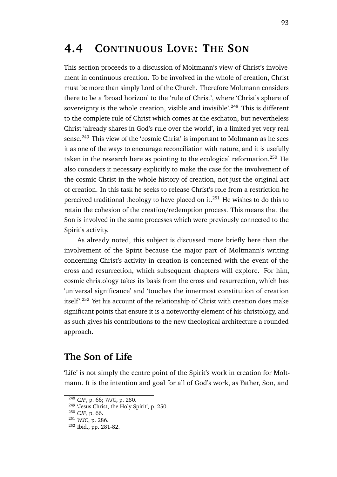# **4.4 CONTINUOUS LOVE: THE SON**

This section proceeds to a discussion of Moltmann's view of Christ's involvement in continuous creation. To be involved in the whole of creation, Christ must be more than simply Lord of the Church. Therefore Moltmann considers there to be a 'broad horizon' to the 'rule of Christ', where 'Christ's sphere of sovereignty is the whole creation, visible and invisible'.<sup>248</sup> This is different to the complete rule of Christ which comes at the eschaton, but nevertheless Christ 'already shares in God's rule over the world', in a limited yet very real sense.<sup>249</sup> This view of the 'cosmic Christ' is important to Moltmann as he sees it as one of the ways to encourage reconciliation with nature, and it is usefully taken in the research here as pointing to the ecological reformation.<sup>250</sup> He also considers it necessary explicitly to make the case for the involvement of the cosmic Christ in the whole history of creation, not just the original act of creation. In this task he seeks to release Christ's role from a restriction he perceived traditional theology to have placed on it.<sup>251</sup> He wishes to do this to retain the cohesion of the creation/redemption process. This means that the Son is involved in the same processes which were previously connected to the Spirit's activity.

As already noted, this subject is discussed more briefly here than the involvement of the Spirit because the major part of Moltmann's writing concerning Christ's activity in creation is concerned with the event of the cross and resurrection, which subsequent chapters will explore. For him, cosmic christology takes its basis from the cross and resurrection, which has 'universal significance' and 'touches the innermost constitution of creation itself'.<sup>252</sup> Yet his account of the relationship of Christ with creation does make significant points that ensure it is a noteworthy element of his christology, and as such gives his contributions to the new theological architecture a rounded approach.

### **The Son of Life**

'Life' is not simply the centre point of the Spirit's work in creation for Moltmann. It is the intention and goal for all of God's work, as Father, Son, and

<sup>248</sup> *CJF*, p. 66; *WJC*, p. 280.

<sup>&</sup>lt;sup>249</sup> 'Jesus Christ, the Holy Spirit', p. 250.

<sup>250</sup> *CJF*, p. 66.

<sup>251</sup> *WJC*, p. 286.

<sup>252</sup> Ibid., pp. 281-82.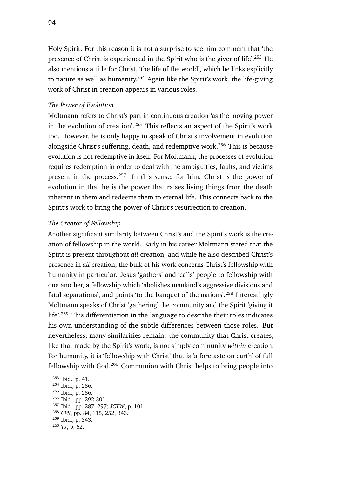Holy Spirit. For this reason it is not a surprise to see him comment that 'the presence of Christ is experienced in the Spirit who is the giver of life'.<sup>253</sup> He also mentions a title for Christ, 'the life of the world', which he links explicitly to nature as well as humanity.<sup>254</sup> Again like the Spirit's work, the life-giving work of Christ in creation appears in various roles.

#### *The Power of Evolution*

Moltmann refers to Christ's part in continuous creation 'as the moving power in the evolution of creation'.<sup>255</sup> This reflects an aspect of the Spirit's work too. However, he is only happy to speak of Christ's involvement in evolution alongside Christ's suffering, death, and redemptive work.<sup>256</sup> This is because evolution is not redemptive in itself. For Moltmann, the processes of evolution requires redemption in order to deal with the ambiguities, faults, and victims present in the process.<sup>257</sup> In this sense, for him, Christ is the power of evolution in that he is the power that raises living things from the death inherent in them and redeems them to eternal life. This connects back to the Spirit's work to bring the power of Christ's resurrection to creation.

#### *The Creator of Fellowship*

Another significant similarity between Christ's and the Spirit's work is the creation of fellowship in the world. Early in his career Moltmann stated that the Spirit is present throughout *all* creation, and while he also described Christ's presence in *all* creation, the bulk of his work concerns Christ's fellowship with humanity in particular. Jesus 'gathers' and 'calls' people to fellowship with one another, a fellowship which 'abolishes mankind's aggressive divisions and fatal separations', and points 'to the banquet of the nations'.<sup>258</sup> Interestingly Moltmann speaks of Christ 'gathering' the community and the Spirit 'giving it life'.<sup>259</sup> This differentiation in the language to describe their roles indicates his own understanding of the subtle differences between those roles. But nevertheless, many similarities remain: the community that Christ creates, like that made by the Spirit's work, is not simply community *within* creation. For humanity, it is 'fellowship with Christ' that is 'a foretaste on earth' of full fellowship with God. $260$  Communion with Christ helps to bring people into

<sup>253</sup> Ibid., p. 41.

<sup>254</sup> Ibid., p. 286.

<sup>255</sup> Ibid., p. 286.

<sup>&</sup>lt;sup>256</sup> Ibid., pp. 292-301.

<sup>257</sup> Ibid., pp. 287, 297; *JCTW*, p. 101.

<sup>258</sup> *CPS*, pp. 84, 115, 252, 343.

<sup>259</sup> Ibid., p. 343.

<sup>260</sup> *TJ*, p. 62.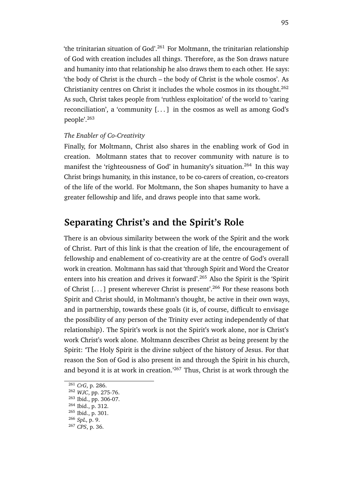'the trinitarian situation of God'.<sup>261</sup> For Moltmann, the trinitarian relationship of God with creation includes all things. Therefore, as the Son draws nature and humanity into that relationship he also draws them to each other. He says: 'the body of Christ is the church – the body of Christ is the whole cosmos'. As Christianity centres on Christ it includes the whole cosmos in its thought.<sup>262</sup> As such, Christ takes people from 'ruthless exploitation' of the world to 'caring reconciliation', a 'community [. . . ] in the cosmos as well as among God's people'.<sup>263</sup>

### *The Enabler of Co-Creativity*

Finally, for Moltmann, Christ also shares in the enabling work of God in creation. Moltmann states that to recover community with nature is to manifest the 'righteousness of God' in humanity's situation.<sup>264</sup> In this way Christ brings humanity, in this instance, to be co-carers of creation, co-creators of the life of the world. For Moltmann, the Son shapes humanity to have a greater fellowship and life, and draws people into that same work.

### **Separating Christ's and the Spirit's Role**

There is an obvious similarity between the work of the Spirit and the work of Christ. Part of this link is that the creation of life, the encouragement of fellowship and enablement of co-creativity are at the centre of God's overall work in creation. Moltmann has said that 'through Spirit and Word the Creator enters into his creation and drives it forward'.<sup>265</sup> Also the Spirit is the 'Spirit of Christ [...] present wherever Christ is present'.<sup>266</sup> For these reasons both Spirit and Christ should, in Moltmann's thought, be active in their own ways, and in partnership, towards these goals (it is, of course, difficult to envisage the possibility of any person of the Trinity ever acting independently of that relationship). The Spirit's work is not the Spirit's work alone, nor is Christ's work Christ's work alone. Moltmann describes Christ as being present by the Spirit: 'The Holy Spirit is the divine subject of the history of Jesus. For that reason the Son of God is also present in and through the Spirit in his church, and beyond it is at work in creation.<sup>'267</sup> Thus, Christ is at work through the

<sup>261</sup> *CrG*, p. 286.

<sup>262</sup> *WJC*, pp. 275-76.

<sup>263</sup> Ibid., pp. 306-07.

<sup>264</sup> Ibid., p. 312.

<sup>265</sup> Ibid., p. 301.

<sup>266</sup> *SpL*, p. 9.

<sup>267</sup> *CPS*, p. 36.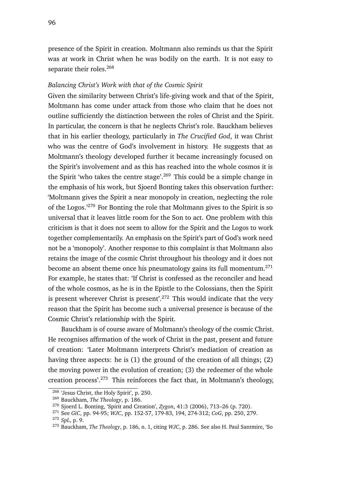presence of the Spirit in creation. Moltmann also reminds us that the Spirit was at work in Christ when he was bodily on the earth. It is not easy to separate their roles.<sup>268</sup>

### *Balancing Christ's Work with that of the Cosmic Spirit*

Given the similarity between Christ's life-giving work and that of the Spirit, Moltmann has come under attack from those who claim that he does not outline sufficiently the distinction between the roles of Christ and the Spirit. In particular, the concern is that he neglects Christ's role. Bauckham believes that in his earlier theology, particularly in *The Crucified God*, it was Christ who was the centre of God's involvement in history. He suggests that as Moltmann's theology developed further it became increasingly focused on the Spirit's involvement and as this has reached into the whole cosmos it is the Spirit 'who takes the centre stage'.<sup>269</sup> This could be a simple change in the emphasis of his work, but Sjoerd Bonting takes this observation further: 'Moltmann gives the Spirit a near monopoly in creation, neglecting the role of the Logos.'<sup>270</sup> For Bonting the role that Moltmann gives to the Spirit is so universal that it leaves little room for the Son to act. One problem with this criticism is that it does not seem to allow for the Spirit and the Logos to work together complementarily. An emphasis on the Spirit's part of God's work need not be a 'monopoly'. Another response to this complaint is that Moltmann also retains the image of the cosmic Christ throughout his theology and it does not become an absent theme once his pneumatology gains its full momentum.<sup>271</sup> For example, he states that: 'If Christ is confessed as the reconciler and head of the whole cosmos, as he is in the Epistle to the Colossians, then the Spirit is present wherever Christ is present'.<sup>272</sup> This would indicate that the very reason that the Spirit has become such a universal presence is because of the Cosmic Christ's relationship with the Spirit.

Bauckham is of course aware of Moltmann's theology of the cosmic Christ. He recognises affirmation of the work of Christ in the past, present and future of creation: 'Later Moltmann interprets Christ's mediation of creation as having three aspects: he is (1) the ground of the creation of all things; (2) the moving power in the evolution of creation; (3) the redeemer of the whole creation process'.<sup>273</sup> This reinforces the fact that, in Moltmann's theology,

<sup>&</sup>lt;sup>268</sup> 'Jesus Christ, the Holy Spirit', p. 250.

<sup>269</sup> Bauckham, *The Theology*, p. 186.

<sup>270</sup> Sjoerd L. Bonting, 'Spirit and Creation', *Zygon*, 41:3 (2006), 713–26 (p. 720).

<sup>271</sup> See *GiC*, pp. 94-95; *WJC*, pp. 152-57, 179-83, 194, 274-312; *CoG*, pp. 250, 279. <sup>272</sup> *SpL*, p. 9.

<sup>273</sup> Bauckham, *The Theology*, p. 186, n. 1, citing *WJC*, p. 286. See also H. Paul Santmire, 'So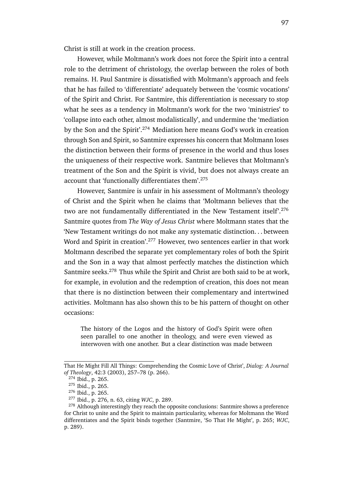Christ is still at work in the creation process.

However, while Moltmann's work does not force the Spirit into a central role to the detriment of christology, the overlap between the roles of both remains. H. Paul Santmire is dissatisfied with Moltmann's approach and feels that he has failed to 'differentiate' adequately between the 'cosmic vocations' of the Spirit and Christ. For Santmire, this differentiation is necessary to stop what he sees as a tendency in Moltmann's work for the two 'ministries' to 'collapse into each other, almost modalistically', and undermine the 'mediation by the Son and the Spirit'.<sup>274</sup> Mediation here means God's work in creation through Son and Spirit, so Santmire expresses his concern that Moltmann loses the distinction between their forms of presence in the world and thus loses the uniqueness of their respective work. Santmire believes that Moltmann's treatment of the Son and the Spirit is vivid, but does not always create an account that 'functionally differentiates them'.<sup>275</sup>

However, Santmire is unfair in his assessment of Moltmann's theology of Christ and the Spirit when he claims that 'Moltmann believes that the two are not fundamentally differentiated in the New Testament itself'.<sup>276</sup> Santmire quotes from *The Way of Jesus Christ* where Moltmann states that the 'New Testament writings do not make any systematic distinction. . . between Word and Spirit in creation'.<sup>277</sup> However, two sentences earlier in that work Moltmann described the separate yet complementary roles of both the Spirit and the Son in a way that almost perfectly matches the distinction which Santmire seeks.<sup>278</sup> Thus while the Spirit and Christ are both said to be at work, for example, in evolution and the redemption of creation, this does not mean that there is no distinction between their complementary and intertwined activities. Moltmann has also shown this to be his pattern of thought on other occasions:

The history of the Logos and the history of God's Spirit were often seen parallel to one another in theology, and were even viewed as interwoven with one another. But a clear distinction was made between

That He Might Fill All Things: Comprehending the Cosmic Love of Christ', *Dialog: A Journal of Theology*, 42:3 (2003), 257–78 (p. 266).

<sup>274</sup> Ibid., p. 265.

<sup>275</sup> Ibid., p. 265.

<sup>276</sup> Ibid., p. 265.

<sup>277</sup> Ibid., p. 276, n. 63, citing *WJC*, p. 289.

<sup>&</sup>lt;sup>278</sup> Although interestingly they reach the opposite conclusions: Santmire shows a preference for Christ to unite and the Spirit to maintain particularity, whereas for Moltmann the Word differentiates and the Spirit binds together (Santmire, 'So That He Might', p. 265; *WJC*, p. 289).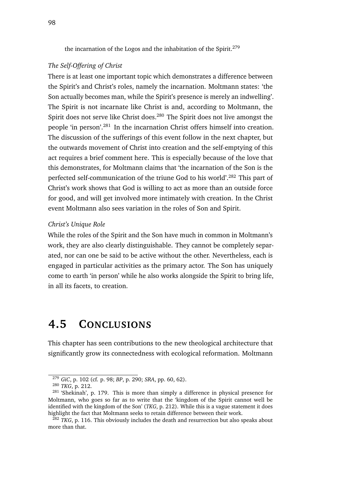the incarnation of the Logos and the inhabitation of the Spirit.<sup>279</sup>

### *The Self-Offering of Christ*

There is at least one important topic which demonstrates a difference between the Spirit's and Christ's roles, namely the incarnation. Moltmann states: 'the Son actually becomes man, while the Spirit's presence is merely an indwelling'. The Spirit is not incarnate like Christ is and, according to Moltmann, the Spirit does not serve like Christ does.<sup>280</sup> The Spirit does not live amongst the people 'in person'.<sup>281</sup> In the incarnation Christ offers himself into creation. The discussion of the sufferings of this event follow in the next chapter, but the outwards movement of Christ into creation and the self-emptying of this act requires a brief comment here. This is especially because of the love that this demonstrates, for Moltmann claims that 'the incarnation of the Son is the perfected self-communication of the triune God to his world'.<sup>282</sup> This part of Christ's work shows that God is willing to act as more than an outside force for good, and will get involved more intimately with creation. In the Christ event Moltmann also sees variation in the roles of Son and Spirit.

#### *Christ's Unique Role*

While the roles of the Spirit and the Son have much in common in Moltmann's work, they are also clearly distinguishable. They cannot be completely separated, nor can one be said to be active without the other. Nevertheless, each is engaged in particular activities as the primary actor. The Son has uniquely come to earth 'in person' while he also works alongside the Spirit to bring life, in all its facets, to creation.

# **4.5 CONCLUSIONS**

This chapter has seen contributions to the new theological architecture that significantly grow its connectedness with ecological reformation. Moltmann

<sup>279</sup> *GiC*, p. 102 (cf. p. 98; *BP*, p. 290; *SRA*, pp. 60, 62).

<sup>280</sup> *TKG*, p. 212.

<sup>&</sup>lt;sup>281</sup> 'Shekinah', p. 179. This is more than simply a difference in physical presence for Moltmann, who goes so far as to write that the 'kingdom of the Spirit cannot well be identified with the kingdom of the Son' (*TKG*, p. 212). While this is a vague statement it does highlight the fact that Moltmann seeks to retain difference between their work.

<sup>282</sup> *TKG*, p. 116. This obviously includes the death and resurrection but also speaks about more than that.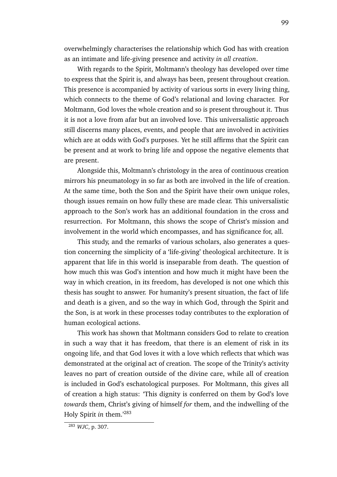overwhelmingly characterises the relationship which God has with creation as an intimate and life-giving presence and activity *in all creation*.

With regards to the Spirit, Moltmann's theology has developed over time to express that the Spirit is, and always has been, present throughout creation. This presence is accompanied by activity of various sorts in every living thing, which connects to the theme of God's relational and loving character. For Moltmann, God loves the whole creation and so is present throughout it. Thus it is not a love from afar but an involved love. This universalistic approach still discerns many places, events, and people that are involved in activities which are at odds with God's purposes. Yet he still affirms that the Spirit can be present and at work to bring life and oppose the negative elements that are present.

Alongside this, Moltmann's christology in the area of continuous creation mirrors his pneumatology in so far as both are involved in the life of creation. At the same time, both the Son and the Spirit have their own unique roles, though issues remain on how fully these are made clear. This universalistic approach to the Son's work has an additional foundation in the cross and resurrection. For Moltmann, this shows the scope of Christ's mission and involvement in the world which encompasses, and has significance for, all.

This study, and the remarks of various scholars, also generates a question concerning the simplicity of a 'life-giving' theological architecture. It is apparent that life in this world is inseparable from death. The question of how much this was God's intention and how much it might have been the way in which creation, in its freedom, has developed is not one which this thesis has sought to answer. For humanity's present situation, the fact of life and death is a given, and so the way in which God, through the Spirit and the Son, is at work in these processes today contributes to the exploration of human ecological actions.

This work has shown that Moltmann considers God to relate to creation in such a way that it has freedom, that there is an element of risk in its ongoing life, and that God loves it with a love which reflects that which was demonstrated at the original act of creation. The scope of the Trinity's activity leaves no part of creation outside of the divine care, while all of creation is included in God's eschatological purposes. For Moltmann, this gives all of creation a high status: 'This dignity is conferred on them by God's love *towards* them, Christ's giving of himself *for* them, and the indwelling of the Holy Spirit *in* them.'<sup>283</sup>

<sup>283</sup> *WJC*, p. 307.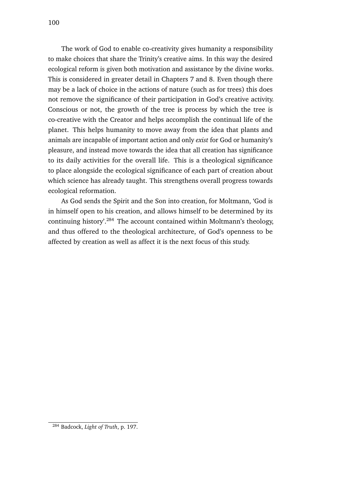The work of God to enable co-creativity gives humanity a responsibility to make choices that share the Trinity's creative aims. In this way the desired ecological reform is given both motivation and assistance by the divine works. This is considered in greater detail in Chapters 7 and 8. Even though there may be a lack of choice in the actions of nature (such as for trees) this does not remove the significance of their participation in God's creative activity. Conscious or not, the growth of the tree is process by which the tree is co-creative with the Creator and helps accomplish the continual life of the planet. This helps humanity to move away from the idea that plants and animals are incapable of important action and only *exist* for God or humanity's pleasure, and instead move towards the idea that all creation has significance to its daily activities for the overall life. This is a theological significance to place alongside the ecological significance of each part of creation about which science has already taught. This strengthens overall progress towards ecological reformation.

As God sends the Spirit and the Son into creation, for Moltmann, 'God is in himself open to his creation, and allows himself to be determined by its continuing history'.<sup>284</sup> The account contained within Moltmann's theology, and thus offered to the theological architecture, of God's openness to be affected by creation as well as affect it is the next focus of this study.

<sup>284</sup> Badcock, *Light of Truth*, p. 197.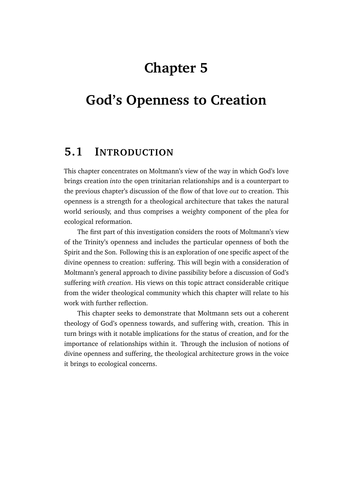# **Chapter 5**

# **God's Openness to Creation**

# **5.1 INTRODUCTION**

This chapter concentrates on Moltmann's view of the way in which God's love brings creation *into* the open trinitarian relationships and is a counterpart to the previous chapter's discussion of the flow of that love *out* to creation. This openness is a strength for a theological architecture that takes the natural world seriously, and thus comprises a weighty component of the plea for ecological reformation.

The first part of this investigation considers the roots of Moltmann's view of the Trinity's openness and includes the particular openness of both the Spirit and the Son. Following this is an exploration of one specific aspect of the divine openness to creation: suffering. This will begin with a consideration of Moltmann's general approach to divine passibility before a discussion of God's suffering *with creation*. His views on this topic attract considerable critique from the wider theological community which this chapter will relate to his work with further reflection.

This chapter seeks to demonstrate that Moltmann sets out a coherent theology of God's openness towards, and suffering with, creation. This in turn brings with it notable implications for the status of creation, and for the importance of relationships within it. Through the inclusion of notions of divine openness and suffering, the theological architecture grows in the voice it brings to ecological concerns.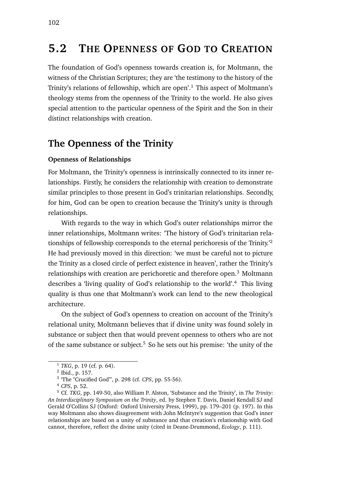# **5.2 THE OPENNESS OF GOD TO CREATION**

The foundation of God's openness towards creation is, for Moltmann, the witness of the Christian Scriptures; they are 'the testimony to the history of the Trinity's relations of fellowship, which are open'.<sup>1</sup> This aspect of Moltmann's theology stems from the openness of the Trinity to the world. He also gives special attention to the particular openness of the Spirit and the Son in their distinct relationships with creation.

### **The Openness of the Trinity**

### **Openness of Relationships**

For Moltmann, the Trinity's openness is intrinsically connected to its inner relationships. Firstly, he considers the relationship with creation to demonstrate similar principles to those present in God's trinitarian relationships. Secondly, for him, God can be open to creation because the Trinity's unity is through relationships.

With regards to the way in which God's outer relationships mirror the inner relationships, Moltmann writes: 'The history of God's trinitarian relationships of fellowship corresponds to the eternal perichoresis of the Trinity.'<sup>2</sup> He had previously moved in this direction: 'we must be careful not to picture the Trinity as a closed circle of perfect existence in heaven', rather the Trinity's relationships with creation are perichoretic and therefore open.<sup>3</sup> Moltmann describes a 'living quality of God's relationship to the world'.<sup>4</sup> This living quality is thus one that Moltmann's work can lend to the new theological architecture.

On the subject of God's openness to creation on account of the Trinity's relational unity, Moltmann believes that if divine unity was found solely in substance or subject then that would prevent openness to others who are not of the same substance or subject.<sup>5</sup> So he sets out his premise: 'the unity of the

<sup>1</sup> *TKG*, p. 19 (cf. p. 64).

<sup>2</sup> Ibid., p. 157.

<sup>3</sup> 'The "Crucified God"', p. 298 (cf. *CPS*, pp. 55-56).

<sup>4</sup> *CPS*, p. 52.

<sup>5</sup> Cf. *TKG*, pp. 149-50, also William P. Alston, 'Substance and the Trinity', in *The Trinity: An Interdisciplinary Symposium on the Trinity*, ed. by Stephen T. Davis, Daniel Kendall SJ and Gerald O'Collins SJ (Oxford: Oxford University Press, 1999), pp. 179–201 (p. 197). In this way Moltmann also shows disagreement with John McIntyre's suggestion that God's inner relationships are based on a unity of substance and that creation's relationship with God cannot, therefore, reflect the divine unity (cited in Deane-Drummond, *Ecology*, p. 111).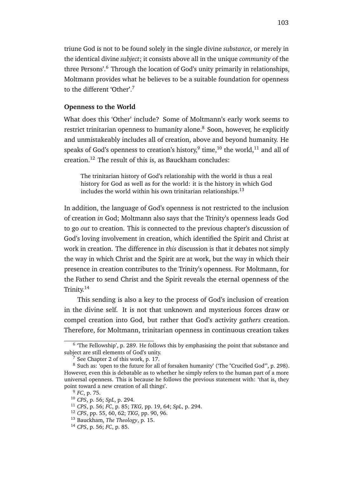triune God is not to be found solely in the single divine *substance*, or merely in the identical divine *subject*; it consists above all in the unique *community* of the three Persons'.<sup>6</sup> Through the location of God's unity primarily in relationships, Moltmann provides what he believes to be a suitable foundation for openness to the different 'Other'.<sup>7</sup>

#### **Openness to the World**

What does this 'Other' include? Some of Moltmann's early work seems to restrict trinitarian openness to humanity alone.<sup>8</sup> Soon, however, he explicitly and unmistakeably includes all of creation, above and beyond humanity. He speaks of God's openness to creation's history, $^9$  time, $^{10}$  the world, $^{11}$  and all of creation.<sup>12</sup> The result of this is, as Bauckham concludes:

The trinitarian history of God's relationship with the world is thus a real history for God as well as for the world: it is the history in which God includes the world within his own trinitarian relationships.<sup>13</sup>

In addition, the language of God's openness is not restricted to the inclusion of creation *in* God; Moltmann also says that the Trinity's openness leads God to go *out* to creation. This is connected to the previous chapter's discussion of God's loving involvement in creation, which identified the Spirit and Christ at work in creation. The difference in *this* discussion is that it debates not simply the way in which Christ and the Spirit are at work, but the way in which their presence in creation contributes to the Trinity's openness. For Moltmann, for the Father to send Christ and the Spirit reveals the eternal openness of the Trinity.<sup>14</sup>

This sending is also a key to the process of God's inclusion of creation in the divine self. It is not that unknown and mysterious forces draw or compel creation into God, but rather that God's activity *gathers* creation. Therefore, for Moltmann, trinitarian openness in continuous creation takes

<sup>&</sup>lt;sup>6</sup> 'The Fellowship', p. 289. He follows this by emphasising the point that substance and subject are still elements of God's unity.

 $\frac{7}{7}$  See Chapter 2 of this work, p. 17.

<sup>8</sup> Such as: 'open to the future for all of forsaken humanity' ('The "Crucified God"', p. 298). However, even this is debatable as to whether he simply refers to the human part of a more universal openness. This is because he follows the previous statement with: 'that is, they point toward a new creation of all things'.

<sup>9</sup> *FC*, p. 75.

<sup>10</sup> *CPS*, p. 56; *SpL*, p. 294.

<sup>11</sup> *CPS*, p. 56; *FC*, p. 85; *TKG*, pp. 19, 64; *SpL*, p. 294.

<sup>12</sup> *CPS*, pp. 55, 60, 62; *TKG*, pp. 90, 96.

<sup>13</sup> Bauckham, *The Theology*, p. 15.

<sup>14</sup> *CPS*, p. 56; *FC*, p. 85.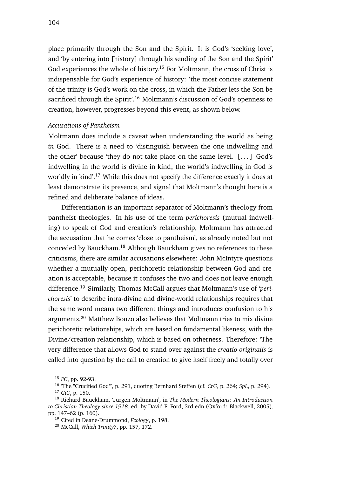place primarily through the Son and the Spirit. It is God's 'seeking love', and 'by entering into [history] through his sending of the Son and the Spirit' God experiences the whole of history.<sup>15</sup> For Moltmann, the cross of Christ is indispensable for God's experience of history: 'the most concise statement of the trinity is God's work on the cross, in which the Father lets the Son be sacrificed through the Spirit'.<sup>16</sup> Moltmann's discussion of God's openness to creation, however, progresses beyond this event, as shown below.

#### *Accusations of Pantheism*

Moltmann does include a caveat when understanding the world as being *in* God. There is a need to 'distinguish between the one indwelling and the other' because 'they do not take place on the same level.  $[...]$  God's indwelling in the world is divine in kind; the world's indwelling in God is worldly in kind'.<sup>17</sup> While this does not specify the difference exactly it does at least demonstrate its presence, and signal that Moltmann's thought here is a refined and deliberate balance of ideas.

Differentiation is an important separator of Moltmann's theology from pantheist theologies. In his use of the term *perichoresis* (mutual indwelling) to speak of God and creation's relationship, Moltmann has attracted the accusation that he comes 'close to pantheism', as already noted but not conceded by Bauckham.<sup>18</sup> Although Bauckham gives no references to these criticisms, there are similar accusations elsewhere: John McIntyre questions whether a mutually open, perichoretic relationship between God and creation is acceptable, because it confuses the two and does not leave enough difference.<sup>19</sup> Similarly, Thomas McCall argues that Moltmann's use of '*perichoresis*' to describe intra-divine and divine-world relationships requires that the same word means two different things and introduces confusion to his arguments.<sup>20</sup> Matthew Bonzo also believes that Moltmann tries to mix divine perichoretic relationships, which are based on fundamental likeness, with the Divine/creation relationship, which is based on otherness. Therefore: 'The very difference that allows God to stand over against the *creatio originalis* is called into question by the call to creation to give itself freely and totally over

<sup>15</sup> *FC*, pp. 92-93.

<sup>16</sup> 'The "Crucified God"', p. 291, quoting Bernhard Steffen (cf. *CrG*, p. 264; *SpL*, p. 294). <sup>17</sup> *GiC*, p. 150.

<sup>18</sup> Richard Bauckham, 'Jürgen Moltmann', in *The Modern Theologians: An Introduction to Christian Theology since 1918*, ed. by David F. Ford, 3rd edn (Oxford: Blackwell, 2005), pp. 147–62 (p. 160).

<sup>19</sup> Cited in Deane-Drummond, *Ecology*, p. 198.

<sup>20</sup> McCall, *Which Trinity?*, pp. 157, 172.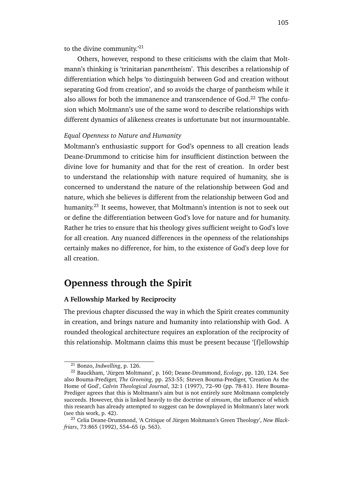to the divine community.<sup>'21</sup>

Others, however, respond to these criticisms with the claim that Moltmann's thinking is 'trinitarian pan*en*theism'. This describes a relationship of differentiation which helps 'to distinguish between God and creation without separating God from creation', and so avoids the charge of pantheism while it also allows for both the immanence and transcendence of God.<sup>22</sup> The confusion which Moltmann's use of the same word to describe relationships with different dynamics of alikeness creates is unfortunate but not insurmountable.

#### *Equal Openness to Nature and Humanity*

Moltmann's enthusiastic support for God's openness to all creation leads Deane-Drummond to criticise him for insufficient distinction between the divine love for humanity and that for the rest of creation. In order best to understand the relationship with nature required of humanity, she is concerned to understand the nature of the relationship between God and nature, which she believes is different from the relationship between God and humanity.<sup>23</sup> It seems, however, that Moltmann's intention is not to seek out or define the differentiation between God's love for nature and for humanity. Rather he tries to ensure that his theology gives sufficient weight to God's love for all creation. Any nuanced differences in the openness of the relationships certainly makes no difference, for him, to the existence of God's deep love for all creation.

### **Openness through the Spirit**

#### **A Fellowship Marked by Reciprocity**

The previous chapter discussed the way in which the Spirit creates community in creation, and brings nature and humanity into relationship with God. A rounded theological architecture requires an exploration of the reciprocity of this relationship. Moltmann claims this must be present because '[f]ellowship

<sup>21</sup> Bonzo, *Indwelling*, p. 126.

<sup>22</sup> Bauckham, 'Jürgen Moltmann', p. 160; Deane-Drummond, *Ecology*, pp. 120, 124. See also Bouma-Prediger, *The Greening*, pp. 253-55; Steven Bouma-Prediger, 'Creation As the Home of God', *Calvin Theological Journal*, 32:1 (1997), 72–90 (pp. 78-81). Here Bouma-Prediger agrees that this is Moltmann's aim but is not entirely sure Moltmann completely succeeds. However, this is linked heavily to the doctrine of *zimsum*, the influence of which this research has already attempted to suggest can be downplayed in Moltmann's later work (see this work, p. 42).

<sup>23</sup> Celia Deane-Drummond, 'A Critique of Jürgen Moltmann's Green Theology', *New Blackfriars*, 73:865 (1992), 554–65 (p. 563).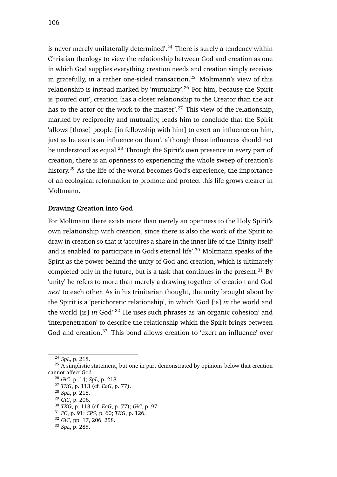is never merely unilaterally determined'.<sup>24</sup> There is surely a tendency within Christian theology to view the relationship between God and creation as one in which God supplies everything creation needs and creation simply receives in gratefully, in a rather one-sided transaction.<sup>25</sup> Moltmann's view of this relationship is instead marked by 'mutuality'.<sup>26</sup> For him, because the Spirit is 'poured out', creation 'has a closer relationship to the Creator than the act has to the actor or the work to the master'.<sup>27</sup> This view of the relationship, marked by reciprocity and mutuality, leads him to conclude that the Spirit 'allows [those] people [in fellowship with him] to exert an influence on him, just as he exerts an influence on them', although these influences should not be understood as equal.<sup>28</sup> Through the Spirit's own presence in every part of creation, there is an openness to experiencing the whole sweep of creation's history.<sup>29</sup> As the life of the world becomes God's experience, the importance of an ecological reformation to promote and protect this life grows clearer in Moltmann.

#### **Drawing Creation into God**

For Moltmann there exists more than merely an openness to the Holy Spirit's own relationship with creation, since there is also the work of the Spirit to draw in creation so that it 'acquires a share in the inner life of the Trinity itself' and is enabled 'to participate in God's eternal life'.<sup>30</sup> Moltmann speaks of the Spirit as the power behind the unity of God and creation, which is ultimately completed only in the future, but is a task that continues in the present. $31$  By 'unity' he refers to more than merely a drawing together of creation and God *next* to each other. As in his trinitarian thought, the unity brought about by the Spirit is a 'perichoretic relationship', in which 'God [is] *in* the world and the world [is] *in* God'.<sup>32</sup> He uses such phrases as 'an organic cohesion' and 'interpenetration' to describe the relationship which the Spirit brings between God and creation.<sup>33</sup> This bond allows creation to 'exert an influence' over

<sup>24</sup> *SpL*, p. 218.

 $25$  A simplistic statement, but one in part demonstrated by opinions below that creation cannot affect God.

<sup>26</sup> *GiC*, p. 14; *SpL*, p. 218.

<sup>27</sup> *TKG*, p. 113 (cf. *EoG*, p. 77).

<sup>28</sup> *SpL*, p. 218.

<sup>29</sup> *GiC*, p. 206.

<sup>30</sup> *TKG*, p. 113 (cf. *EoG*, p. 77); *GiC*, p. 97.

<sup>31</sup> *FC*, p. 91; *CPS*, p. 60; *TKG*, p. 126.

<sup>32</sup> *GiC*, pp. 17, 206, 258.

<sup>33</sup> *SpL*, p. 285.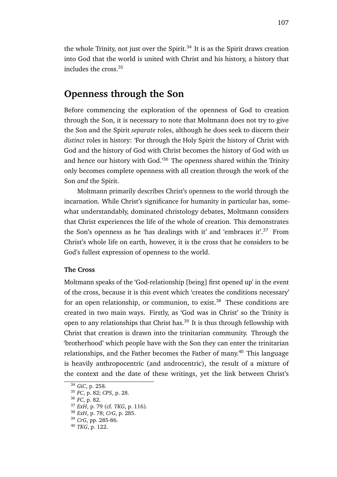the whole Trinity, not just over the Spirit. $34$  It is as the Spirit draws creation into God that the world is united with Christ and his history, a history that includes the cross.<sup>35</sup>

### **Openness through the Son**

Before commencing the exploration of the openness of God to creation through the Son, it is necessary to note that Moltmann does not try to give the Son and the Spirit *separate* roles, although he does seek to discern their *distinct* roles in history: 'For through the Holy Spirit the history of Christ with God and the history of God with Christ becomes the history of God with us and hence our history with God.<sup>36</sup> The openness shared within the Trinity only becomes complete openness with all creation through the work of the Son *and* the Spirit.

Moltmann primarily describes Christ's openness to the world through the incarnation. While Christ's significance for humanity in particular has, somewhat understandably, dominated christology debates, Moltmann considers that Christ experiences the life of the whole of creation. This demonstrates the Son's openness as he 'has dealings with it' and 'embraces it'.<sup>37</sup> From Christ's whole life on earth, however, it is the cross that he considers to be God's fullest expression of openness to the world.

### **The Cross**

Moltmann speaks of the 'God-relationship [being] first opened up' in the event of the cross, because it is this event which 'creates the conditions necessary' for an open relationship, or communion, to exist.<sup>38</sup> These conditions are created in two main ways. Firstly, as 'God was in Christ' so the Trinity is open to any relationships that Christ has.<sup>39</sup> It is thus through fellowship with Christ that creation is drawn into the trinitarian community. Through the 'brotherhood' which people have with the Son they can enter the trinitarian relationships, and the Father becomes the Father of many.<sup>40</sup> This language is heavily anthropocentric (and androcentric), the result of a mixture of the context and the date of these writings, yet the link between Christ's

<sup>34</sup> *GiC*, p. 258.

<sup>35</sup> *FC*, p. 82; *CPS*, p. 28.

<sup>36</sup> *FC*, p. 82.

<sup>37</sup> *ExH*, p. 79 (cf. *TKG*, p. 116).

<sup>38</sup> *ExH*, p. 78; *CrG*, p. 285.

<sup>39</sup> *CrG*, pp. 285-86.

<sup>40</sup> *TKG*, p. 122.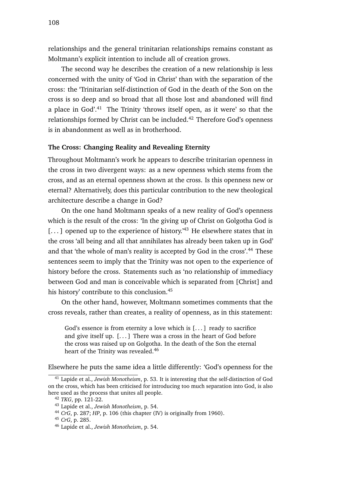relationships and the general trinitarian relationships remains constant as Moltmann's explicit intention to include all of creation grows.

The second way he describes the creation of a new relationship is less concerned with the unity of 'God in Christ' than with the separation of the cross: the 'Trinitarian self-distinction of God in the death of the Son on the cross is so deep and so broad that all those lost and abandoned will find a place in  $God.^41$  The Trinity 'throws itself open, as it were' so that the relationships formed by Christ can be included.<sup>42</sup> Therefore God's openness is in abandonment as well as in brotherhood.

### **The Cross: Changing Reality and Revealing Eternity**

Throughout Moltmann's work he appears to describe trinitarian openness in the cross in two divergent ways: as a new openness which stems from the cross, and as an eternal openness shown at the cross. Is this openness new or eternal? Alternatively, does this particular contribution to the new theological architecture describe a change in God?

On the one hand Moltmann speaks of a new reality of God's openness which is the result of the cross: 'In the giving up of Christ on Golgotha God is  $[...]$  opened up to the experience of history.<sup>43</sup> He elsewhere states that in the cross 'all being and all that annihilates has already been taken up in God' and that 'the whole of man's reality is accepted by God in the cross'.<sup>44</sup> These sentences seem to imply that the Trinity was not open to the experience of history before the cross. Statements such as 'no relationship of immediacy between God and man is conceivable which is separated from [Christ] and his history' contribute to this conclusion.<sup>45</sup>

On the other hand, however, Moltmann sometimes comments that the cross reveals, rather than creates, a reality of openness, as in this statement:

God's essence is from eternity a love which is [. . . ] ready to sacrifice and give itself up. [. . . ] There was a cross in the heart of God before the cross was raised up on Golgotha. In the death of the Son the eternal heart of the Trinity was revealed.<sup>46</sup>

Elsewhere he puts the same idea a little differently: 'God's openness for the

<sup>41</sup> Lapide et al., *Jewish Monotheism*, p. 53. It is interesting that the self-distinction of God on the cross, which has been criticised for introducing too much separation into God, is also here used as the process that unites all people.

<sup>42</sup> *TKG*, pp. 121-22.

<sup>43</sup> Lapide et al., *Jewish Monotheism*, p. 54.

<sup>44</sup> *CrG*, p. 287; *HP*, p. 106 (this chapter (IV) is originally from 1960).

<sup>45</sup> *CrG*, p. 285.

<sup>46</sup> Lapide et al., *Jewish Monotheism*, p. 54.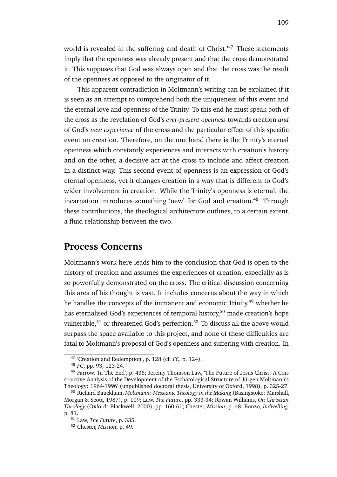world is revealed in the suffering and death of Christ.<sup>47</sup> These statements imply that the openness was already present and that the cross demonstrated it. This supposes that God was always open and that the cross was the result of the openness as opposed to the originator of it.

This apparent contradiction in Moltmann's writing can be explained if it is seen as an attempt to comprehend both the uniqueness of this event and the eternal love and openness of the Trinity. To this end he must speak both of the cross as the revelation of God's *ever-present openness* towards creation *and* of God's *new experience* of the cross and the particular effect of this specific event on creation. Therefore, on the one hand there is the Trinity's eternal openness which constantly experiences and interacts with creation's history, and on the other, a decisive act at the cross to include and affect creation in a distinct way. This second event of openness is an expression of God's eternal openness, yet it changes creation in a way that is different to God's wider involvement in creation. While the Trinity's openness is eternal, the incarnation introduces something 'new' for God and creation.<sup>48</sup> Through these contributions, the theological architecture outlines, to a certain extent, a fluid relationship between the two.

### **Process Concerns**

Moltmann's work here leads him to the conclusion that God is open to the history of creation and assumes the experiences of creation, especially as is so powerfully demonstrated on the cross. The critical discussion concerning this area of his thought is vast. It includes concerns about the way in which he handles the concepts of the immanent and economic Trinity,<sup>49</sup> whether he has eternalised God's experiences of temporal history,<sup>50</sup> made creation's hope vulnerable,<sup>51</sup> or threatened God's perfection.<sup>52</sup> To discuss all the above would surpass the space available to this project, and none of these difficulties are fatal to Moltmann's proposal of God's openness and suffering with creation. In

<sup>47</sup> 'Creation and Redemption', p. 128 (cf. *FC*, p. 124).

<sup>48</sup> *FC*, pp. 93, 123-24.

<sup>49</sup> Farrow, 'In The End', p. 436; Jeremy Thomson Law, 'The Future of Jesus Christ: A Constructive Analysis of the Development of the Eschatological Structure of Jürgen Moltmann's Theology: 1964-1996' (unpublished doctoral thesis, University of Oxford, 1998), p. 325-27.

<sup>50</sup> Richard Bauckham, *Moltmann: Messianic Theology in the Making* (Basingstoke: Marshall, Morgan & Scott, 1987), p. 109; Law, *The Future*, pp. 333-34; Rowan Williams, *On Christian Theology* (Oxford: Blackwell, 2000), pp. 160-61; Chester, *Mission*, p. 48; Bonzo, *Indwelling*, p. 81.

<sup>51</sup> Law, *The Future*, p. 335.

<sup>52</sup> Chester, *Mission*, p. 49.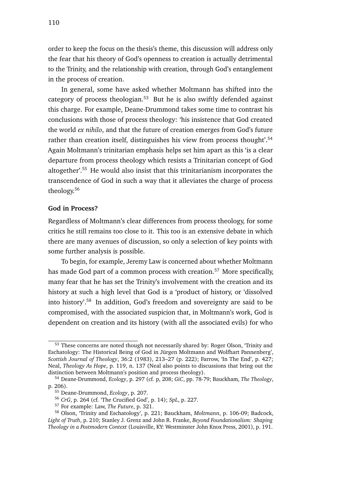order to keep the focus on the thesis's theme, this discussion will address only the fear that his theory of God's openness to creation is actually detrimental to the Trinity, and the relationship with creation, through God's entanglement in the process of creation.

In general, some have asked whether Moltmann has shifted into the category of process theologian.<sup>53</sup> But he is also swiftly defended against this charge. For example, Deane-Drummond takes some time to contrast his conclusions with those of process theology: 'his insistence that God created the world *ex nihilo*, and that the future of creation emerges from God's future rather than creation itself, distinguishes his view from process thought'.<sup>54</sup> Again Moltmann's trinitarian emphasis helps set him apart as this 'is a clear departure from process theology which resists a Trinitarian concept of God altogether'.<sup>55</sup> He would also insist that this trinitarianism incorporates the transcendence of God in such a way that it alleviates the charge of process theology.<sup>56</sup>

#### **God in Process?**

Regardless of Moltmann's clear differences from process theology, for some critics he still remains too close to it. This too is an extensive debate in which there are many avenues of discussion, so only a selection of key points with some further analysis is possible.

To begin, for example, Jeremy Law is concerned about whether Moltmann has made God part of a common process with creation.<sup>57</sup> More specifically, many fear that he has set the Trinity's involvement with the creation and its history at such a high level that God is a 'product of history, or 'dissolved into history'.<sup>58</sup> In addition, God's freedom and sovereignty are said to be compromised, with the associated suspicion that, in Moltmann's work, God is dependent on creation and its history (with all the associated evils) for who

<sup>&</sup>lt;sup>53</sup> These concerns are noted though not necessarily shared by: Roger Olson, 'Trinity and Eschatology: The Historical Being of God in Jürgen Moltmann and Wolfhart Pannenberg', *Scottish Journal of Theology*, 36:2 (1983), 213–27 (p. 222); Farrow, 'In The End', p. 427; Neal, *Theology As Hope*, p. 119, n. 137 (Neal also points to discussions that bring out the distinction between Moltmann's position and process theology).

<sup>54</sup> Deane-Drummond, *Ecology*, p. 297 (cf. p, 208; *GiC*, pp. 78-79; Bauckham, *The Theology*, p. 206).

<sup>55</sup> Deane-Drummond, *Ecology*, p. 207.

<sup>56</sup> *CrG*, p. 264 (cf. 'The Crucified God', p. 14); *SpL*, p. 227.

<sup>57</sup> For example: Law, *The Future*, p. 321.

<sup>58</sup> Olson, 'Trinity and Eschatology', p. 221; Bauckham, *Moltmann*, p. 106-09; Badcock, *Light of Truth*, p. 210; Stanley J. Grenz and John R. Franke, *Beyond Foundationalism: Shaping Theology in a Postmodern Context* (Louisville, KY: Westminster John Knox Press, 2001), p. 191.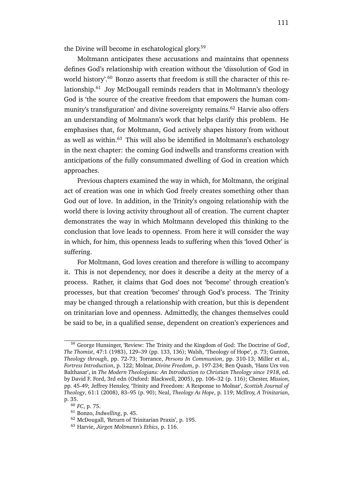the Divine will become in eschatological glory.<sup>59</sup>

Moltmann anticipates these accusations and maintains that openness defines God's relationship with creation without the 'dissolution of God in world history'.<sup>60</sup> Bonzo asserts that freedom is still the character of this relationship.<sup>61</sup> Joy McDougall reminds readers that in Moltmann's theology God is 'the source of the creative freedom that empowers the human community's transfiguration' and divine sovereignty remains.<sup>62</sup> Harvie also offers an understanding of Moltmann's work that helps clarify this problem. He emphasises that, for Moltmann, God actively shapes history from without as well as within.<sup>63</sup> This will also be identified in Moltmann's eschatology in the next chapter: the coming God indwells and transforms creation with anticipations of the fully consummated dwelling of God in creation which approaches.

Previous chapters examined the way in which, for Moltmann, the original act of creation was one in which God freely creates something other than God out of love. In addition, in the Trinity's ongoing relationship with the world there is loving activity throughout all of creation. The current chapter demonstrates the way in which Moltmann developed this thinking to the conclusion that love leads to openness. From here it will consider the way in which, for him, this openness leads to suffering when this 'loved Other' is suffering.

For Moltmann, God loves creation and therefore is willing to accompany it. This is not dependency, nor does it describe a deity at the mercy of a process. Rather, it claims that God does not 'become' through creation's processes, but that creation 'becomes' through God's process. The Trinity may be changed through a relationship with creation, but this is dependent on trinitarian love and openness. Admittedly, the changes themselves could be said to be, in a qualified sense, dependent on creation's experiences and

<sup>59</sup> George Hunsinger, 'Review: The Trinity and the Kingdom of God: The Doctrine of God', *The Thomist*, 47:1 (1983), 129–39 (pp. 133, 136); Walsh, 'Theology of Hope', p. 73; Gunton, *Theology through*, pp. 72-73; Torrance, *Persons In Communion*, pp. 310-13; Miller et al., *Fortress Introduction*, p. 122; Molnar, *Divine Freedom*, p. 197-234; Ben Quash, 'Hans Urs von Balthasar', in *The Modern Theologians: An Introduction to Christian Theology since 1918*, ed. by David F. Ford, 3rd edn (Oxford: Blackwell, 2005), pp. 106–32 (p. 116); Chester, *Mission*, pp. 45-49; Jeffrey Hensley, 'Trinity and Freedom: A Response to Molnar', *Scottish Journal of Theology*, 61:1 (2008), 83–95 (p. 90); Neal, *Theology As Hope*, p. 119; McIlroy, *A Trinitarian*, p. 35.

<sup>60</sup> *FC*, p. 75.

<sup>61</sup> Bonzo, *Indwelling*, p. 45.

<sup>62</sup> McDougall, 'Return of Trinitarian Praxis', p. 195.

<sup>63</sup> Harvie, *Jürgen Moltmann's Ethics*, p. 116.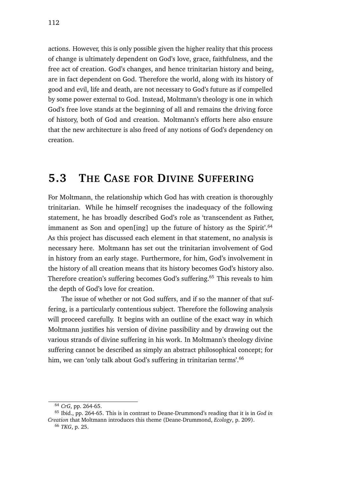actions. However, this is only possible given the higher reality that this process of change is ultimately dependent on God's love, grace, faithfulness, and the free act of creation. God's changes, and hence trinitarian history and being, are in fact dependent on God. Therefore the world, along with its history of good and evil, life and death, are not necessary to God's future as if compelled by some power external to God. Instead, Moltmann's theology is one in which God's free love stands at the beginning of all and remains the driving force of history, both of God and creation. Moltmann's efforts here also ensure that the new architecture is also freed of any notions of God's dependency on creation.

# **5.3 THE CASE FOR DIVINE SUFFERING**

For Moltmann, the relationship which God has with creation is thoroughly trinitarian. While he himself recognises the inadequacy of the following statement, he has broadly described God's role as 'transcendent as Father, immanent as Son and open[ing] up the future of history as the Spirit'.<sup>64</sup> As this project has discussed each element in that statement, no analysis is necessary here. Moltmann has set out the trinitarian involvement of God in history from an early stage. Furthermore, for him, God's involvement in the history of all creation means that its history becomes God's history also. Therefore creation's suffering becomes God's suffering.<sup>65</sup> This reveals to him the depth of God's love for creation.

The issue of whether or not God suffers, and if so the manner of that suffering, is a particularly contentious subject. Therefore the following analysis will proceed carefully. It begins with an outline of the exact way in which Moltmann justifies his version of divine passibility and by drawing out the various strands of divine suffering in his work. In Moltmann's theology divine suffering cannot be described as simply an abstract philosophical concept; for him, we can 'only talk about God's suffering in trinitarian terms'.<sup>66</sup>

<sup>64</sup> *CrG*, pp. 264-65.

<sup>65</sup> Ibid., pp. 264-65. This is in contrast to Deane-Drummond's reading that it is in *God in Creation* that Moltmann introduces this theme (Deane-Drummond, *Ecology*, p. 209).

<sup>66</sup> *TKG*, p. 25.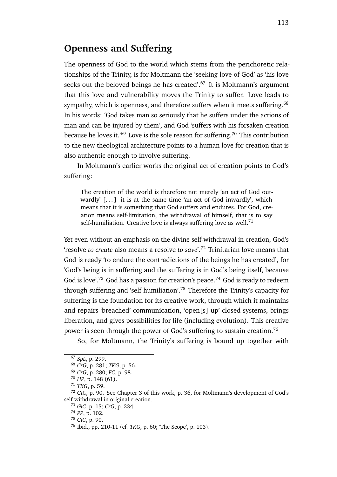### **Openness and Suffering**

The openness of God to the world which stems from the perichoretic relationships of the Trinity, is for Moltmann the 'seeking love of God' as 'his love seeks out the beloved beings he has created'.<sup>67</sup> It is Moltmann's argument that this love and vulnerability moves the Trinity to suffer. Love leads to sympathy, which is openness, and therefore suffers when it meets suffering.<sup>68</sup> In his words: 'God takes man so seriously that he suffers under the actions of man and can be injured by them', and God 'suffers with his forsaken creation because he loves it.'<sup>69</sup> Love is the sole reason for suffering.<sup>70</sup> This contribution to the new theological architecture points to a human love for creation that is also authentic enough to involve suffering.

In Moltmann's earlier works the original act of creation points to God's suffering:

The creation of the world is therefore not merely 'an act of God outwardly'  $[...]$  it is at the same time 'an act of God inwardly', which means that it is something that God suffers and endures. For God, creation means self-limitation, the withdrawal of himself, that is to say self-humiliation. Creative love is always suffering love as well.<sup>71</sup>

Yet even without an emphasis on the divine self-withdrawal in creation, God's 'resolve *to create* also means a resolve *to save*'.<sup>72</sup> Trinitarian love means that God is ready 'to endure the contradictions of the beings he has created', for 'God's being is in suffering and the suffering is in God's being itself, because God is love'.<sup>73</sup> God has a passion for creation's peace.<sup>74</sup> God is ready to redeem through suffering and 'self-humiliation'.<sup>75</sup> Therefore the Trinity's capacity for suffering is the foundation for its creative work, through which it maintains and repairs 'breached' communication, 'open[s] up' closed systems, brings liberation, and gives possibilities for life (including evolution). This creative power is seen through the power of God's suffering to sustain creation.<sup>76</sup>

So, for Moltmann, the Trinity's suffering is bound up together with

<sup>67</sup> *SpL*, p. 299.

<sup>68</sup> *CrG*, p. 281; *TKG*, p. 56.

<sup>69</sup> *CrG*, p. 280; *FC*, p. 98.

<sup>70</sup> *HP*, p. 148 (61).

<sup>71</sup> *TKG*, p. 59.

<sup>72</sup> *GiC*, p. 90. See Chapter 3 of this work, p. 36, for Moltmann's development of God's self-withdrawal in original creation.

<sup>73</sup> *GiC*, p. 15; *CrG*, p. 234.

<sup>74</sup> *PP*, p. 102.

<sup>75</sup> *GiC*, p. 90.

<sup>76</sup> Ibid., pp. 210-11 (cf. *TKG*, p. 60; 'The Scope', p. 103).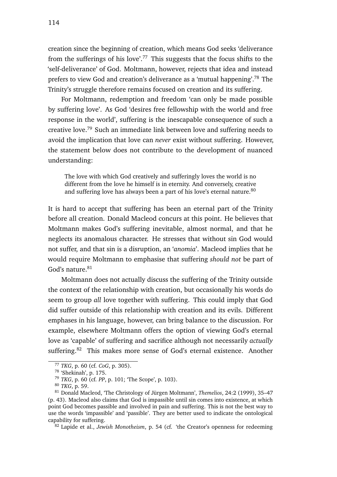creation since the beginning of creation, which means God seeks 'deliverance from the sufferings of his love'.<sup>77</sup> This suggests that the focus shifts to the 'self-deliverance' of God. Moltmann, however, rejects that idea and instead prefers to view God and creation's deliverance as a 'mutual happening'.<sup>78</sup> The Trinity's struggle therefore remains focused on creation and its suffering.

For Moltmann, redemption and freedom 'can only be made possible by suffering love'. As God 'desires free fellowship with the world and free response in the world', suffering is the inescapable consequence of such a creative love.<sup>79</sup> Such an immediate link between love and suffering needs to avoid the implication that love can *never* exist without suffering. However, the statement below does not contribute to the development of nuanced understanding:

The love with which God creatively and sufferingly loves the world is no different from the love he himself is in eternity. And conversely, creative and suffering love has always been a part of his love's eternal nature.<sup>80</sup>

It is hard to accept that suffering has been an eternal part of the Trinity before all creation. Donald Macleod concurs at this point. He believes that Moltmann makes God's suffering inevitable, almost normal, and that he neglects its anomalous character. He stresses that without sin God would not suffer, and that sin is a disruption, an '*anomia*'. Macleod implies that he would require Moltmann to emphasise that suffering *should not* be part of God's nature.<sup>81</sup>

Moltmann does not actually discuss the suffering of the Trinity outside the context of the relationship with creation, but occasionally his words do seem to group *all* love together with suffering. This could imply that God did suffer outside of this relationship with creation and its evils. Different emphases in his language, however, can bring balance to the discussion. For example, elsewhere Moltmann offers the option of viewing God's eternal love as 'capable' of suffering and sacrifice although not necessarily *actually* suffering.<sup>82</sup> This makes more sense of God's eternal existence. Another

<sup>77</sup> *TKG*, p. 60 (cf. *CoG*, p. 305).

<sup>78</sup> 'Shekinah', p. 175.

<sup>79</sup> *TKG*, p. 60 (cf. *PP*, p. 101; 'The Scope', p. 103).

<sup>80</sup> *TKG*, p. 59.

<sup>81</sup> Donald Macleod, 'The Christology of Jürgen Moltmann', *Themelios*, 24:2 (1999), 35–47 (p. 43). Macleod also claims that God is impassible until sin comes into existence, at which point God becomes passible and involved in pain and suffering. This is not the best way to use the words 'impassible' and 'passible'. They are better used to indicate the ontological capability for suffering.

<sup>82</sup> Lapide et al., *Jewish Monotheism*, p. 54 (cf. 'the Creator's openness for redeeming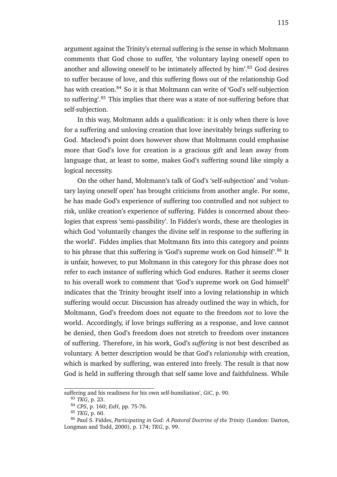argument against the Trinity's eternal suffering is the sense in which Moltmann comments that God chose to suffer, 'the voluntary laying oneself open to another and allowing oneself to be intimately affected by him'.<sup>83</sup> God desires to suffer because of love, and this suffering flows out of the relationship God has with creation.<sup>84</sup> So it is that Moltmann can write of 'God's self-subjection to suffering'.<sup>85</sup> This implies that there was a state of not-suffering before that self-subjection.

In this way, Moltmann adds a qualification: it is only when there is love for a suffering and unloving creation that love inevitably brings suffering to God. Macleod's point does however show that Moltmann could emphasise more that God's love for creation is a gracious gift and lean away from language that, at least to some, makes God's suffering sound like simply a logical necessity.

On the other hand, Moltmann's talk of God's 'self-subjection' and 'voluntary laying oneself open' has brought criticisms from another angle. For some, he has made God's experience of suffering too controlled and not subject to risk, unlike creation's experience of suffering. Fiddes is concerned about theologies that express 'semi-passibility'. In Fiddes's words, these are theologies in which God 'voluntarily changes the divine self in response to the suffering in the world'. Fiddes implies that Moltmann fits into this category and points to his phrase that this suffering is 'God's supreme work on God himself'.<sup>86</sup> It is unfair, however, to put Moltmann in this category for this phrase does not refer to each instance of suffering which God endures. Rather it seems closer to his overall work to comment that 'God's supreme work on God himself' indicates that the Trinity brought itself into a loving relationship in which suffering would occur. Discussion has already outlined the way in which, for Moltmann, God's freedom does not equate to the freedom *not* to love the world. Accordingly, if love brings suffering as a response, and love cannot be denied, then God's freedom does not stretch to freedom over instances of suffering. Therefore, in his work, God's *suffering* is not best described as voluntary. A better description would be that God's *relationship* with creation, which is marked by suffering, was entered into freely. The result is that now God is held in suffering through that self same love and faithfulness. While

suffering and his readiness for his own self-humiliation', *GiC*, p. 90.

<sup>83</sup> *TKG*, p. 23.

<sup>84</sup> *CPS*, p. 160; *ExH*, pp. 75-76.

<sup>85</sup> *TKG*, p. 60.

<sup>86</sup> Paul S. Fiddes, *Participating in God: A Pastoral Doctrine of the Trinity* (London: Darton, Longman and Todd, 2000), p. 174; *TKG*, p. 99.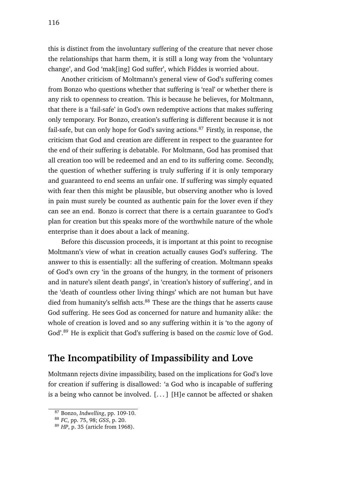this is distinct from the involuntary suffering of the creature that never chose the relationships that harm them, it is still a long way from the 'voluntary change', and God 'mak[ing] God suffer', which Fiddes is worried about.

Another criticism of Moltmann's general view of God's suffering comes from Bonzo who questions whether that suffering is 'real' or whether there is any risk to openness to creation. This is because he believes, for Moltmann, that there is a 'fail-safe' in God's own redemptive actions that makes suffering only temporary. For Bonzo, creation's suffering is different because it is not fail-safe, but can only hope for God's saving actions.<sup>87</sup> Firstly, in response, the criticism that God and creation are different in respect to the guarantee for the end of their suffering is debatable. For Moltmann, God has promised that all creation too will be redeemed and an end to its suffering come. Secondly, the question of whether suffering is truly suffering if it is only temporary and guaranteed to end seems an unfair one. If suffering was simply equated with fear then this might be plausible, but observing another who is loved in pain must surely be counted as authentic pain for the lover even if they can see an end. Bonzo is correct that there is a certain guarantee to God's plan for creation but this speaks more of the worthwhile nature of the whole enterprise than it does about a lack of meaning.

Before this discussion proceeds, it is important at this point to recognise Moltmann's view of what in creation actually causes God's suffering. The answer to this is essentially: all the suffering of creation. Moltmann speaks of God's own cry 'in the groans of the hungry, in the torment of prisoners and in nature's silent death pangs', in 'creation's history of suffering', and in the 'death of countless other living things' which are not human but have died from humanity's selfish acts. $88$  These are the things that he asserts cause God suffering. He sees God as concerned for nature and humanity alike: the whole of creation is loved and so any suffering within it is 'to the agony of God'.<sup>89</sup> He is explicit that God's suffering is based on the *cosmic* love of God.

### **The Incompatibility of Impassibility and Love**

Moltmann rejects divine impassibility, based on the implications for God's love for creation if suffering is disallowed: 'a God who is incapable of suffering is a being who cannot be involved.  $[...]$  [H]e cannot be affected or shaken

<sup>87</sup> Bonzo, *Indwelling*, pp. 109-10.

<sup>88</sup> *FC*, pp. 75, 98; *GSS*, p. 20.

<sup>89</sup> *HP*, p. 35 (article from 1968).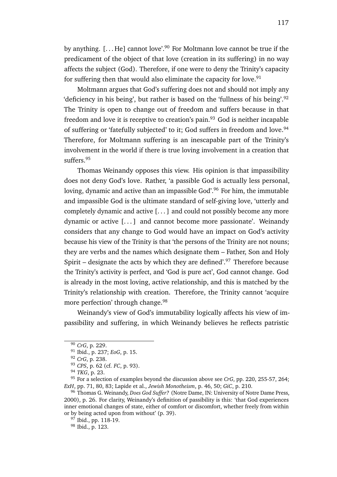by anything.  $[...]$  He cannot love<sup>'.90</sup> For Moltmann love cannot be true if the predicament of the object of that love (creation in its suffering) in no way affects the subject (God). Therefore, if one were to deny the Trinity's capacity for suffering then that would also eliminate the capacity for love. $91$ 

Moltmann argues that God's suffering does not and should not imply any 'deficiency in his being', but rather is based on the 'fullness of his being'.<sup>92</sup> The Trinity is open to change out of freedom and suffers because in that freedom and love it is receptive to creation's pain.<sup>93</sup> God is neither incapable of suffering or 'fatefully subjected' to it; God suffers in freedom and love.<sup>94</sup> Therefore, for Moltmann suffering is an inescapable part of the Trinity's involvement in the world if there is true loving involvement in a creation that suffers.<sup>95</sup>

Thomas Weinandy opposes this view. His opinion is that impassibility does not deny God's love. Rather, 'a passible God is actually less personal, loving, dynamic and active than an impassible God'.<sup>96</sup> For him, the immutable and impassible God is the ultimate standard of self-giving love, 'utterly and completely dynamic and active [. . . ] and could not possibly become any more dynamic or active [...] and cannot become more passionate'. Weinandy considers that any change to God would have an impact on God's activity because his view of the Trinity is that 'the persons of the Trinity are not nouns; they are verbs and the names which designate them – Father, Son and Holy Spirit – designate the acts by which they are defined'.<sup>97</sup> Therefore because the Trinity's activity is perfect, and 'God is pure act', God cannot change. God is already in the most loving, active relationship, and this is matched by the Trinity's relationship with creation. Therefore, the Trinity cannot 'acquire more perfection' through change.<sup>98</sup>

Weinandy's view of God's immutability logically affects his view of impassibility and suffering, in which Weinandy believes he reflects patristic

<sup>97</sup> Ibid., pp. 118-19.

<sup>90</sup> *CrG*, p. 229.

<sup>91</sup> Ibid., p. 237; *EoG*, p. 15.

<sup>92</sup> *CrG*, p. 238.

<sup>93</sup> *CPS*, p. 62 (cf. *FC*, p. 93).

<sup>94</sup> *TKG*, p. 23.

<sup>95</sup> For a selection of examples beyond the discussion above see *CrG*, pp. 220, 255-57, 264; *ExH*, pp. 71, 80, 83; Lapide et al., *Jewish Monotheism*, p. 46, 50; *GiC*, p. 210.

<sup>96</sup> Thomas G. Weinandy, *Does God Suffer?* (Notre Dame, IN: University of Notre Dame Press, 2000), p. 26. For clarity, Weinandy's definition of passibility is this: 'that God experiences inner emotional changes of state, either of comfort or discomfort, whether freely from within or by being acted upon from without' (p. 39).

<sup>98</sup> Ibid., p. 123.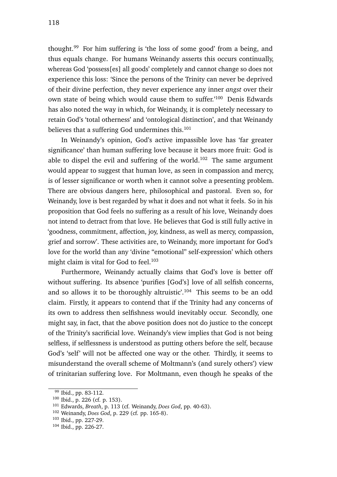thought.<sup>99</sup> For him suffering is 'the loss of some good' from a being, and thus equals change. For humans Weinandy asserts this occurs continually, whereas God 'possess[es] all goods' completely and cannot change so does not experience this loss: 'Since the persons of the Trinity can never be deprived of their divine perfection, they never experience any inner *angst* over their own state of being which would cause them to suffer.'<sup>100</sup> Denis Edwards has also noted the way in which, for Weinandy, it is completely necessary to retain God's 'total otherness' and 'ontological distinction', and that Weinandy believes that a suffering God undermines this. $101$ 

In Weinandy's opinion, God's active impassible love has 'far greater significance' than human suffering love because it bears more fruit: God is able to dispel the evil and suffering of the world.<sup>102</sup> The same argument would appear to suggest that human love, as seen in compassion and mercy, is of lesser significance or worth when it cannot solve a presenting problem. There are obvious dangers here, philosophical and pastoral. Even so, for Weinandy, love is best regarded by what it does and not what it feels. So in his proposition that God feels no suffering as a result of his love, Weinandy does not intend to detract from that love. He believes that God is still fully active in 'goodness, commitment, affection, joy, kindness, as well as mercy, compassion, grief and sorrow'. These activities are, to Weinandy, more important for God's love for the world than any 'divine "emotional" self-expression' which others might claim is vital for God to feel. $103$ 

Furthermore, Weinandy actually claims that God's love is better off without suffering. Its absence 'purifies [God's] love of all selfish concerns, and so allows it to be thoroughly altruistic'.<sup>104</sup> This seems to be an odd claim. Firstly, it appears to contend that if the Trinity had any concerns of its own to address then selfishness would inevitably occur. Secondly, one might say, in fact, that the above position does not do justice to the concept of the Trinity's sacrificial love. Weinandy's view implies that God is not being selfless, if selflessness is understood as putting others before the self, because God's 'self' will not be affected one way or the other. Thirdly, it seems to misunderstand the overall scheme of Moltmann's (and surely others') view of trinitarian suffering love. For Moltmann, even though he speaks of the

<sup>99</sup> Ibid., pp. 83-112.

<sup>100</sup> Ibid., p. 226 (cf. p. 153).

<sup>101</sup> Edwards, *Breath*, p. 113 (cf. Weinandy, *Does God*, pp. 40-63).

<sup>102</sup> Weinandy, *Does God*, p. 229 (cf. pp. 165-8).

<sup>103</sup> Ibid., pp. 227-29.

<sup>104</sup> Ibid., pp. 226-27.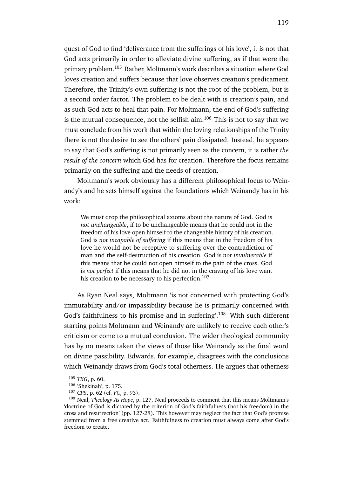quest of God to find 'deliverance from the sufferings of his love', it is not that God acts primarily in order to alleviate divine suffering, as if that were the primary problem.<sup>105</sup> Rather, Moltmann's work describes a situation where God loves creation and suffers because that love observes creation's predicament. Therefore, the Trinity's own suffering is not the root of the problem, but is a second order factor. The problem to be dealt with is creation's pain, and as such God acts to heal that pain. For Moltmann, the end of God's suffering is the mutual consequence, not the selfish aim. $106$  This is not to say that we must conclude from his work that within the loving relationships of the Trinity there is not the desire to see the others' pain dissipated. Instead, he appears to say that God's suffering is not primarily seen as the concern, it is rather *the result of the concern* which God has for creation. Therefore the focus remains primarily on the suffering and the needs of creation.

Moltmann's work obviously has a different philosophical focus to Weinandy's and he sets himself against the foundations which Weinandy has in his work:

We must drop the philosophical axioms about the nature of God. God is *not unchangeable*, if to be unchangeable means that he could not in the freedom of his love open himself to the changeable history of his creation. God is *not incapable of suffering* if this means that in the freedom of his love he would not be receptive to suffering over the contradiction of man and the self-destruction of his creation. God is *not invulnerable* if this means that he could not open himself to the pain of the cross. God is *not perfect* if this means that he did not in the craving of his love want his creation to be necessary to his perfection.<sup>107</sup>

As Ryan Neal says, Moltmann 'is not concerned with protecting God's immutability and/or impassibility because he is primarily concerned with God's faithfulness to his promise and in suffering'.<sup>108</sup> With such different starting points Moltmann and Weinandy are unlikely to receive each other's criticism or come to a mutual conclusion. The wider theological community has by no means taken the views of those like Weinandy as the final word on divine passibility. Edwards, for example, disagrees with the conclusions which Weinandy draws from God's total otherness. He argues that otherness

<sup>105</sup> *TKG*, p. 60.

<sup>106</sup> 'Shekinah', p. 175.

<sup>107</sup> *CPS*, p. 62 (cf. *FC*, p. 93).

<sup>108</sup> Neal, *Theology As Hope*, p. 127. Neal proceeds to comment that this means Moltmann's 'doctrine of God is dictated by the criterion of God's faithfulness (not his freedom) in the cross and resurrection' (pp. 127-28). This however may neglect the fact that God's promise stemmed from a free creative act. Faithfulness to creation must always come after God's freedom to create.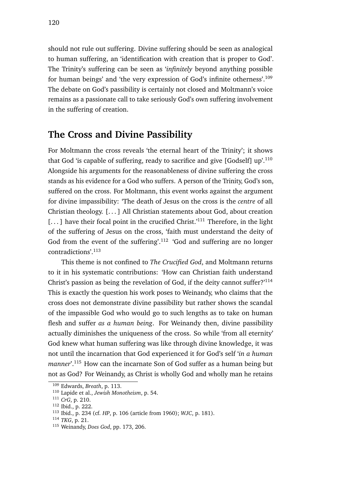should not rule out suffering. Divine suffering should be seen as analogical to human suffering, an 'identification with creation that is proper to God'. The Trinity's suffering can be seen as '*infinitely* beyond anything possible for human beings' and 'the very expression of God's infinite otherness'.<sup>109</sup> The debate on God's passibility is certainly not closed and Moltmann's voice remains as a passionate call to take seriously God's own suffering involvement in the suffering of creation.

### **The Cross and Divine Passibility**

For Moltmann the cross reveals 'the eternal heart of the Trinity'; it shows that God 'is capable of suffering, ready to sacrifice and give [Godself] up'.<sup>110</sup> Alongside his arguments for the reasonableness of divine suffering the cross stands as his evidence for a God who suffers. A person of the Trinity, God's son, suffered on the cross. For Moltmann, this event works against the argument for divine impassibility: 'The death of Jesus on the cross is the *centre* of all Christian theology. [. . . ] All Christian statements about God, about creation [...] have their focal point in the crucified Christ.'<sup>111</sup> Therefore, in the light of the suffering of Jesus on the cross, 'faith must understand the deity of God from the event of the suffering'.<sup>112</sup> 'God and suffering are no longer contradictions'.<sup>113</sup>

This theme is not confined to *The Crucified God*, and Moltmann returns to it in his systematic contributions: 'How can Christian faith understand Christ's passion as being the revelation of God, if the deity cannot suffer?'<sup>114</sup> This is exactly the question his work poses to Weinandy, who claims that the cross does not demonstrate divine passibility but rather shows the scandal of the impassible God who would go to such lengths as to take on human flesh and suffer *as a human being*. For Weinandy then, divine passibility actually diminishes the uniqueness of the cross. So while 'from all eternity' God knew what human suffering was like through divine knowledge, it was not until the incarnation that God experienced it for God's self '*in a human manner*'.<sup>115</sup> How can the incarnate Son of God suffer as a human being but not as God? For Weinandy, as Christ is wholly God and wholly man he retains

<sup>109</sup> Edwards, *Breath*, p. 113.

<sup>110</sup> Lapide et al., *Jewish Monotheism*, p. 54.

<sup>111</sup> *CrG*, p. 210.

<sup>112</sup> Ibid., p. 222.

<sup>113</sup> Ibid., p. 234 (cf. *HP*, p. 106 (article from 1960); *WJC*, p. 181).

<sup>114</sup> *TKG*, p. 21.

<sup>115</sup> Weinandy, *Does God*, pp. 173, 206.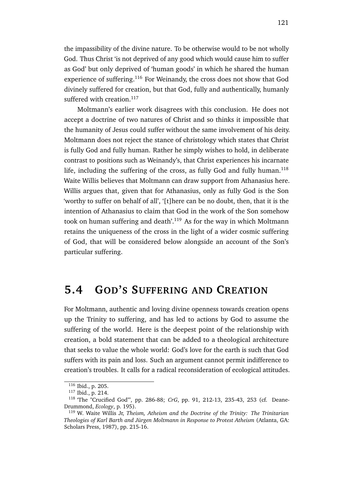the impassibility of the divine nature. To be otherwise would to be not wholly God. Thus Christ 'is not deprived of any good which would cause him to suffer as God' but only deprived of 'human goods' in which he shared the human experience of suffering.<sup>116</sup> For Weinandy, the cross does not show that God divinely suffered for creation, but that God, fully and authentically, humanly suffered with creation.<sup>117</sup>

Moltmann's earlier work disagrees with this conclusion. He does not accept a doctrine of two natures of Christ and so thinks it impossible that the humanity of Jesus could suffer without the same involvement of his deity. Moltmann does not reject the stance of christology which states that Christ is fully God and fully human. Rather he simply wishes to hold, in deliberate contrast to positions such as Weinandy's, that Christ experiences his incarnate life, including the suffering of the cross, as fully God and fully human.<sup>118</sup> Waite Willis believes that Moltmann can draw support from Athanasius here. Willis argues that, given that for Athanasius, only as fully God is the Son 'worthy to suffer on behalf of all', '[t]here can be no doubt, then, that it is the intention of Athanasius to claim that God in the work of the Son somehow took on human suffering and death'.<sup>119</sup> As for the way in which Moltmann retains the uniqueness of the cross in the light of a wider cosmic suffering of God, that will be considered below alongside an account of the Son's particular suffering.

# **5.4 GOD'S SUFFERING AND CREATION**

For Moltmann, authentic and loving divine openness towards creation opens up the Trinity to suffering, and has led to actions by God to assume the suffering of the world. Here is the deepest point of the relationship with creation, a bold statement that can be added to a theological architecture that seeks to value the whole world: God's love for the earth is such that God suffers with its pain and loss. Such an argument cannot permit indifference to creation's troubles. It calls for a radical reconsideration of ecological attitudes.

 $116$  Ibid., p. 205.

<sup>117</sup> Ibid., p. 214.

<sup>118</sup> 'The "Crucified God"', pp. 286-88; *CrG*, pp. 91, 212-13, 235-43, 253 (cf. Deane-Drummond, *Ecology*, p. 195).

<sup>119</sup> W. Waite Willis Jr, *Theism, Atheism and the Doctrine of the Trinity: The Trinitarian Theologies of Karl Barth and Jürgen Moltmann in Response to Protest Atheism* (Atlanta, GA: Scholars Press, 1987), pp. 215-16.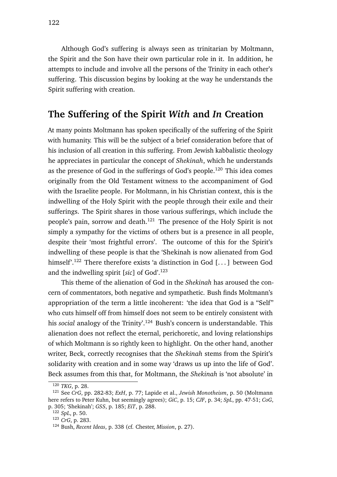Although God's suffering is always seen as trinitarian by Moltmann, the Spirit and the Son have their own particular role in it. In addition, he attempts to include and involve all the persons of the Trinity in each other's suffering. This discussion begins by looking at the way he understands the Spirit suffering with creation.

### **The Suffering of the Spirit** *With* **and** *In* **Creation**

At many points Moltmann has spoken specifically of the suffering of the Spirit with humanity. This will be the subject of a brief consideration before that of his inclusion of all creation in this suffering. From Jewish kabbalistic theology he appreciates in particular the concept of *Shekinah*, which he understands as the presence of God in the sufferings of God's people.<sup>120</sup> This idea comes originally from the Old Testament witness to the accompaniment of God with the Israelite people. For Moltmann, in his Christian context, this is the indwelling of the Holy Spirit with the people through their exile and their sufferings. The Spirit shares in those various sufferings, which include the people's pain, sorrow and death.<sup>121</sup> The presence of the Holy Spirit is not simply a sympathy for the victims of others but is a presence in all people, despite their 'most frightful errors'. The outcome of this for the Spirit's indwelling of these people is that the 'Shekinah is now alienated from God himself'.<sup>122</sup> There therefore exists 'a distinction in God [...] between God and the indwelling spirit [*sic*] of God'.<sup>123</sup>

This theme of the alienation of God in the *Shekinah* has aroused the concern of commentators, both negative and sympathetic. Bush finds Moltmann's appropriation of the term a little incoherent: 'the idea that God is a "Self" who cuts himself off from himself does not seem to be entirely consistent with his *social* analogy of the Trinity'.<sup>124</sup> Bush's concern is understandable. This alienation does not reflect the eternal, perichoretic, and loving relationships of which Moltmann is so rightly keen to highlight. On the other hand, another writer, Beck, correctly recognises that the *Shekinah* stems from the Spirit's solidarity with creation and in some way 'draws us up into the life of God'. Beck assumes from this that, for Moltmann, the *Shekinah* is 'not absolute' in

<sup>120</sup> *TKG*, p. 28.

<sup>121</sup> See *CrG*, pp. 282-83; *ExH*, p. 77; Lapide et al., *Jewish Monotheism*, p. 50 (Moltmann here refers to Peter Kuhn, but seemingly agrees); *GiC*, p. 15; *CJF*, p. 34; *SpL*, pp. 47-51; *CoG*, p. 305; 'Shekinah'; *GSS*, p. 185; *EiT*, p. 288.

<sup>122</sup> *SpL*, p. 50.

<sup>123</sup> *CrG*, p. 283.

<sup>124</sup> Bush, *Recent Ideas*, p. 338 (cf. Chester, *Mission*, p. 27).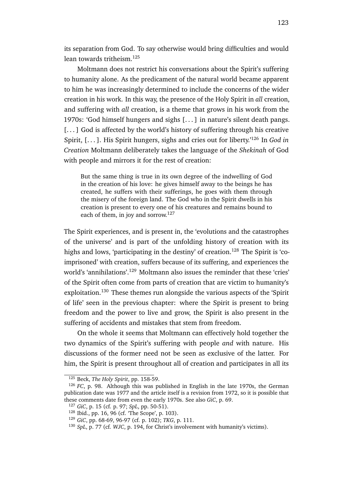its separation from God. To say otherwise would bring difficulties and would lean towards tritheism.<sup>125</sup>

Moltmann does not restrict his conversations about the Spirit's suffering to humanity alone. As the predicament of the natural world became apparent to him he was increasingly determined to include the concerns of the wider creation in his work. In this way, the presence of the Holy Spirit in *all* creation, and suffering with *all* creation, is a theme that grows in his work from the 1970s: 'God himself hungers and sighs [. . . ] in nature's silent death pangs. [...] God is affected by the world's history of suffering through his creative Spirit, [. . . ]. His Spirit hungers, sighs and cries out for liberty.'<sup>126</sup> In *God in Creation* Moltmann deliberately takes the language of the *Shekinah* of God with people and mirrors it for the rest of creation:

But the same thing is true in its own degree of the indwelling of God in the creation of his love: he gives himself away to the beings he has created, he suffers with their sufferings, he goes with them through the misery of the foreign land. The God who in the Spirit dwells in his creation is present to every one of his creatures and remains bound to each of them, in joy and sorrow.<sup>127</sup>

The Spirit experiences, and is present in, the 'evolutions and the catastrophes of the universe' and is part of the unfolding history of creation with its highs and lows, 'participating in the destiny' of creation.<sup>128</sup> The Spirit is 'coimprisoned' with creation, suffers because of its suffering, and experiences the world's 'annihilations'.<sup>129</sup> Moltmann also issues the reminder that these 'cries' of the Spirit often come from parts of creation that are victim to humanity's exploitation.<sup>130</sup> These themes run alongside the various aspects of the 'Spirit of life' seen in the previous chapter: where the Spirit is present to bring freedom and the power to live and grow, the Spirit is also present in the suffering of accidents and mistakes that stem from freedom.

On the whole it seems that Moltmann can effectively hold together the two dynamics of the Spirit's suffering with people *and* with nature. His discussions of the former need not be seen as exclusive of the latter. For him, the Spirit is present throughout all of creation and participates in all its

<sup>125</sup> Beck, *The Holy Spirit*, pp. 158-59.

<sup>126</sup> *FC*, p. 98. Although this was published in English in the late 1970s, the German publication date was 1977 and the article itself is a revision from 1972, so it is possible that these comments date from even the early 1970s. See also *GiC*, p. 69.

<sup>127</sup> *GiC*, p. 15 (cf. p. 97; *SpL*, pp. 50-51).

<sup>128</sup> Ibid., pp. 16, 96 (cf. 'The Scope', p. 103).

<sup>129</sup> *GiC*, pp. 68-69, 96-97 (cf. p. 102); *TKG*, p. 111.

<sup>130</sup> *SpL*, p. 77 (cf. *WJC*, p. 194, for Christ's involvement with humanity's victims).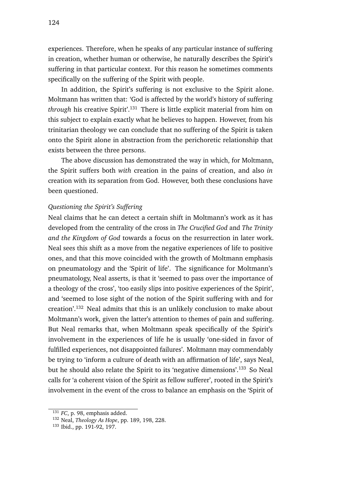experiences. Therefore, when he speaks of any particular instance of suffering in creation, whether human or otherwise, he naturally describes the Spirit's suffering in that particular context. For this reason he sometimes comments specifically on the suffering of the Spirit with people.

In addition, the Spirit's suffering is not exclusive to the Spirit alone. Moltmann has written that: 'God is affected by the world's history of suffering *through* his creative Spirit'.<sup>131</sup> There is little explicit material from him on this subject to explain exactly what he believes to happen. However, from his trinitarian theology we can conclude that no suffering of the Spirit is taken onto the Spirit alone in abstraction from the perichoretic relationship that exists between the three persons.

The above discussion has demonstrated the way in which, for Moltmann, the Spirit suffers both *with* creation in the pains of creation, and also *in* creation with its separation from God. However, both these conclusions have been questioned.

### *Questioning the Spirit's Suffering*

Neal claims that he can detect a certain shift in Moltmann's work as it has developed from the centrality of the cross in *The Crucified God* and *The Trinity and the Kingdom of God* towards a focus on the resurrection in later work. Neal sees this shift as a move from the negative experiences of life to positive ones, and that this move coincided with the growth of Moltmann emphasis on pneumatology and the 'Spirit of life'. The significance for Moltmann's pneumatology, Neal asserts, is that it 'seemed to pass over the importance of a theology of the cross', 'too easily slips into positive experiences of the Spirit', and 'seemed to lose sight of the notion of the Spirit suffering with and for creation'.<sup>132</sup> Neal admits that this is an unlikely conclusion to make about Moltmann's work, given the latter's attention to themes of pain and suffering. But Neal remarks that, when Moltmann speak specifically of the Spirit's involvement in the experiences of life he is usually 'one-sided in favor of fulfilled experiences, not disappointed failures'. Moltmann may commendably be trying to 'inform a culture of death with an affirmation of life', says Neal, but he should also relate the Spirit to its 'negative dimensions'.<sup>133</sup> So Neal calls for 'a coherent vision of the Spirit as fellow sufferer', rooted in the Spirit's involvement in the event of the cross to balance an emphasis on the 'Spirit of

<sup>&</sup>lt;sup>131</sup> *FC*, p. 98, emphasis added.

<sup>132</sup> Neal, *Theology As Hope*, pp. 189, 198, 228.

<sup>133</sup> Ibid., pp. 191-92, 197.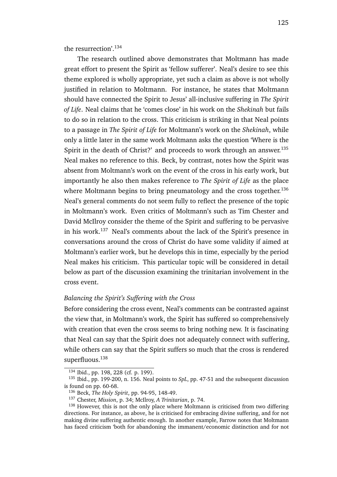the resurrection'.<sup>134</sup>

The research outlined above demonstrates that Moltmann has made great effort to present the Spirit as 'fellow sufferer'. Neal's desire to see this theme explored is wholly appropriate, yet such a claim as above is not wholly justified in relation to Moltmann. For instance, he states that Moltmann should have connected the Spirit to Jesus' all-inclusive suffering in *The Spirit of Life*. Neal claims that he 'comes close' in his work on the *Shekinah* but fails to do so in relation to the cross. This criticism is striking in that Neal points to a passage in *The Spirit of Life* for Moltmann's work on the *Shekinah*, while only a little later in the same work Moltmann asks the question 'Where is the Spirit in the death of Christ?' and proceeds to work through an answer.<sup>135</sup> Neal makes no reference to this. Beck, by contrast, notes how the Spirit was absent from Moltmann's work on the event of the cross in his early work, but importantly he also then makes reference to *The Spirit of Life* as the place where Moltmann begins to bring pneumatology and the cross together.<sup>136</sup> Neal's general comments do not seem fully to reflect the presence of the topic in Moltmann's work. Even critics of Moltmann's such as Tim Chester and David McIlroy consider the theme of the Spirit and suffering to be pervasive in his work.<sup>137</sup> Neal's comments about the lack of the Spirit's presence in conversations around the cross of Christ do have some validity if aimed at Moltmann's earlier work, but he develops this in time, especially by the period Neal makes his criticism. This particular topic will be considered in detail below as part of the discussion examining the trinitarian involvement in the cross event.

#### *Balancing the Spirit's Suffering with the Cross*

Before considering the cross event, Neal's comments can be contrasted against the view that, in Moltmann's work, the Spirit has suffered so comprehensively with creation that even the cross seems to bring nothing new. It is fascinating that Neal can say that the Spirit does not adequately connect with suffering, while others can say that the Spirit suffers so much that the cross is rendered superfluous.<sup>138</sup>

<sup>134</sup> Ibid., pp. 198, 228 (cf. p. 199).

<sup>135</sup> Ibid., pp. 199-200, n. 156. Neal points to *SpL*, pp. 47-51 and the subsequent discussion is found on pp. 60-68.

<sup>136</sup> Beck, *The Holy Spirit*, pp. 94-95, 148-49.

<sup>137</sup> Chester, *Mission*, p. 34; McIlroy, *A Trinitarian*, p. 74.

<sup>&</sup>lt;sup>138</sup> However, this is not the only place where Moltmann is criticised from two differing directions. For instance, as above, he is criticised for embracing divine suffering, and for not making divine suffering authentic enough. In another example, Farrow notes that Moltmann has faced criticism 'both for abandoning the immanent/economic distinction and for not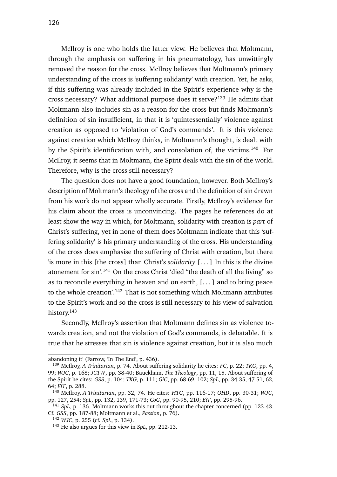McIlroy is one who holds the latter view. He believes that Moltmann, through the emphasis on suffering in his pneumatology, has unwittingly removed the reason for the cross. McIlroy believes that Moltmann's primary understanding of the cross is 'suffering solidarity' with creation. Yet, he asks, if this suffering was already included in the Spirit's experience why is the cross necessary? What additional purpose does it serve?<sup>139</sup> He admits that Moltmann also includes sin as a reason for the cross but finds Moltmann's definition of sin insufficient, in that it is 'quintessentially' violence against creation as opposed to 'violation of God's commands'. It is this violence against creation which McIlroy thinks, in Moltmann's thought, is dealt with by the Spirit's identification with, and consolation of, the victims.<sup>140</sup> For McIlroy, it seems that in Moltmann, the Spirit deals with the sin of the world. Therefore, why is the cross still necessary?

The question does not have a good foundation, however. Both McIlroy's description of Moltmann's theology of the cross and the definition of sin drawn from his work do not appear wholly accurate. Firstly, McIlroy's evidence for his claim about the cross is unconvincing. The pages he references do at least show the way in which, for Moltmann, solidarity with creation is *part* of Christ's suffering, yet in none of them does Moltmann indicate that this 'suffering solidarity' is his primary understanding of the cross. His understanding of the cross does emphasise the suffering of Christ with creation, but there 'is more in this [the cross] than Christ's *solidarity* [. . . ] In this is the divine atonement for sin'.<sup>141</sup> On the cross Christ 'died "the death of all the living" so as to reconcile everything in heaven and on earth, [. . . ] and to bring peace to the whole creation'.<sup>142</sup> That is not something which Moltmann attributes to the Spirit's work and so the cross is still necessary to his view of salvation history.<sup>143</sup>

Secondly, McIlroy's assertion that Moltmann defines sin as violence towards creation, and not the violation of God's commands, is debatable. It is true that he stresses that sin is violence against creation, but it is also much

abandoning it' (Farrow, 'In The End', p. 436).

<sup>139</sup> McIlroy, *A Trinitarian*, p. 74. About suffering solidarity he cites: *FC*, p. 22; *TKG*, pp. 4, 99; *WJC*, p. 168; *JCTW*, pp. 38-40; Bauckham, *The Theology*, pp. 11, 15. About suffering of the Spirit he cites: *GSS*, p. 104; *TKG*, p. 111; *GiC*, pp. 68-69, 102; *SpL*, pp. 34-35, 47-51, 62, 64; *EiT*, p. 288.

<sup>140</sup> McIlroy, *A Trinitarian*, pp. 32, 74. He cites: *HTG*, pp. 116-17; *OHD*, pp. 30-31; *WJC*, pp. 127, 254; *SpL*, pp. 132, 139, 171-73; *CoG*, pp. 90-95, 210; *EiT*, pp. 295-96.

<sup>&</sup>lt;sup>141</sup> SpL, p. 136. Moltmann works this out throughout the chapter concerned (pp. 123-43. Cf. *GSS*, pp. 187-88; Moltmann et al., *Passion*, p. 76).

<sup>142</sup> *WJC*, p. 255 (cf. *SpL*, p. 134).

<sup>143</sup> He also argues for this view in *SpL*, pp. 212-13.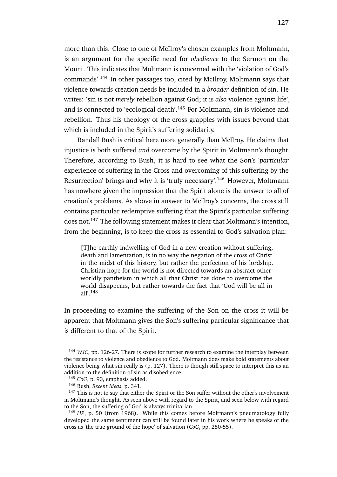more than this. Close to one of McIlroy's chosen examples from Moltmann, is an argument for the specific need for *obedience* to the Sermon on the Mount. This indicates that Moltmann is concerned with the 'violation of God's commands'.<sup>144</sup> In other passages too, cited by McIlroy, Moltmann says that violence towards creation needs be included in a *broader* definition of sin. He writes: 'sin is not *merely* rebellion against God; it is *also* violence against life', and is connected to 'ecological death'.<sup>145</sup> For Moltmann, sin is violence and rebellion. Thus his theology of the cross grapples with issues beyond that which is included in the Spirit's suffering solidarity.

Randall Bush is critical here more generally than McIlroy. He claims that injustice is both suffered *and* overcome by the Spirit in Moltmann's thought. Therefore, according to Bush, it is hard to see what the Son's '*particular* experience of suffering in the Cross and overcoming of this suffering by the Resurrection' brings and why it is 'truly necessary'.<sup>146</sup> However, Moltmann has nowhere given the impression that the Spirit alone is the answer to all of creation's problems. As above in answer to McIlroy's concerns, the cross still contains particular redemptive suffering that the Spirit's particular suffering does not.<sup>147</sup> The following statement makes it clear that Moltmann's intention, from the beginning, is to keep the cross as essential to God's salvation plan:

[T]he earthly indwelling of God in a new creation without suffering, death and lamentation, is in no way the negation of the cross of Christ in the midst of this history, but rather the perfection of his lordship. Christian hope for the world is not directed towards an abstract otherworldly pantheism in which all that Christ has done to overcome the world disappears, but rather towards the fact that 'God will be all in all'.<sup>148</sup>

In proceeding to examine the suffering of the Son on the cross it will be apparent that Moltmann gives the Son's suffering particular significance that is different to that of the Spirit.

<sup>144</sup> *WJC*, pp. 126-27. There is scope for further research to examine the interplay between the resistance to violence and obedience to God. Moltmann does make bold statements about violence being what sin really is (p. 127). There is though still space to interpret this as an addition to the definition of sin as disobedience.

<sup>145</sup> *CoG*, p. 90, emphasis added.

<sup>146</sup> Bush, *Recent Ideas*, p. 341.

<sup>&</sup>lt;sup>147</sup> This is not to say that either the Spirit or the Son suffer without the other's involvement in Moltmann's thought. As seen above with regard to the Spirit, and seen below with regard to the Son, the suffering of God is always trinitarian.

<sup>&</sup>lt;sup>148</sup> HP, p. 50 (from 1968). While this comes before Moltmann's pneumatology fully developed the same sentiment can still be found later in his work where he speaks of the cross as 'the true ground of the hope' of salvation (*CoG*, pp. 250-55).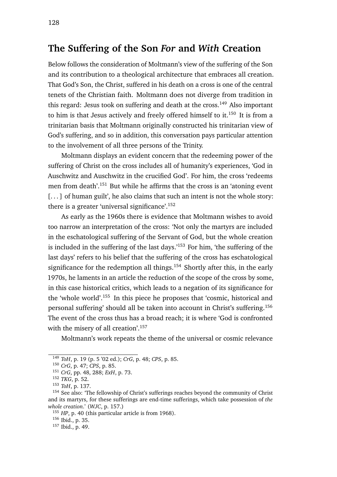### **The Suffering of the Son** *For* **and** *With* **Creation**

Below follows the consideration of Moltmann's view of the suffering of the Son and its contribution to a theological architecture that embraces all creation. That God's Son, the Christ, suffered in his death on a cross is one of the central tenets of the Christian faith. Moltmann does not diverge from tradition in this regard: Jesus took on suffering and death at the cross.<sup>149</sup> Also important to him is that Jesus actively and freely offered himself to it.<sup>150</sup> It is from a trinitarian basis that Moltmann originally constructed his trinitarian view of God's suffering, and so in addition, this conversation pays particular attention to the involvement of all three persons of the Trinity.

Moltmann displays an evident concern that the redeeming power of the suffering of Christ on the cross includes all of humanity's experiences, 'God in Auschwitz and Auschwitz in the crucified God'. For him, the cross 'redeems men from death'.<sup>151</sup> But while he affirms that the cross is an 'atoning event [...] of human guilt', he also claims that such an intent is not the whole story: there is a greater 'universal significance'.<sup>152</sup>

As early as the 1960s there is evidence that Moltmann wishes to avoid too narrow an interpretation of the cross: 'Not only the martyrs are included in the eschatological suffering of the Servant of God, but the whole creation is included in the suffering of the last days.'<sup>153</sup> For him, 'the suffering of the last days' refers to his belief that the suffering of the cross has eschatological significance for the redemption all things.<sup>154</sup> Shortly after this, in the early 1970s, he laments in an article the reduction of the scope of the cross by some, in this case historical critics, which leads to a negation of its significance for the 'whole world'.<sup>155</sup> In this piece he proposes that 'cosmic, historical and personal suffering' should all be taken into account in Christ's suffering.<sup>156</sup> The event of the cross thus has a broad reach; it is where 'God is confronted with the misery of all creation'.<sup>157</sup>

Moltmann's work repeats the theme of the universal or cosmic relevance

<sup>149</sup> *ToH*, p. 19 (p. 5 '02 ed.); *CrG*, p. 48; *CPS*, p. 85.

<sup>150</sup> *CrG*, p. 47; *CPS*, p. 85.

<sup>151</sup> *CrG*, pp. 48, 288; *ExH*, p. 73.

<sup>152</sup> *TKG*, p. 52.

<sup>153</sup> *ToH*, p. 137.

<sup>&</sup>lt;sup>154</sup> See also: 'The fellowship of Christ's sufferings reaches beyond the community of Christ and its martyrs, for these sufferings are end-time sufferings, which take possession of *the whole creation*.' (*WJC*, p. 157.)

<sup>155</sup> *HP*, p. 40 (this particular article is from 1968).

<sup>156</sup> Ibid., p. 35.

<sup>157</sup> Ibid., p. 49.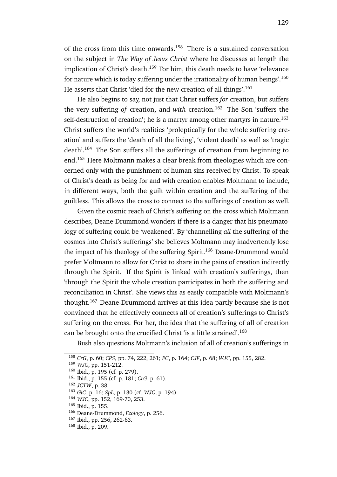of the cross from this time onwards.<sup>158</sup> There is a sustained conversation on the subject in *The Way of Jesus Christ* where he discusses at length the implication of Christ's death.<sup>159</sup> For him, this death needs to have 'relevance for nature which is today suffering under the irrationality of human beings'.<sup>160</sup> He asserts that Christ 'died for the new creation of all things'.<sup>161</sup>

He also begins to say, not just that Christ suffers *for* creation, but suffers the very suffering *of* creation, and *with* creation.<sup>162</sup> The Son 'suffers the self-destruction of creation'; he is a martyr among other martyrs in nature.<sup>163</sup> Christ suffers the world's realities 'proleptically for the whole suffering creation' and suffers the 'death of all the living', 'violent death' as well as 'tragic death'.<sup>164</sup> The Son suffers all the sufferings of creation from beginning to end.<sup>165</sup> Here Moltmann makes a clear break from theologies which are concerned only with the punishment of human sins received by Christ. To speak of Christ's death as being for and with creation enables Moltmann to include, in different ways, both the guilt within creation and the suffering of the guiltless. This allows the cross to connect to the sufferings of creation as well.

Given the cosmic reach of Christ's suffering on the cross which Moltmann describes, Deane-Drummond wonders if there is a danger that his pneumatology of suffering could be 'weakened'. By 'channelling *all* the suffering of the cosmos into Christ's sufferings' she believes Moltmann may inadvertently lose the impact of his theology of the suffering Spirit.<sup>166</sup> Deane-Drummond would prefer Moltmann to allow for Christ to share in the pains of creation indirectly through the Spirit. If the Spirit is linked with creation's sufferings, then 'through the Spirit the whole creation participates in both the suffering and reconciliation in Christ'. She views this as easily compatible with Moltmann's thought.<sup>167</sup> Deane-Drummond arrives at this idea partly because she is not convinced that he effectively connects all of creation's sufferings to Christ's suffering on the cross. For her, the idea that the suffering of all of creation can be brought onto the crucified Christ 'is a little strained'.<sup>168</sup>

Bush also questions Moltmann's inclusion of all of creation's sufferings in

<sup>158</sup> *CrG*, p. 60; *CPS*, pp. 74, 222, 261; *FC*, p. 164; *CJF*, p. 68; *WJC*, pp. 155, 282.

<sup>159</sup> *WJC*, pp. 151-212.

<sup>160</sup> Ibid., p. 195 (cf. p. 279).

<sup>161</sup> Ibid., p. 155 (cf. p. 181; *CrG*, p. 61).

<sup>162</sup> *JCTW*, p. 38.

<sup>163</sup> *GiC*, p. 16; *SpL*, p. 130 (cf. *WJC*, p. 194).

<sup>164</sup> *WJC*, pp. 152, 169-70, 253.

<sup>165</sup> Ibid., p. 155.

<sup>166</sup> Deane-Drummond, *Ecology*, p. 256.

<sup>167</sup> Ibid., pp. 256, 262-63.

<sup>168</sup> Ibid., p. 209.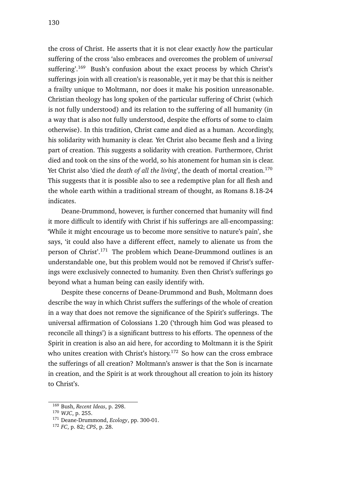the cross of Christ. He asserts that it is not clear exactly *how* the particular suffering of the cross 'also embraces and overcomes the problem of *universal* suffering'.<sup>169</sup> Bush's confusion about the exact process by which Christ's sufferings join with all creation's is reasonable, yet it may be that this is neither a frailty unique to Moltmann, nor does it make his position unreasonable. Christian theology has long spoken of the particular suffering of Christ (which is not fully understood) and its relation to the suffering of all humanity (in a way that is also not fully understood, despite the efforts of some to claim otherwise). In this tradition, Christ came and died as a human. Accordingly, his solidarity with humanity is clear. Yet Christ also became flesh and a living part of creation. This suggests a solidarity with creation. Furthermore, Christ died and took on the sins of the world, so his atonement for human sin is clear. Yet Christ also 'died *the death of all the living*', the death of mortal creation.<sup>170</sup> This suggests that it is possible also to see a redemptive plan for all flesh and the whole earth within a traditional stream of thought, as Romans 8.18-24 indicates.

Deane-Drummond, however, is further concerned that humanity will find it more difficult to identify with Christ if his sufferings are all-encompassing: 'While it might encourage us to become more sensitive to nature's pain', she says, 'it could also have a different effect, namely to alienate us from the person of Christ'.<sup>171</sup> The problem which Deane-Drummond outlines is an understandable one, but this problem would not be removed if Christ's sufferings were exclusively connected to humanity. Even then Christ's sufferings go beyond what a human being can easily identify with.

Despite these concerns of Deane-Drummond and Bush, Moltmann does describe the way in which Christ suffers the sufferings of the whole of creation in a way that does not remove the significance of the Spirit's sufferings. The universal affirmation of Colossians 1.20 ('through him God was pleased to reconcile all things') is a significant buttress to his efforts. The openness of the Spirit in creation is also an aid here, for according to Moltmann it is the Spirit who unites creation with Christ's history.<sup>172</sup> So how can the cross embrace the sufferings of all creation? Moltmann's answer is that the Son is incarnate in creation, and the Spirit is at work throughout all creation to join its history to Christ's.

<sup>169</sup> Bush, *Recent Ideas*, p. 298.

<sup>170</sup> *WJC*, p. 255.

<sup>171</sup> Deane-Drummond, *Ecology*, pp. 300-01.

<sup>172</sup> *FC*, p. 82; *CPS*, p. 28.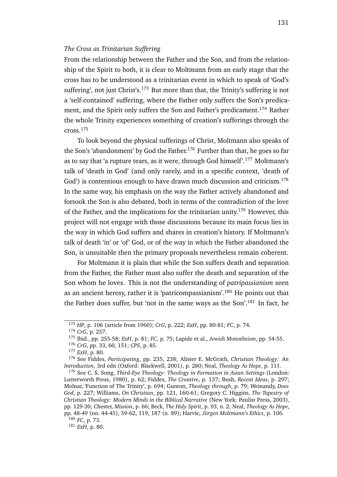#### *The Cross as Trinitarian Suffering*

From the relationship between the Father and the Son, and from the relationship of the Spirit to both, it is clear to Moltmann from an early stage that the cross has to be understood as a trinitarian event in which to speak of 'God's suffering', not just Christ's.<sup>173</sup> But more than that, the Trinity's suffering is not a 'self-contained' suffering, where the Father only suffers the Son's predicament, and the Spirit only suffers the Son and Father's predicament.<sup>174</sup> Rather the whole Trinity experiences something of creation's sufferings through the cross.<sup>175</sup>

To look beyond the physical sufferings of Christ, Moltmann also speaks of the Son's 'abandonment' by God the Father.<sup>176</sup> Further than that, he goes so far as to say that 'a rupture tears, as it were, through God himself'.<sup>177</sup> Moltmann's talk of 'death in God' (and only rarely, and in a specific context, 'death of God') is contentious enough to have drawn much discussion and criticism.<sup>178</sup> In the same way, his emphasis on the way the Father actively abandoned and forsook the Son is also debated, both in terms of the contradiction of the love of the Father, and the implications for the trinitarian unity.<sup>179</sup> However, this project will not engage with those discussions because its main focus lies in the way in which God suffers and shares in creation's history. If Moltmann's talk of death 'in' or 'of' God, or of the way in which the Father abandoned the Son, is unsuitable then the primary proposals nevertheless remain coherent.

For Moltmann it is plain that while the Son suffers death and separation from the Father, the Father must also suffer the death and separation of the Son whom he loves. This is not the understanding of *patripassianism* seen as an ancient heresy, rather it is 'patricompassianism'.<sup>180</sup> He points out that the Father does suffer, but 'not in the same ways as the Son'.<sup>181</sup> In fact, he

<sup>181</sup> *ExH*, p. 80.

<sup>173</sup> *HP*, p. 106 (article from 1960); *CrG*, p. 222; *ExH*, pp. 80-81; *FC*, p. 74.

<sup>174</sup> *CrG*, p. 257.

<sup>175</sup> Ibid., pp. 255-58; *ExH*, p. 81; *FC*, p. 75; Lapide et al., *Jewish Monotheism*, pp. 54-55.

<sup>176</sup> *CrG*, pp. 33, 60, 151; *CPS*, p. 85.

<sup>177</sup> *ExH*, p. 80.

<sup>178</sup> See Fiddes, *Participating*, pp. 235, 238; Alister E. McGrath, *Christian Theology: An Introduction*, 3rd edn (Oxford: Blackwell, 2001), p. 280; Neal, *Theology As Hope*, p. 111.

<sup>179</sup> See C. S. Song, *Third-Eye Theology: Theology in Formation in Asian Settings* (London: Lutterworth Press, 1980), p. 62; Fiddes, *The Creative*, p. 137; Bush, *Recent Ideas*, p. 297; Molnar, 'Function of The Trinity', p. 694; Gunton, *Theology through*, p. 79; Weinandy, *Does God*, p. 227; Williams, *On Christian*, pp. 121, 160-61; Gregory C. Higgins, *The Tapestry of Christian Theology: Modern Minds in the Biblical Narrative* (New York: Paulist Press, 2003), pp. 129-30; Chester, *Mission*, p. 66; Beck, *The Holy Spirit*, p. 93, n. 2; Neal, *Theology As Hope*, pp. 48-49 (nn. 44-45), 59-62, 119, 187 (n. 89); Harvie, *Jürgen Moltmann's Ethics*, p. 106.

<sup>180</sup> *FC*, p. 73.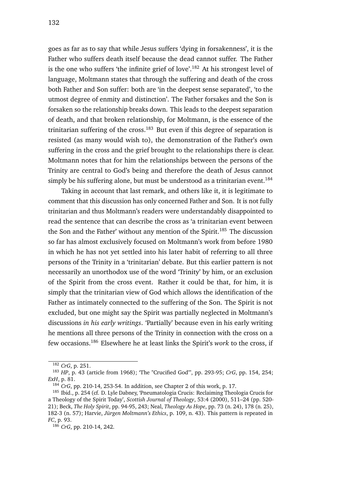goes as far as to say that while Jesus suffers 'dying in forsakenness', it is the Father who suffers death itself because the dead cannot suffer. The Father is the one who suffers 'the infinite grief of love'.<sup>182</sup> At his strongest level of language, Moltmann states that through the suffering and death of the cross both Father and Son suffer: both are 'in the deepest sense separated', 'to the utmost degree of enmity and distinction'. The Father forsakes and the Son is forsaken so the relationship breaks down. This leads to the deepest separation of death, and that broken relationship, for Moltmann, is the essence of the trinitarian suffering of the cross.<sup>183</sup> But even if this degree of separation is resisted (as many would wish to), the demonstration of the Father's own suffering in the cross and the grief brought to the relationships there is clear. Moltmann notes that for him the relationships between the persons of the Trinity are central to God's being and therefore the death of Jesus cannot simply be his suffering alone, but must be understood as a trinitarian event.<sup>184</sup>

Taking in account that last remark, and others like it, it is legitimate to comment that this discussion has only concerned Father and Son. It is not fully trinitarian and thus Moltmann's readers were understandably disappointed to read the sentence that can describe the cross as 'a trinitarian event between the Son and the Father' without any mention of the Spirit.<sup>185</sup> The discussion so far has almost exclusively focused on Moltmann's work from before 1980 in which he has not yet settled into his later habit of referring to all three persons of the Trinity in a 'trinitarian' debate. But this earlier pattern is not necessarily an unorthodox use of the word 'Trinity' by him, or an exclusion of the Spirit from the cross event. Rather it could be that, for him, it is simply that the trinitarian view of God which allows the identification of the Father as intimately connected to the suffering of the Son. The Spirit is not excluded, but one might say the Spirit was partially neglected in Moltmann's discussions *in his early writings*. 'Partially' because even in his early writing he mentions all three persons of the Trinity in connection with the cross on a few occasions.<sup>186</sup> Elsewhere he at least links the Spirit's *work* to the cross, if

<sup>182</sup> *CrG*, p. 251.

<sup>183</sup> *HP*, p. 43 (article from 1968); 'The "Crucified God"', pp. 293-95; *CrG*, pp. 154, 254; *ExH*, p. 81.

<sup>184</sup> *CrG*, pp. 210-14, 253-54. In addition, see Chapter 2 of this work, p. 17.

<sup>&</sup>lt;sup>185</sup> Ibid., p. 254 (cf. D. Lyle Dabney, 'Pneumatologia Crucis: Reclaiming Theologia Crucis for a Theology of the Spirit Today', *Scottish Journal of Theology*, 53:4 (2000), 511–24 (pp. 520- 21); Beck, *The Holy Spirit*, pp. 94-95, 243; Neal, *Theology As Hope*, pp. 73 (n. 24), 178 (n. 25), 182-3 (n. 57); Harvie, *Jürgen Moltmann's Ethics*, p. 109, n. 43). This pattern is repeated in *FC*, p. 93.

<sup>186</sup> *CrG*, pp. 210-14, 242.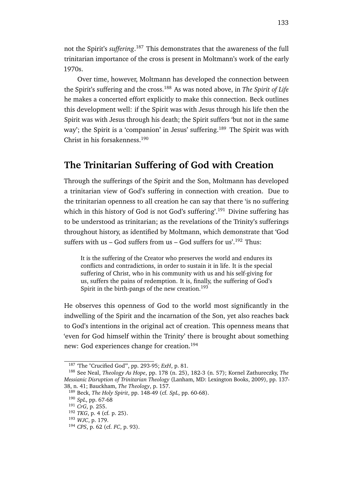not the Spirit's *suffering*. <sup>187</sup> This demonstrates that the awareness of the full trinitarian importance of the cross is present in Moltmann's work of the early 1970s.

Over time, however, Moltmann has developed the connection between the Spirit's suffering and the cross.<sup>188</sup> As was noted above, in *The Spirit of Life* he makes a concerted effort explicitly to make this connection. Beck outlines this development well: if the Spirit was with Jesus through his life then the Spirit was with Jesus through his death; the Spirit suffers 'but not in the same way'; the Spirit is a 'companion' in Jesus' suffering.<sup>189</sup> The Spirit was with Christ in his forsakenness.<sup>190</sup>

### **The Trinitarian Suffering of God with Creation**

Through the sufferings of the Spirit and the Son, Moltmann has developed a trinitarian view of God's suffering in connection with creation. Due to the trinitarian openness to all creation he can say that there 'is no suffering which in this history of God is not God's suffering'.<sup>191</sup> Divine suffering has to be understood as trinitarian; as the revelations of the Trinity's sufferings throughout history, as identified by Moltmann, which demonstrate that 'God suffers with us – God suffers from us – God suffers for us'.<sup>192</sup> Thus:

It is the suffering of the Creator who preserves the world and endures its conflicts and contradictions, in order to sustain it in life. It is the special suffering of Christ, who in his community with us and his self-giving for us, suffers the pains of redemption. It is, finally, the suffering of God's Spirit in the birth-pangs of the new creation.<sup>193</sup>

He observes this openness of God to the world most significantly in the indwelling of the Spirit and the incarnation of the Son, yet also reaches back to God's intentions in the original act of creation. This openness means that 'even for God himself within the Trinity' there is brought about something new: God experiences change for creation.<sup>194</sup>

<sup>187</sup> 'The "Crucified God"', pp. 293-95; *ExH*, p. 81.

<sup>188</sup> See Neal, *Theology As Hope*, pp. 178 (n. 25), 182-3 (n. 57); Kornel Zathureczky, *The Messianic Disruption of Trinitarian Theology* (Lanham, MD: Lexington Books, 2009), pp. 137- 38, n. 41; Bauckham, *The Theology*, p. 157.

<sup>189</sup> Beck, *The Holy Spirit*, pp. 148-49 (cf. *SpL*, pp. 60-68).

<sup>190</sup> *SpL*, pp. 67-68

<sup>191</sup> *CrG*, p. 255.

<sup>192</sup> *TKG*, p. 4 (cf. p. 25).

<sup>193</sup> *WJC*, p. 179.

<sup>194</sup> *CPS*, p. 62 (cf. *FC*, p. 93).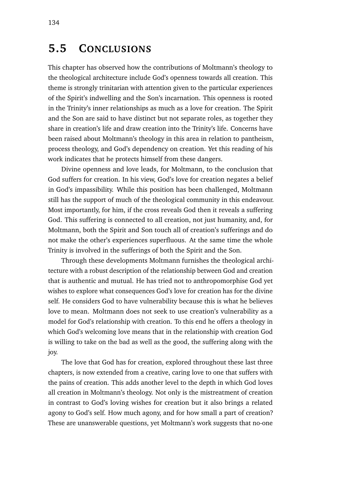## **5.5 CONCLUSIONS**

This chapter has observed how the contributions of Moltmann's theology to the theological architecture include God's openness towards all creation. This theme is strongly trinitarian with attention given to the particular experiences of the Spirit's indwelling and the Son's incarnation. This openness is rooted in the Trinity's inner relationships as much as a love for creation. The Spirit and the Son are said to have distinct but not separate roles, as together they share in creation's life and draw creation into the Trinity's life. Concerns have been raised about Moltmann's theology in this area in relation to pantheism, process theology, and God's dependency on creation. Yet this reading of his work indicates that he protects himself from these dangers.

Divine openness and love leads, for Moltmann, to the conclusion that God suffers for creation. In his view, God's love for creation negates a belief in God's impassibility. While this position has been challenged, Moltmann still has the support of much of the theological community in this endeavour. Most importantly, for him, if the cross reveals God then it reveals a suffering God. This suffering is connected to all creation, not just humanity, and, for Moltmann, both the Spirit and Son touch all of creation's sufferings and do not make the other's experiences superfluous. At the same time the whole Trinity is involved in the sufferings of both the Spirit and the Son.

Through these developments Moltmann furnishes the theological architecture with a robust description of the relationship between God and creation that is authentic and mutual. He has tried not to anthropomorphise God yet wishes to explore what consequences God's love for creation has for the divine self. He considers God to have vulnerability because this is what he believes love to mean. Moltmann does not seek to use creation's vulnerability as a model for God's relationship with creation. To this end he offers a theology in which God's welcoming love means that in the relationship with creation God is willing to take on the bad as well as the good, the suffering along with the joy.

The love that God has for creation, explored throughout these last three chapters, is now extended from a creative, caring love to one that suffers with the pains of creation. This adds another level to the depth in which God loves all creation in Moltmann's theology. Not only is the mistreatment of creation in contrast to God's loving wishes for creation but it also brings a related agony to God's self. How much agony, and for how small a part of creation? These are unanswerable questions, yet Moltmann's work suggests that no-one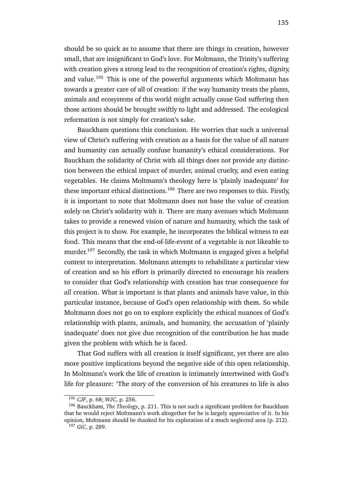should be so quick as to assume that there are things in creation, however small, that are insignificant to God's love. For Moltmann, the Trinity's suffering with creation gives a strong lead to the recognition of creation's rights, dignity, and value.<sup>195</sup> This is one of the powerful arguments which Moltmann has towards a greater care of all of creation: if the way humanity treats the plants, animals and ecosystems of this world might actually cause God suffering then those actions should be brought swiftly to light and addressed. The ecological reformation is not simply for creation's sake.

Bauckham questions this conclusion. He worries that such a universal view of Christ's suffering with creation as a basis for the value of all nature and humanity can actually confuse humanity's ethical considerations. For Bauckham the solidarity of Christ with all things does not provide any distinction between the ethical impact of murder, animal cruelty, and even eating vegetables. He claims Moltmann's theology here is 'plainly inadequate' for these important ethical distinctions.<sup>196</sup> There are two responses to this. Firstly, it is important to note that Moltmann does not base the value of creation solely on Christ's solidarity with it. There are many avenues which Moltmann takes to provide a renewed vision of nature and humanity, which the task of this project is to show. For example, he incorporates the biblical witness to eat food. This means that the end-of-life-event of a vegetable is not likeable to murder.<sup>197</sup> Secondly, the task in which Moltmann is engaged gives a helpful context to interpretation. Moltmann attempts to rehabilitate a particular view of creation and so his effort is primarily directed to encourage his readers to consider that God's relationship with creation has true consequence for *all* creation. What is important is that plants and animals have value, in this particular instance, because of God's open relationship with them. So while Moltmann does not go on to explore explicitly the ethical nuances of God's relationship with plants, animals, and humanity, the accusation of 'plainly inadequate' does not give due recognition of the contribution he has made given the problem with which he is faced.

That God suffers with all creation is itself significant, yet there are also more positive implications beyond the negative side of this open relationship. In Moltmann's work the life of creation is intimately intertwined with God's life for pleasure: 'The story of the conversion of his creatures to life is also

<sup>195</sup> *CJF*, p. 68; *WJC*, p. 256.

<sup>196</sup> Bauckham, *The Theology*, p. 211. This is not such a significant problem for Bauckham that he would reject Moltmann's work altogether for he is largely appreciative of it. In his opinion, Moltmann should be thanked for his exploration of a much neglected area (p. 212).

<sup>197</sup> *GiC*, p. 289.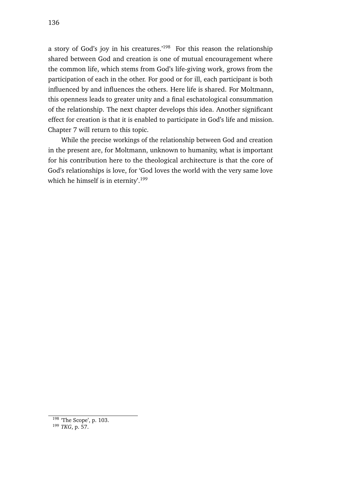a story of God's joy in his creatures.'<sup>198</sup> For this reason the relationship shared between God and creation is one of mutual encouragement where the common life, which stems from God's life-giving work, grows from the participation of each in the other. For good or for ill, each participant is both influenced by and influences the others. Here life is shared. For Moltmann, this openness leads to greater unity and a final eschatological consummation of the relationship. The next chapter develops this idea. Another significant effect for creation is that it is enabled to participate in God's life and mission. Chapter 7 will return to this topic.

While the precise workings of the relationship between God and creation in the present are, for Moltmann, unknown to humanity, what is important for his contribution here to the theological architecture is that the core of God's relationships is love, for 'God loves the world with the very same love which he himself is in eternity'.<sup>199</sup>

 $198$  'The Scope', p. 103.

<sup>199</sup> *TKG*, p. 57.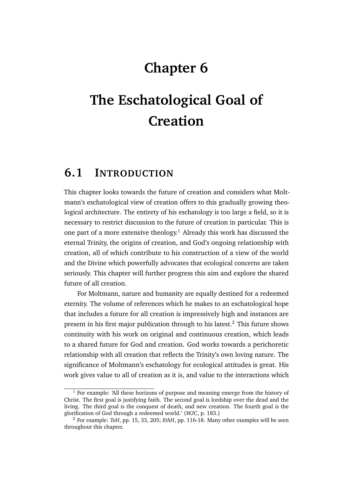## **Chapter 6**

# **The Eschatological Goal of Creation**

## **6.1 INTRODUCTION**

This chapter looks towards the future of creation and considers what Moltmann's eschatological view of creation offers to this gradually growing theological architecture. The entirety of his eschatology is too large a field, so it is necessary to restrict discussion to the future of creation in particular. This is one part of a more extensive theology.<sup>1</sup> Already this work has discussed the eternal Trinity, the origins of creation, and God's ongoing relationship with creation, all of which contribute to his construction of a view of the world and the Divine which powerfully advocates that ecological concerns are taken seriously. This chapter will further progress this aim and explore the shared future of all creation.

For Moltmann, nature and humanity are equally destined for a redeemed eternity. The volume of references which he makes to an eschatological hope that includes a future for all creation is impressively high and instances are present in his first major publication through to his latest. $<sup>2</sup>$  This future shows</sup> continuity with his work on original and continuous creation, which leads to a shared future for God and creation. God works towards a perichoretic relationship with all creation that reflects the Trinity's own loving nature. The significance of Moltmann's eschatology for ecological attitudes is great. His work gives value to all of creation as it is, and value to the interactions which

 $<sup>1</sup>$  For example: 'All these horizons of purpose and meaning emerge from the history of</sup> Christ. The first goal is justifying faith. The second goal is lordship over the dead and the living. The third goal is the conquest of death, and new creation. The fourth goal is the glorification of God through a redeemed world.' (*WJC*, p. 183.)

<sup>2</sup> For example: *ToH*, pp. 15, 33, 205; *EthH*, pp. 116-18. Many other examples will be seen throughout this chapter.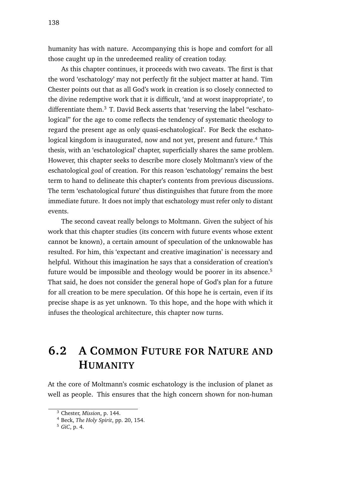humanity has with nature. Accompanying this is hope and comfort for all those caught up in the unredeemed reality of creation today.

As this chapter continues, it proceeds with two caveats. The first is that the word 'eschatology' may not perfectly fit the subject matter at hand. Tim Chester points out that as all God's work in creation is so closely connected to the divine redemptive work that it is difficult, 'and at worst inappropriate', to differentiate them. $3$  T. David Beck asserts that 'reserving the label "eschatological" for the age to come reflects the tendency of systematic theology to regard the present age as only quasi-eschatological'. For Beck the eschatological kingdom is inaugurated, now and not yet, present and future.<sup>4</sup> This thesis, with an 'eschatological' chapter, superficially shares the same problem. However, this chapter seeks to describe more closely Moltmann's view of the eschatological *goal* of creation. For this reason 'eschatology' remains the best term to hand to delineate this chapter's contents from previous discussions. The term 'eschatological future' thus distinguishes that future from the more immediate future. It does not imply that eschatology must refer only to distant events.

The second caveat really belongs to Moltmann. Given the subject of his work that this chapter studies (its concern with future events whose extent cannot be known), a certain amount of speculation of the unknowable has resulted. For him, this 'expectant and creative imagination' is necessary and helpful. Without this imagination he says that a consideration of creation's future would be impossible and theology would be poorer in its absence.<sup>5</sup> That said, he does not consider the general hope of God's plan for a future for all creation to be mere speculation. Of this hope he is certain, even if its precise shape is as yet unknown. To this hope, and the hope with which it infuses the theological architecture, this chapter now turns.

## **6.2 A COMMON FUTURE FOR NATURE AND HUMANITY**

At the core of Moltmann's cosmic eschatology is the inclusion of planet as well as people. This ensures that the high concern shown for non-human

<sup>3</sup> Chester, *Mission*, p. 144.

<sup>4</sup> Beck, *The Holy Spirit*, pp. 20, 154.

<sup>5</sup> *GiC*, p. 4.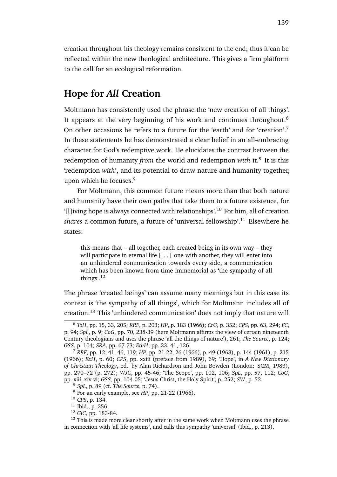creation throughout his theology remains consistent to the end; thus it can be reflected within the new theological architecture. This gives a firm platform to the call for an ecological reformation.

### **Hope for** *All* **Creation**

Moltmann has consistently used the phrase the 'new creation of all things'. It appears at the very beginning of his work and continues throughout.<sup>6</sup> On other occasions he refers to a future for the 'earth' and for 'creation'.<sup>7</sup> In these statements he has demonstrated a clear belief in an all-embracing character for God's redemptive work. He elucidates the contrast between the redemption of humanity *from* the world and redemption with it.<sup>8</sup> It is this 'redemption *with*', and its potential to draw nature and humanity together, upon which he focuses.<sup>9</sup>

For Moltmann, this common future means more than that both nature and humanity have their own paths that take them to a future existence, for '[l]iving hope is always connected with relationships'.<sup>10</sup> For him, all of creation *shares* a common future, a future of 'universal fellowship'.<sup>11</sup> Elsewhere he states:

this means that – all together, each created being in its own way – they will participate in eternal life  $[...]$  one with another, they will enter into an unhindered communication towards every side, a communication which has been known from time immemorial as 'the sympathy of all things'.<sup>12</sup>

The phrase 'created beings' can assume many meanings but in this case its context is 'the sympathy of all things', which for Moltmann includes all of creation.<sup>13</sup> This 'unhindered communication' does not imply that nature will

<sup>6</sup> *ToH*, pp. 15, 33, 205; *RRF*, p. 203; *HP*, p. 183 (1966); *CrG*, p. 352; *CPS*, pp. 63, 294; *FC*, p. 94; *SpL*, p. 9; *CoG*, pp. 70, 238-39 (here Moltmann affirms the view of certain nineteenth Century theologians and uses the phrase 'all the things of nature'), 261; *The Source*, p. 124; *GSS*, p. 104; *SRA*, pp. 67-73; *EthH*, pp. 23, 41, 126.

<sup>7</sup> *RRF*, pp. 12, 41, 46, 119; *HP*, pp. 21-22, 26 (1966), p. 49 (1968), p. 144 (1961), p. 215 (1966); *ExH*, p. 60; *CPS*, pp. xxiii (preface from 1989), 69; 'Hope', in *A New Dictionary of Christian Theology*, ed. by Alan Richardson and John Bowden (London: SCM, 1983), pp. 270–72 (p. 272); *WJC*, pp. 45-46; 'The Scope', pp. 102, 106; *SpL*, pp. 57, 112; *CoG*, pp. xiii, xiv-vi; *GSS*, pp. 104-05; 'Jesus Christ, the Holy Spirit', p. 252; *SW*, p. 52.

<sup>8</sup> *SpL*, p. 89 (cf. *The Source*, p. 74).

<sup>9</sup> For an early example, see *HP*, pp. 21-22 (1966).

<sup>10</sup> *CPS*, p. 134.

<sup>11</sup> Ibid., p. 256.

<sup>12</sup> *GiC*, pp. 183-84.

<sup>&</sup>lt;sup>13</sup> This is made more clear shortly after in the same work when Moltmann uses the phrase in connection with 'all life systems', and calls this sympathy 'universal' (Ibid., p. 213).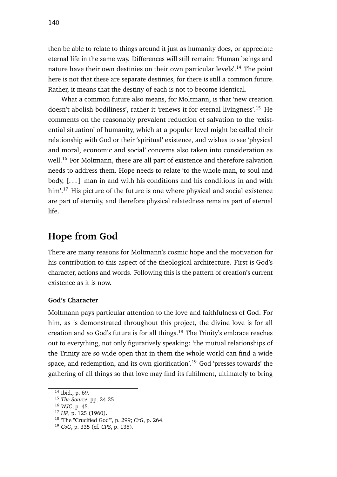then be able to relate to things around it just as humanity does, or appreciate eternal life in the same way. Differences will still remain: 'Human beings and nature have their own destinies on their own particular levels'.<sup>14</sup> The point here is not that these are separate destinies, for there is still a common future. Rather, it means that the destiny of each is not to become identical.

What a common future also means, for Moltmann, is that 'new creation doesn't abolish bodiliness', rather it 'renews it for eternal livingness'.<sup>15</sup> He comments on the reasonably prevalent reduction of salvation to the 'existential situation' of humanity, which at a popular level might be called their relationship with God or their 'spiritual' existence, and wishes to see 'physical and moral, economic and social' concerns also taken into consideration as well.<sup>16</sup> For Moltmann, these are all part of existence and therefore salvation needs to address them. Hope needs to relate 'to the whole man, to soul and body,  $[...]$  man in and with his conditions and his conditions in and with him'.<sup>17</sup> His picture of the future is one where physical and social existence are part of eternity, and therefore physical relatedness remains part of eternal life.

### **Hope from God**

There are many reasons for Moltmann's cosmic hope and the motivation for his contribution to this aspect of the theological architecture. First is God's character, actions and words. Following this is the pattern of creation's current existence as it is now.

#### **God's Character**

Moltmann pays particular attention to the love and faithfulness of God. For him, as is demonstrated throughout this project, the divine love is for all creation and so God's future is for all things.<sup>18</sup> The Trinity's embrace reaches out to everything, not only figuratively speaking: 'the mutual relationships of the Trinity are so wide open that in them the whole world can find a wide space, and redemption, and its own glorification'.<sup>19</sup> God 'presses towards' the gathering of all things so that love may find its fulfilment, ultimately to bring

<sup>14</sup> Ibid., p. 69.

<sup>15</sup> *The Source*, pp. 24-25.

<sup>16</sup> *WJC*, p. 45.

<sup>17</sup> *HP*, p. 125 (1960).

<sup>18</sup> 'The "Crucified God"', p. 299; *CrG*, p. 264.

<sup>19</sup> *CoG*, p. 335 (cf. *CPS*, p. 135).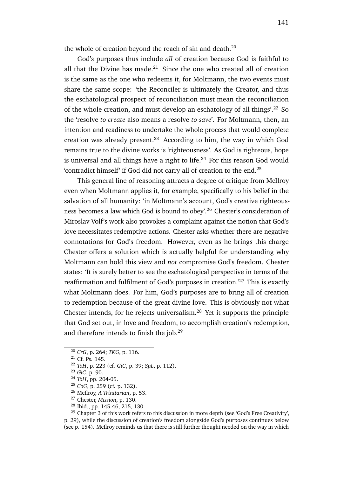the whole of creation beyond the reach of sin and death. $^{20}$ 

God's purposes thus include *all* of creation because God is faithful to all that the Divine has made. $21$  Since the one who created all of creation is the same as the one who redeems it, for Moltmann, the two events must share the same scope: 'the Reconciler is ultimately the Creator, and thus the eschatological prospect of reconciliation must mean the reconciliation of the whole creation, and must develop an eschatology of all things'.<sup>22</sup> So the 'resolve *to create* also means a resolve *to save*'. For Moltmann, then, an intention and readiness to undertake the whole process that would complete creation was already present. $23$  According to him, the way in which God remains true to the divine works is 'righteousness'. As God is righteous, hope is universal and all things have a right to life. $24$  For this reason God would 'contradict himself' if God did not carry all of creation to the end.<sup>25</sup>

This general line of reasoning attracts a degree of critique from McIlroy even when Moltmann applies it, for example, specifically to his belief in the salvation of all humanity: 'in Moltmann's account, God's creative righteousness becomes a law which God is bound to obey'.<sup>26</sup> Chester's consideration of Miroslav Volf's work also provokes a complaint against the notion that God's love necessitates redemptive actions. Chester asks whether there are negative connotations for God's freedom. However, even as he brings this charge Chester offers a solution which is actually helpful for understanding why Moltmann can hold this view and *not* compromise God's freedom. Chester states: 'It is surely better to see the eschatological perspective in terms of the reaffirmation and fulfilment of God's purposes in creation.'<sup>27</sup> This is exactly what Moltmann does. For him, God's purposes are to bring all of creation to redemption because of the great divine love. This is obviously not what Chester intends, for he rejects universalism. $^{28}$  Yet it supports the principle that God set out, in love and freedom, to accomplish creation's redemption, and therefore intends to finish the job.<sup>29</sup>

<sup>29</sup> Chapter 3 of this work refers to this discussion in more depth (see 'God's Free Creativity', p. 29), while the discussion of creation's freedom alongside God's purposes continues below (see p. 154). McIlroy reminds us that there is still further thought needed on the way in which

<sup>20</sup> *CrG*, p. 264; *TKG*, p. 116.

<sup>21</sup> Cf. Ps. 145.

<sup>22</sup> *ToH*, p. 223 (cf. *GiC*, p. 39; *SpL*, p. 112).

<sup>23</sup> *GiC*, p. 90.

<sup>24</sup> *ToH*, pp. 204-05.

<sup>25</sup> *CoG*, p. 259 (cf. p. 132).

<sup>26</sup> McIlroy, *A Trinitarian*, p. 53.

<sup>27</sup> Chester, *Mission*, p. 130.

<sup>28</sup> Ibid., pp. 145-46, 215, 130.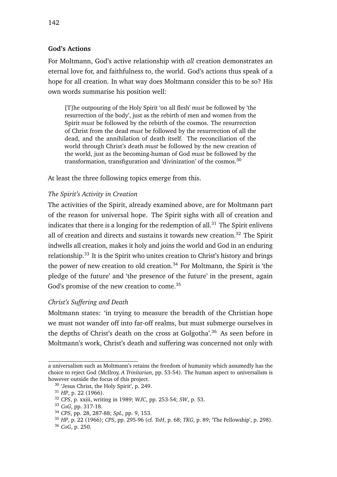### **God's Actions**

For Moltmann, God's active relationship with *all* creation demonstrates an eternal love for, and faithfulness to, the world. God's actions thus speak of a hope for all creation. In what way does Moltmann consider this to be so? His own words summarise his position well:

[T]he outpouring of the Holy Spirit 'on all flesh' *must* be followed by 'the resurrection of the body', just as the rebirth of men and women from the Spirit *must* be followed by the rebirth of the cosmos. The resurrection of Christ from the dead *must* be followed by the resurrection of all the dead, and the annihilation of death itself. The reconciliation of the world through Christ's death *must* be followed by the new creation of the world, just as the becoming-human of God *must* be followed by the transformation, transfiguration and 'divinization' of the cosmos.<sup>30</sup>

At least the three following topics emerge from this.

### *The Spirit's Activity in Creation*

The activities of the Spirit, already examined above, are for Moltmann part of the reason for universal hope. The Spirit sighs with all of creation and indicates that there is a longing for the redemption of all.<sup>31</sup> The Spirit enlivens all of creation and directs and sustains it towards new creation.<sup>32</sup> The Spirit indwells all creation, makes it holy and joins the world and God in an enduring relationship.<sup>33</sup> It is the Spirit who unites creation to Christ's history and brings the power of new creation to old creation.<sup>34</sup> For Moltmann, the Spirit is 'the pledge of the future' and 'the presence of the future' in the present, again God's promise of the new creation to come.<sup>35</sup>

### *Christ's Suffering and Death*

Moltmann states: 'in trying to measure the breadth of the Christian hope we must not wander off into far-off realms, but must submerge ourselves in the depths of Christ's death on the cross at Golgotha'.<sup>36</sup> As seen before in Moltmann's work, Christ's death and suffering was concerned not only with

a universalism such as Moltmann's retains the freedom of humanity which assumedly has the choice to reject God (McIlroy, *A Trinitarian*, pp. 53-54). The human aspect to universalism is however outside the focus of this project.

<sup>&</sup>lt;sup>30</sup> 'Jesus Christ, the Holy Spirit', p. 249.

<sup>31</sup> *HP*, p. 22 (1966).

<sup>32</sup> *CPS*, p. xxiii, writing in 1989; *WJC*, pp. 253-54; *SW*, p. 53.

<sup>33</sup> *CoG*, pp. 317-18.

<sup>34</sup> *CPS*, pp. 28, 287-88; *SpL*, pp. 9, 153.

<sup>35</sup> *HP*, p. 22 (1966); *CPS*, pp. 295-96 (cf. *ToH*, p. 68; *TKG*, p. 89; 'The Fellowship', p. 298).

<sup>36</sup> *CoG*, p. 250.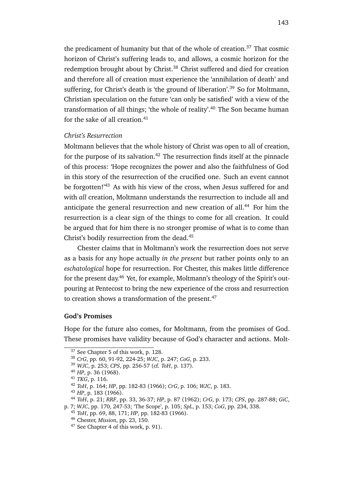the predicament of humanity but that of the whole of creation.<sup>37</sup> That cosmic horizon of Christ's suffering leads to, and allows, a cosmic horizon for the redemption brought about by Christ.<sup>38</sup> Christ suffered and died for creation and therefore all of creation must experience the 'annihilation of death' and suffering, for Christ's death is 'the ground of liberation'.<sup>39</sup> So for Moltmann, Christian speculation on the future 'can only be satisfied' with a view of the transformation of all things; 'the whole of reality'.<sup>40</sup> The Son became human for the sake of all creation. $41$ 

#### *Christ's Resurrection*

Moltmann believes that the whole history of Christ was open to all of creation, for the purpose of its salvation.<sup>42</sup> The resurrection finds itself at the pinnacle of this process: 'Hope recognizes the power and also the faithfulness of God in this story of the resurrection of the crucified one. Such an event cannot be forgotten!<sup>'43</sup> As with his view of the cross, when Jesus suffered for and with *all* creation, Moltmann understands the resurrection to include all and anticipate the general resurrection and new creation of all.<sup>44</sup> For him the resurrection is a clear sign of the things to come for all creation. It could be argued that for him there is no stronger promise of what is to come than Christ's bodily resurrection from the dead.<sup>45</sup>

Chester claims that in Moltmann's work the resurrection does not serve as a basis for any hope actually *in the present* but rather points only to an *eschatological* hope for resurrection. For Chester, this makes little difference for the present day.<sup>46</sup> Yet, for example, Moltmann's theology of the Spirit's outpouring at Pentecost to bring the new experience of the cross and resurrection to creation shows a transformation of the present.<sup>47</sup>

#### **God's Promises**

Hope for the future also comes, for Moltmann, from the promises of God. These promises have validity because of God's character and actions. Molt-

<sup>39</sup> *WJC*, p. 253; *CPS*, pp. 256-57 (cf. *ToH*, p. 137).

<sup>&</sup>lt;sup>37</sup> See Chapter 5 of this work, p. 128.

<sup>38</sup> *CrG*, pp. 60, 91-92, 224-25; *WJC*, p. 247; *CoG*, p. 233.

<sup>40</sup> *HP*, p. 36 (1968).

<sup>41</sup> *TKG*, p. 116.

<sup>42</sup> *ToH*, p. 164; *HP*, pp. 182-83 (1966); *CrG*, p. 106; *WJC*, p. 183.

<sup>43</sup> *HP*, p. 183 (1966).

<sup>44</sup> *ToH*, p. 21; *RRF*, pp. 33, 36-37; *HP*, p. 87 (1962); *CrG*, p. 173; *CPS*, pp. 287-88; *GiC*,

p. 7; *WJC*, pp. 170, 247-53; 'The Scope', p. 105; *SpL*, p. 153; *CoG*, pp. 234, 338.

<sup>45</sup> *ToH*, pp. 69, 88, 171; *HP*, pp. 182-83 (1966).

<sup>46</sup> Chester, *Mission*, pp. 23, 150.

 $47$  See Chapter 4 of this work, p. 91).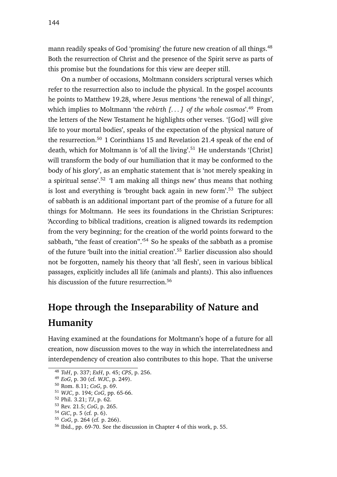mann readily speaks of God 'promising' the future new creation of all things.<sup>48</sup> Both the resurrection of Christ and the presence of the Spirit serve as parts of this promise but the foundations for this view are deeper still.

On a number of occasions, Moltmann considers scriptural verses which refer to the resurrection also to include the physical. In the gospel accounts he points to Matthew 19.28, where Jesus mentions 'the renewal of all things', which implies to Moltmann 'the *rebirth [. . . ] of the whole cosmos*'.<sup>49</sup> From the letters of the New Testament he highlights other verses. '[God] will give life to your mortal bodies', speaks of the expectation of the physical nature of the resurrection.<sup>50</sup> 1 Corinthians 15 and Revelation 21.4 speak of the end of death, which for Moltmann is 'of all the living'.<sup>51</sup> He understands '[Christ] will transform the body of our humiliation that it may be conformed to the body of his glory', as an emphatic statement that is 'not merely speaking in a spiritual sense'.<sup>52</sup> 'I am making all things new' thus means that nothing is lost and everything is 'brought back again in new form'.<sup>53</sup> The subject of sabbath is an additional important part of the promise of a future for all things for Moltmann. He sees its foundations in the Christian Scriptures: 'According to biblical traditions, creation is aligned towards its redemption from the very beginning; for the creation of the world points forward to the sabbath, "the feast of creation".<sup>54</sup> So he speaks of the sabbath as a promise of the future 'built into the initial creation'.<sup>55</sup> Earlier discussion also should not be forgotten, namely his theory that 'all flesh', seen in various biblical passages, explicitly includes all life (animals and plants). This also influences his discussion of the future resurrection.<sup>56</sup>

## **Hope through the Inseparability of Nature and Humanity**

Having examined at the foundations for Moltmann's hope of a future for all creation, now discussion moves to the way in which the interrelatedness and interdependency of creation also contributes to this hope. That the universe

<sup>55</sup> *CoG*, p. 264 (cf. p. 266).

<sup>48</sup> *ToH*, p. 337; *ExH*, p. 45; *CPS*, p. 256.

<sup>49</sup> *EoG*, p. 30 (cf. *WJC*, p. 249).

<sup>50</sup> Rom. 8.11; *CoG*, p. 69.

<sup>51</sup> *WJC*, p. 194; *CoG*, pp. 65-66.

<sup>52</sup> Phil. 3.21; *TJ*, p. 62.

<sup>53</sup> Rev. 21.5; *CoG*, p. 265.

<sup>54</sup> *GiC*, p. 5 (cf. p. 6).

<sup>56</sup> Ibid., pp. 69-70. See the discussion in Chapter 4 of this work, p. 55.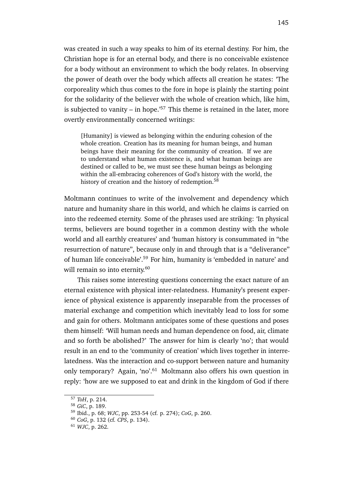was created in such a way speaks to him of its eternal destiny. For him, the Christian hope is for an eternal body, and there is no conceivable existence for a body without an environment to which the body relates. In observing the power of death over the body which affects all creation he states: 'The corporeality which thus comes to the fore in hope is plainly the starting point for the solidarity of the believer with the whole of creation which, like him, is subjected to vanity – in hope.<sup> $57$ </sup> This theme is retained in the later, more overtly environmentally concerned writings:

[Humanity] is viewed as belonging within the enduring cohesion of the whole creation. Creation has its meaning for human beings, and human beings have their meaning for the community of creation. If we are to understand what human existence is, and what human beings are destined or called to be, we must see these human beings as belonging within the all-embracing coherences of God's history with the world, the history of creation and the history of redemption.<sup>58</sup>

Moltmann continues to write of the involvement and dependency which nature and humanity share in this world, and which he claims is carried on into the redeemed eternity. Some of the phrases used are striking: 'In physical terms, believers are bound together in a common destiny with the whole world and all earthly creatures' and 'human history is consummated in "the resurrection of nature", because only in and through that is a "deliverance" of human life conceivable'.<sup>59</sup> For him, humanity is 'embedded in nature' and will remain so into eternity.<sup>60</sup>

This raises some interesting questions concerning the exact nature of an eternal existence with physical inter-relatedness. Humanity's present experience of physical existence is apparently inseparable from the processes of material exchange and competition which inevitably lead to loss for some and gain for others. Moltmann anticipates some of these questions and poses them himself: 'Will human needs and human dependence on food, air, climate and so forth be abolished?' The answer for him is clearly 'no'; that would result in an end to the 'community of creation' which lives together in interrelatedness. Was the interaction and co-support between nature and humanity only temporary? Again, 'no'.<sup>61</sup> Moltmann also offers his own question in reply: 'how are we supposed to eat and drink in the kingdom of God if there

<sup>57</sup> *ToH*, p. 214.

<sup>58</sup> *GiC*, p. 189.

<sup>59</sup> Ibid., p. 68; *WJC*, pp. 253-54 (cf. p. 274); *CoG*, p. 260.

<sup>60</sup> *CoG*, p. 132 (cf. *CPS*, p. 134).

<sup>61</sup> *WJC*, p. 262.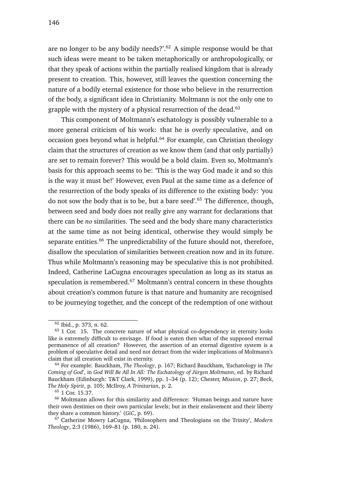are no longer to be any bodily needs?'.<sup>62</sup> A simple response would be that such ideas were meant to be taken metaphorically or anthropologically, or that they speak of actions within the partially realised kingdom that is already present to creation. This, however, still leaves the question concerning the nature of a bodily eternal existence for those who believe in the resurrection of the body, a significant idea in Christianity. Moltmann is not the only one to grapple with the mystery of a physical resurrection of the dead. $63$ 

This component of Moltmann's eschatology is possibly vulnerable to a more general criticism of his work: that he is overly speculative, and on occasion goes beyond what is helpful.<sup>64</sup> For example, can Christian theology claim that the structures of creation as we know them (and that only partially) are set to remain forever? This would be a bold claim. Even so, Moltmann's basis for this approach seems to be: 'This is the way God made it and so this is the way it must be!' However, even Paul at the same time as a defence of the resurrection of the body speaks of its difference to the existing body: 'you do not sow the body that is to be, but a bare seed'.<sup>65</sup> The difference, though, between seed and body does not really give any warrant for declarations that there can be *no* similarities. The seed and the body share many characteristics at the same time as not being identical, otherwise they would simply be separate entities.<sup>66</sup> The unpredictability of the future should not, therefore, disallow the speculation of similarities between creation now and in its future. Thus while Moltmann's reasoning may be speculative this is not prohibited. Indeed, Catherine LaCugna encourages speculation as long as its status as speculation is remembered.<sup>67</sup> Moltmann's central concern in these thoughts about creation's common future is that nature and humanity are recognised to be journeying together, and the concept of the redemption of one without

<sup>62</sup> Ibid., p. 373, n. 62.

 $63$  1 Cor. 15. The concrete nature of what physical co-dependency in eternity looks like is extremely difficult to envisage. If food is eaten then what of the supposed eternal permanence of all creation? However, the assertion of an eternal digestive system is a problem of speculative detail and need not detract from the wider implications of Moltmann's claim that all creation will exist in eternity.

<sup>64</sup> For example: Bauckham, *The Theology*, p. 167; Richard Bauckham, 'Eschatology in *The Coming of God*', in *God Will Be All In All: The Eschatology of Jürgen Moltmann*, ed. by Richard Bauckham (Edinburgh: T&T Clark, 1999), pp. 1–34 (p. 12); Chester, *Mission*, p. 27; Beck, *The Holy Spirit*, p. 105; McIlroy, *A Trinitarian*, p. 2.

<sup>65</sup> 1 Cor. 15.37.

<sup>66</sup> Moltmann allows for this similarity and difference: 'Human beings and nature have their own destinies on their own particular levels; but in their enslavement and their liberty they share a common history.' (*GiC*, p. 69).

<sup>67</sup> Catherine Mowry LaCugna, 'Philosophers and Theologians on the Trinity', *Modern Theology*, 2:3 (1986), 169–81 (p. 180, n. 24).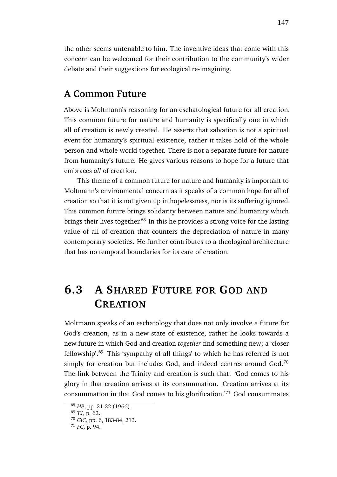the other seems untenable to him. The inventive ideas that come with this concern can be welcomed for their contribution to the community's wider debate and their suggestions for ecological re-imagining.

### **A Common Future**

Above is Moltmann's reasoning for an eschatological future for all creation. This common future for nature and humanity is specifically one in which all of creation is newly created. He asserts that salvation is not a spiritual event for humanity's spiritual existence, rather it takes hold of the whole person and whole world together. There is not a separate future for nature from humanity's future. He gives various reasons to hope for a future that embraces *all* of creation.

This theme of a common future for nature and humanity is important to Moltmann's environmental concern as it speaks of a common hope for all of creation so that it is not given up in hopelessness, nor is its suffering ignored. This common future brings solidarity between nature and humanity which brings their lives together.<sup>68</sup> In this he provides a strong voice for the lasting value of all of creation that counters the depreciation of nature in many contemporary societies. He further contributes to a theological architecture that has no temporal boundaries for its care of creation.

## **6.3 A SHARED FUTURE FOR GOD AND CREATION**

Moltmann speaks of an eschatology that does not only involve a future for God's creation, as in a new state of existence, rather he looks towards a new future in which God and creation *together* find something new; a 'closer fellowship'.<sup>69</sup> This 'sympathy of all things' to which he has referred is not simply for creation but includes God, and indeed centres around God.<sup>70</sup> The link between the Trinity and creation is such that: 'God comes to his glory in that creation arrives at its consummation. Creation arrives at its consummation in that God comes to his glorification.'<sup>71</sup> God consummates

<sup>68</sup> *HP*, pp. 21-22 (1966).

<sup>69</sup> *TJ*, p. 62.

<sup>70</sup> *GiC*, pp. 6, 183-84, 213.

<sup>71</sup> *FC*, p. 94.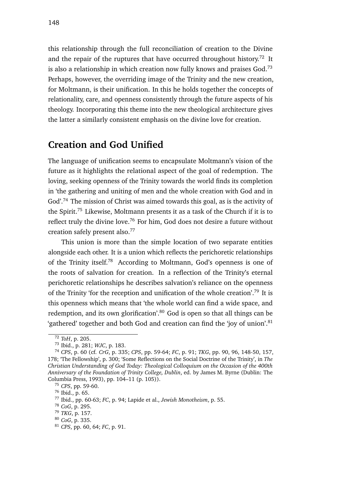148

this relationship through the full reconciliation of creation to the Divine and the repair of the ruptures that have occurred throughout history.<sup>72</sup> It is also a relationship in which creation now fully knows and praises God.<sup>73</sup> Perhaps, however, the overriding image of the Trinity and the new creation, for Moltmann, is their unification. In this he holds together the concepts of relationality, care, and openness consistently through the future aspects of his theology. Incorporating this theme into the new theological architecture gives the latter a similarly consistent emphasis on the divine love for creation.

## **Creation and God Unified**

The language of unification seems to encapsulate Moltmann's vision of the future as it highlights the relational aspect of the goal of redemption. The loving, seeking openness of the Trinity towards the world finds its completion in 'the gathering and uniting of men and the whole creation with God and in God'.<sup>74</sup> The mission of Christ was aimed towards this goal, as is the activity of the Spirit.<sup>75</sup> Likewise, Moltmann presents it as a task of the Church if it is to reflect truly the divine love.<sup>76</sup> For him, God does not desire a future without creation safely present also.<sup>77</sup>

This union is more than the simple location of two separate entities alongside each other. It is a union which reflects the perichoretic relationships of the Trinity itself.<sup>78</sup> According to Moltmann, God's openness is one of the roots of salvation for creation. In a reflection of the Trinity's eternal perichoretic relationships he describes salvation's reliance on the openness of the Trinity 'for the reception and unification of the whole creation'.<sup>79</sup> It is this openness which means that 'the whole world can find a wide space, and redemption, and its own glorification'.<sup>80</sup> God is open so that all things can be 'gathered' together and both God and creation can find the 'joy of union'.<sup>81</sup>

<sup>72</sup> *ToH*, p. 205.

<sup>73</sup> Ibid., p. 281; *WJC*, p. 183.

<sup>74</sup> *CPS*, p. 60 (cf. *CrG*, p. 335; *CPS*, pp. 59-64; *FC*, p. 91; *TKG*, pp. 90, 96, 148-50, 157, 178; 'The Fellowship', p. 300; 'Some Reflections on the Social Doctrine of the Trinity', in *The Christian Understanding of God Today: Theological Colloquium on the Occasion of the 400th Anniversary of the Foundation of Trinity College, Dublin*, ed. by James M. Byrne (Dublin: The Columbia Press, 1993), pp. 104–11 (p. 105)).

<sup>75</sup> *CPS*, pp. 59-60.

<sup>76</sup> Ibid., p. 65.

<sup>77</sup> Ibid., pp. 60-63; *FC*, p. 94; Lapide et al., *Jewish Monotheism*, p. 55.

<sup>78</sup> *CoG*, p. 295.

<sup>79</sup> *TKG*, p. 157.

<sup>80</sup> *CoG*, p. 335.

<sup>81</sup> *CPS*, pp. 60, 64; *FC*, p. 91.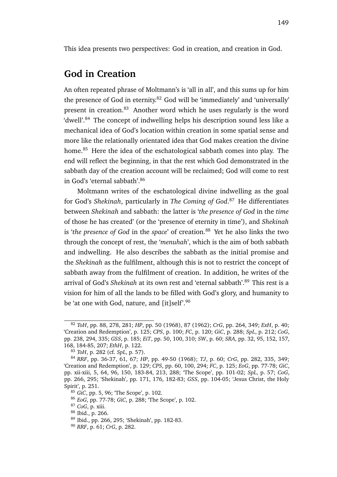### **God in Creation**

An often repeated phrase of Moltmann's is 'all in all', and this sums up for him the presence of God in eternity.<sup>82</sup> God will be 'immediately' and 'universally' present in creation.<sup>83</sup> Another word which he uses regularly is the word 'dwell'.<sup>84</sup> The concept of indwelling helps his description sound less like a mechanical idea of God's location within creation in some spatial sense and more like the relationally orientated idea that God makes creation the divine home.<sup>85</sup> Here the idea of the eschatological sabbath comes into play. The end will reflect the beginning, in that the rest which God demonstrated in the sabbath day of the creation account will be reclaimed; God will come to rest in God's 'eternal sabbath'.<sup>86</sup>

Moltmann writes of the eschatological divine indwelling as the goal for God's *Shekinah*, particularly in *The Coming of God*. <sup>87</sup> He differentiates between *Shekinah* and sabbath: the latter is '*the presence of God* in the *time* of those he has created' (or the 'presence of eternity in time'), and *Shekinah* is 'the presence of God in the *space*' of creation.<sup>88</sup> Yet he also links the two through the concept of rest, the '*menuhah*', which is the aim of both sabbath and indwelling. He also describes the sabbath as the initial promise and the *Shekinah* as the fulfilment, although this is not to restrict the concept of sabbath away from the fulfilment of creation. In addition, he writes of the arrival of God's *Shekinah* at its own rest and 'eternal sabbath'.<sup>89</sup> This rest is a vision for him of all the lands to be filled with God's glory, and humanity to be 'at one with God, nature, and [it]self'.<sup>90</sup>

<sup>82</sup> *ToH*, pp. 88, 278, 281; *HP*, pp. 50 (1968), 87 (1962); *CrG*, pp. 264, 349; *ExH*, p. 40; 'Creation and Redemption', p. 125; *CPS*, p. 100; *FC*, p. 120; *GiC*, p. 288; *SpL*, p. 212; *CoG*, pp. 238, 294, 335; *GSS*, p. 185; *EiT*, pp. 50, 100, 310; *SW*, p. 60; *SRA*, pp. 32, 95, 152, 157, 168, 184-85, 207; *EthH*, p. 122.

<sup>83</sup> *ToH*, p. 282 (cf. *SpL*, p. 57).

<sup>84</sup> *RRF*, pp. 36-37, 61, 67; *HP*, pp. 49-50 (1968); *TJ*, p. 60; *CrG*, pp. 282, 335, 349; 'Creation and Redemption', p. 129; *CPS*, pp. 60, 100, 294; *FC*, p. 125; *EoG*, pp. 77-78; *GiC*, pp. xii-xiii, 5, 64, 96, 150, 183-84, 213, 288; 'The Scope', pp. 101-02; *SpL*, p. 57; *CoG*, pp. 266, 295; 'Shekinah', pp. 171, 176, 182-83; *GSS*, pp. 104-05; 'Jesus Christ, the Holy Spirit', p. 251.

<sup>85</sup> *GiC*, pp. 5, 96; 'The Scope', p. 102.

<sup>86</sup> *EoG*, pp. 77-78; *GiC*, p. 288; 'The Scope', p. 102.

<sup>87</sup> *CoG*, p. xiii.

<sup>88</sup> Ibid., p. 266.

<sup>89</sup> Ibid., pp. 266, 295; 'Shekinah', pp. 182-83.

<sup>90</sup> *RRF*, p. 61; *CrG*, p. 282.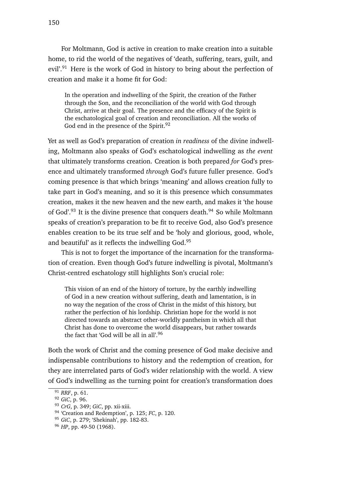For Moltmann, God is active in creation to make creation into a suitable home, to rid the world of the negatives of 'death, suffering, tears, guilt, and evil'.<sup>91</sup> Here is the work of God in history to bring about the perfection of creation and make it a home fit for God:

In the operation and indwelling of the Spirit, the creation of the Father through the Son, and the reconciliation of the world with God through Christ, arrive at their goal. The presence and the efficacy of the Spirit is the eschatological goal of creation and reconciliation. All the works of God end in the presence of the Spirit.<sup>92</sup>

Yet as well as God's preparation of creation *in readiness* of the divine indwelling, Moltmann also speaks of God's eschatological indwelling as *the event* that ultimately transforms creation. Creation is both prepared *for* God's presence and ultimately transformed *through* God's future fuller presence. God's coming presence is that which brings 'meaning' and allows creation fully to take part in God's meaning, and so it is this presence which consummates creation, makes it the new heaven and the new earth, and makes it 'the house of God'.<sup>93</sup> It is the divine presence that conquers death.<sup>94</sup> So while Moltmann speaks of creation's preparation to be fit to receive God, also God's presence enables creation to be its true self and be 'holy and glorious, good, whole, and beautiful' as it reflects the indwelling God.<sup>95</sup>

This is not to forget the importance of the incarnation for the transformation of creation. Even though God's future indwelling is pivotal, Moltmann's Christ-centred eschatology still highlights Son's crucial role:

This vision of an end of the history of torture, by the earthly indwelling of God in a new creation without suffering, death and lamentation, is in no way the negation of the cross of Christ in the midst of this history, but rather the perfection of his lordship. Christian hope for the world is not directed towards an abstract other-worldly pantheism in which all that Christ has done to overcome the world disappears, but rather towards the fact that 'God will be all in all'.<sup>96</sup>

Both the work of Christ and the coming presence of God make decisive and indispensable contributions to history and the redemption of creation, for they are interrelated parts of God's wider relationship with the world. A view of God's indwelling as the turning point for creation's transformation does

<sup>91</sup> *RRF*, p. 61.

<sup>92</sup> *GiC*, p. 96.

<sup>93</sup> *CrG*, p. 349; *GiC*, pp. xii-xiii.

<sup>94</sup> 'Creation and Redemption', p. 125; *FC*, p. 120.

<sup>95</sup> *GiC*, p. 279; 'Shekinah', pp. 182-83.

<sup>96</sup> *HP*, pp. 49-50 (1968).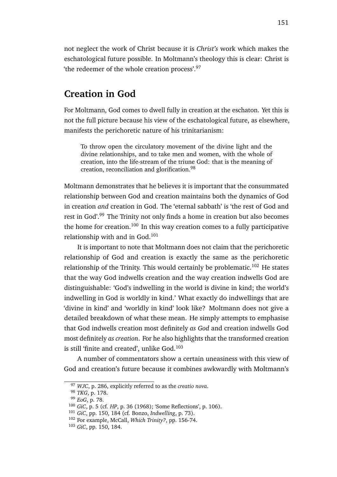not neglect the work of Christ because it is *Christ's* work which makes the eschatological future possible. In Moltmann's theology this is clear: Christ is 'the redeemer of the whole creation process'.<sup>97</sup>

### **Creation in God**

For Moltmann, God comes to dwell fully in creation at the eschaton. Yet this is not the full picture because his view of the eschatological future, as elsewhere, manifests the perichoretic nature of his trinitarianism:

To throw open the circulatory movement of the divine light and the divine relationships, and to take men and women, with the whole of creation, into the life-stream of the triune God: that is the meaning of creation, reconciliation and glorification.<sup>98</sup>

Moltmann demonstrates that he believes it is important that the consummated relationship between God and creation maintains both the dynamics of God in creation *and* creation in God. The 'eternal sabbath' is 'the rest of God and rest in God'.<sup>99</sup> The Trinity not only finds a home in creation but also becomes the home for creation.<sup>100</sup> In this way creation comes to a fully participative relationship with and in God. $101$ 

It is important to note that Moltmann does not claim that the perichoretic relationship of God and creation is exactly the same as the perichoretic relationship of the Trinity. This would certainly be problematic.<sup>102</sup> He states that the way God indwells creation and the way creation indwells God are distinguishable: 'God's indwelling in the world is divine in kind; the world's indwelling in God is worldly in kind.' What exactly do indwellings that are 'divine in kind' and 'worldly in kind' look like? Moltmann does not give a detailed breakdown of what these mean. He simply attempts to emphasise that God indwells creation most definitely *as God* and creation indwells God most definitely *as creation*. For he also highlights that the transformed creation is still 'finite and created', unlike  $God.<sup>103</sup>$ 

A number of commentators show a certain uneasiness with this view of God and creation's future because it combines awkwardly with Moltmann's

<sup>97</sup> *WJC*, p. 286, explicitly referred to as the *creatio nova*.

<sup>98</sup> *TKG*, p. 178.

<sup>99</sup> *EoG*, p. 78.

<sup>100</sup> *GiC*, p. 5 (cf. *HP*, p. 36 (1968); 'Some Reflections', p. 106).

<sup>101</sup> *GiC*, pp. 150, 184 (cf. Bonzo, *Indwelling*, p. 73).

<sup>102</sup> For example, McCall, *Which Trinity?*, pp. 156-74.

<sup>103</sup> *GiC*, pp. 150, 184.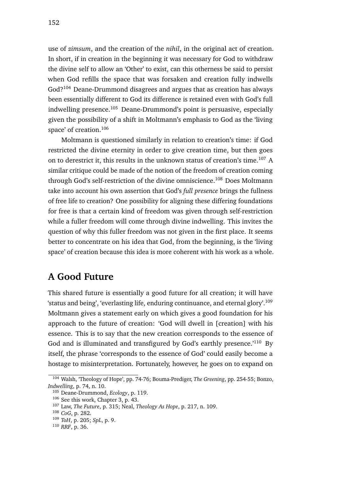use of *zimsum*, and the creation of the *nihil*, in the original act of creation. In short, if in creation in the beginning it was necessary for God to withdraw the divine self to allow an 'Other' to exist, can this otherness be said to persist when God refills the space that was forsaken and creation fully indwells God?<sup>104</sup> Deane-Drummond disagrees and argues that as creation has always been essentially different to God its difference is retained even with God's full indwelling presence.<sup>105</sup> Deane-Drummond's point is persuasive, especially given the possibility of a shift in Moltmann's emphasis to God as the 'living space' of creation.<sup>106</sup>

Moltmann is questioned similarly in relation to creation's time: if God restricted the divine eternity in order to give creation time, but then goes on to derestrict it, this results in the unknown status of creation's time.<sup>107</sup> A similar critique could be made of the notion of the freedom of creation coming through God's self-restriction of the divine omniscience.<sup>108</sup> Does Moltmann take into account his own assertion that God's *full presence* brings the fullness of free life to creation? One possibility for aligning these differing foundations for free is that a certain kind of freedom was given through self-restriction while a fuller freedom will come through divine indwelling. This invites the question of why this fuller freedom was not given in the first place. It seems better to concentrate on his idea that God, from the beginning, is the 'living space' of creation because this idea is more coherent with his work as a whole.

## **A Good Future**

This shared future is essentially a good future for all creation; it will have 'status and being', 'everlasting life, enduring continuance, and eternal glory'.<sup>109</sup> Moltmann gives a statement early on which gives a good foundation for his approach to the future of creation: 'God will dwell in [creation] with his essence. This is to say that the new creation corresponds to the essence of God and is illuminated and transfigured by God's earthly presence.<sup>'110</sup> By itself, the phrase 'corresponds to the essence of God' could easily become a hostage to misinterpretation. Fortunately, however, he goes on to expand on

<sup>104</sup> Walsh, 'Theology of Hope', pp. 74-76; Bouma-Prediger, *The Greening*, pp. 254-55; Bonzo, *Indwelling*, p. 74, n. 10.

<sup>105</sup> Deane-Drummond, *Ecology*, p. 119.

<sup>106</sup> See this work, Chapter 3, p. 43.

<sup>107</sup> Law, *The Future*, p. 315; Neal, *Theology As Hope*, p. 217, n. 109.

<sup>108</sup> *CoG*, p. 282.

<sup>109</sup> *ToH*, p. 205; *SpL*, p. 9.

<sup>110</sup> *RRF*, p. 36.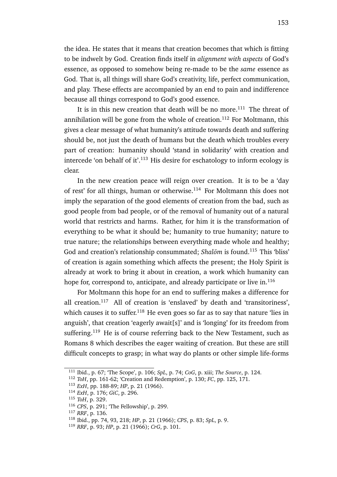the idea. He states that it means that creation becomes that which is fitting to be indwelt by God. Creation finds itself in *alignment with aspects* of God's essence, as opposed to somehow being re-made to be the *same* essence as God. That is, all things will share God's creativity, life, perfect communication, and play. These effects are accompanied by an end to pain and indifference because all things correspond to God's good essence.

It is in this new creation that death will be no more.<sup>111</sup> The threat of annihilation will be gone from the whole of creation.<sup>112</sup> For Moltmann, this gives a clear message of what humanity's attitude towards death and suffering should be, not just the death of humans but the death which troubles every part of creation: humanity should 'stand in solidarity' with creation and intercede 'on behalf of it'.<sup>113</sup> His desire for eschatology to inform ecology is clear.

In the new creation peace will reign over creation. It is to be a 'day of rest' for all things, human or otherwise.<sup>114</sup> For Moltmann this does not imply the separation of the good elements of creation from the bad, such as good people from bad people, or of the removal of humanity out of a natural world that restricts and harms. Rather, for him it is the transformation of everything to be what it should be; humanity to true humanity; nature to true nature; the relationships between everything made whole and healthy; God and creation's relationship consummated; *Shalom* is found.<sup>115</sup> This 'bliss' of creation is again something which affects the present; the Holy Spirit is already at work to bring it about in creation, a work which humanity can hope for, correspond to, anticipate, and already participate or live in. $116$ 

For Moltmann this hope for an end to suffering makes a difference for all creation.<sup>117</sup> All of creation is 'enslaved' by death and 'transitoriness', which causes it to suffer.<sup>118</sup> He even goes so far as to say that nature 'lies in anguish', that creation 'eagerly await[s]' and is 'longing' for its freedom from suffering.<sup>119</sup> He is of course referring back to the New Testament, such as Romans 8 which describes the eager waiting of creation. But these are still difficult concepts to grasp; in what way do plants or other simple life-forms

<sup>111</sup> Ibid., p. 67; 'The Scope', p. 106; *SpL*, p. 74; *CoG*, p. xiii; *The Source*, p. 124.

<sup>112</sup> *ToH*, pp. 161-62; 'Creation and Redemption', p. 130; *FC*, pp. 125, 171.

<sup>113</sup> *ExH*, pp. 188-89; *HP*, p. 21 (1966).

<sup>114</sup> *ExH*, p. 176; *GiC*, p. 296.

<sup>115</sup> *ToH*, p. 329.

<sup>116</sup> *CPS*, p. 291; 'The Fellowship', p. 299.

<sup>117</sup> *RRF*, p. 136.

<sup>118</sup> Ibid., pp. 74, 93, 218; *HP*, p. 21 (1966); *CPS*, p. 83; *SpL*, p. 9.

<sup>119</sup> *RRF*, p. 93; *HP*, p. 21 (1966); *CrG*, p. 101.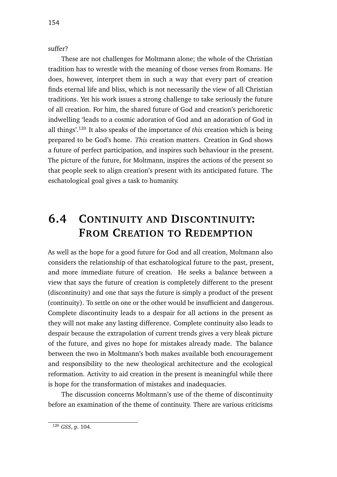suffer?

These are not challenges for Moltmann alone; the whole of the Christian tradition has to wrestle with the meaning of those verses from Romans. He does, however, interpret them in such a way that every part of creation finds eternal life and bliss, which is not necessarily the view of all Christian traditions. Yet his work issues a strong challenge to take seriously the future of all creation. For him, the shared future of God and creation's perichoretic indwelling 'leads to a cosmic adoration of God and an adoration of God in all things'.<sup>120</sup> It also speaks of the importance of *this* creation which is being prepared to be God's home. *This* creation matters. Creation in God shows a future of perfect participation, and inspires such behaviour in the present. The picture of the future, for Moltmann, inspires the actions of the present so that people seek to align creation's present with its anticipated future. The eschatological goal gives a task to humanity.

## **6.4 CONTINUITY AND DISCONTINUITY: FROM CREATION TO REDEMPTION**

As well as the hope for a good future for God and all creation, Moltmann also considers the relationship of that eschatological future to the past, present, and more immediate future of creation. He seeks a balance between a view that says the future of creation is completely different to the present (discontinuity) and one that says the future is simply a product of the present (continuity). To settle on one or the other would be insufficient and dangerous. Complete discontinuity leads to a despair for all actions in the present as they will not make any lasting difference. Complete continuity also leads to despair because the extrapolation of current trends gives a very bleak picture of the future, and gives no hope for mistakes already made. The balance between the two in Moltmann's both makes available both encouragement and responsibility to the new theological architecture and the ecological reformation. Activity to aid creation in the present is meaningful while there is hope for the transformation of mistakes and inadequacies.

The discussion concerns Moltmann's use of the theme of discontinuity before an examination of the theme of continuity. There are various criticisms

<sup>120</sup> *GSS*, p. 104.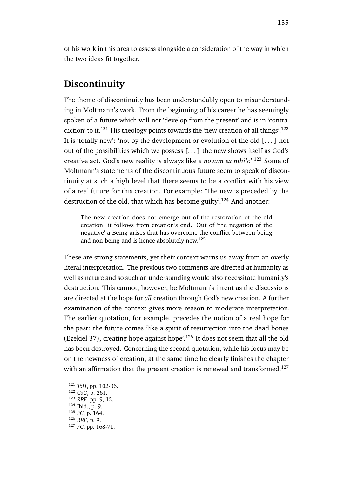of his work in this area to assess alongside a consideration of the way in which the two ideas fit together.

### **Discontinuity**

The theme of discontinuity has been understandably open to misunderstanding in Moltmann's work. From the beginning of his career he has seemingly spoken of a future which will not 'develop from the present' and is in 'contradiction' to it.<sup>121</sup> His theology points towards the 'new creation of all things'.<sup>122</sup> It is 'totally new': 'not by the development or evolution of the old [. . . ] not out of the possibilities which we possess [. . . ] the new shows itself as God's creative act. God's new reality is always like a *novum ex nihilo*'.<sup>123</sup> Some of Moltmann's statements of the discontinuous future seem to speak of discontinuity at such a high level that there seems to be a conflict with his view of a real future for this creation. For example: 'The new is preceded by the destruction of the old, that which has become guilty'.<sup>124</sup> And another:

The new creation does not emerge out of the restoration of the old creation; it follows from creation's end. Out of 'the negation of the negative' a Being arises that has overcome the conflict between being and non-being and is hence absolutely new.<sup>125</sup>

These are strong statements, yet their context warns us away from an overly literal interpretation. The previous two comments are directed at humanity as well as nature and so such an understanding would also necessitate humanity's destruction. This cannot, however, be Moltmann's intent as the discussions are directed at the hope for *all* creation through God's new creation. A further examination of the context gives more reason to moderate interpretation. The earlier quotation, for example, precedes the notion of a real hope for the past: the future comes 'like a spirit of resurrection into the dead bones (Ezekiel 37), creating hope against hope'.<sup>126</sup> It does not seem that all the old has been destroyed. Concerning the second quotation, while his focus may be on the newness of creation, at the same time he clearly finishes the chapter with an affirmation that the present creation is renewed and transformed.<sup>127</sup>

<sup>121</sup> *ToH*, pp. 102-06.

<sup>122</sup> *CoG*, p. 261.

<sup>123</sup> *RRF*, pp. 9, 12.

<sup>124</sup> Ibid., p. 9.

<sup>125</sup> *FC*, p. 164.

<sup>126</sup> *RRF*, p. 9.

<sup>127</sup> *FC*, pp. 168-71.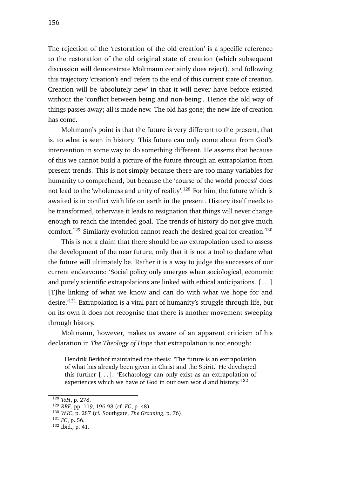The rejection of the 'restoration of the old creation' is a specific reference to the restoration of the old original state of creation (which subsequent discussion will demonstrate Moltmann certainly does reject), and following this trajectory 'creation's end' refers to the end of this current state of creation. Creation will be 'absolutely new' in that it will never have before existed without the 'conflict between being and non-being'. Hence the old way of things passes away; all is made new. The old has gone; the new life of creation has come.

Moltmann's point is that the future is very different to the present, that is, to what is seen in history. This future can only come about from God's intervention in some way to do something different. He asserts that because of this we cannot build a picture of the future through an extrapolation from present trends. This is not simply because there are too many variables for humanity to comprehend, but because the 'course of the world process' does not lead to the 'wholeness and unity of reality'.<sup>128</sup> For him, the future which is awaited is in conflict with life on earth in the present. History itself needs to be transformed, otherwise it leads to resignation that things will never change enough to reach the intended goal. The trends of history do not give much comfort.<sup>129</sup> Similarly evolution cannot reach the desired goal for creation.<sup>130</sup>

This is not a claim that there should be *no* extrapolation used to assess the development of the near future, only that it is not a tool to declare what the future will ultimately be. Rather it is a way to judge the successes of our current endeavours: 'Social policy only emerges when sociological, economic and purely scientific extrapolations are linked with ethical anticipations. [. . . ] [T]he linking of what we know and can do with what we hope for and desire.'<sup>131</sup> Extrapolation is a vital part of humanity's struggle through life, but on its own it does not recognise that there is another movement sweeping through history.

Moltmann, however, makes us aware of an apparent criticism of his declaration in *The Theology of Hope* that extrapolation is not enough:

Hendrik Berkhof maintained the thesis: 'The future is an extrapolation of what has already been given in Christ and the Spirit.' He developed this further  $[...]$ : 'Eschatology can only exist as an extrapolation of experiences which we have of God in our own world and history.<sup>132</sup>

<sup>128</sup> *ToH*, p. 278.

<sup>129</sup> *RRF*, pp. 119, 196-98 (cf. *FC*, p. 48).

<sup>130</sup> *WJC*, p. 287 (cf. Southgate, *The Groaning*, p. 76).

<sup>131</sup> *FC*, p. 56.

<sup>132</sup> Ibid., p. 41.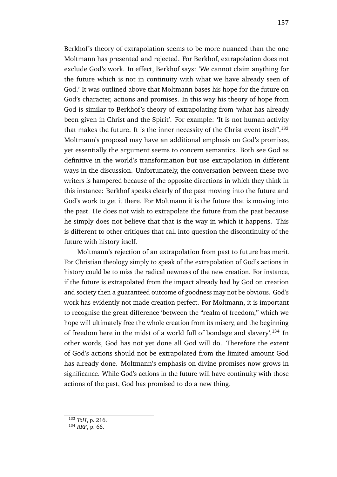Berkhof's theory of extrapolation seems to be more nuanced than the one Moltmann has presented and rejected. For Berkhof, extrapolation does not exclude God's work. In effect, Berkhof says: 'We cannot claim anything for the future which is not in continuity with what we have already seen of God.' It was outlined above that Moltmann bases his hope for the future on God's character, actions and promises. In this way his theory of hope from God is similar to Berkhof's theory of extrapolating from 'what has already been given in Christ and the Spirit'. For example: 'It is not human activity that makes the future. It is the inner necessity of the Christ event itself'.<sup>133</sup> Moltmann's proposal may have an additional emphasis on God's promises, yet essentially the argument seems to concern semantics. Both see God as definitive in the world's transformation but use extrapolation in different ways in the discussion. Unfortunately, the conversation between these two writers is hampered because of the opposite directions in which they think in this instance: Berkhof speaks clearly of the past moving into the future and God's work to get it there. For Moltmann it is the future that is moving into the past. He does not wish to extrapolate the future from the past because

he simply does not believe that that is the way in which it happens. This is different to other critiques that call into question the discontinuity of the future with history itself.

Moltmann's rejection of an extrapolation from past to future has merit. For Christian theology simply to speak of the extrapolation of God's actions in history could be to miss the radical newness of the new creation. For instance, if the future is extrapolated from the impact already had by God on creation and society then a guaranteed outcome of goodness may not be obvious. God's work has evidently not made creation perfect. For Moltmann, it is important to recognise the great difference 'between the "realm of freedom," which we hope will ultimately free the whole creation from its misery, and the beginning of freedom here in the midst of a world full of bondage and slavery'.<sup>134</sup> In other words, God has not yet done all God will do. Therefore the extent of God's actions should not be extrapolated from the limited amount God has already done. Moltmann's emphasis on divine promises now grows in significance. While God's actions in the future will have continuity with those actions of the past, God has promised to do a new thing.

<sup>133</sup> *ToH*, p. 216.

<sup>134</sup> *RRF*, p. 66.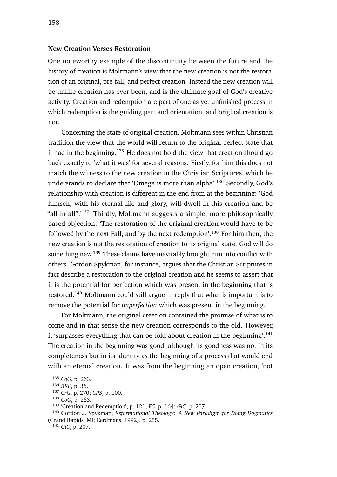#### **New Creation Verses Restoration**

One noteworthy example of the discontinuity between the future and the history of creation is Moltmann's view that the new creation is not the restoration of an original, pre-fall, and perfect creation. Instead the new creation will be unlike creation has ever been, and is the ultimate goal of God's creative activity. Creation and redemption are part of one as yet unfinished process in which redemption is the guiding part and orientation, and original creation is not.

Concerning the state of original creation, Moltmann sees within Christian tradition the view that the world will return to the original perfect state that it had in the beginning.<sup>135</sup> He does not hold the view that creation should go back exactly to 'what it was' for several reasons. Firstly, for him this does not match the witness to the new creation in the Christian Scriptures, which he understands to declare that 'Omega is more than alpha'.<sup>136</sup> Secondly, God's relationship with creation is different in the end from at the beginning: 'God himself, with his eternal life and glory, will dwell in this creation and be "all in all".'<sup>137</sup> Thirdly, Moltmann suggests a simple, more philosophically based objection: 'The restoration of the original creation would have to be followed by the next Fall, and by the next redemption'.<sup>138</sup> For him then, the new creation is not the restoration of creation to its original state. God will do something new.<sup>139</sup> These claims have inevitably brought him into conflict with others. Gordon Spykman, for instance, argues that the Christian Scriptures in fact describe a restoration to the original creation and he seems to assert that it is the potential for perfection which was present in the beginning that is restored.<sup>140</sup> Moltmann could still argue in reply that what is important is to remove the potential for *imperfection* which was present in the beginning.

For Moltmann, the original creation contained the promise of what is to come and in that sense the new creation corresponds to the old. However, it 'surpasses everything that can be told about creation in the beginning'.<sup>141</sup> The creation in the beginning was good, although its goodness was not in its completeness but in its identity as the beginning of a process that would end with an eternal creation. It was from the beginning an open creation, 'not

<sup>135</sup> *CoG*, p. 263.

<sup>136</sup> *RRF*, p. 36.

<sup>137</sup> *CrG*, p. 270; *CPS*, p. 100.

<sup>138</sup> *CoG*, p. 263.

<sup>139</sup> 'Creation and Redemption', p. 121; *FC*, p. 164; *GiC*, p. 207.

<sup>140</sup> Gordon J. Spykman, *Reformational Theology: A New Paradigm for Doing Dogmatics* (Grand Rapids, MI: Eerdmans, 1992), p. 255.

<sup>141</sup> *GiC*, p. 207.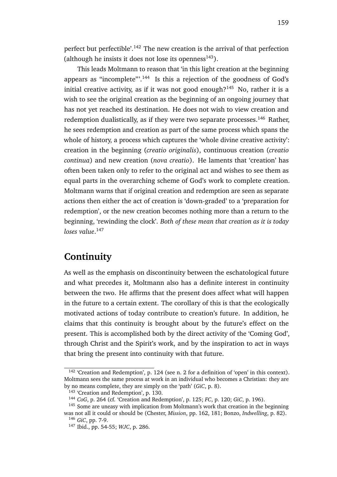perfect but perfectible'.<sup>142</sup> The new creation is the arrival of that perfection (although he insists it does not lose its openness<sup>143</sup>).

This leads Moltmann to reason that 'in this light creation at the beginning appears as "incomplete"'.<sup>144</sup> Is this a rejection of the goodness of God's initial creative activity, as if it was not good enough? $145$  No, rather it is a wish to see the original creation as the beginning of an ongoing journey that has not yet reached its destination. He does not wish to view creation and redemption dualistically, as if they were two separate processes.<sup>146</sup> Rather, he sees redemption and creation as part of the same process which spans the whole of history, a process which captures the 'whole divine creative activity': creation in the beginning (*creatio originalis*), continuous creation (*creatio continua*) and new creation (*nova creatio*). He laments that 'creation' has often been taken only to refer to the original act and wishes to see them as equal parts in the overarching scheme of God's work to complete creation. Moltmann warns that if original creation and redemption are seen as separate actions then either the act of creation is 'down-graded' to a 'preparation for redemption', or the new creation becomes nothing more than a return to the beginning, 'rewinding the clock'. *Both of these mean that creation as it is today loses value*. 147

### **Continuity**

As well as the emphasis on discontinuity between the eschatological future and what precedes it, Moltmann also has a definite interest in continuity between the two. He affirms that the present does affect what will happen in the future to a certain extent. The corollary of this is that the ecologically motivated actions of today contribute to creation's future. In addition, he claims that this continuity is brought about by the future's effect on the present. This is accomplished both by the direct activity of the 'Coming God', through Christ and the Spirit's work, and by the inspiration to act in ways that bring the present into continuity with that future.

<sup>142</sup> 'Creation and Redemption', p. 124 (see n. 2 for a definition of 'open' in this context). Moltmann sees the same process at work in an individual who becomes a Christian: they are by no means complete, they are simply on the 'path' (*GiC*, p. 8).

<sup>&</sup>lt;sup>143</sup> 'Creation and Redemption', p. 130.

<sup>144</sup> *CoG*, p. 264 (cf. 'Creation and Redemption', p. 125; *FC*, p. 120; *GiC*, p. 196).

<sup>145</sup> Some are uneasy with implication from Moltmann's work that creation in the beginning was not all it could or should be (Chester, *Mission*, pp. 162, 181; Bonzo, *Indwelling*, p. 82).

<sup>146</sup> *GiC*, pp. 7-9.

<sup>147</sup> Ibid., pp. 54-55; *WJC*, p. 286.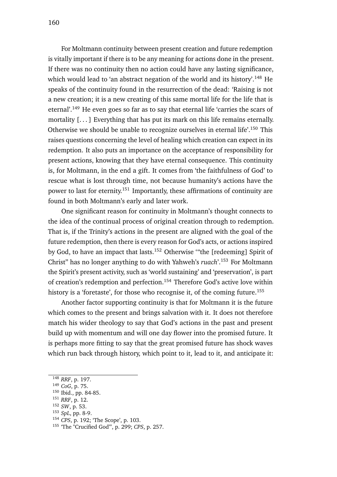For Moltmann continuity between present creation and future redemption is vitally important if there is to be any meaning for actions done in the present. If there was no continuity then no action could have any lasting significance, which would lead to 'an abstract negation of the world and its history'.<sup>148</sup> He speaks of the continuity found in the resurrection of the dead: 'Raising is not a new creation; it is a new creating of this same mortal life for the life that is eternal'.<sup>149</sup> He even goes so far as to say that eternal life 'carries the scars of mortality [...] Everything that has put its mark on this life remains eternally. Otherwise we should be unable to recognize ourselves in eternal life'.<sup>150</sup> This raises questions concerning the level of healing which creation can expect in its redemption. It also puts an importance on the acceptance of responsibility for present actions, knowing that they have eternal consequence. This continuity is, for Moltmann, in the end a gift. It comes from 'the faithfulness of God' to rescue what is lost through time, not because humanity's actions have the power to last for eternity.<sup>151</sup> Importantly, these affirmations of continuity are found in both Moltmann's early and later work.

One significant reason for continuity in Moltmann's thought connects to the idea of the continual process of original creation through to redemption. That is, if the Trinity's actions in the present are aligned with the goal of the future redemption, then there is every reason for God's acts, or actions inspired by God, to have an impact that lasts.<sup>152</sup> Otherwise '"the [redeeming] Spirit of Christ" has no longer anything to do with Yahweh's *ruach*'.<sup>153</sup> For Moltmann the Spirit's present activity, such as 'world sustaining' and 'preservation', is part of creation's redemption and perfection.<sup>154</sup> Therefore God's active love within history is a 'foretaste', for those who recognise it, of the coming future.<sup>155</sup>

Another factor supporting continuity is that for Moltmann it is the future which comes to the present and brings salvation with it. It does not therefore match his wider theology to say that God's actions in the past and present build up with momentum and will one day flower into the promised future. It is perhaps more fitting to say that the great promised future has shock waves which run back through history, which point to it, lead to it, and anticipate it:

<sup>151</sup> *RRF*, p. 12.

<sup>148</sup> *RRF*, p. 197.

<sup>149</sup> *CoG*, p. 75.

<sup>150</sup> Ibid., pp. 84-85.

<sup>152</sup> *SW*, p. 53.

<sup>153</sup> *SpL*, pp. 8-9.

<sup>154</sup> *CPS*, p. 192; 'The Scope', p. 103.

<sup>155</sup> 'The "Crucified God"', p. 299; *CPS*, p. 257.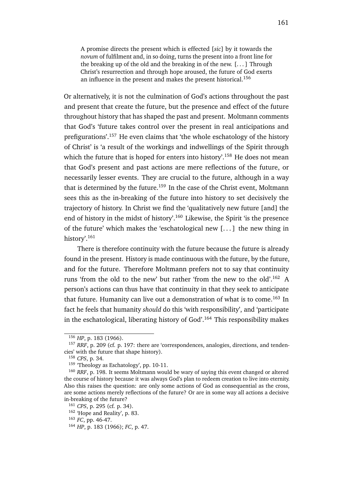A promise directs the present which is effected [*sic*] by it towards the *novum* of fulfilment and, in so doing, turns the present into a front line for the breaking up of the old and the breaking in of the new. [. . . ] Through Christ's resurrection and through hope aroused, the future of God exerts an influence in the present and makes the present historical.<sup>156</sup>

Or alternatively, it is not the culmination of God's actions throughout the past and present that create the future, but the presence and effect of the future throughout history that has shaped the past and present. Moltmann comments that God's 'future takes control over the present in real anticipations and prefigurations'.<sup>157</sup> He even claims that 'the whole eschatology of the history of Christ' is 'a result of the workings and indwellings of the Spirit through which the future that is hoped for enters into history'.<sup>158</sup> He does not mean that God's present and past actions are mere reflections of the future, or necessarily lesser events. They are crucial to the future, although in a way that is determined by the future.<sup>159</sup> In the case of the Christ event, Moltmann sees this as the in-breaking of the future into history to set decisively the trajectory of history. In Christ we find the 'qualitatively new future [and] the end of history in the midst of history'.<sup>160</sup> Likewise, the Spirit 'is the presence of the future' which makes the 'eschatological new [. . . ] the new thing in history'.<sup>161</sup>

There is therefore continuity with the future because the future is already found in the present. History is made continuous with the future, by the future, and for the future. Therefore Moltmann prefers not to say that continuity runs 'from the old to the new' but rather 'from the new to the old'.<sup>162</sup> A person's actions can thus have that continuity in that they seek to anticipate that future. Humanity can live out a demonstration of what is to come.<sup>163</sup> In fact he feels that humanity *should* do this 'with responsibility', and 'participate in the eschatological, liberating history of  $God$ <sup> $164$ </sup> This responsibility makes

<sup>156</sup> *HP*, p. 183 (1966).

<sup>157</sup> *RRF*, p. 209 (cf. p. 197: there are 'correspondences, analogies, directions, and tendencies' with the future that shape history).

<sup>158</sup> *CPS*, p. 34.

<sup>159</sup> 'Theology as Eschatology', pp. 10-11.

<sup>160</sup> *RRF*, p. 198. It seems Moltmann would be wary of saying this event changed or altered the course of history because it was always God's plan to redeem creation to live into eternity. Also this raises the question: are only some actions of God as consequential as the cross, are some actions merely reflections of the future? Or are in some way all actions a decisive in-breaking of the future?

<sup>161</sup> *CPS*, p. 295 (cf. p. 34).

<sup>162</sup> 'Hope and Reality', p. 83.

<sup>163</sup> *FC*, pp. 46-47.

<sup>164</sup> *HP*, p. 183 (1966); *FC*, p. 47.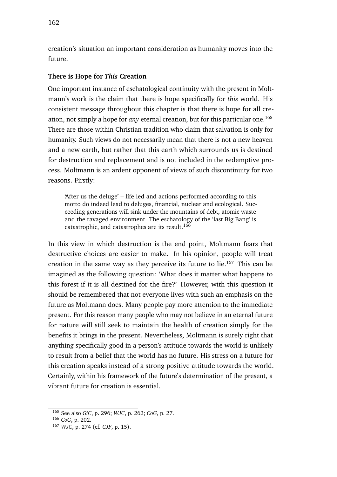creation's situation an important consideration as humanity moves into the future.

### **There is Hope for** *This* **Creation**

One important instance of eschatological continuity with the present in Moltmann's work is the claim that there is hope specifically for *this* world. His consistent message throughout this chapter is that there is hope for all creation, not simply a hope for *any* eternal creation, but for this particular one.<sup>165</sup> There are those within Christian tradition who claim that salvation is only for humanity. Such views do not necessarily mean that there is not a new heaven and a new earth, but rather that this earth which surrounds us is destined for destruction and replacement and is not included in the redemptive process. Moltmann is an ardent opponent of views of such discontinuity for two reasons. Firstly:

'After us the deluge' – life led and actions performed according to this motto do indeed lead to deluges, financial, nuclear and ecological. Succeeding generations will sink under the mountains of debt, atomic waste and the ravaged environment. The eschatology of the 'last Big Bang' is catastrophic, and catastrophes are its result.<sup>166</sup>

In this view in which destruction is the end point, Moltmann fears that destructive choices are easier to make. In his opinion, people will treat creation in the same way as they perceive its future to  $lie.<sup>167</sup>$  This can be imagined as the following question: 'What does it matter what happens to this forest if it is all destined for the fire?' However, with this question it should be remembered that not everyone lives with such an emphasis on the future as Moltmann does. Many people pay more attention to the immediate present. For this reason many people who may not believe in an eternal future for nature will still seek to maintain the health of creation simply for the benefits it brings in the present. Nevertheless, Moltmann is surely right that anything specifically good in a person's attitude towards the world is unlikely to result from a belief that the world has no future. His stress on a future for this creation speaks instead of a strong positive attitude towards the world. Certainly, within his framework of the future's determination of the present, a vibrant future for creation is essential.

<sup>165</sup> See also *GiC*, p. 296; *WJC*, p. 262; *CoG*, p. 27.

<sup>166</sup> *CoG*, p. 202.

<sup>167</sup> *WJC*, p. 274 (cf. *CJF*, p. 15).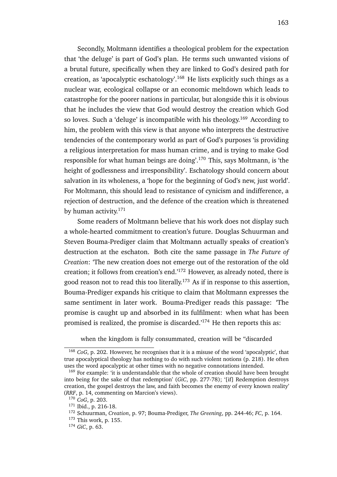Secondly, Moltmann identifies a theological problem for the expectation that 'the deluge' is part of God's plan. He terms such unwanted visions of a brutal future, specifically when they are linked to God's desired path for creation, as 'apocalyptic eschatology'.<sup>168</sup> He lists explicitly such things as a nuclear war, ecological collapse or an economic meltdown which leads to catastrophe for the poorer nations in particular, but alongside this it is obvious that he includes the view that God would destroy the creation which God so loves. Such a 'deluge' is incompatible with his theology.<sup>169</sup> According to him, the problem with this view is that anyone who interprets the destructive tendencies of the contemporary world as part of God's purposes 'is providing a religious interpretation for mass human crime, and is trying to make God responsible for what human beings are doing'.<sup>170</sup> This, says Moltmann, is 'the height of godlessness and irresponsibility'. Eschatology should concern about salvation in its wholeness, a 'hope for the beginning of God's new, just world'. For Moltmann, this should lead to resistance of cynicism and indifference, a rejection of destruction, and the defence of the creation which is threatened by human activity. $171$ 

Some readers of Moltmann believe that his work does not display such a whole-hearted commitment to creation's future. Douglas Schuurman and Steven Bouma-Prediger claim that Moltmann actually speaks of creation's destruction at the eschaton. Both cite the same passage in *The Future of Creation*: 'The new creation does not emerge out of the restoration of the old creation; it follows from creation's end.'<sup>172</sup> However, as already noted, there is good reason not to read this too literally.<sup>173</sup> As if in response to this assertion, Bouma-Prediger expands his critique to claim that Moltmann expresses the same sentiment in later work. Bouma-Prediger reads this passage: 'The promise is caught up and absorbed in its fulfilment: when what has been promised is realized, the promise is discarded.'<sup>174</sup> He then reports this as:

when the kingdom is fully consummated, creation will be "discarded

<sup>168</sup> *CoG*, p. 202. However, he recognises that it is a misuse of the word 'apocalyptic', that true apocalyptical theology has nothing to do with such violent notions (p. 218). He often uses the word apocalyptic at other times with no negative connotations intended.

<sup>&</sup>lt;sup>169</sup> For example: 'it is understandable that the whole of creation should have been brought into being for the sake of that redemption' (*GiC*, pp. 277-78); '[if] Redemption destroys creation, the gospel destroys the law, and faith becomes the enemy of every known reality' (*RRF*, p. 14, commenting on Marcion's views).

<sup>170</sup> *CoG*, p. 203.

<sup>171</sup> Ibid., p. 216-18.

<sup>172</sup> Schuurman, *Creation*, p. 97; Bouma-Prediger, *The Greening*, pp. 244-46; *FC*, p. 164.

<sup>173</sup> This work, p. 155.

<sup>174</sup> *GiC*, p. 63.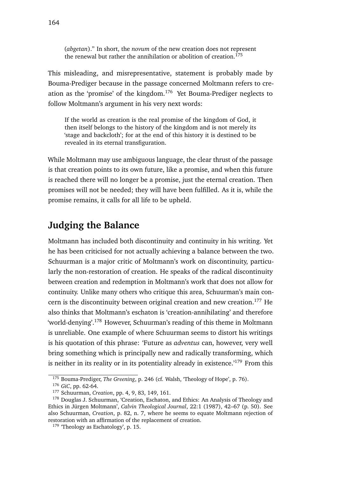(*abgetan*)." In short, the *novum* of the new creation does not represent the renewal but rather the annihilation or abolition of creation.<sup>175</sup>

This misleading, and misrepresentative, statement is probably made by Bouma-Prediger because in the passage concerned Moltmann refers to creation as the 'promise' of the kingdom.<sup>176</sup> Yet Bouma-Prediger neglects to follow Moltmann's argument in his very next words:

If the world as creation is the real promise of the kingdom of God, it then itself belongs to the history of the kingdom and is not merely its 'stage and backcloth'; for at the end of this history it is destined to be revealed in its eternal transfiguration.

While Moltmann may use ambiguous language, the clear thrust of the passage is that creation points to its own future, like a promise, and when this future is reached there will no longer be a promise, just the eternal creation. Then promises will not be needed; they will have been fulfilled. As it is, while the promise remains, it calls for all life to be upheld.

### **Judging the Balance**

Moltmann has included both discontinuity and continuity in his writing. Yet he has been criticised for not actually achieving a balance between the two. Schuurman is a major critic of Moltmann's work on discontinuity, particularly the non-restoration of creation. He speaks of the radical discontinuity between creation and redemption in Moltmann's work that does not allow for continuity. Unlike many others who critique this area, Schuurman's main concern is the discontinuity between original creation and new creation.<sup>177</sup> He also thinks that Moltmann's eschaton is 'creation-annihilating' and therefore 'world-denying'.<sup>178</sup> However, Schuurman's reading of this theme in Moltmann is unreliable. One example of where Schuurman seems to distort his writings is his quotation of this phrase: 'Future as *adventus* can, however, very well bring something which is principally new and radically transforming, which is neither in its reality or in its potentiality already in existence.<sup> $179$ </sup> From this

<sup>175</sup> Bouma-Prediger, *The Greening*, p. 246 (cf. Walsh, 'Theology of Hope', p. 76).

<sup>176</sup> *GiC*, pp. 62-64.

<sup>177</sup> Schuurman, *Creation*, pp. 4, 9, 83, 149, 161.

<sup>&</sup>lt;sup>178</sup> Douglas J. Schuurman, 'Creation, Eschaton, and Ethics: An Analysis of Theology and Ethics in Jürgen Moltmann', *Calvin Theological Journal*, 22:1 (1987), 42–67 (p. 50). See also Schuurman, *Creation*, p. 82, n. 7, where he seems to equate Moltmann rejection of restoration with an affirmation of the replacement of creation.

<sup>&</sup>lt;sup>179</sup> 'Theology as Eschatology', p. 15.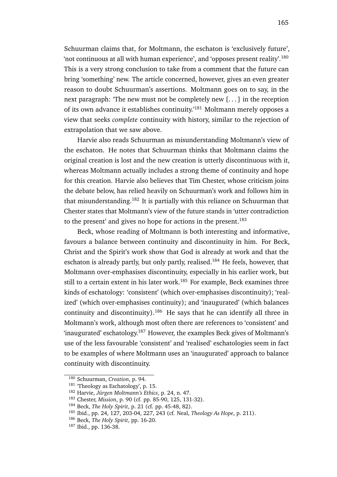Schuurman claims that, for Moltmann, the eschaton is 'exclusively future', 'not continuous at all with human experience', and 'opposes present reality'.<sup>180</sup> This is a very strong conclusion to take from a comment that the future can bring 'something' new. The article concerned, however, gives an even greater reason to doubt Schuurman's assertions. Moltmann goes on to say, in the next paragraph: 'The new must not be completely new [. . . ] in the reception of its own advance it establishes continuity.'<sup>181</sup> Moltmann merely opposes a view that seeks *complete* continuity with history, similar to the rejection of extrapolation that we saw above.

Harvie also reads Schuurman as misunderstanding Moltmann's view of the eschaton. He notes that Schuurman thinks that Moltmann claims the original creation is lost and the new creation is utterly discontinuous with it, whereas Moltmann actually includes a strong theme of continuity and hope for this creation. Harvie also believes that Tim Chester, whose criticism joins the debate below, has relied heavily on Schuurman's work and follows him in that misunderstanding.<sup>182</sup> It is partially with this reliance on Schuurman that Chester states that Moltmann's view of the future stands in 'utter contradiction to the present' and gives no hope for actions in the present. $183$ 

Beck, whose reading of Moltmann is both interesting and informative, favours a balance between continuity and discontinuity in him. For Beck, Christ and the Spirit's work show that God is already at work and that the eschaton is already partly, but only partly, realised.<sup>184</sup> He feels, however, that Moltmann over-emphasises discontinuity, especially in his earlier work, but still to a certain extent in his later work.<sup>185</sup> For example, Beck examines three kinds of eschatology: 'consistent' (which over-emphasises discontinuity); 'realized' (which over-emphasises continuity); and 'inaugurated' (which balances continuity and discontinuity).<sup>186</sup> He says that he can identify all three in Moltmann's work, although most often there are references to 'consistent' and 'inaugurated' eschatology.<sup>187</sup> However, the examples Beck gives of Moltmann's use of the less favourable 'consistent' and 'realised' eschatologies seem in fact to be examples of where Moltmann uses an 'inaugurated' approach to balance continuity with discontinuity.

<sup>180</sup> Schuurman, *Creation*, p. 94.

<sup>181</sup> 'Theology as Eschatology', p. 15.

<sup>182</sup> Harvie, *Jürgen Moltmann's Ethics*, p. 24, n. 47.

<sup>183</sup> Chester, *Mission*, p. 90 (cf. pp. 85-90, 125, 131-32).

<sup>184</sup> Beck, *The Holy Spirit*, p. 21 (cf. pp. 45-48, 82).

<sup>185</sup> Ibid., pp. 24, 127, 203-04, 227, 243 (cf. Neal, *Theology As Hope*, p. 211).

<sup>186</sup> Beck, *The Holy Spirit*, pp. 16-20.

<sup>187</sup> Ibid., pp. 136-38.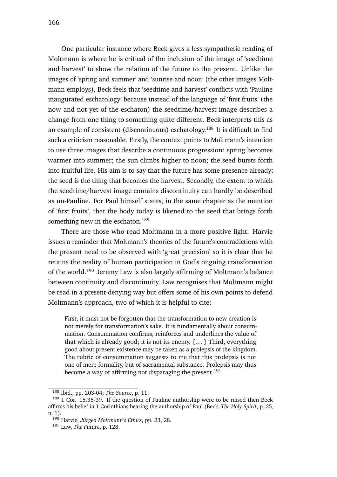One particular instance where Beck gives a less sympathetic reading of Moltmann is where he is critical of the inclusion of the image of 'seedtime and harvest' to show the relation of the future to the present. Unlike the images of 'spring and summer' and 'sunrise and noon' (the other images Moltmann employs), Beck feels that 'seedtime and harvest' conflicts with 'Pauline inaugurated eschatology' because instead of the language of 'first fruits' (the now and not yet of the eschaton) the seedtime/harvest image describes a change from one thing to something quite different. Beck interprets this as an example of consistent (discontinuous) eschatology.<sup>188</sup> It is difficult to find such a criticism reasonable. Firstly, the context points to Moltmann's intention to use three images that describe a continuous progression: spring becomes warmer into summer; the sun climbs higher to noon; the seed bursts forth into fruitful life. His aim is to say that the future has some presence already: the seed is the thing that becomes the harvest. Secondly, the extent to which the seedtime/harvest image contains discontinuity can hardly be described as un-Pauline. For Paul himself states, in the same chapter as the mention of 'first fruits', that the body today is likened to the seed that brings forth something new in the eschaton.<sup>189</sup>

There are those who read Moltmann in a more positive light. Harvie issues a reminder that Moltmann's theories of the future's contradictions with the present need to be observed with 'great precision' so it is clear that he retains the reality of human participation in God's ongoing transformation of the world.<sup>190</sup> Jeremy Law is also largely affirming of Moltmann's balance between continuity and discontinuity. Law recognises that Moltmann might be read in a present-denying way but offers some of his own points to defend Moltmann's approach, two of which it is helpful to cite:

First, it must not be forgotten that the transformation to new creation is not merely for transformation's sake. It is fundamentally about consummation. Consummation confirms, reinforces and underlines the value of that which is already good; it is not its enemy. [. . . ] Third, everything good about present existence may be taken as a prolepsis of the kingdom. The rubric of consummation suggests to me that this prolepsis is not one of mere formality, but of sacramental substance. Prolepsis may thus become a way of affirming not disparaging the present.<sup>191</sup>

<sup>188</sup> Ibid., pp. 203-04; *The Source*, p. 11.

<sup>&</sup>lt;sup>189</sup> 1 Cor. 15.35-39. If the question of Pauline authorship were to be raised then Beck affirms his belief in 1 Corinthians bearing the authorship of Paul (Beck, *The Holy Spirit*, p. 25, n. 1).

<sup>190</sup> Harvie, *Jürgen Moltmann's Ethics*, pp. 23, 28.

<sup>191</sup> Law, *The Future*, p. 128.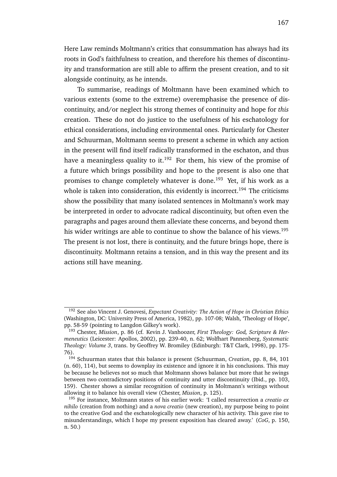Here Law reminds Moltmann's critics that consummation has always had its roots in God's faithfulness to creation, and therefore his themes of discontinuity and transformation are still able to affirm the present creation, and to sit alongside continuity, as he intends.

To summarise, readings of Moltmann have been examined which to various extents (some to the extreme) overemphasise the presence of discontinuity, and/or neglect his strong themes of continuity and hope for *this* creation. These do not do justice to the usefulness of his eschatology for ethical considerations, including environmental ones. Particularly for Chester and Schuurman, Moltmann seems to present a scheme in which any action in the present will find itself radically transformed in the eschaton, and thus have a meaningless quality to it.<sup>192</sup> For them, his view of the promise of a future which brings possibility and hope to the present is also one that promises to change completely whatever is done.<sup>193</sup> Yet, if his work as a whole is taken into consideration, this evidently is incorrect.<sup>194</sup> The criticisms show the possibility that many isolated sentences in Moltmann's work may be interpreted in order to advocate radical discontinuity, but often even the paragraphs and pages around them alleviate these concerns, and beyond them his wider writings are able to continue to show the balance of his views.<sup>195</sup> The present is not lost, there is continuity, and the future brings hope, there is discontinuity. Moltmann retains a tension, and in this way the present and its actions still have meaning.

<sup>192</sup> See also Vincent J. Genovesi, *Expectant Creativity: The Action of Hope in Christian Ethics* (Washington, DC: University Press of America, 1982), pp. 107-08; Walsh, 'Theology of Hope', pp. 58-59 (pointing to Langdon Gilkey's work).

<sup>193</sup> Chester, *Mission*, p. 86 (cf. Kevin J. Vanhoozer, *First Theology: God, Scripture & Hermeneutics* (Leicester: Apollos, 2002), pp. 239-40, n. 62; Wolfhart Pannenberg, *Systematic Theology: Volume 3*, trans. by Geoffrey W. Bromiley (Edinburgh: T&T Clark, 1998), pp. 175- 76).

<sup>194</sup> Schuurman states that this balance is present (Schuurman, *Creation*, pp. 8, 84, 101 (n. 60), 114), but seems to downplay its existence and ignore it in his conclusions. This may be because he believes not so much that Moltmann shows balance but more that he swings between two contradictory positions of continuity and utter discontinuity (Ibid., pp. 103, 159). Chester shows a similar recognition of continuity in Moltmann's writings without allowing it to balance his overall view (Chester, *Mission*, p. 125).

<sup>195</sup> For instance, Moltmann states of his earlier work: 'I called resurrection a *creatio ex nihilo* (creation from nothing) and a *nova creatio* (new creation), my purpose being to point to the creative God and the eschatologically new character of his activity. This gave rise to misunderstandings, which I hope my present exposition has cleared away.' (*CoG*, p. 150, n. 50.)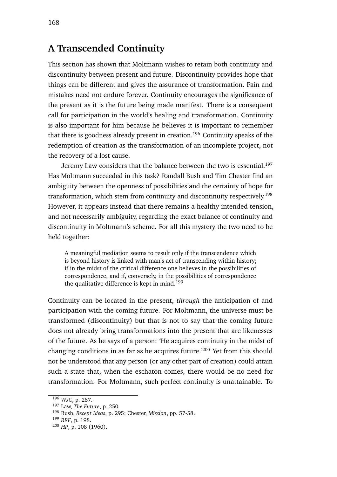## **A Transcended Continuity**

This section has shown that Moltmann wishes to retain both continuity and discontinuity between present and future. Discontinuity provides hope that things can be different and gives the assurance of transformation. Pain and mistakes need not endure forever. Continuity encourages the significance of the present as it is the future being made manifest. There is a consequent call for participation in the world's healing and transformation. Continuity is also important for him because he believes it is important to remember that there is goodness already present in creation.<sup>196</sup> Continuity speaks of the redemption of creation as the transformation of an incomplete project, not the recovery of a lost cause.

Jeremy Law considers that the balance between the two is essential.<sup>197</sup> Has Moltmann succeeded in this task? Randall Bush and Tim Chester find an ambiguity between the openness of possibilities and the certainty of hope for transformation, which stem from continuity and discontinuity respectively.<sup>198</sup> However, it appears instead that there remains a healthy intended tension, and not necessarily ambiguity, regarding the exact balance of continuity and discontinuity in Moltmann's scheme. For all this mystery the two need to be held together:

A meaningful mediation seems to result only if the transcendence which is beyond history is linked with man's act of transcending within history; if in the midst of the critical difference one believes in the possibilities of correspondence, and if, conversely, in the possibilities of correspondence the qualitative difference is kept in mind.<sup>199</sup>

Continuity can be located in the present, *through* the anticipation of and participation with the coming future. For Moltmann, the universe must be transformed (discontinuity) but that is not to say that the coming future does not already bring transformations into the present that are likenesses of the future. As he says of a person: 'He acquires continuity in the midst of changing conditions in as far as he acquires future.'<sup>200</sup> Yet from this should not be understood that any person (or any other part of creation) could attain such a state that, when the eschaton comes, there would be no need for transformation. For Moltmann, such perfect continuity is unattainable. To

<sup>196</sup> *WJC*, p. 287.

<sup>197</sup> Law, *The Future*, p. 250.

<sup>198</sup> Bush, *Recent Ideas*, p. 295; Chester, *Mission*, pp. 57-58.

<sup>199</sup> *RRF*, p. 198.

<sup>200</sup> *HP*, p. 108 (1960).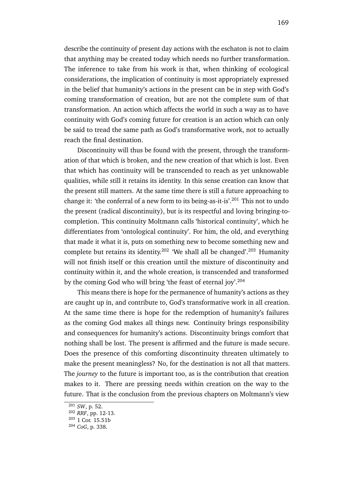describe the continuity of present day actions with the eschaton is not to claim that anything may be created today which needs no further transformation. The inference to take from his work is that, when thinking of ecological considerations, the implication of continuity is most appropriately expressed in the belief that humanity's actions in the present can be in step with God's coming transformation of creation, but are not the complete sum of that transformation. An action which affects the world in such a way as to have continuity with God's coming future for creation is an action which can only be said to tread the same path as God's transformative work, not to actually reach the final destination.

Discontinuity will thus be found with the present, through the transformation of that which is broken, and the new creation of that which is lost. Even that which has continuity will be transcended to reach as yet unknowable qualities, while still it retains its identity. In this sense creation can know that the present still matters. At the same time there is still a future approaching to change it: 'the conferral of a new form to its being-as-it-is'.<sup>201</sup> This not to undo the present (radical discontinuity), but is its respectful and loving bringing-tocompletion. This continuity Moltmann calls 'historical continuity', which he differentiates from 'ontological continuity'. For him, the old, and everything that made it what it is, puts on something new to become something new and complete but retains its identity.<sup>202</sup> 'We shall all be changed'.<sup>203</sup> Humanity will not finish itself or this creation until the mixture of discontinuity and continuity within it, and the whole creation, is transcended and transformed by the coming God who will bring 'the feast of eternal joy'.<sup>204</sup>

This means there is hope for the permanence of humanity's actions as they are caught up in, and contribute to, God's transformative work in all creation. At the same time there is hope for the redemption of humanity's failures as the coming God makes all things new. Continuity brings responsibility and consequences for humanity's actions. Discontinuity brings comfort that nothing shall be lost. The present is affirmed and the future is made secure. Does the presence of this comforting discontinuity threaten ultimately to make the present meaningless? No, for the destination is not all that matters. The *journey* to the future is important too, as is the contribution that creation makes to it. There are pressing needs within creation on the way to the future. That is the conclusion from the previous chapters on Moltmann's view

<sup>201</sup> *SW*, p. 52.

<sup>202</sup> *RRF*, pp. 12-13.

<sup>203</sup> 1 Cor. 15.51b

<sup>204</sup> *CoG*, p. 338.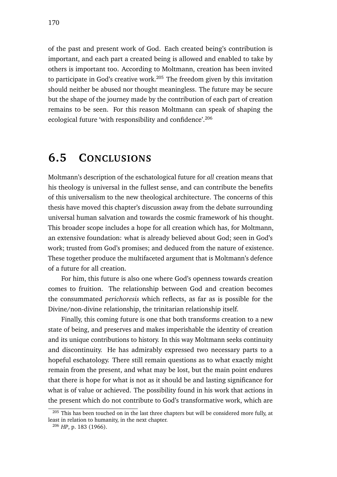of the past and present work of God. Each created being's contribution is important, and each part a created being is allowed and enabled to take by others is important too. According to Moltmann, creation has been invited to participate in God's creative work.<sup>205</sup> The freedom given by this invitation should neither be abused nor thought meaningless. The future may be secure but the shape of the journey made by the contribution of each part of creation remains to be seen. For this reason Moltmann can speak of shaping the ecological future 'with responsibility and confidence'.<sup>206</sup>

## **6.5 CONCLUSIONS**

Moltmann's description of the eschatological future for *all* creation means that his theology is universal in the fullest sense, and can contribute the benefits of this universalism to the new theological architecture. The concerns of this thesis have moved this chapter's discussion away from the debate surrounding universal human salvation and towards the cosmic framework of his thought. This broader scope includes a hope for all creation which has, for Moltmann, an extensive foundation: what is already believed about God; seen in God's work; trusted from God's promises; and deduced from the nature of existence. These together produce the multifaceted argument that is Moltmann's defence of a future for all creation.

For him, this future is also one where God's openness towards creation comes to fruition. The relationship between God and creation becomes the consummated *perichoresis* which reflects, as far as is possible for the Divine/non-divine relationship, the trinitarian relationship itself.

Finally, this coming future is one that both transforms creation to a new state of being, and preserves and makes imperishable the identity of creation and its unique contributions to history. In this way Moltmann seeks continuity and discontinuity. He has admirably expressed two necessary parts to a hopeful eschatology. There still remain questions as to what exactly might remain from the present, and what may be lost, but the main point endures that there is hope for what is not as it should be and lasting significance for what is of value or achieved. The possibility found in his work that actions in the present which do not contribute to God's transformative work, which are

 $205$  This has been touched on in the last three chapters but will be considered more fully, at least in relation to humanity, in the next chapter.

<sup>206</sup> *HP*, p. 183 (1966).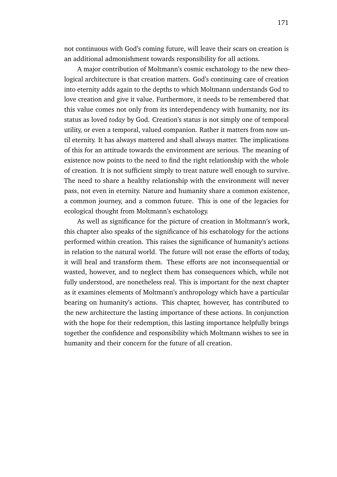not continuous with God's coming future, will leave their scars on creation is an additional admonishment towards responsibility for all actions.

A major contribution of Moltmann's cosmic eschatology to the new theological architecture is that creation matters. God's continuing care of creation into eternity adds again to the depths to which Moltmann understands God to love creation and give it value. Furthermore, it needs to be remembered that this value comes not only from its interdependency with humanity, nor its status as loved *today* by God. Creation's status is not simply one of temporal utility, or even a temporal, valued companion. Rather it matters from now until eternity. It has always mattered and shall always matter. The implications of this for an attitude towards the environment are serious. The meaning of existence now points to the need to find the right relationship with the whole of creation. It is not sufficient simply to treat nature well enough to survive. The need to share a healthy relationship with the environment will never pass, not even in eternity. Nature and humanity share a common existence, a common journey, and a common future. This is one of the legacies for ecological thought from Moltmann's eschatology.

As well as significance for the picture of creation in Moltmann's work, this chapter also speaks of the significance of his eschatology for the actions performed within creation. This raises the significance of humanity's actions in relation to the natural world. The future will not erase the efforts of today, it will heal and transform them. These efforts are not inconsequential or wasted, however, and to neglect them has consequences which, while not fully understood, are nonetheless real. This is important for the next chapter as it examines elements of Moltmann's anthropology which have a particular bearing on humanity's actions. This chapter, however, has contributed to the new architecture the lasting importance of these actions. In conjunction with the hope for their redemption, this lasting importance helpfully brings together the confidence and responsibility which Moltmann wishes to see in humanity and their concern for the future of all creation.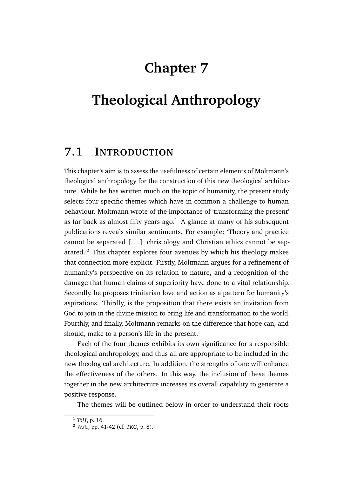# **Chapter 7**

# **Theological Anthropology**

## **7.1 INTRODUCTION**

This chapter's aim is to assess the usefulness of certain elements of Moltmann's theological anthropology for the construction of this new theological architecture. While he has written much on the topic of humanity, the present study selects four specific themes which have in common a challenge to human behaviour. Moltmann wrote of the importance of 'transforming the present' as far back as almost fifty years ago.<sup>1</sup> A glance at many of his subsequent publications reveals similar sentiments. For example: 'Theory and practice cannot be separated [. . . ] christology and Christian ethics cannot be separated.'<sup>2</sup> This chapter explores four avenues by which his theology makes that connection more explicit. Firstly, Moltmann argues for a refinement of humanity's perspective on its relation to nature, and a recognition of the damage that human claims of superiority have done to a vital relationship. Secondly, he proposes trinitarian love and action as a pattern for humanity's aspirations. Thirdly, is the proposition that there exists an invitation from God to join in the divine mission to bring life and transformation to the world. Fourthly, and finally, Moltmann remarks on the difference that hope can, and should, make to a person's life in the present.

Each of the four themes exhibits its own significance for a responsible theological anthropology, and thus all are appropriate to be included in the new theological architecture. In addition, the strengths of one will enhance the effectiveness of the others. In this way, the inclusion of these themes together in the new architecture increases its overall capability to generate a positive response.

The themes will be outlined below in order to understand their roots

<sup>1</sup> *ToH*, p. 16.

<sup>2</sup> *WJC*, pp. 41-42 (cf. *TKG*, p. 8).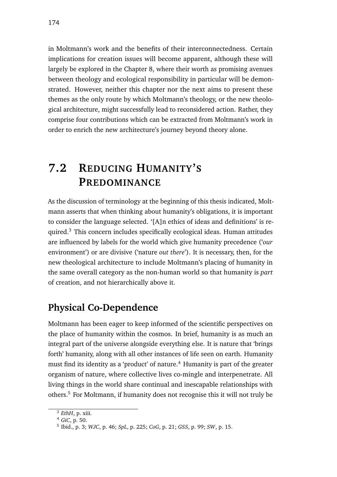in Moltmann's work and the benefits of their interconnectedness. Certain implications for creation issues will become apparent, although these will largely be explored in the Chapter 8, where their worth as promising avenues between theology and ecological responsibility in particular will be demonstrated. However, neither this chapter nor the next aims to present these themes as the only route by which Moltmann's theology, or the new theological architecture, might successfully lead to reconsidered action. Rather, they comprise four contributions which can be extracted from Moltmann's work in order to enrich the new architecture's journey beyond theory alone.

## **7.2 REDUCING HUMANITY'S PREDOMINANCE**

As the discussion of terminology at the beginning of this thesis indicated, Moltmann asserts that when thinking about humanity's obligations, it is important to consider the language selected. '[A]n ethics of ideas and definitions' is required.<sup>3</sup> This concern includes specifically ecological ideas. Human attitudes are influenced by labels for the world which give humanity precedence ('*our* environment') or are divisive ('nature *out there*'). It is necessary, then, for the new theological architecture to include Moltmann's placing of humanity in the same overall category as the non-human world so that humanity is *part* of creation, and not hierarchically above it.

## **Physical Co-Dependence**

Moltmann has been eager to keep informed of the scientific perspectives on the place of humanity within the cosmos. In brief, humanity is as much an integral part of the universe alongside everything else. It is nature that 'brings forth' humanity, along with all other instances of life seen on earth. Humanity must find its identity as a 'product' of nature.<sup>4</sup> Humanity is part of the greater organism of nature, where collective lives co-mingle and interpenetrate. All living things in the world share continual and inescapable relationships with others.<sup>5</sup> For Moltmann, if humanity does not recognise this it will not truly be

 $\overline{\text{3}}$  *EthH*, p. xiii.

<sup>4</sup> *GiC*, p. 50.

<sup>5</sup> Ibid., p. 3; *WJC*, p. 46; *SpL*, p. 225; *CoG*, p. 21; *GSS*, p. 99; *SW*, p. 15.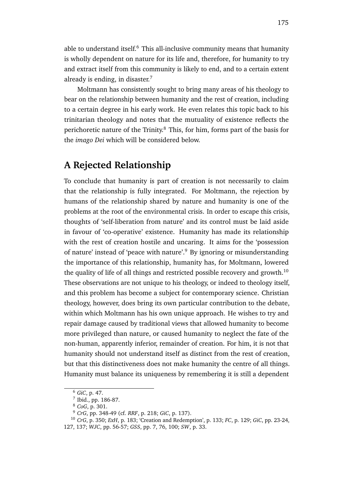able to understand itself. $6$  This all-inclusive community means that humanity is wholly dependent on nature for its life and, therefore, for humanity to try and extract itself from this community is likely to end, and to a certain extent already is ending, in disaster.<sup>7</sup>

Moltmann has consistently sought to bring many areas of his theology to bear on the relationship between humanity and the rest of creation, including to a certain degree in his early work. He even relates this topic back to his trinitarian theology and notes that the mutuality of existence reflects the perichoretic nature of the Trinity.<sup>8</sup> This, for him, forms part of the basis for the *imago Dei* which will be considered below.

## **A Rejected Relationship**

To conclude that humanity is part of creation is not necessarily to claim that the relationship is fully integrated. For Moltmann, the rejection by humans of the relationship shared by nature and humanity is one of the problems at the root of the environmental crisis. In order to escape this crisis, thoughts of 'self-liberation from nature' and its control must be laid aside in favour of 'co-operative' existence. Humanity has made its relationship with the rest of creation hostile and uncaring. It aims for the 'possession of nature' instead of 'peace with nature'.<sup>9</sup> By ignoring or misunderstanding the importance of this relationship, humanity has, for Moltmann, lowered the quality of life of all things and restricted possible recovery and growth.<sup>10</sup> These observations are not unique to his theology, or indeed to theology itself, and this problem has become a subject for contemporary science. Christian theology, however, does bring its own particular contribution to the debate, within which Moltmann has his own unique approach. He wishes to try and repair damage caused by traditional views that allowed humanity to become more privileged than nature, or caused humanity to neglect the fate of the non-human, apparently inferior, remainder of creation. For him, it is not that humanity should not understand itself as distinct from the rest of creation, but that this distinctiveness does not make humanity the centre of all things. Humanity must balance its uniqueness by remembering it is still a dependent

<sup>6</sup> *GiC*, p. 47.

<sup>7</sup> Ibid., pp. 186-87.

<sup>8</sup> *CoG*, p. 301.

<sup>9</sup> *CrG*, pp. 348-49 (cf. *RRF*, p. 218; *GiC*, p. 137).

<sup>10</sup> *CrG*, p. 350; *ExH*, p. 183; 'Creation and Redemption', p. 133; *FC*, p. 129; *GiC*, pp. 23-24, 127, 137; *WJC*, pp. 56-57; *GSS*, pp. 7, 76, 100; *SW*, p. 33.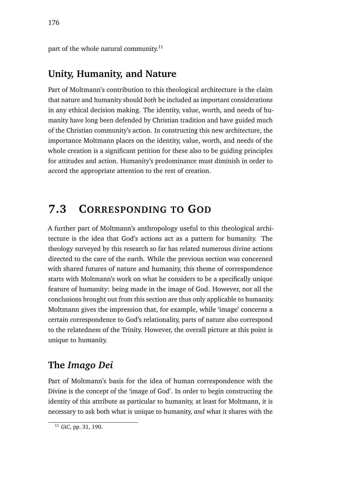part of the whole natural community.<sup>11</sup>

### **Unity, Humanity, and Nature**

Part of Moltmann's contribution to this theological architecture is the claim that nature and humanity should *both* be included as important considerations in any ethical decision making. The identity, value, worth, and needs of humanity have long been defended by Christian tradition and have guided much of the Christian community's action. In constructing this new architecture, the importance Moltmann places on the identity, value, worth, and needs of the whole creation is a significant petition for these also to be guiding principles for attitudes and action. Humanity's predominance must diminish in order to accord the appropriate attention to the rest of creation.

## **7.3 CORRESPONDING TO GOD**

A further part of Moltmann's anthropology useful to this theological architecture is the idea that God's actions act as a pattern for humanity. The theology surveyed by this research so far has related numerous divine actions directed to the care of the earth. While the previous section was concerned with shared futures of nature and humanity, this theme of correspondence starts with Moltmann's work on what he considers to be a specifically unique feature of humanity: being made in the image of God. However, not all the conclusions brought out from this section are thus only applicable to humanity. Moltmann gives the impression that, for example, while 'image' concerns a certain correspondence to God's relationality, parts of nature also correspond to the relatedness of the Trinity. However, the overall picture at this point is unique to humanity.

## **The** *Imago Dei*

Part of Moltmann's basis for the idea of human correspondence with the Divine is the concept of the 'image of God'. In order to begin constructing the identity of this attribute as particular to humanity, at least for Moltmann, it is necessary to ask both what is unique to humanity, *and* what it shares with the

<sup>11</sup> *GiC*, pp. 31, 190.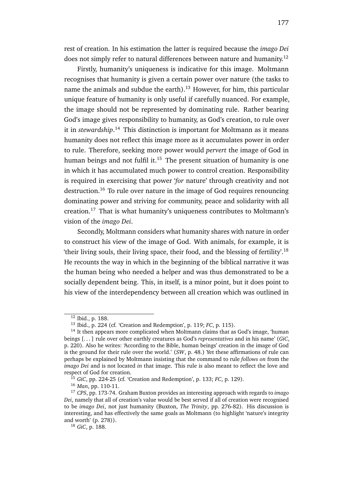rest of creation. In his estimation the latter is required because the *imago Dei* does not simply refer to natural differences between nature and humanity.<sup>12</sup>

Firstly, humanity's uniqueness is indicative for this image. Moltmann recognises that humanity is given a certain power over nature (the tasks to name the animals and subdue the earth).<sup>13</sup> However, for him, this particular unique feature of humanity is only useful if carefully nuanced. For example, the image should not be represented by dominating rule. Rather bearing God's image gives responsibility to humanity, as God's creation, to rule over it in *stewardship*. <sup>14</sup> This distinction is important for Moltmann as it means humanity does not reflect this image more as it accumulates power in order to rule. Therefore, seeking more power would *pervert* the image of God in human beings and not fulfil it.<sup>15</sup> The present situation of humanity is one in which it has accumulated much power to control creation. Responsibility is required in exercising that power '*for* nature' through creativity and not destruction.<sup>16</sup> To rule over nature in the image of God requires renouncing dominating power and striving for community, peace and solidarity with all creation.<sup>17</sup> That is what humanity's uniqueness contributes to Moltmann's vision of the *imago Dei*.

Secondly, Moltmann considers what humanity shares with nature in order to construct his view of the image of God. With animals, for example, it is 'their living souls, their living space, their food, and the blessing of fertility'.<sup>18</sup> He recounts the way in which in the beginning of the biblical narrative it was the human being who needed a helper and was thus demonstrated to be a socially dependent being. This, in itself, is a minor point, but it does point to his view of the interdependency between all creation which was outlined in

<sup>12</sup> Ibid., p. 188.

<sup>13</sup> Ibid., p. 224 (cf. 'Creation and Redemption', p. 119; *FC*, p. 115).

<sup>14</sup> It then appears more complicated when Moltmann claims that as God's image, 'human beings [. . . ] rule over other earthly creatures as God's *representatives* and in his name' (*GiC*, p. 220). Also he writes: 'According to the Bible, human beings' creation in the image of God is the ground for their rule over the world.' (*SW*, p. 48.) Yet these affirmations of rule can perhaps be explained by Moltmann insisting that the command to rule *follows on* from the *imago Dei* and is not located *in* that image. This rule is also meant to reflect the love and respect of God for creation.

<sup>15</sup> *GiC*, pp. 224-25 (cf. 'Creation and Redemption', p. 133; *FC*, p. 129).

<sup>16</sup> *Man*, pp. 110-11.

<sup>17</sup> *CPS*, pp. 173-74. Graham Buxton provides an interesting approach with regards to *imago Dei*, namely that all of creation's value would be best served if all of creation were recognised to be *imago Dei*, not just humanity (Buxton, *The Trinity*, pp. 276-82). His discussion is interesting, and has effectively the same goals as Moltmann (to highlight 'nature's integrity and worth' (p. 278)).

<sup>18</sup> *GiC*, p. 188.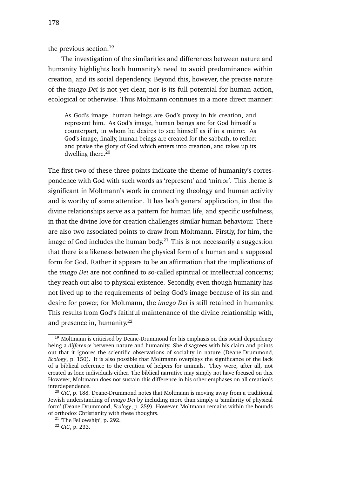the previous section.<sup>19</sup>

The investigation of the similarities and differences between nature and humanity highlights both humanity's need to avoid predominance within creation, and its social dependency. Beyond this, however, the precise nature of the *imago Dei* is not yet clear, nor is its full potential for human action, ecological or otherwise. Thus Moltmann continues in a more direct manner:

As God's image, human beings are God's proxy in his creation, and represent him. As God's image, human beings are for God himself a counterpart, in whom he desires to see himself as if in a mirror. As God's image, finally, human beings are created for the sabbath, to reflect and praise the glory of God which enters into creation, and takes up its dwelling there.<sup>20</sup>

The first two of these three points indicate the theme of humanity's correspondence with God with such words as 'represent' and 'mirror'. This theme is significant in Moltmann's work in connecting theology and human activity and is worthy of some attention. It has both general application, in that the divine relationships serve as a pattern for human life, and specific usefulness, in that the divine love for creation challenges similar human behaviour. There are also two associated points to draw from Moltmann. Firstly, for him, the image of God includes the human body.<sup>21</sup> This is not necessarily a suggestion that there is a likeness between the physical form of a human and a supposed form for God. Rather it appears to be an affirmation that the implications of the *imago Dei* are not confined to so-called spiritual or intellectual concerns; they reach out also to physical existence. Secondly, even though humanity has not lived up to the requirements of being God's image because of its sin and desire for power, for Moltmann, the *imago Dei* is still retained in humanity. This results from God's faithful maintenance of the divine relationship with, and presence in, humanity. $22$ 

 $19$  Moltmann is criticised by Deane-Drummond for his emphasis on this social dependency being a *difference* between nature and humanity. She disagrees with his claim and points out that it ignores the scientific observations of sociality in nature (Deane-Drummond, *Ecology*, p. 150). It is also possible that Moltmann overplays the significance of the lack of a biblical reference to the creation of helpers for animals. They were, after all, not created as lone individuals either. The biblical narrative may simply not have focused on this. However, Moltmann does not sustain this difference in his other emphases on all creation's interdependence.

<sup>20</sup> *GiC*, p. 188. Deane-Drummond notes that Moltmann is moving away from a traditional Jewish understanding of *imago Dei* by including more than simply a 'similarity of physical form' (Deane-Drummond, *Ecology*, p. 259). However, Moltmann remains within the bounds of orthodox Christianity with these thoughts.

<sup>21</sup> 'The Fellowship', p. 292.

<sup>22</sup> *GiC*, p. 233.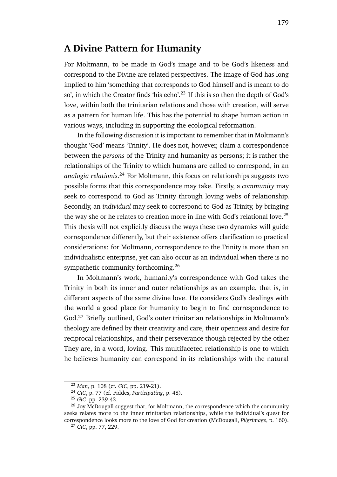### **A Divine Pattern for Humanity**

For Moltmann, to be made in God's image and to be God's likeness and correspond to the Divine are related perspectives. The image of God has long implied to him 'something that corresponds to God himself and is meant to do so', in which the Creator finds 'his echo'.<sup>23</sup> If this is so then the depth of God's love, within both the trinitarian relations and those with creation, will serve as a pattern for human life. This has the potential to shape human action in various ways, including in supporting the ecological reformation.

In the following discussion it is important to remember that in Moltmann's thought 'God' means 'Trinity'. He does not, however, claim a correspondence between the *persons* of the Trinity and humanity as persons; it is rather the relationships of the Trinity to which humans are called to correspond, in an *analogia relationis*. <sup>24</sup> For Moltmann, this focus on relationships suggests two possible forms that this correspondence may take. Firstly, a *community* may seek to correspond to God as Trinity through loving webs of relationship. Secondly, an *individual* may seek to correspond to God as Trinity, by bringing the way she or he relates to creation more in line with God's relational love.<sup>25</sup> This thesis will not explicitly discuss the ways these two dynamics will guide correspondence differently, but their existence offers clarification to practical considerations: for Moltmann, correspondence to the Trinity is more than an individualistic enterprise, yet can also occur as an individual when there is no sympathetic community forthcoming.<sup>26</sup>

In Moltmann's work, humanity's correspondence with God takes the Trinity in both its inner and outer relationships as an example, that is, in different aspects of the same divine love. He considers God's dealings with the world a good place for humanity to begin to find correspondence to God.<sup>27</sup> Briefly outlined, God's outer trinitarian relationships in Moltmann's theology are defined by their creativity and care, their openness and desire for reciprocal relationships, and their perseverance though rejected by the other. They are, in a word, loving. This multifaceted relationship is one to which he believes humanity can correspond in its relationships with the natural

<sup>23</sup> *Man*, p. 108 (cf. *GiC*, pp. 219-21).

<sup>24</sup> *GiC*, p. 77 (cf. Fiddes, *Participating*, p. 48).

<sup>25</sup> *GiC*, pp. 239-43.

<sup>&</sup>lt;sup>26</sup> Joy McDougall suggest that, for Moltmann, the correspondence which the community seeks relates more to the inner trinitarian relationships, while the individual's quest for correspondence looks more to the love of God for creation (McDougall, *Pilgrimage*, p. 160).

<sup>27</sup> *GiC*, pp. 77, 229.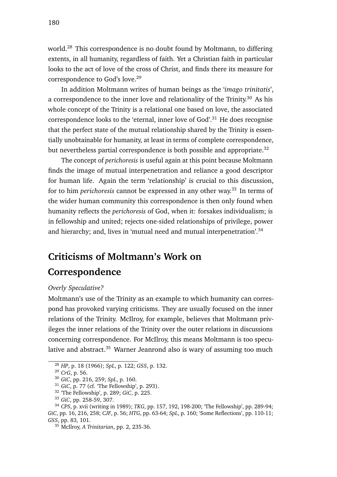world.<sup>28</sup> This correspondence is no doubt found by Moltmann, to differing extents, in all humanity, regardless of faith. Yet a Christian faith in particular looks to the act of love of the cross of Christ, and finds there its measure for correspondence to God's love.<sup>29</sup>

In addition Moltmann writes of human beings as the '*imago trinitatis*', a correspondence to the inner love and relationality of the Trinity.<sup>30</sup> As his whole concept of the Trinity is a relational one based on love, the associated correspondence looks to the 'eternal, inner love of God'.<sup>31</sup> He does recognise that the perfect state of the mutual relationship shared by the Trinity is essentially unobtainable for humanity, at least in terms of complete correspondence, but nevertheless partial correspondence is both possible and appropriate.<sup>32</sup>

The concept of *perichoresis* is useful again at this point because Moltmann finds the image of mutual interpenetration and reliance a good descriptor for human life. Again the term 'relationship' is crucial to this discussion, for to him *perichoresis* cannot be expressed in any other way.<sup>33</sup> In terms of the wider human community this correspondence is then only found when humanity reflects the *perichoresis* of God, when it: forsakes individualism; is in fellowship and united; rejects one-sided relationships of privilege, power and hierarchy; and, lives in 'mutual need and mutual interpenetration'.<sup>34</sup>

# **Criticisms of Moltmann's Work on**

## **Correspondence**

### *Overly Speculative?*

Moltmann's use of the Trinity as an example to which humanity can correspond has provoked varying criticisms. They are usually focused on the inner relations of the Trinity. McIlroy, for example, believes that Moltmann privileges the inner relations of the Trinity over the outer relations in discussions concerning correspondence. For McIlroy, this means Moltmann is too speculative and abstract.<sup>35</sup> Warner Jeanrond also is wary of assuming too much

<sup>28</sup> *HP*, p. 18 (1966); *SpL*, p. 122; *GSS*, p. 132.

<sup>29</sup> *CrG*, p. 56.

<sup>30</sup> *GiC*, pp. 216, 259; *SpL*, p. 160.

<sup>31</sup> *GiC*, p. 77 (cf. 'The Fellowship', p. 293).

<sup>32</sup> 'The Fellowship', p. 289; *GiC*, p. 225.

<sup>33</sup> *GiC*, pp. 258-59, 307.

<sup>34</sup> *CPS*, p. xvii (writing in 1989); *TKG*, pp. 157, 192, 198-200; 'The Fellowship', pp. 289-94; *GiC*, pp. 16, 216, 258; *CJF*, p. 56; *HTG*, pp. 63-64; *SpL*, p. 160; 'Some Reflections', pp. 110-11; *GSS*, pp. 83, 101.

<sup>35</sup> McIlroy, *A Trinitarian*, pp. 2, 235-36.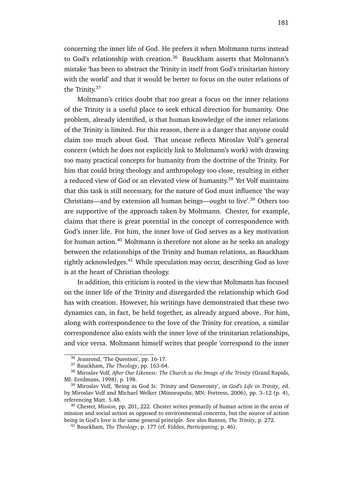concerning the inner life of God. He prefers it when Moltmann turns instead to God's relationship with creation.<sup>36</sup> Bauckham asserts that Moltmann's mistake 'has been to abstract the Trinity in itself from God's trinitarian history with the world' and that it would be better to focus on the outer relations of the Trinity.<sup>37</sup>

Moltmann's critics doubt that too great a focus on the inner relations of the Trinity is a useful place to seek ethical direction for humanity. One problem, already identified, is that human knowledge of the inner relations of the Trinity is limited. For this reason, there is a danger that anyone could claim too much about God. That unease reflects Miroslav Volf's general concern (which he does not explicitly link to Moltmann's work) with drawing too many practical concepts for humanity from the doctrine of the Trinity. For him that could bring theology and anthropology too close, resulting in either a reduced view of God or an elevated view of humanity.<sup>38</sup> Yet Volf maintains that this task is still necessary, for the nature of God must influence 'the way Christians—and by extension all human beings—ought to live'.<sup>39</sup> Others too are supportive of the approach taken by Moltmann. Chester, for example, claims that there is great potential in the concept of correspondence with God's inner life. For him, the inner love of God serves as a key motivation for human action. $40$  Moltmann is therefore not alone as he seeks an analogy between the relationships of the Trinity and human relations, as Bauckham rightly acknowledges.<sup>41</sup> While speculation may occur, describing God as love is at the heart of Christian theology.

In addition, this criticism is rooted in the view that Moltmann has focused on the inner life of the Trinity and disregarded the relationship which God has with creation. However, his writings have demonstrated that these two dynamics can, in fact, be held together, as already argued above. For him, along with correspondence to the love of the Trinity for creation, a similar correspondence also exists with the inner love of the trinitarian relationships, and vice versa. Moltmann himself writes that people 'correspond to the inner

<sup>36</sup> Jeanrond, 'The Question', pp. 16-17.

<sup>37</sup> Bauckham, *The Theology*, pp. 163-64.

<sup>38</sup> Miroslav Volf, *After Our Likeness: The Church as the Image of the Trinity* (Grand Rapids, MI: Eerdmans, 1998), p. 198.

<sup>39</sup> Miroslav Volf, 'Being as God Is: Trinity and Generosity', in *God's Life in Trinity*, ed. by Miroslav Volf and Michael Welker (Minneapolis, MN: Fortress, 2006), pp. 3–12 (p. 4), referencing Matt. 5.48.

<sup>40</sup> Chester, *Mission*, pp. 201, 222. Chester writes primarily of human action in the areas of mission and social action as opposed to environmental concerns, but the source of action being in God's love is the same general principle. See also Buxton, *The Trinity*, p. 272.

<sup>41</sup> Bauckham, *The Theology*, p. 177 (cf. Fiddes, *Participating*, p. 46).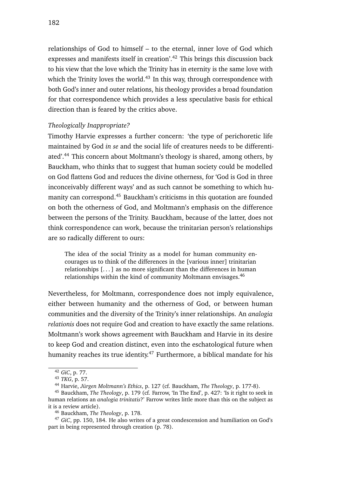relationships of God to himself – to the eternal, inner love of God which expresses and manifests itself in creation'.<sup>42</sup> This brings this discussion back to his view that the love which the Trinity has in eternity is the same love with which the Trinity loves the world. $43$  In this way, through correspondence with both God's inner and outer relations, his theology provides a broad foundation for that correspondence which provides a less speculative basis for ethical direction than is feared by the critics above.

#### *Theologically Inappropriate?*

Timothy Harvie expresses a further concern: 'the type of perichoretic life maintained by God *in se* and the social life of creatures needs to be differentiated'.<sup>44</sup> This concern about Moltmann's theology is shared, among others, by Bauckham, who thinks that to suggest that human society could be modelled on God flattens God and reduces the divine otherness, for 'God is God in three inconceivably different ways' and as such cannot be something to which humanity can correspond.<sup>45</sup> Bauckham's criticisms in this quotation are founded on both the otherness of God, and Moltmann's emphasis on the difference between the persons of the Trinity. Bauckham, because of the latter, does not think correspondence can work, because the trinitarian person's relationships are so radically different to ours:

The idea of the social Trinity as a model for human community encourages us to think of the differences in the [various inner] trinitarian relationships  $[...]$  as no more significant than the differences in human relationships within the kind of community Moltmann envisages.<sup>46</sup>

Nevertheless, for Moltmann, correspondence does not imply equivalence, either between humanity and the otherness of God, or between human communities and the diversity of the Trinity's inner relationships. An *analogia relationis* does not require God and creation to have exactly the same relations. Moltmann's work shows agreement with Bauckham and Harvie in its desire to keep God and creation distinct, even into the eschatological future when humanity reaches its true identity.<sup>47</sup> Furthermore, a biblical mandate for his

<sup>42</sup> *GiC*, p. 77.

<sup>43</sup> *TKG*, p. 57.

<sup>44</sup> Harvie, *Jürgen Moltmann's Ethics*, p. 127 (cf. Bauckham, *The Theology*, p. 177-8).

<sup>45</sup> Bauckham, *The Theology*, p. 179 (cf. Farrow, 'In The End', p. 427: 'Is it right to seek in human relations an *analogia trinitatis*?' Farrow writes little more than this on the subject as it is a review article).

<sup>46</sup> Bauckham, *The Theology*, p. 178.

<sup>47</sup> *GiC*, pp. 150, 184. He also writes of a great condescension and humiliation on God's part in being represented through creation (p. 78).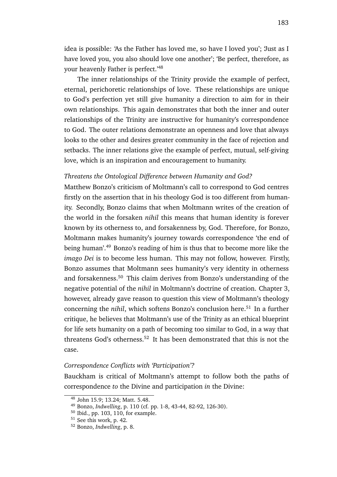idea is possible: 'As the Father has loved me, so have I loved you'; 'Just as I have loved you, you also should love one another'; 'Be perfect, therefore, as your heavenly Father is perfect.'<sup>48</sup>

The inner relationships of the Trinity provide the example of perfect, eternal, perichoretic relationships of love. These relationships are unique to God's perfection yet still give humanity a direction to aim for in their own relationships. This again demonstrates that both the inner and outer relationships of the Trinity are instructive for humanity's correspondence to God. The outer relations demonstrate an openness and love that always looks to the other and desires greater community in the face of rejection and setbacks. The inner relations give the example of perfect, mutual, self-giving love, which is an inspiration and encouragement to humanity.

#### *Threatens the Ontological Difference between Humanity and God?*

Matthew Bonzo's criticism of Moltmann's call to correspond to God centres firstly on the assertion that in his theology God is too different from humanity. Secondly, Bonzo claims that when Moltmann writes of the creation of the world in the forsaken *nihil* this means that human identity is forever known by its otherness to, and forsakenness by, God. Therefore, for Bonzo, Moltmann makes humanity's journey towards correspondence 'the end of being human'.<sup>49</sup> Bonzo's reading of him is thus that to become more like the *imago Dei* is to become less human. This may not follow, however. Firstly, Bonzo assumes that Moltmann sees humanity's very identity in otherness and forsakenness.<sup>50</sup> This claim derives from Bonzo's understanding of the negative potential of the *nihil* in Moltmann's doctrine of creation. Chapter 3, however, already gave reason to question this view of Moltmann's theology concerning the *nihil*, which softens Bonzo's conclusion here.<sup>51</sup> In a further critique, he believes that Moltmann's use of the Trinity as an ethical blueprint for life sets humanity on a path of becoming too similar to God, in a way that threatens God's otherness.<sup>52</sup> It has been demonstrated that this is not the case.

#### *Correspondence Conflicts with 'Participation'?*

Bauckham is critical of Moltmann's attempt to follow both the paths of correspondence *to* the Divine and participation *in* the Divine:

<sup>48</sup> John 15.9; 13.24; Matt. 5.48.

<sup>49</sup> Bonzo, *Indwelling*, p. 110 (cf. pp. 1-8, 43-44, 82-92, 126-30).

<sup>50</sup> Ibid., pp. 103, 110, for example.

<sup>51</sup> See this work, p. 42.

<sup>52</sup> Bonzo, *Indwelling*, p. 8.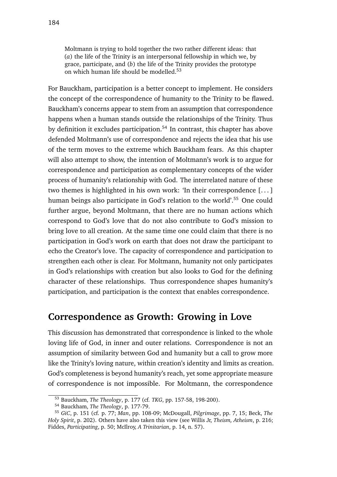Moltmann is trying to hold together the two rather different ideas: that (*a*) the life of the Trinity is an interpersonal fellowship in which we, by grace, participate, and (*b*) the life of the Trinity provides the prototype on which human life should be modelled.<sup>53</sup>

For Bauckham, participation is a better concept to implement. He considers the concept of the correspondence of humanity to the Trinity to be flawed. Bauckham's concerns appear to stem from an assumption that correspondence happens when a human stands outside the relationships of the Trinity. Thus by definition it excludes participation.<sup>54</sup> In contrast, this chapter has above defended Moltmann's use of correspondence and rejects the idea that his use of the term moves to the extreme which Bauckham fears. As this chapter will also attempt to show, the intention of Moltmann's work is to argue for correspondence and participation as complementary concepts of the wider process of humanity's relationship with God. The interrelated nature of these two themes is highlighted in his own work: 'In their correspondence [. . . ] human beings also participate in God's relation to the world'.<sup>55</sup> One could further argue, beyond Moltmann, that there are no human actions which correspond to God's love that do not also contribute to God's mission to bring love to all creation. At the same time one could claim that there is no participation in God's work on earth that does not draw the participant to echo the Creator's love. The capacity of correspondence and participation to strengthen each other is clear. For Moltmann, humanity not only participates in God's relationships with creation but also looks to God for the defining character of these relationships. Thus correspondence shapes humanity's participation, and participation is the context that enables correspondence.

### **Correspondence as Growth: Growing in Love**

This discussion has demonstrated that correspondence is linked to the whole loving life of God, in inner and outer relations. Correspondence is not an assumption of similarity between God and humanity but a call to grow more like the Trinity's loving nature, within creation's identity and limits as creation. God's completeness is beyond humanity's reach, yet some appropriate measure of correspondence is not impossible. For Moltmann, the correspondence

<sup>53</sup> Bauckham, *The Theology*, p. 177 (cf. *TKG*, pp. 157-58, 198-200).

<sup>54</sup> Bauckham, *The Theology*, p. 177-79.

<sup>55</sup> *GiC*, p. 151 (cf. p. 77; *Man*, pp. 108-09; McDougall, *Pilgrimage*, pp. 7, 15; Beck, *The Holy Spirit*, p. 202). Others have also taken this view (see Willis Jr, *Theism, Atheism*, p. 216; Fiddes, *Participating*, p. 50; McIlroy, *A Trinitarian*, p. 14, n. 57).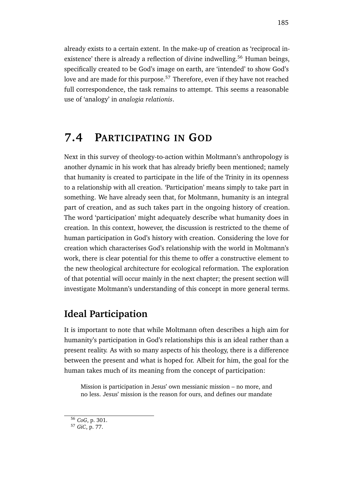already exists to a certain extent. In the make-up of creation as 'reciprocal inexistence' there is already a reflection of divine indwelling.<sup>56</sup> Human beings, specifically created to be God's image on earth, are 'intended' to show God's love and are made for this purpose.<sup>57</sup> Therefore, even if they have not reached full correspondence, the task remains to attempt. This seems a reasonable use of 'analogy' in *analogia relationis*.

## **7.4 PARTICIPATING IN GOD**

Next in this survey of theology-to-action within Moltmann's anthropology is another dynamic in his work that has already briefly been mentioned; namely that humanity is created to participate in the life of the Trinity in its openness to a relationship with all creation. 'Participation' means simply to take part in something. We have already seen that, for Moltmann, humanity is an integral part of creation, and as such takes part in the ongoing history of creation. The word 'participation' might adequately describe what humanity does in creation. In this context, however, the discussion is restricted to the theme of human participation in God's history with creation. Considering the love for creation which characterises God's relationship with the world in Moltmann's work, there is clear potential for this theme to offer a constructive element to the new theological architecture for ecological reformation. The exploration of that potential will occur mainly in the next chapter; the present section will investigate Moltmann's understanding of this concept in more general terms.

## **Ideal Participation**

It is important to note that while Moltmann often describes a high aim for humanity's participation in God's relationships this is an ideal rather than a present reality. As with so many aspects of his theology, there is a difference between the present and what is hoped for. Albeit for him, the goal for the human takes much of its meaning from the concept of participation:

Mission is participation in Jesus' own messianic mission – no more, and no less. Jesus' mission is the reason for ours, and defines our mandate

<sup>56</sup> *CoG*, p. 301.

<sup>57</sup> *GiC*, p. 77.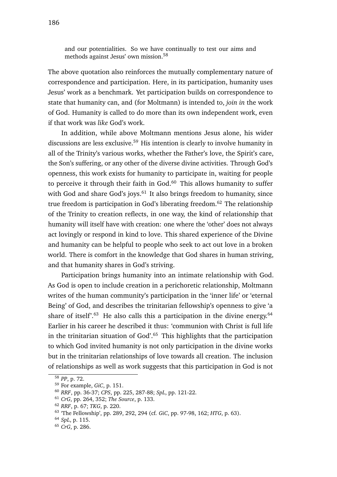and our potentialities. So we have continually to test our aims and methods against Jesus' own mission.<sup>58</sup>

The above quotation also reinforces the mutually complementary nature of correspondence and participation. Here, in its participation, humanity uses Jesus' work as a benchmark. Yet participation builds on correspondence to state that humanity can, and (for Moltmann) is intended to, *join in* the work of God. Humanity is called to do more than its own independent work, even if that work was *like* God's work.

In addition, while above Moltmann mentions Jesus alone, his wider discussions are less exclusive.<sup>59</sup> His intention is clearly to involve humanity in all of the Trinity's various works, whether the Father's love, the Spirit's care, the Son's suffering, or any other of the diverse divine activities. Through God's openness, this work exists for humanity to participate in, waiting for people to perceive it through their faith in  $God.<sup>60</sup>$  This allows humanity to suffer with God and share God's joys.<sup>61</sup> It also brings freedom to humanity, since true freedom is participation in God's liberating freedom.<sup>62</sup> The relationship of the Trinity to creation reflects, in one way, the kind of relationship that humanity will itself have with creation: one where the 'other' does not always act lovingly or respond in kind to love. This shared experience of the Divine and humanity can be helpful to people who seek to act out love in a broken world. There is comfort in the knowledge that God shares in human striving, and that humanity shares in God's striving.

Participation brings humanity into an intimate relationship with God. As God is open to include creation in a perichoretic relationship, Moltmann writes of the human community's participation in the 'inner life' or 'eternal Being' of God, and describes the trinitarian fellowship's openness to give 'a share of itself'.<sup>63</sup> He also calls this a participation in the divine energy.<sup>64</sup> Earlier in his career he described it thus: 'communion with Christ is full life in the trinitarian situation of  $God<sup>'65</sup>$ . This highlights that the participation to which God invited humanity is not only participation in the divine works but in the trinitarian relationships of love towards all creation. The inclusion of relationships as well as work suggests that this participation in God is not

<sup>58</sup> *PP*, p. 72.

<sup>59</sup> For example, *GiC*, p. 151.

<sup>60</sup> *RRF*, pp. 36-37; *CPS*, pp. 225, 287-88; *SpL*, pp. 121-22.

<sup>61</sup> *CrG*, pp. 264, 352; *The Source*, p. 133.

<sup>62</sup> *RRF*, p. 67; *TKG*, p. 220.

<sup>63</sup> 'The Fellowship', pp. 289, 292, 294 (cf. *GiC*, pp. 97-98, 162; *HTG*, p. 63).

<sup>64</sup> *SpL*, p. 115.

<sup>65</sup> *CrG*, p. 286.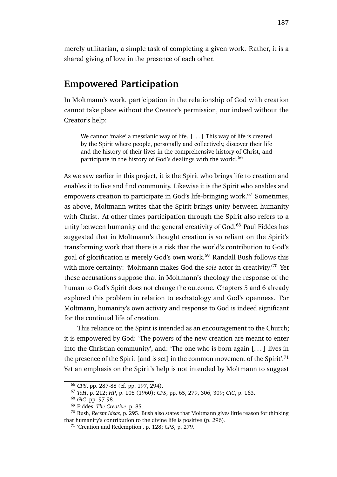merely utilitarian, a simple task of completing a given work. Rather, it is a shared giving of love in the presence of each other.

### **Empowered Participation**

In Moltmann's work, participation in the relationship of God with creation cannot take place without the Creator's permission, nor indeed without the Creator's help:

We cannot 'make' a messianic way of life. [...] This way of life is created by the Spirit where people, personally and collectively, discover their life and the history of their lives in the comprehensive history of Christ, and participate in the history of God's dealings with the world.<sup>66</sup>

As we saw earlier in this project, it is the Spirit who brings life to creation and enables it to live and find community. Likewise it is the Spirit who enables and empowers creation to participate in God's life-bringing work.<sup>67</sup> Sometimes, as above, Moltmann writes that the Spirit brings unity between humanity with Christ. At other times participation through the Spirit also refers to a unity between humanity and the general creativity of God.<sup>68</sup> Paul Fiddes has suggested that in Moltmann's thought creation is so reliant on the Spirit's transforming work that there is a risk that the world's contribution to God's goal of glorification is merely God's own work.<sup>69</sup> Randall Bush follows this with more certainty: 'Moltmann makes God the *sole* actor in creativity.'<sup>70</sup> Yet these accusations suppose that in Moltmann's theology the response of the human to God's Spirit does not change the outcome. Chapters 5 and 6 already explored this problem in relation to eschatology and God's openness. For Moltmann, humanity's own activity and response to God is indeed significant for the continual life of creation.

This reliance on the Spirit is intended as an encouragement to the Church; it is empowered by God: 'The powers of the new creation are meant to enter into the Christian community', and: 'The one who is born again [. . . ] lives in the presence of the Spirit [and is set] in the common movement of the Spirit'.<sup>71</sup> Yet an emphasis on the Spirit's help is not intended by Moltmann to suggest

<sup>66</sup> *CPS*, pp. 287-88 (cf. pp. 197, 294).

<sup>67</sup> *ToH*, p. 212; *HP*, p. 108 (1960); *CPS*, pp. 65, 279, 306, 309; *GiC*, p. 163.

<sup>68</sup> *GiC*, pp. 97-98.

<sup>69</sup> Fiddes, *The Creative*, p. 85.

<sup>70</sup> Bush, *Recent Ideas*, p. 295. Bush also states that Moltmann gives little reason for thinking that humanity's contribution to the divine life is positive (p. 296).

<sup>71</sup> 'Creation and Redemption', p. 128; *CPS*, p. 279.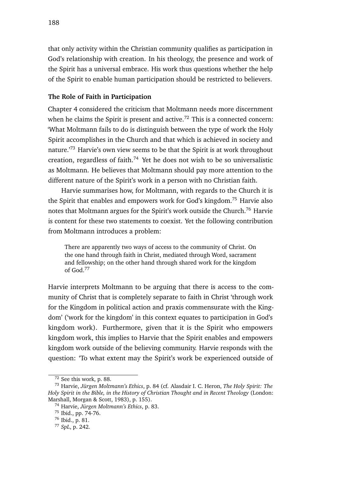that only activity within the Christian community qualifies as participation in God's relationship with creation. In his theology, the presence and work of the Spirit has a universal embrace. His work thus questions whether the help of the Spirit to enable human participation should be restricted to believers.

### **The Role of Faith in Participation**

Chapter 4 considered the criticism that Moltmann needs more discernment when he claims the Spirit is present and active.<sup>72</sup> This is a connected concern: 'What Moltmann fails to do is distinguish between the type of work the Holy Spirit accomplishes in the Church and that which is achieved in society and nature.<sup>73</sup> Harvie's own view seems to be that the Spirit is at work throughout creation, regardless of faith.<sup>74</sup> Yet he does not wish to be so universalistic as Moltmann. He believes that Moltmann should pay more attention to the different nature of the Spirit's work in a person with no Christian faith.

Harvie summarises how, for Moltmann, with regards to the Church it is the Spirit that enables and empowers work for God's kingdom.<sup>75</sup> Harvie also notes that Moltmann argues for the Spirit's work outside the Church.<sup>76</sup> Harvie is content for these two statements to coexist. Yet the following contribution from Moltmann introduces a problem:

There are apparently two ways of access to the community of Christ. On the one hand through faith in Christ, mediated through Word, sacrament and fellowship; on the other hand through shared work for the kingdom of God.<sup>77</sup>

Harvie interprets Moltmann to be arguing that there is access to the community of Christ that is completely separate to faith in Christ 'through work for the Kingdom in political action and praxis commensurate with the Kingdom' ('work for the kingdom' in this context equates to participation in God's kingdom work). Furthermore, given that it is the Spirit who empowers kingdom work, this implies to Harvie that the Spirit enables and empowers kingdom work outside of the believing community. Harvie responds with the question: 'To what extent may the Spirit's work be experienced outside of

<sup>72</sup> See this work, p. 88.

<sup>73</sup> Harvie, *Jürgen Moltmann's Ethics*, p. 84 (cf. Alasdair I. C. Heron, *The Holy Spirit: The Holy Spirit in the Bible, in the History of Christian Thought and in Recent Theology* (London: Marshall, Morgan & Scott, 1983), p. 155).

<sup>74</sup> Harvie, *Jürgen Moltmann's Ethics*, p. 83.

<sup>75</sup> Ibid., pp. 74-76.

<sup>76</sup> Ibid., p. 81.

<sup>77</sup> *SpL*, p. 242.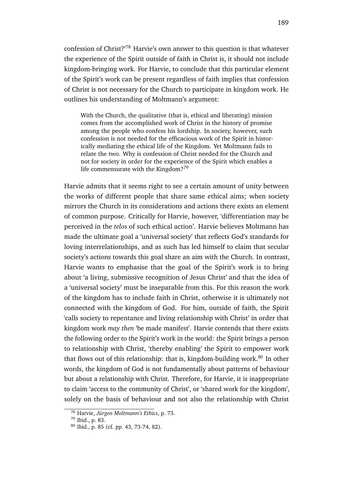confession of Christ?'<sup>78</sup> Harvie's own answer to this question is that whatever the experience of the Spirit outside of faith in Christ is, it should not include kingdom-bringing work. For Harvie, to conclude that this particular element of the Spirit's work can be present regardless of faith implies that confession of Christ is not necessary for the Church to participate in kingdom work. He outlines his understanding of Moltmann's argument:

With the Church, the qualitative (that is, ethical and liberating) mission comes from the accomplished work of Christ in the history of promise among the people who confess his lordship. In society, however, such confession is not needed for the efficacious work of the Spirit in historically mediating the ethical life of the Kingdom. Yet Moltmann fails to relate the two. Why is confession of Christ needed for the Church and not for society in order for the experience of the Spirit which enables a life commensurate with the Kingdom? $79$ 

Harvie admits that it seems right to see a certain amount of unity between the works of different people that share same ethical aims; when society mirrors the Church in its considerations and actions there exists an element of common purpose. Critically for Harvie, however, 'differentiation may be perceived in the *telos* of such ethical action'. Harvie believes Moltmann has made the ultimate goal a 'universal society' that reflects God's standards for loving interrelationships, and as such has led himself to claim that secular society's actions towards this goal share an aim with the Church. In contrast, Harvie wants to emphasise that the goal of the Spirit's work is to bring about 'a living, submissive recognition of Jesus Christ' and that the idea of a 'universal society' must be inseparable from this. For this reason the work of the kingdom has to include faith in Christ, otherwise it is ultimately not connected with the kingdom of God. For him, outside of faith, the Spirit 'calls society to repentance and living relationship with Christ' in order that kingdom work *may then* 'be made manifest'. Harvie contends that there exists the following order to the Spirit's work in the world: the Spirit brings a person to relationship with Christ, 'thereby enabling' the Spirit to empower work that flows out of this relationship: that is, kingdom-building work. $80$  In other words, the kingdom of God is not fundamentally about patterns of behaviour but about a relationship with Christ. Therefore, for Harvie, it is inappropriate to claim 'access to the community of Christ', or 'shared work for the kingdom', solely on the basis of behaviour and not also the relationship with Christ

<sup>78</sup> Harvie, *Jürgen Moltmann's Ethics*, p. 73.

<sup>79</sup> Ibid., p. 83.

<sup>80</sup> Ibid., p. 85 (cf. pp. 43, 73-74, 82).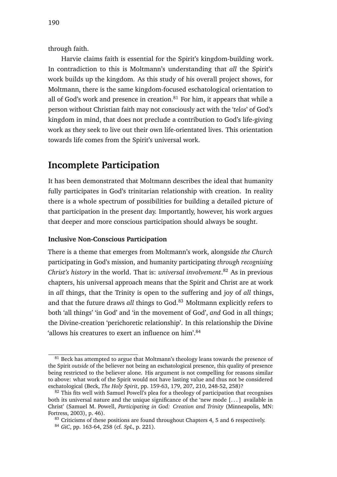through faith.

Harvie claims faith is essential for the Spirit's kingdom-building work. In contradiction to this is Moltmann's understanding that *all* the Spirit's work builds up the kingdom. As this study of his overall project shows, for Moltmann, there is the same kingdom-focused eschatological orientation to all of God's work and presence in creation. $81$  For him, it appears that while a person without Christian faith may not consciously act with the '*telos*' of God's kingdom in mind, that does not preclude a contribution to God's life-giving work as they seek to live out their own life-orientated lives. This orientation towards life comes from the Spirit's universal work.

### **Incomplete Participation**

It has been demonstrated that Moltmann describes the ideal that humanity fully participates in God's trinitarian relationship with creation. In reality there is a whole spectrum of possibilities for building a detailed picture of that participation in the present day. Importantly, however, his work argues that deeper and more conscious participation should always be sought.

#### **Inclusive Non-Conscious Participation**

There is a theme that emerges from Moltmann's work, alongside *the Church* participating in God's mission, and humanity participating *through recognising Christ's history* in the world. That is: *universal involvement*. <sup>82</sup> As in previous chapters, his universal approach means that the Spirit and Christ are at work in *all* things, that the Trinity is open to the suffering and joy of *all* things, and that the future draws *all* things to God.<sup>83</sup> Moltmann explicitly refers to both 'all things' 'in God' and 'in the movement of God', *and* God in all things; the Divine-creation 'perichoretic relationship'. In this relationship the Divine 'allows his creatures to exert an influence on him'.<sup>84</sup>

<sup>&</sup>lt;sup>81</sup> Beck has attempted to argue that Moltmann's theology leans towards the presence of the Spirit *outside* of the believer not being an eschatological presence, this quality of presence being restricted to the believer alone. His argument is not compelling for reasons similar to above: what work of the Spirit would not have lasting value and thus not be considered eschatological (Beck, *The Holy Spirit*, pp. 159-63, 179, 207, 210, 248-52, 258)?

 $82$  This fits well with Samuel Powell's plea for a theology of participation that recognises both its universal nature and the unique significance of the 'new mode [. . . ] available in Christ' (Samuel M. Powell, *Participating in God: Creation and Trinity* (Minneapolis, MN: Fortress, 2003), p. 46).

<sup>&</sup>lt;sup>83</sup> Criticisms of these positions are found throughout Chapters 4, 5 and 6 respectively.

<sup>84</sup> *GiC*, pp. 163-64, 258 (cf. *SpL*, p. 221).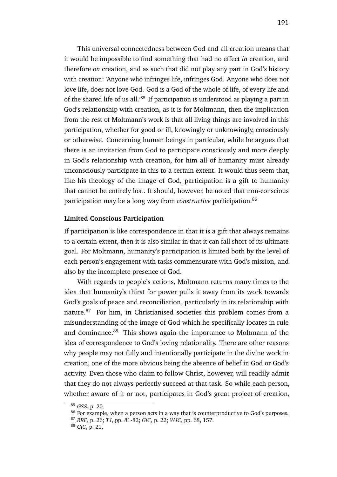This universal connectedness between God and all creation means that it would be impossible to find something that had no effect *in* creation, and therefore *on* creation, and as such that did not play any part in God's history with creation: 'Anyone who infringes life, infringes God. Anyone who does not love life, does not love God. God is a God of the whole of life, of every life and of the shared life of us all.'<sup>85</sup> If participation is understood as playing a part in God's relationship with creation, as it is for Moltmann, then the implication from the rest of Moltmann's work is that all living things are involved in this participation, whether for good or ill, knowingly or unknowingly, consciously or otherwise. Concerning human beings in particular, while he argues that there is an invitation from God to participate consciously and more deeply in God's relationship with creation, for him all of humanity must already unconsciously participate in this to a certain extent. It would thus seem that, like his theology of the image of God, participation is a gift to humanity that cannot be entirely lost. It should, however, be noted that non-conscious participation may be a long way from *constructive* participation.<sup>86</sup>

#### **Limited Conscious Participation**

If participation is like correspondence in that it is a gift that always remains to a certain extent, then it is also similar in that it can fall short of its ultimate goal. For Moltmann, humanity's participation is limited both by the level of each person's engagement with tasks commensurate with God's mission, and also by the incomplete presence of God.

With regards to people's actions, Moltmann returns many times to the idea that humanity's thirst for power pulls it away from its work towards God's goals of peace and reconciliation, particularly in its relationship with nature.<sup>87</sup> For him, in Christianised societies this problem comes from a misunderstanding of the image of God which he specifically locates in rule and dominance.<sup>88</sup> This shows again the importance to Moltmann of the idea of correspondence to God's loving relationality. There are other reasons why people may not fully and intentionally participate in the divine work in creation, one of the more obvious being the absence of belief in God or God's activity. Even those who claim to follow Christ, however, will readily admit that they do not always perfectly succeed at that task. So while each person, whether aware of it or not, participates in God's great project of creation,

<sup>85</sup> *GSS*, p. 20.

<sup>&</sup>lt;sup>86</sup> For example, when a person acts in a way that is counterproductive to God's purposes.

<sup>87</sup> *RRF*, p. 26; *TJ*, pp. 81-82; *GiC*, p. 22; *WJC*, pp. 68, 157.

<sup>88</sup> *GiC*, p. 21.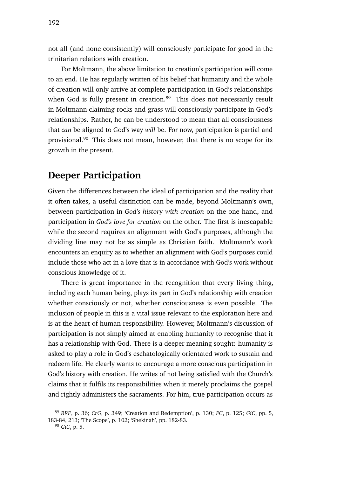not all (and none consistently) will consciously participate for good in the trinitarian relations with creation.

For Moltmann, the above limitation to creation's participation will come to an end. He has regularly written of his belief that humanity and the whole of creation will only arrive at complete participation in God's relationships when God is fully present in creation.<sup>89</sup> This does not necessarily result in Moltmann claiming rocks and grass will consciously participate in God's relationships. Rather, he can be understood to mean that all consciousness that *can* be aligned to God's way *will* be. For now, participation is partial and provisional.<sup>90</sup> This does not mean, however, that there is no scope for its growth in the present.

## **Deeper Participation**

Given the differences between the ideal of participation and the reality that it often takes, a useful distinction can be made, beyond Moltmann's own, between participation in *God's history with creation* on the one hand, and participation in *God's love for creation* on the other. The first is inescapable while the second requires an alignment with God's purposes, although the dividing line may not be as simple as Christian faith. Moltmann's work encounters an enquiry as to whether an alignment with God's purposes could include those who act in a love that is in accordance with God's work without conscious knowledge of it.

There is great importance in the recognition that every living thing, including each human being, plays its part in God's relationship with creation whether consciously or not, whether consciousness is even possible. The inclusion of people in this is a vital issue relevant to the exploration here and is at the heart of human responsibility. However, Moltmann's discussion of participation is not simply aimed at enabling humanity to recognise that it has a relationship with God. There is a deeper meaning sought: humanity is asked to play a role in God's eschatologically orientated work to sustain and redeem life. He clearly wants to encourage a more conscious participation in God's history with creation. He writes of not being satisfied with the Church's claims that it fulfils its responsibilities when it merely proclaims the gospel and rightly administers the sacraments. For him, true participation occurs as

<sup>89</sup> *RRF*, p. 36; *CrG*, p. 349; 'Creation and Redemption', p. 130; *FC*, p. 125; *GiC*, pp. 5, 183-84, 213; 'The Scope', p. 102; 'Shekinah', pp. 182-83.

<sup>90</sup> *GiC*, p. 5.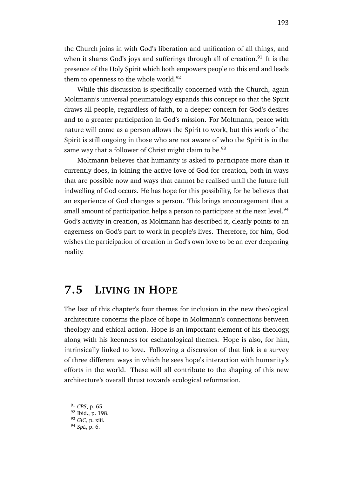the Church joins in with God's liberation and unification of all things, and when it shares God's joys and sufferings through all of creation.<sup>91</sup> It is the presence of the Holy Spirit which both empowers people to this end and leads them to openness to the whole world.<sup>92</sup>

While this discussion is specifically concerned with the Church, again Moltmann's universal pneumatology expands this concept so that the Spirit draws all people, regardless of faith, to a deeper concern for God's desires and to a greater participation in God's mission. For Moltmann, peace with nature will come as a person allows the Spirit to work, but this work of the Spirit is still ongoing in those who are not aware of who the Spirit is in the same way that a follower of Christ might claim to be.<sup>93</sup>

Moltmann believes that humanity is asked to participate more than it currently does, in joining the active love of God for creation, both in ways that are possible now and ways that cannot be realised until the future full indwelling of God occurs. He has hope for this possibility, for he believes that an experience of God changes a person. This brings encouragement that a small amount of participation helps a person to participate at the next level.<sup>94</sup> God's activity in creation, as Moltmann has described it, clearly points to an eagerness on God's part to work in people's lives. Therefore, for him, God wishes the participation of creation in God's own love to be an ever deepening reality.

## **7.5 LIVING IN HOPE**

The last of this chapter's four themes for inclusion in the new theological architecture concerns the place of hope in Moltmann's connections between theology and ethical action. Hope is an important element of his theology, along with his keenness for eschatological themes. Hope is also, for him, intrinsically linked to love. Following a discussion of that link is a survey of three different ways in which he sees hope's interaction with humanity's efforts in the world. These will all contribute to the shaping of this new architecture's overall thrust towards ecological reformation.

<sup>91</sup> *CPS*, p. 65.

<sup>92</sup> Ibid., p. 198.

<sup>93</sup> *GiC*, p. xiii.

<sup>94</sup> *SpL*, p. 6.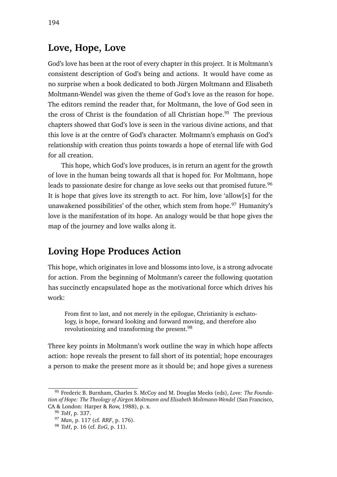## **Love, Hope, Love**

God's love has been at the root of every chapter in this project. It is Moltmann's consistent description of God's being and actions. It would have come as no surprise when a book dedicated to both Jürgen Moltmann and Elisabeth Moltmann-Wendel was given the theme of God's love as the reason for hope. The editors remind the reader that, for Moltmann, the love of God seen in the cross of Christ is the foundation of all Christian hope.<sup>95</sup> The previous chapters showed that God's love is seen in the various divine actions, and that this love is at the centre of God's character. Moltmann's emphasis on God's relationship with creation thus points towards a hope of eternal life with God for all creation.

This hope, which God's love produces, is in return an agent for the growth of love in the human being towards all that is hoped for. For Moltmann, hope leads to passionate desire for change as love seeks out that promised future.<sup>96</sup> It is hope that gives love its strength to act. For him, love 'allow[s] for the unawakened possibilities' of the other, which stem from hope. $97$  Humanity's love is the manifestation of its hope. An analogy would be that hope gives the map of the journey and love walks along it.

## **Loving Hope Produces Action**

This hope, which originates in love and blossoms into love, is a strong advocate for action. From the beginning of Moltmann's career the following quotation has succinctly encapsulated hope as the motivational force which drives his work:

From first to last, and not merely in the epilogue, Christianity is eschatology, is hope, forward looking and forward moving, and therefore also revolutionizing and transforming the present.<sup>98</sup>

Three key points in Moltmann's work outline the way in which hope affects action: hope reveals the present to fall short of its potential; hope encourages a person to make the present more as it should be; and hope gives a sureness

<sup>95</sup> Frederic B. Burnham, Charles S. McCoy and M. Douglas Meeks (eds), *Love: The Foundation of Hope: The Theology of Jürgen Moltmann and Elisabeth Moltmann-Wendel* (San Francisco, CA & London: Harper & Row, 1988), p. x.

<sup>96</sup> *ToH*, p. 337.

<sup>97</sup> *Man*, p. 117 (cf. *RRF*, p. 176).

<sup>98</sup> *ToH*, p. 16 (cf. *EoG*, p. 11).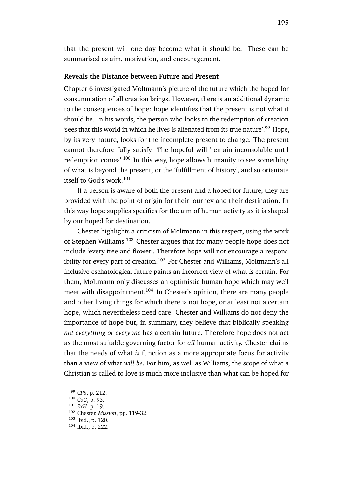that the present will one day become what it should be. These can be summarised as aim, motivation, and encouragement.

#### **Reveals the Distance between Future and Present**

Chapter 6 investigated Moltmann's picture of the future which the hoped for consummation of all creation brings. However, there is an additional dynamic to the consequences of hope: hope identifies that the present is not what it should be. In his words, the person who looks to the redemption of creation 'sees that this world in which he lives is alienated from its true nature'.<sup>99</sup> Hope, by its very nature, looks for the incomplete present to change. The present cannot therefore fully satisfy. The hopeful will 'remain inconsolable until redemption comes'.<sup>100</sup> In this way, hope allows humanity to see something of what is beyond the present, or the 'fulfillment of history', and so orientate itself to God's work.<sup>101</sup>

If a person is aware of both the present and a hoped for future, they are provided with the point of origin for their journey and their destination. In this way hope supplies specifics for the aim of human activity as it is shaped by our hoped for destination.

Chester highlights a criticism of Moltmann in this respect, using the work of Stephen Williams.<sup>102</sup> Chester argues that for many people hope does not include 'every tree and flower'. Therefore hope will not encourage a responsibility for every part of creation.<sup>103</sup> For Chester and Williams, Moltmann's all inclusive eschatological future paints an incorrect view of what is certain. For them, Moltmann only discusses an optimistic human hope which may well meet with disappointment.<sup>104</sup> In Chester's opinion, there are many people and other living things for which there is not hope, or at least not a certain hope, which nevertheless need care. Chester and Williams do not deny the importance of hope but, in summary, they believe that biblically speaking *not everything or everyone* has a certain future. Therefore hope does not act as the most suitable governing factor for *all* human activity. Chester claims that the needs of what *is* function as a more appropriate focus for activity than a view of what *will be*. For him, as well as Williams, the scope of what a Christian is called to love is much more inclusive than what can be hoped for

<sup>99</sup> *CPS*, p. 212.

<sup>100</sup> *CoG*, p. 93.

<sup>101</sup> *ExH*, p. 19.

<sup>102</sup> Chester, *Mission*, pp. 119-32.

<sup>103</sup> Ibid., p. 120.

<sup>104</sup> Ibid., p. 222.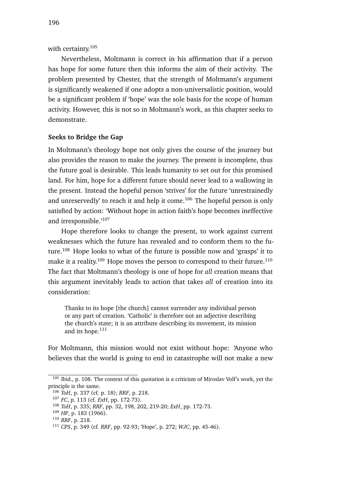with certainty.<sup>105</sup>

Nevertheless, Moltmann is correct in his affirmation that if a person has hope for some future then this informs the aim of their activity. The problem presented by Chester, that the strength of Moltmann's argument is significantly weakened if one adopts a non-universalistic position, would be a significant problem if 'hope' was the sole basis for the scope of human activity. However, this is not so in Moltmann's work, as this chapter seeks to demonstrate.

### **Seeks to Bridge the Gap**

In Moltmann's theology hope not only gives the course of the journey but also provides the reason to make the journey. The present is incomplete, thus the future goal is desirable. This leads humanity to set out for this promised land. For him, hope for a different future should never lead to a wallowing in the present. Instead the hopeful person 'strives' for the future 'unrestrainedly and unreservedly' to reach it and help it come.<sup>106</sup> The hopeful person is only satisfied by action: 'Without hope in action faith's hope becomes ineffective and irresponsible.'<sup>107</sup>

Hope therefore looks to change the present, to work against current weaknesses which the future has revealed and to conform them to the future.<sup>108</sup> Hope looks to what of the future is possible now and 'grasps' it to make it a reality.<sup>109</sup> Hope moves the person to correspond to their future.<sup>110</sup> The fact that Moltmann's theology is one of hope for *all* creation means that this argument inevitably leads to action that takes *all* of creation into its consideration:

Thanks to its hope [the church] cannot surrender any individual person or any part of creation. 'Catholic' is therefore not an adjective describing the church's state; it is an attribute describing its movement, its mission and its hope.<sup>111</sup>

For Moltmann, this mission would not exist without hope: 'Anyone who believes that the world is going to end in catastrophe will not make a new

<sup>&</sup>lt;sup>105</sup> Ibid., p. 108. The context of this quotation is a criticism of Miroslav Volf's work, yet the principle is the same.

<sup>106</sup> *ToH*, p. 337 (cf. p. 18); *RRF*, p. 218.

<sup>107</sup> *FC*, p. 113 (cf. *ExH*, pp. 172-73).

<sup>108</sup> *ToH*, p. 335; *RRF*, pp. 32, 198, 202, 219-20; *ExH*, pp. 172-73.

<sup>109</sup> *HP*, p. 183 (1966).

<sup>110</sup> *RRF*, p. 218.

<sup>111</sup> *CPS*, p. 349 (cf. *RRF*, pp. 92-93; 'Hope', p. 272; *WJC*, pp. 45-46).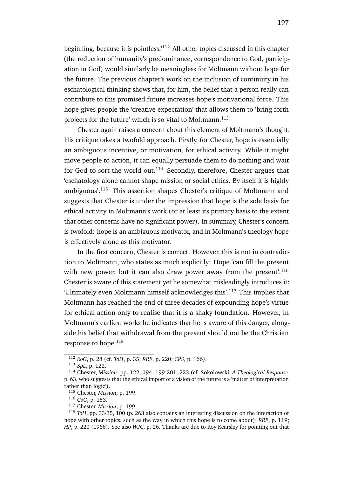beginning, because it is pointless.'<sup>112</sup> All other topics discussed in this chapter (the reduction of humanity's predominance, correspondence to God, participation in God) would similarly be meaningless for Moltmann without hope for the future. The previous chapter's work on the inclusion of continuity in his eschatological thinking shows that, for him, the belief that a person really can contribute to this promised future increases hope's motivational force. This hope gives people the 'creative expectation' that allows them to 'bring forth projects for the future' which is so vital to Moltmann.<sup>113</sup>

Chester again raises a concern about this element of Moltmann's thought. His critique takes a twofold approach. Firstly, for Chester, hope is essentially an ambiguous incentive, or motivation, for ethical activity. While it might move people to action, it can equally persuade them to do nothing and wait for God to sort the world out.<sup>114</sup> Secondly, therefore, Chester argues that 'eschatology alone cannot shape mission or social ethics. By itself it is highly ambiguous'.<sup>115</sup> This assertion shapes Chester's critique of Moltmann and suggests that Chester is under the impression that hope is the sole basis for ethical activity in Moltmann's work (or at least its primary basis to the extent that other concerns have no significant power). In summary, Chester's concern is twofold: hope is an ambiguous motivator, and in Moltmann's theology hope is effectively alone as this motivator.

In the first concern, Chester is correct. However, this is not in contradiction to Moltmann, who states as much explicitly: Hope 'can fill the present with new power, but it can also draw power away from the present'.<sup>116</sup> Chester is aware of this statement yet he somewhat misleadingly introduces it: 'Ultimately even Moltmann himself acknowledges this'.<sup>117</sup> This implies that Moltmann has reached the end of three decades of expounding hope's virtue for ethical action only to realise that it is a shaky foundation. However, in Moltmann's earliest works he indicates that he is aware of this danger, alongside his belief that withdrawal from the present should not be the Christian response to hope.<sup>118</sup>

<sup>112</sup> *EoG*, p. 28 (cf. *ToH*, p. 35; *RRF*, p. 220; *CPS*, p. 166).

<sup>113</sup> *SpL*, p. 122.

<sup>114</sup> Chester, *Mission*, pp. 122, 194, 199-201, 223 (cf. Sokolowski, *A Theological Response*, p. 63, who suggests that the ethical import of a vision of the future is a 'matter of interpretation rather than logic').

<sup>115</sup> Chester, *Mission*, p. 199.

<sup>116</sup> *CoG*, p. 153.

<sup>117</sup> Chester, *Mission*, p. 199.

<sup>118</sup> *ToH*, pp. 33-35, 100 (p. 263 also contains an interesting discussion on the interaction of hope with other topics, such as the way in which this hope is to come about); *RRF*, p. 119; *HP*, p. 220 (1966). See also *WJC*, p. 26. Thanks are due to Roy Kearsley for pointing out that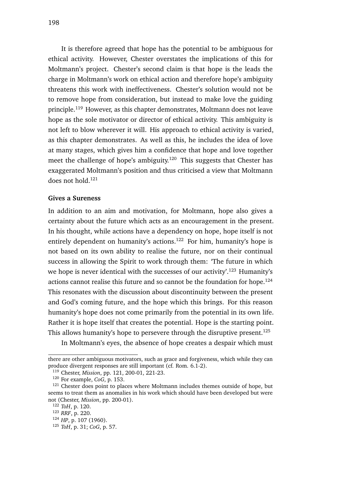It is therefore agreed that hope has the potential to be ambiguous for ethical activity. However, Chester overstates the implications of this for Moltmann's project. Chester's second claim is that hope is the leads the charge in Moltmann's work on ethical action and therefore hope's ambiguity threatens this work with ineffectiveness. Chester's solution would not be to remove hope from consideration, but instead to make love the guiding principle.<sup>119</sup> However, as this chapter demonstrates, Moltmann does not leave hope as the sole motivator or director of ethical activity. This ambiguity is not left to blow wherever it will. His approach to ethical activity is varied, as this chapter demonstrates. As well as this, he includes the idea of love at many stages, which gives him a confidence that hope and love together meet the challenge of hope's ambiguity.<sup>120</sup> This suggests that Chester has exaggerated Moltmann's position and thus criticised a view that Moltmann does not hold.<sup>121</sup>

#### **Gives a Sureness**

In addition to an aim and motivation, for Moltmann, hope also gives a certainty about the future which acts as an encouragement in the present. In his thought, while actions have a dependency on hope, hope itself is not entirely dependent on humanity's actions.<sup>122</sup> For him, humanity's hope is not based on its own ability to realise the future, nor on their continual success in allowing the Spirit to work through them: 'The future in which we hope is never identical with the successes of our activity'.<sup>123</sup> Humanity's actions cannot realise this future and so cannot be the foundation for hope.<sup>124</sup> This resonates with the discussion about discontinuity between the present and God's coming future, and the hope which this brings. For this reason humanity's hope does not come primarily from the potential in its own life. Rather it is hope itself that creates the potential. Hope is the starting point. This allows humanity's hope to persevere through the disruptive present.<sup>125</sup>

In Moltmann's eyes, the absence of hope creates a despair which must

there are other ambiguous motivators, such as grace and forgiveness, which while they can produce divergent responses are still important (cf. Rom. 6.1-2).

<sup>119</sup> Chester, *Mission*, pp. 121, 200-01, 221-23.

<sup>120</sup> For example, *CoG*, p. 153.

<sup>&</sup>lt;sup>121</sup> Chester does point to places where Moltmann includes themes outside of hope, but seems to treat them as anomalies in his work which should have been developed but were not (Chester, *Mission*, pp. 200-01).

<sup>122</sup> *ToH*, p. 120.

<sup>123</sup> *RRF*, p. 220.

<sup>124</sup> *HP*, p. 107 (1960).

<sup>125</sup> *ToH*, p. 31; *CoG*, p. 57.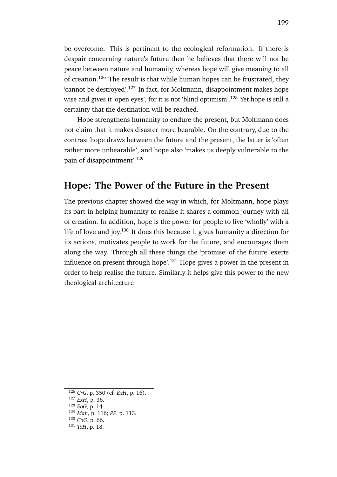be overcome. This is pertinent to the ecological reformation. If there is despair concerning nature's future then he believes that there will not be peace between nature and humanity, whereas hope will give meaning to all of creation.<sup>126</sup> The result is that while human hopes can be frustrated, they 'cannot be destroyed'.<sup>127</sup> In fact, for Moltmann, disappointment makes hope wise and gives it 'open eyes', for it is not 'blind optimism'.<sup>128</sup> Yet hope is still a certainty that the destination will be reached.

Hope strengthens humanity to endure the present, but Moltmann does not claim that it makes disaster more bearable. On the contrary, due to the contrast hope draws between the future and the present, the latter is 'often rather more unbearable', and hope also 'makes us deeply vulnerable to the pain of disappointment'.<sup>129</sup>

### **Hope: The Power of the Future in the Present**

The previous chapter showed the way in which, for Moltmann, hope plays its part in helping humanity to realise it shares a common journey with all of creation. In addition, hope is the power for people to live 'wholly' with a life of love and joy.<sup>130</sup> It does this because it gives humanity a direction for its actions, motivates people to work for the future, and encourages them along the way. Through all these things the 'promise' of the future 'exerts influence on present through hope'.<sup>131</sup> Hope gives a power in the present in order to help realise the future. Similarly it helps give this power to the new theological architecture

199

<sup>126</sup> *CrG*, p. 350 (cf. *ExH*, p. 16).

<sup>127</sup> *ExH*, p. 36.

<sup>128</sup> *EoG*, p. 14.

<sup>129</sup> *Man*, p. 116; *PP*, p. 113.

<sup>130</sup> *CoG*, p. 66.

<sup>131</sup> *ToH*, p. 18.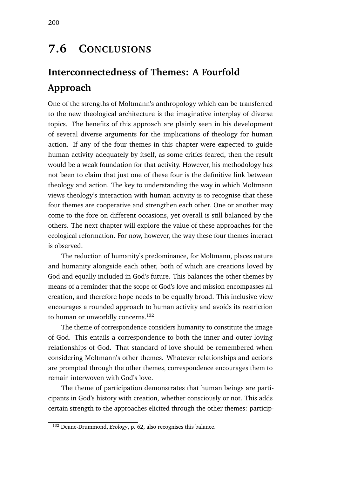# **7.6 CONCLUSIONS**

# **Interconnectedness of Themes: A Fourfold Approach**

One of the strengths of Moltmann's anthropology which can be transferred to the new theological architecture is the imaginative interplay of diverse topics. The benefits of this approach are plainly seen in his development of several diverse arguments for the implications of theology for human action. If any of the four themes in this chapter were expected to guide human activity adequately by itself, as some critics feared, then the result would be a weak foundation for that activity. However, his methodology has not been to claim that just one of these four is the definitive link between theology and action. The key to understanding the way in which Moltmann views theology's interaction with human activity is to recognise that these four themes are cooperative and strengthen each other. One or another may come to the fore on different occasions, yet overall is still balanced by the others. The next chapter will explore the value of these approaches for the ecological reformation. For now, however, the way these four themes interact is observed.

The reduction of humanity's predominance, for Moltmann, places nature and humanity alongside each other, both of which are creations loved by God and equally included in God's future. This balances the other themes by means of a reminder that the scope of God's love and mission encompasses all creation, and therefore hope needs to be equally broad. This inclusive view encourages a rounded approach to human activity and avoids its restriction to human or unworldly concerns.<sup>132</sup>

The theme of correspondence considers humanity to constitute the image of God. This entails a correspondence to both the inner and outer loving relationships of God. That standard of love should be remembered when considering Moltmann's other themes. Whatever relationships and actions are prompted through the other themes, correspondence encourages them to remain interwoven with God's love.

The theme of participation demonstrates that human beings are participants in God's history with creation, whether consciously or not. This adds certain strength to the approaches elicited through the other themes: particip-

<sup>132</sup> Deane-Drummond, *Ecology*, p. 62, also recognises this balance.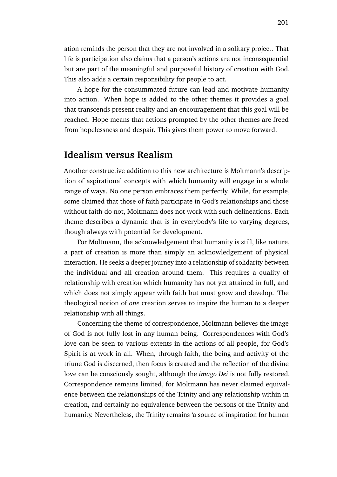ation reminds the person that they are not involved in a solitary project. That life is participation also claims that a person's actions are not inconsequential but are part of the meaningful and purposeful history of creation with God. This also adds a certain responsibility for people to act.

A hope for the consummated future can lead and motivate humanity into action. When hope is added to the other themes it provides a goal that transcends present reality and an encouragement that this goal will be reached. Hope means that actions prompted by the other themes are freed from hopelessness and despair. This gives them power to move forward.

#### **Idealism versus Realism**

Another constructive addition to this new architecture is Moltmann's description of aspirational concepts with which humanity will engage in a whole range of ways. No one person embraces them perfectly. While, for example, some claimed that those of faith participate in God's relationships and those without faith do not, Moltmann does not work with such delineations. Each theme describes a dynamic that is in everybody's life to varying degrees, though always with potential for development.

For Moltmann, the acknowledgement that humanity is still, like nature, a part of creation is more than simply an acknowledgement of physical interaction. He seeks a deeper journey into a relationship of solidarity between the individual and all creation around them. This requires a quality of relationship with creation which humanity has not yet attained in full, and which does not simply appear with faith but must grow and develop. The theological notion of *one* creation serves to inspire the human to a deeper relationship with all things.

Concerning the theme of correspondence, Moltmann believes the image of God is not fully lost in any human being. Correspondences with God's love can be seen to various extents in the actions of all people, for God's Spirit is at work in all. When, through faith, the being and activity of the triune God is discerned, then focus is created and the reflection of the divine love can be consciously sought, although the *imago Dei* is not fully restored. Correspondence remains limited, for Moltmann has never claimed equivalence between the relationships of the Trinity and any relationship within in creation, and certainly no equivalence between the persons of the Trinity and humanity. Nevertheless, the Trinity remains 'a source of inspiration for human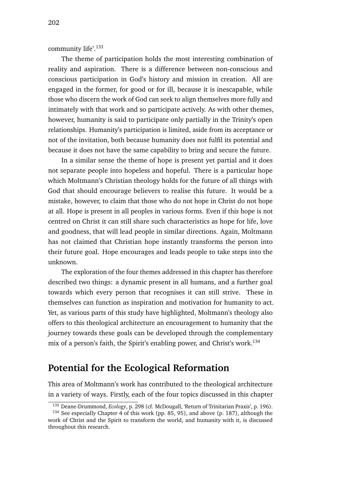community life'.<sup>133</sup>

The theme of participation holds the most interesting combination of reality and aspiration. There is a difference between non-conscious and conscious participation in God's history and mission in creation. All are engaged in the former, for good or for ill, because it is inescapable, while those who discern the work of God can seek to align themselves more fully and intimately with that work and so participate actively. As with other themes, however, humanity is said to participate only partially in the Trinity's open relationships. Humanity's participation is limited, aside from its acceptance or not of the invitation, both because humanity does not fulfil its potential and because it does not have the same capability to bring and secure the future.

In a similar sense the theme of hope is present yet partial and it does not separate people into hopeless and hopeful. There is a particular hope which Moltmann's Christian theology holds for the future of all things with God that should encourage believers to realise this future. It would be a mistake, however, to claim that those who do not hope in Christ do not hope at all. Hope is present in all peoples in various forms. Even if this hope is not centred on Christ it can still share such characteristics as hope for life, love and goodness, that will lead people in similar directions. Again, Moltmann has not claimed that Christian hope instantly transforms the person into their future goal. Hope encourages and leads people to take steps into the unknown.

The exploration of the four themes addressed in this chapter has therefore described two things: a dynamic present in all humans, and a further goal towards which every person that recognises it can still strive. These in themselves can function as inspiration and motivation for humanity to act. Yet, as various parts of this study have highlighted, Moltmann's theology also offers to this theological architecture an encouragement to humanity that the journey towards these goals can be developed through the complementary mix of a person's faith, the Spirit's enabling power, and Christ's work.<sup>134</sup>

#### **Potential for the Ecological Reformation**

This area of Moltmann's work has contributed to the theological architecture in a variety of ways. Firstly, each of the four topics discussed in this chapter

<sup>133</sup> Deane-Drummond, *Ecology*, p. 298 (cf. McDougall, 'Return of Trinitarian Praxis', p. 196).

<sup>&</sup>lt;sup>134</sup> See especially Chapter 4 of this work (pp. 85, 95), and above (p. 187), although the work of Christ and the Spirit to transform the world, and humanity with it, is discussed throughout this research.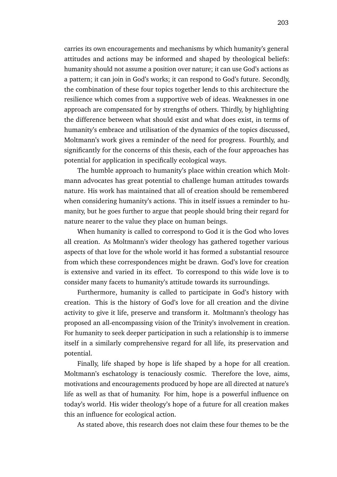carries its own encouragements and mechanisms by which humanity's general attitudes and actions may be informed and shaped by theological beliefs: humanity should not assume a position over nature; it can use God's actions as a pattern; it can join in God's works; it can respond to God's future. Secondly, the combination of these four topics together lends to this architecture the resilience which comes from a supportive web of ideas. Weaknesses in one approach are compensated for by strengths of others. Thirdly, by highlighting the difference between what should exist and what does exist, in terms of humanity's embrace and utilisation of the dynamics of the topics discussed, Moltmann's work gives a reminder of the need for progress. Fourthly, and significantly for the concerns of this thesis, each of the four approaches has potential for application in specifically ecological ways.

The humble approach to humanity's place within creation which Moltmann advocates has great potential to challenge human attitudes towards nature. His work has maintained that all of creation should be remembered when considering humanity's actions. This in itself issues a reminder to humanity, but he goes further to argue that people should bring their regard for nature nearer to the value they place on human beings.

When humanity is called to correspond to God it is the God who loves all creation. As Moltmann's wider theology has gathered together various aspects of that love for the whole world it has formed a substantial resource from which these correspondences might be drawn. God's love for creation is extensive and varied in its effect. To correspond to this wide love is to consider many facets to humanity's attitude towards its surroundings.

Furthermore, humanity is called to participate in God's history with creation. This is the history of God's love for all creation and the divine activity to give it life, preserve and transform it. Moltmann's theology has proposed an all-encompassing vision of the Trinity's involvement in creation. For humanity to seek deeper participation in such a relationship is to immerse itself in a similarly comprehensive regard for all life, its preservation and potential.

Finally, life shaped by hope is life shaped by a hope for all creation. Moltmann's eschatology is tenaciously cosmic. Therefore the love, aims, motivations and encouragements produced by hope are all directed at nature's life as well as that of humanity. For him, hope is a powerful influence on today's world. His wider theology's hope of a future for all creation makes this an influence for ecological action.

As stated above, this research does not claim these four themes to be the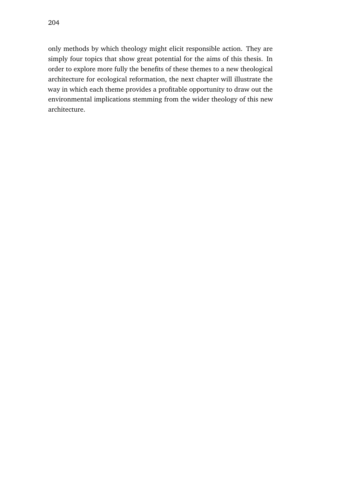only methods by which theology might elicit responsible action. They are simply four topics that show great potential for the aims of this thesis. In order to explore more fully the benefits of these themes to a new theological architecture for ecological reformation, the next chapter will illustrate the way in which each theme provides a profitable opportunity to draw out the environmental implications stemming from the wider theology of this new architecture.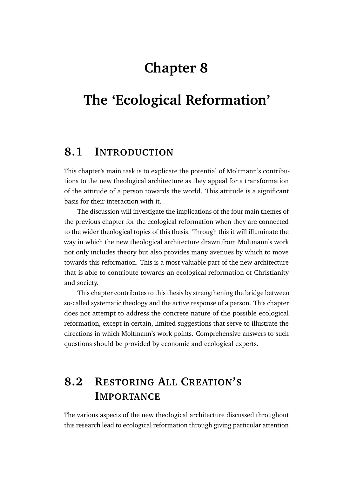# **Chapter 8**

# **The 'Ecological Reformation'**

### **8.1 INTRODUCTION**

This chapter's main task is to explicate the potential of Moltmann's contributions to the new theological architecture as they appeal for a transformation of the attitude of a person towards the world. This attitude is a significant basis for their interaction with it.

The discussion will investigate the implications of the four main themes of the previous chapter for the ecological reformation when they are connected to the wider theological topics of this thesis. Through this it will illuminate the way in which the new theological architecture drawn from Moltmann's work not only includes theory but also provides many avenues by which to move towards this reformation. This is a most valuable part of the new architecture that is able to contribute towards an ecological reformation of Christianity and society.

This chapter contributes to this thesis by strengthening the bridge between so-called systematic theology and the active response of a person. This chapter does not attempt to address the concrete nature of the possible ecological reformation, except in certain, limited suggestions that serve to illustrate the directions in which Moltmann's work points. Comprehensive answers to such questions should be provided by economic and ecological experts.

# **8.2 RESTORING ALL CREATION'S IMPORTANCE**

The various aspects of the new theological architecture discussed throughout this research lead to ecological reformation through giving particular attention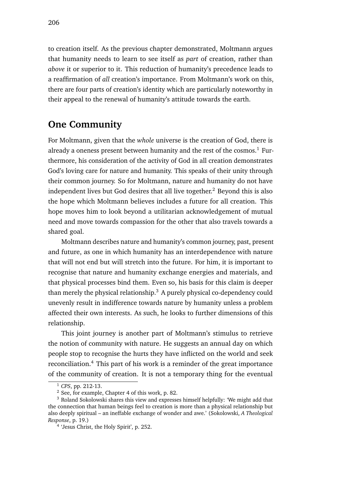to creation itself. As the previous chapter demonstrated, Moltmann argues that humanity needs to learn to see itself as *part* of creation, rather than *above* it or superior to it. This reduction of humanity's precedence leads to a reaffirmation of *all* creation's importance. From Moltmann's work on this, there are four parts of creation's identity which are particularly noteworthy in their appeal to the renewal of humanity's attitude towards the earth.

#### **One Community**

For Moltmann, given that the *whole* universe is the creation of God, there is already a oneness present between humanity and the rest of the cosmos.<sup>1</sup> Furthermore, his consideration of the activity of God in all creation demonstrates God's loving care for nature and humanity. This speaks of their unity through their common journey. So for Moltmann, nature and humanity do not have independent lives but God desires that all live together.<sup>2</sup> Beyond this is also the hope which Moltmann believes includes a future for all creation. This hope moves him to look beyond a utilitarian acknowledgement of mutual need and move towards compassion for the other that also travels towards a shared goal.

Moltmann describes nature and humanity's common journey, past, present and future, as one in which humanity has an interdependence with nature that will not end but will stretch into the future. For him, it is important to recognise that nature and humanity exchange energies and materials, and that physical processes bind them. Even so, his basis for this claim is deeper than merely the physical relationship.<sup>3</sup> A purely physical co-dependency could unevenly result in indifference towards nature by humanity unless a problem affected their own interests. As such, he looks to further dimensions of this relationship.

This joint journey is another part of Moltmann's stimulus to retrieve the notion of community with nature. He suggests an annual day on which people stop to recognise the hurts they have inflicted on the world and seek reconciliation.<sup>4</sup> This part of his work is a reminder of the great importance of the community of creation. It is not a temporary thing for the eventual

<sup>1</sup> *CPS*, pp. 212-13.

<sup>2</sup> See, for example, Chapter 4 of this work, p. 82.

<sup>3</sup> Roland Sokolowski shares this view and expresses himself helpfully: 'We might add that the connection that human beings feel to creation is more than a physical relationship but also deeply spiritual – an ineffable exchange of wonder and awe.' (Sokolowski, *A Theological Response*, p. 19.)

<sup>4</sup> 'Jesus Christ, the Holy Spirit', p. 252.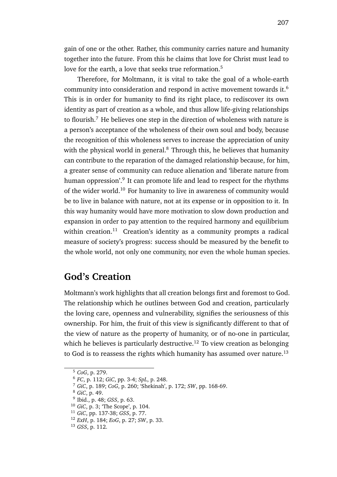gain of one or the other. Rather, this community carries nature and humanity together into the future. From this he claims that love for Christ must lead to love for the earth, a love that seeks true reformation.<sup>5</sup>

Therefore, for Moltmann, it is vital to take the goal of a whole-earth community into consideration and respond in active movement towards it.<sup>6</sup> This is in order for humanity to find its right place, to rediscover its own identity as part of creation as a whole, and thus allow life-giving relationships to flourish.<sup>7</sup> He believes one step in the direction of wholeness with nature is a person's acceptance of the wholeness of their own soul and body, because the recognition of this wholeness serves to increase the appreciation of unity with the physical world in general. $8$  Through this, he believes that humanity can contribute to the reparation of the damaged relationship because, for him, a greater sense of community can reduce alienation and 'liberate nature from human oppression'.<sup>9</sup> It can promote life and lead to respect for the rhythms of the wider world.<sup>10</sup> For humanity to live in awareness of community would be to live in balance with nature, not at its expense or in opposition to it. In this way humanity would have more motivation to slow down production and expansion in order to pay attention to the required harmony and equilibrium within creation.<sup>11</sup> Creation's identity as a community prompts a radical measure of society's progress: success should be measured by the benefit to the whole world, not only one community, nor even the whole human species.

#### **God's Creation**

Moltmann's work highlights that all creation belongs first and foremost to God. The relationship which he outlines between God and creation, particularly the loving care, openness and vulnerability, signifies the seriousness of this ownership. For him, the fruit of this view is significantly different to that of the view of nature as the property of humanity, or of no-one in particular, which he believes is particularly destructive.<sup>12</sup> To view creation as belonging to God is to reassess the rights which humanity has assumed over nature.<sup>13</sup>

<sup>5</sup> *CoG*, p. 279.

<sup>6</sup> *FC*, p. 112; *GiC*, pp. 3-4; *SpL*, p. 248.

<sup>7</sup> *GiC*, p. 189; *CoG*, p. 260; 'Shekinah', p. 172; *SW*, pp. 168-69.

<sup>8</sup> *GiC*, p. 49.

<sup>9</sup> Ibid., p. 48; *GSS*, p. 63.

<sup>10</sup> *GiC*, p. 3; 'The Scope', p. 104.

<sup>11</sup> *GiC*, pp. 137-38; *GSS*, p. 77.

<sup>12</sup> *ExH*, p. 184; *EoG*, p. 27; *SW*, p. 33.

<sup>13</sup> *GSS*, p. 112.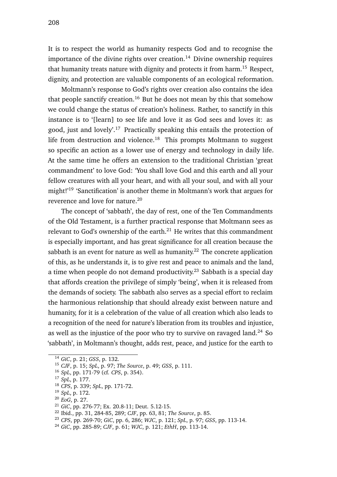It is to respect the world as humanity respects God and to recognise the importance of the divine rights over creation.<sup>14</sup> Divine ownership requires that humanity treats nature with dignity and protects it from harm.<sup>15</sup> Respect, dignity, and protection are valuable components of an ecological reformation.

Moltmann's response to God's rights over creation also contains the idea that people sanctify creation.<sup>16</sup> But he does not mean by this that somehow we could change the status of creation's holiness. Rather, to sanctify in this instance is to '[learn] to see life and love it as God sees and loves it: as good, just and lovely'.<sup>17</sup> Practically speaking this entails the protection of life from destruction and violence.<sup>18</sup> This prompts Moltmann to suggest so specific an action as a lower use of energy and technology in daily life. At the same time he offers an extension to the traditional Christian 'great commandment' to love God: 'You shall love God and this earth and all your fellow creatures with all your heart, and with all your soul, and with all your might!'<sup>19</sup> 'Sanctification' is another theme in Moltmann's work that argues for reverence and love for nature.<sup>20</sup>

The concept of 'sabbath', the day of rest, one of the Ten Commandments of the Old Testament, is a further practical response that Moltmann sees as relevant to God's ownership of the earth. $^{21}$  He writes that this commandment is especially important, and has great significance for all creation because the sabbath is an event for nature as well as humanity.<sup>22</sup> The concrete application of this, as he understands it, is to give rest and peace to animals and the land, a time when people do not demand productivity.<sup>23</sup> Sabbath is a special day that affords creation the privilege of simply 'being', when it is released from the demands of society. The sabbath also serves as a special effort to reclaim the harmonious relationship that should already exist between nature and humanity, for it is a celebration of the value of all creation which also leads to a recognition of the need for nature's liberation from its troubles and injustice, as well as the injustice of the poor who try to survive on ravaged land.<sup>24</sup> So 'sabbath', in Moltmann's thought, adds rest, peace, and justice for the earth to

<sup>14</sup> *GiC*, p. 21; *GSS*, p. 132.

<sup>15</sup> *CJF*, p. 15; *SpL*, p. 97; *The Source*, p. 49; *GSS*, p. 111.

<sup>16</sup> *SpL*, pp. 171-79 (cf. *CPS*, p. 354).

<sup>17</sup> *SpL*, p. 177.

<sup>18</sup> *CPS*, p. 339; *SpL*, pp. 171-72.

<sup>19</sup> *SpL*, p. 172.

<sup>20</sup> *EoG*, p. 27.

<sup>21</sup> *GiC*, pp. 276-77; Ex. 20.8-11; Deut. 5.12-15.

<sup>22</sup> Ibid., pp. 31, 284-85, 289; *CJF*, pp. 63, 81; *The Source*, p. 85.

<sup>23</sup> *CPS*, pp. 269-70; *GiC*, pp. 6, 286; *WJC*, p. 121; *SpL*, p. 97; *GSS*, pp. 113-14.

<sup>24</sup> *GiC*, pp. 285-89; *CJF*, p. 61; *WJC*, p. 121; *EthH*, pp. 113-14.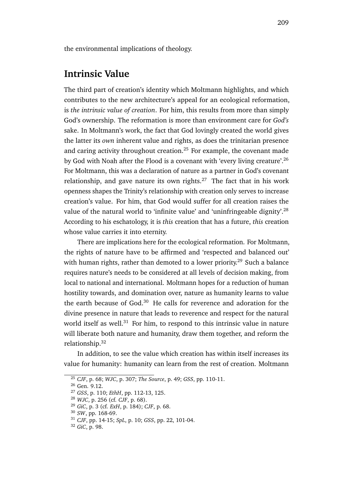the environmental implications of theology.

#### **Intrinsic Value**

The third part of creation's identity which Moltmann highlights, and which contributes to the new architecture's appeal for an ecological reformation, is *the intrinsic value of creation*. For him, this results from more than simply God's ownership. The reformation is more than environment care for *God's* sake. In Moltmann's work, the fact that God lovingly created the world gives the latter its *own* inherent value and rights, as does the trinitarian presence and caring activity throughout creation.<sup>25</sup> For example, the covenant made by God with Noah after the Flood is a covenant with 'every living creature'.<sup>26</sup> For Moltmann, this was a declaration of nature as a partner in God's covenant relationship, and gave nature its own rights.<sup>27</sup> The fact that in his work openness shapes the Trinity's relationship with creation only serves to increase creation's value. For him, that God would suffer for all creation raises the value of the natural world to 'infinite value' and 'uninfringeable dignity'.<sup>28</sup> According to his eschatology, it is *this* creation that has a future, *this* creation whose value carries it into eternity.

There are implications here for the ecological reformation. For Moltmann, the rights of nature have to be affirmed and 'respected and balanced out' with human rights, rather than demoted to a lower priority.<sup>29</sup> Such a balance requires nature's needs to be considered at all levels of decision making, from local to national and international. Moltmann hopes for a reduction of human hostility towards, and domination over, nature as humanity learns to value the earth because of God. $30$  He calls for reverence and adoration for the divine presence in nature that leads to reverence and respect for the natural world itself as well.<sup>31</sup> For him, to respond to this intrinsic value in nature will liberate both nature and humanity, draw them together, and reform the relationship.<sup>32</sup>

In addition, to see the value which creation has within itself increases its value for humanity: humanity can learn from the rest of creation. Moltmann

<sup>25</sup> *CJF*, p. 68; *WJC*, p. 307; *The Source*, p. 49; *GSS*, pp. 110-11.

<sup>26</sup> Gen. 9.12.

<sup>27</sup> *GSS*, p. 110; *EthH*, pp. 112-13, 125.

<sup>28</sup> *WJC*, p. 256 (cf. *CJF*, p. 68).

<sup>29</sup> *GiC*, p. 3 (cf. *ExH*, p. 184); *CJF*, p. 68.

<sup>30</sup> *SW*, pp. 168-69.

<sup>31</sup> *CJF*, pp. 14-15; *SpL*, p. 10; *GSS*, pp. 22, 101-04.

<sup>32</sup> *GiC*, p. 98.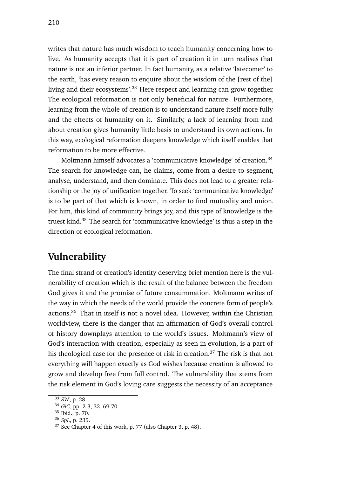writes that nature has much wisdom to teach humanity concerning how to live. As humanity accepts that it is part of creation it in turn realises that nature is not an inferior partner. In fact humanity, as a relative 'latecomer' to the earth, 'has every reason to enquire about the wisdom of the [rest of the] living and their ecosystems'.<sup>33</sup> Here respect and learning can grow together. The ecological reformation is not only beneficial for nature. Furthermore, learning from the whole of creation is to understand nature itself more fully and the effects of humanity on it. Similarly, a lack of learning from and about creation gives humanity little basis to understand its own actions. In this way, ecological reformation deepens knowledge which itself enables that reformation to be more effective.

Moltmann himself advocates a 'communicative knowledge' of creation.<sup>34</sup> The search for knowledge can, he claims, come from a desire to segment, analyse, understand, and then dominate. This does not lead to a greater relationship or the joy of unification together. To seek 'communicative knowledge' is to be part of that which is known, in order to find mutuality and union. For him, this kind of community brings joy, and this type of knowledge is the truest kind.<sup>35</sup> The search for 'communicative knowledge' is thus a step in the direction of ecological reformation.

### **Vulnerability**

The final strand of creation's identity deserving brief mention here is the vulnerability of creation which is the result of the balance between the freedom God gives it and the promise of future consummation. Moltmann writes of the way in which the needs of the world provide the concrete form of people's actions.<sup>36</sup> That in itself is not a novel idea. However, within the Christian worldview, there is the danger that an affirmation of God's overall control of history downplays attention to the world's issues. Moltmann's view of God's interaction with creation, especially as seen in evolution, is a part of his theological case for the presence of risk in creation.<sup>37</sup> The risk is that not everything will happen exactly as God wishes because creation is allowed to grow and develop free from full control. The vulnerability that stems from the risk element in God's loving care suggests the necessity of an acceptance

<sup>33</sup> *SW*, p. 28.

<sup>34</sup> *GiC*, pp. 2-3, 32, 69-70.

<sup>35</sup> Ibid., p. 70.

<sup>36</sup> *SpL*, p. 235.

<sup>37</sup> See Chapter 4 of this work, p. 77 (also Chapter 3, p. 48).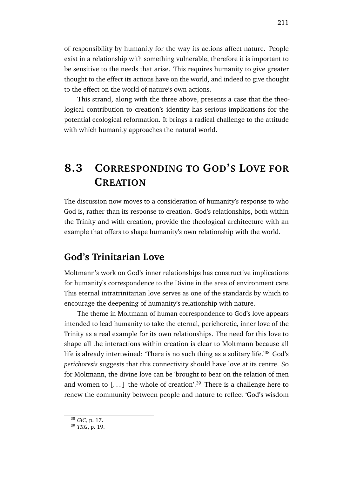of responsibility by humanity for the way its actions affect nature. People exist in a relationship with something vulnerable, therefore it is important to be sensitive to the needs that arise. This requires humanity to give greater thought to the effect its actions have on the world, and indeed to give thought to the effect on the world of nature's own actions.

This strand, along with the three above, presents a case that the theological contribution to creation's identity has serious implications for the potential ecological reformation. It brings a radical challenge to the attitude with which humanity approaches the natural world.

## **8.3 CORRESPONDING TO GOD'S LOVE FOR CREATION**

The discussion now moves to a consideration of humanity's response to who God is, rather than its response to creation. God's relationships, both within the Trinity and with creation, provide the theological architecture with an example that offers to shape humanity's own relationship with the world.

#### **God's Trinitarian Love**

Moltmann's work on God's inner relationships has constructive implications for humanity's correspondence to the Divine in the area of environment care. This eternal intratrinitarian love serves as one of the standards by which to encourage the deepening of humanity's relationship with nature.

The theme in Moltmann of human correspondence to God's love appears intended to lead humanity to take the eternal, perichoretic, inner love of the Trinity as a real example for its own relationships. The need for this love to shape all the interactions within creation is clear to Moltmann because all life is already intertwined: 'There is no such thing as a solitary life.'<sup>38</sup> God's *perichoresis* suggests that this connectivity should have love at its centre. So for Moltmann, the divine love can be 'brought to bear on the relation of men and women to [...] the whole of creation'.<sup>39</sup> There is a challenge here to renew the community between people and nature to reflect 'God's wisdom

<sup>38</sup> *GiC*, p. 17.

<sup>39</sup> *TKG*, p. 19.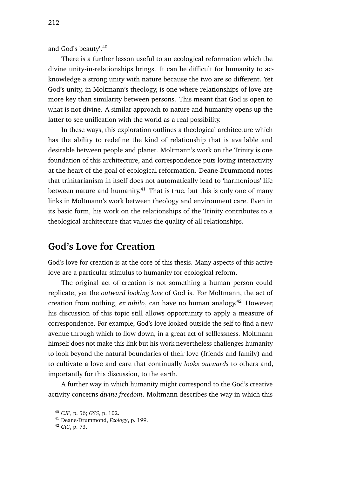and God's beauty'.<sup>40</sup>

There is a further lesson useful to an ecological reformation which the divine unity-in-relationships brings. It can be difficult for humanity to acknowledge a strong unity with nature because the two are so different. Yet God's unity, in Moltmann's theology, is one where relationships of love are more key than similarity between persons. This meant that God is open to what is not divine. A similar approach to nature and humanity opens up the latter to see unification with the world as a real possibility.

In these ways, this exploration outlines a theological architecture which has the ability to redefine the kind of relationship that is available and desirable between people and planet. Moltmann's work on the Trinity is one foundation of this architecture, and correspondence puts loving interactivity at the heart of the goal of ecological reformation. Deane-Drummond notes that trinitarianism in itself does not automatically lead to 'harmonious' life between nature and humanity.<sup>41</sup> That is true, but this is only one of many links in Moltmann's work between theology and environment care. Even in its basic form, his work on the relationships of the Trinity contributes to a theological architecture that values the quality of all relationships.

#### **God's Love for Creation**

God's love for creation is at the core of this thesis. Many aspects of this active love are a particular stimulus to humanity for ecological reform.

The original act of creation is not something a human person could replicate, yet the *outward looking love* of God is. For Moltmann, the act of creation from nothing, *ex nihilo*, can have no human analogy.<sup>42</sup> However, his discussion of this topic still allows opportunity to apply a measure of correspondence. For example, God's love looked outside the self to find a new avenue through which to flow down, in a great act of selflessness. Moltmann himself does not make this link but his work nevertheless challenges humanity to look beyond the natural boundaries of their love (friends and family) and to cultivate a love and care that continually *looks outwards* to others and, importantly for this discussion, to the earth.

A further way in which humanity might correspond to the God's creative activity concerns *divine freedom*. Moltmann describes the way in which this

<sup>40</sup> *CJF*, p. 56; *GSS*, p. 102.

<sup>41</sup> Deane-Drummond, *Ecology*, p. 199.

<sup>42</sup> *GiC*, p. 73.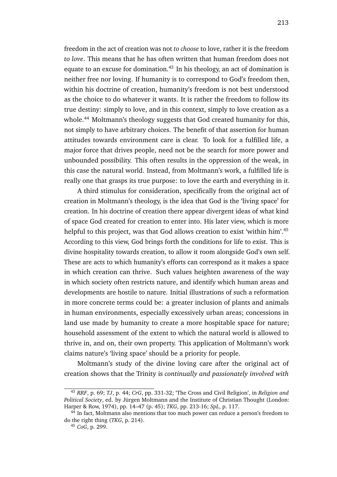freedom in the act of creation was not *to choose* to love, rather it is the freedom *to love*. This means that he has often written that human freedom does not equate to an excuse for domination.<sup>43</sup> In his theology, an act of domination is neither free nor loving. If humanity is to correspond to God's freedom then, within his doctrine of creation, humanity's freedom is not best understood as the choice to do whatever it wants. It is rather the freedom to follow its true destiny: simply to love, and in this context, simply to love creation as a whole.<sup>44</sup> Moltmann's theology suggests that God created humanity for this, not simply to have arbitrary choices. The benefit of that assertion for human attitudes towards environment care is clear. To look for a fulfilled life, a major force that drives people, need not be the search for more power and unbounded possibility. This often results in the oppression of the weak, in this case the natural world. Instead, from Moltmann's work, a fulfilled life is really one that grasps its true purpose: to love the earth and everything in it.

A third stimulus for consideration, specifically from the original act of creation in Moltmann's theology, is the idea that God is the 'living space' for creation. In his doctrine of creation there appear divergent ideas of what kind of space God created for creation to enter into. His later view, which is more helpful to this project, was that God allows creation to exist 'within him'.<sup>45</sup> According to this view, God brings forth the conditions for life to exist. This is divine hospitality towards creation, to allow it room alongside God's own self. These are acts to which humanity's efforts can correspond as it makes a space in which creation can thrive. Such values heighten awareness of the way in which society often restricts nature, and identify which human areas and developments are hostile to nature. Initial illustrations of such a reformation in more concrete terms could be: a greater inclusion of plants and animals in human environments, especially excessively urban areas; concessions in land use made by humanity to create a more hospitable space for nature; household assessment of the extent to which the natural world is allowed to thrive in, and on, their own property. This application of Moltmann's work claims nature's 'living space' should be a priority for people.

Moltmann's study of the divine loving care after the original act of creation shows that the Trinity is *continually and passionately involved with*

<sup>43</sup> *RRF*, p. 69; *TJ*, p. 44; *CrG*, pp. 331-32; 'The Cross and Civil Religion', in *Religion and Political Society*, ed. by Jürgen Moltmann and the Institute of Christian Thought (London: Harper & Row, 1974), pp. 14–47 (p. 45); *TKG*, pp. 213-16; *SpL*, p. 117.

<sup>&</sup>lt;sup>44</sup> In fact, Moltmann also mentions that too much power can reduce a person's freedom to do the right thing (*TKG*, p. 214).

<sup>45</sup> *CoG*, p. 299.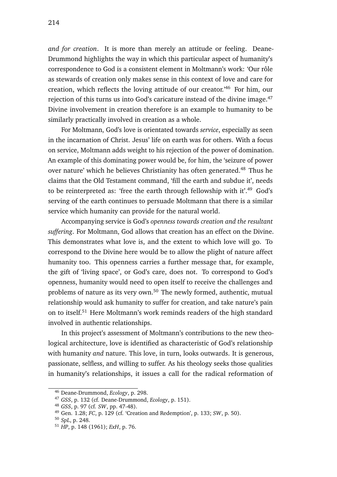*and for creation*. It is more than merely an attitude or feeling. Deane-Drummond highlights the way in which this particular aspect of humanity's correspondence to God is a consistent element in Moltmann's work: 'Our rôle as stewards of creation only makes sense in this context of love and care for creation, which reflects the loving attitude of our creator.'<sup>46</sup> For him, our rejection of this turns us into God's caricature instead of the divine image.<sup>47</sup> Divine involvement in creation therefore is an example to humanity to be similarly practically involved in creation as a whole.

For Moltmann, God's love is orientated towards *service*, especially as seen in the incarnation of Christ. Jesus' life on earth was for others. With a focus on service, Moltmann adds weight to his rejection of the power of domination. An example of this dominating power would be, for him, the 'seizure of power over nature' which he believes Christianity has often generated.<sup>48</sup> Thus he claims that the Old Testament command, 'fill the earth and subdue it', needs to be reinterpreted as: 'free the earth through fellowship with it'.<sup>49</sup> God's serving of the earth continues to persuade Moltmann that there is a similar service which humanity can provide for the natural world.

Accompanying service is God's *openness towards creation and the resultant suffering*. For Moltmann, God allows that creation has an effect on the Divine. This demonstrates what love is, and the extent to which love will go. To correspond to the Divine here would be to allow the plight of nature affect humanity too. This openness carries a further message that, for example, the gift of 'living space', or God's care, does not. To correspond to God's openness, humanity would need to open itself to receive the challenges and problems of nature as its very own.<sup>50</sup> The newly formed, authentic, mutual relationship would ask humanity to suffer for creation, and take nature's pain on to itself.<sup>51</sup> Here Moltmann's work reminds readers of the high standard involved in authentic relationships.

In this project's assessment of Moltmann's contributions to the new theological architecture, love is identified as characteristic of God's relationship with humanity *and* nature. This love, in turn, looks outwards. It is generous, passionate, selfless, and willing to suffer. As his theology seeks those qualities in humanity's relationships, it issues a call for the radical reformation of

<sup>46</sup> Deane-Drummond, *Ecology*, p. 298.

<sup>47</sup> *GSS*, p. 132 (cf. Deane-Drummond, *Ecology*, p. 151).

<sup>48</sup> *GSS*, p. 97 (cf. *SW*, pp. 47-48).

<sup>49</sup> Gen. 1.28; *FC*, p. 129 (cf. 'Creation and Redemption', p. 133; *SW*, p. 50).

<sup>50</sup> *SpL*, p. 248.

<sup>51</sup> *HP*, p. 148 (1961); *ExH*, p. 76.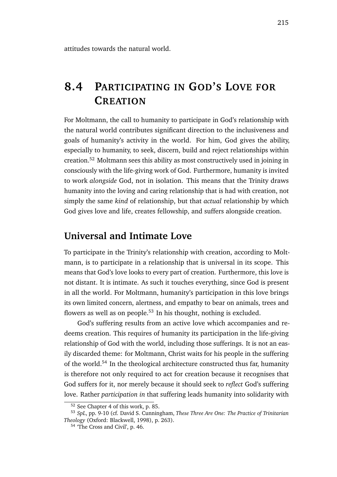attitudes towards the natural world.

# **8.4 PARTICIPATING IN GOD'S LOVE FOR CREATION**

For Moltmann, the call to humanity to participate in God's relationship with the natural world contributes significant direction to the inclusiveness and goals of humanity's activity in the world. For him, God gives the ability, especially to humanity, to seek, discern, build and reject relationships within creation.<sup>52</sup> Moltmann sees this ability as most constructively used in joining in consciously with the life-giving work of God. Furthermore, humanity is invited to work *alongside* God, not in isolation. This means that the Trinity draws humanity into the loving and caring relationship that is had with creation, not simply the same *kind* of relationship, but that *actual* relationship by which God gives love and life, creates fellowship, and suffers alongside creation.

#### **Universal and Intimate Love**

To participate in the Trinity's relationship with creation, according to Moltmann, is to participate in a relationship that is universal in its scope. This means that God's love looks to every part of creation. Furthermore, this love is not distant. It is intimate. As such it touches everything, since God is present in all the world. For Moltmann, humanity's participation in this love brings its own limited concern, alertness, and empathy to bear on animals, trees and flowers as well as on people.<sup>53</sup> In his thought, nothing is excluded.

God's suffering results from an active love which accompanies and redeems creation. This requires of humanity its participation in the life-giving relationship of God with the world, including those sufferings. It is not an easily discarded theme: for Moltmann, Christ waits for his people in the suffering of the world.<sup>54</sup> In the theological architecture constructed thus far, humanity is therefore not only required to act for creation because it recognises that God suffers for it, nor merely because it should seek to *reflect* God's suffering love. Rather *participation in* that suffering leads humanity into solidarity with

<sup>52</sup> See Chapter 4 of this work, p. 85.

<sup>53</sup> *SpL*, pp. 9-10 (cf. David S. Cunningham, *These Three Are One: The Practice of Trinitarian Theology* (Oxford: Blackwell, 1998), p. 263).

<sup>54</sup> 'The Cross and Civil', p. 46.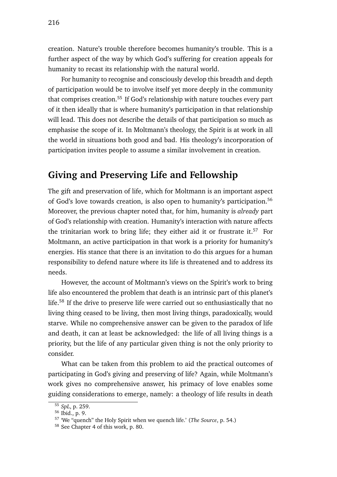creation. Nature's trouble therefore becomes humanity's trouble. This is a further aspect of the way by which God's suffering for creation appeals for humanity to recast its relationship with the natural world.

For humanity to recognise and consciously develop this breadth and depth of participation would be to involve itself yet more deeply in the community that comprises creation.<sup>55</sup> If God's relationship with nature touches every part of it then ideally that is where humanity's participation in that relationship will lead. This does not describe the details of that participation so much as emphasise the scope of it. In Moltmann's theology, the Spirit is at work in all the world in situations both good and bad. His theology's incorporation of participation invites people to assume a similar involvement in creation.

### **Giving and Preserving Life and Fellowship**

The gift and preservation of life, which for Moltmann is an important aspect of God's love towards creation, is also open to humanity's participation.<sup>56</sup> Moreover, the previous chapter noted that, for him, humanity is *already* part of God's relationship with creation. Humanity's interaction with nature affects the trinitarian work to bring life; they either aid it or frustrate it.<sup>57</sup> For Moltmann, an active participation in that work is a priority for humanity's energies. His stance that there is an invitation to do this argues for a human responsibility to defend nature where its life is threatened and to address its needs.

However, the account of Moltmann's views on the Spirit's work to bring life also encountered the problem that death is an intrinsic part of this planet's life.<sup>58</sup> If the drive to preserve life were carried out so enthusiastically that no living thing ceased to be living, then most living things, paradoxically, would starve. While no comprehensive answer can be given to the paradox of life and death, it can at least be acknowledged: the life of all living things is a priority, but the life of any particular given thing is not the only priority to consider.

What can be taken from this problem to aid the practical outcomes of participating in God's giving and preserving of life? Again, while Moltmann's work gives no comprehensive answer, his primacy of love enables some guiding considerations to emerge, namely: a theology of life results in death

<sup>55</sup> *SpL*, p. 259.

<sup>56</sup> Ibid., p. 9.

<sup>57</sup> 'We "quench" the Holy Spirit when we quench life.' (*The Source*, p. 54.)

<sup>58</sup> See Chapter 4 of this work, p. 80.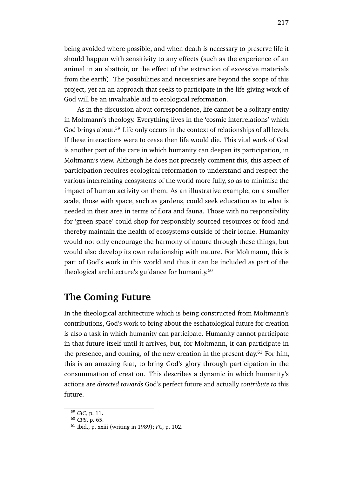being avoided where possible, and when death is necessary to preserve life it should happen with sensitivity to any effects (such as the experience of an animal in an abattoir, or the effect of the extraction of excessive materials from the earth). The possibilities and necessities are beyond the scope of this project, yet an an approach that seeks to participate in the life-giving work of God will be an invaluable aid to ecological reformation.

As in the discussion about correspondence, life cannot be a solitary entity in Moltmann's theology. Everything lives in the 'cosmic interrelations' which God brings about.<sup>59</sup> Life only occurs in the context of relationships of all levels. If these interactions were to cease then life would die. This vital work of God is another part of the care in which humanity can deepen its participation, in Moltmann's view. Although he does not precisely comment this, this aspect of participation requires ecological reformation to understand and respect the various interrelating ecosystems of the world more fully, so as to minimise the impact of human activity on them. As an illustrative example, on a smaller scale, those with space, such as gardens, could seek education as to what is needed in their area in terms of flora and fauna. Those with no responsibility for 'green space' could shop for responsibly sourced resources or food and thereby maintain the health of ecosystems outside of their locale. Humanity would not only encourage the harmony of nature through these things, but would also develop its own relationship with nature. For Moltmann, this is part of God's work in this world and thus it can be included as part of the theological architecture's guidance for humanity.<sup>60</sup>

#### **The Coming Future**

In the theological architecture which is being constructed from Moltmann's contributions, God's work to bring about the eschatological future for creation is also a task in which humanity can participate. Humanity cannot participate in that future itself until it arrives, but, for Moltmann, it can participate in the presence, and coming, of the new creation in the present day.<sup>61</sup> For him, this is an amazing feat, to bring God's glory through participation in the consummation of creation. This describes a dynamic in which humanity's actions are *directed towards* God's perfect future and actually *contribute to* this future.

<sup>59</sup> *GiC*, p. 11.

<sup>60</sup> *CPS*, p. 65.

<sup>61</sup> Ibid., p. xxiii (writing in 1989); *FC*, p. 102.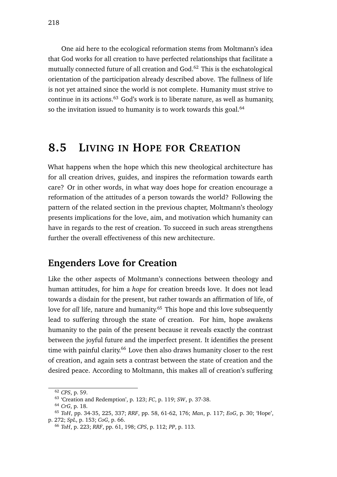One aid here to the ecological reformation stems from Moltmann's idea that God works for all creation to have perfected relationships that facilitate a mutually connected future of all creation and God.<sup>62</sup> This is the eschatological orientation of the participation already described above. The fullness of life is not yet attained since the world is not complete. Humanity must strive to continue in its actions.<sup>63</sup> God's work is to liberate nature, as well as humanity, so the invitation issued to humanity is to work towards this goal.<sup>64</sup>

### **8.5 LIVING IN HOPE FOR CREATION**

What happens when the hope which this new theological architecture has for all creation drives, guides, and inspires the reformation towards earth care? Or in other words, in what way does hope for creation encourage a reformation of the attitudes of a person towards the world? Following the pattern of the related section in the previous chapter, Moltmann's theology presents implications for the love, aim, and motivation which humanity can have in regards to the rest of creation. To succeed in such areas strengthens further the overall effectiveness of this new architecture.

#### **Engenders Love for Creation**

Like the other aspects of Moltmann's connections between theology and human attitudes, for him a *hope* for creation breeds love. It does not lead towards a disdain for the present, but rather towards an affirmation of life, of love for *all* life, nature and humanity.<sup>65</sup> This hope and this love subsequently lead to suffering through the state of creation. For him, hope awakens humanity to the pain of the present because it reveals exactly the contrast between the joyful future and the imperfect present. It identifies the present time with painful clarity.<sup>66</sup> Love then also draws humanity closer to the rest of creation, and again sets a contrast between the state of creation and the desired peace. According to Moltmann, this makes all of creation's suffering

<sup>62</sup> *CPS*, p. 59.

<sup>63</sup> 'Creation and Redemption', p. 123; *FC*, p. 119; *SW*, p. 37-38.

<sup>64</sup> *CrG*, p. 18.

<sup>65</sup> *ToH*, pp. 34-35, 225, 337; *RRF*, pp. 58, 61-62, 176; *Man*, p. 117; *EoG*, p. 30; 'Hope',

p. 272; *SpL*, p. 153; *CoG*, p. 66.

<sup>66</sup> *ToH*, p. 223; *RRF*, pp. 61, 198; *CPS*, p. 112; *PP*, p. 113.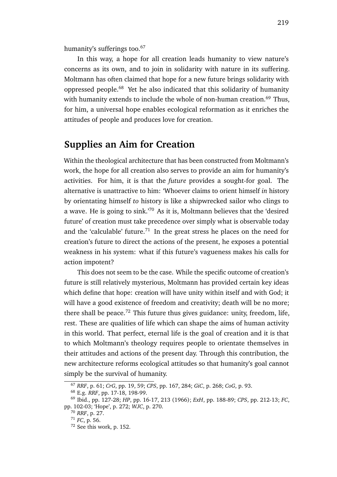humanity's sufferings too.<sup>67</sup>

In this way, a hope for all creation leads humanity to view nature's concerns as its own, and to join in solidarity with nature in its suffering. Moltmann has often claimed that hope for a new future brings solidarity with oppressed people.<sup>68</sup> Yet he also indicated that this solidarity of humanity with humanity extends to include the whole of non-human creation.<sup>69</sup> Thus, for him, a universal hope enables ecological reformation as it enriches the attitudes of people and produces love for creation.

#### **Supplies an Aim for Creation**

Within the theological architecture that has been constructed from Moltmann's work, the hope for all creation also serves to provide an aim for humanity's activities. For him, it is that the *future* provides a sought-for goal. The alternative is unattractive to him: 'Whoever claims to orient himself *in* history by orientating himself *to* history is like a shipwrecked sailor who clings to a wave. He is going to sink.'<sup>70</sup> As it is, Moltmann believes that the 'desired future' of creation must take precedence over simply what is observable today and the 'calculable' future.<sup>71</sup> In the great stress he places on the need for creation's future to direct the actions of the present, he exposes a potential weakness in his system: what if this future's vagueness makes his calls for action impotent?

This does not seem to be the case. While the specific outcome of creation's future is still relatively mysterious, Moltmann has provided certain key ideas which define that hope: creation will have unity within itself and with God; it will have a good existence of freedom and creativity; death will be no more; there shall be peace.<sup>72</sup> This future thus gives guidance: unity, freedom, life, rest. These are qualities of life which can shape the aims of human activity in this world. That perfect, eternal life is the goal of creation and it is that to which Moltmann's theology requires people to orientate themselves in their attitudes and actions of the present day. Through this contribution, the new architecture reforms ecological attitudes so that humanity's goal cannot simply be the survival of humanity.

<sup>67</sup> *RRF*, p. 61; *CrG*, pp. 19, 59; *CPS*, pp. 167, 284; *GiC*, p. 268; *CoG*, p. 93.

<sup>68</sup> E.g. *RRF*, pp. 17-18, 198-99.

<sup>69</sup> Ibid., pp. 127-28; *HP*, pp. 16-17, 213 (1966); *ExH*, pp. 188-89; *CPS*, pp. 212-13; *FC*, pp. 102-03; 'Hope', p. 272; *WJC*, p. 270.

<sup>70</sup> *RRF*, p. 27.

<sup>71</sup> *FC*, p. 56.

<sup>72</sup> See this work, p. 152.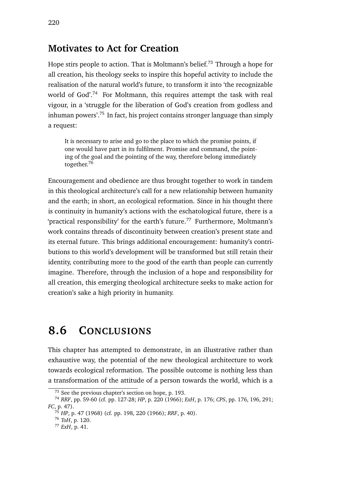#### **Motivates to Act for Creation**

Hope stirs people to action. That is Moltmann's belief.<sup>73</sup> Through a hope for all creation, his theology seeks to inspire this hopeful activity to include the realisation of the natural world's future, to transform it into 'the recognizable world of God'.<sup>74</sup> For Moltmann, this requires attempt the task with real vigour, in a 'struggle for the liberation of God's creation from godless and inhuman powers'.<sup>75</sup> In fact, his project contains stronger language than simply a request:

It is necessary to arise and go to the place to which the promise points, if one would have part in its fulfilment. Promise and command, the pointing of the goal and the pointing of the way, therefore belong immediately together.<sup>76</sup>

Encouragement and obedience are thus brought together to work in tandem in this theological architecture's call for a new relationship between humanity and the earth; in short, an ecological reformation. Since in his thought there is continuity in humanity's actions with the eschatological future, there is a 'practical responsibility' for the earth's future.<sup>77</sup> Furthermore, Moltmann's work contains threads of discontinuity between creation's present state and its eternal future. This brings additional encouragement: humanity's contributions to this world's development will be transformed but still retain their identity, contributing more to the good of the earth than people can currently imagine. Therefore, through the inclusion of a hope and responsibility for all creation, this emerging theological architecture seeks to make action for creation's sake a high priority in humanity.

# **8.6 CONCLUSIONS**

This chapter has attempted to demonstrate, in an illustrative rather than exhaustive way, the potential of the new theological architecture to work towards ecological reformation. The possible outcome is nothing less than a transformation of the attitude of a person towards the world, which is a

<sup>73</sup> See the previous chapter's section on hope, p. 193.

<sup>74</sup> *RRF*, pp. 59-60 (cf. pp. 127-28; *HP*, p. 220 (1966); *ExH*, p. 176; *CPS*, pp. 176, 196, 291; *FC*, p. 47).

<sup>75</sup> *HP*, p. 47 (1968) (cf. pp. 198, 220 (1966); *RRF*, p. 40).

<sup>76</sup> *ToH*, p. 120.

<sup>77</sup> *ExH*, p. 41.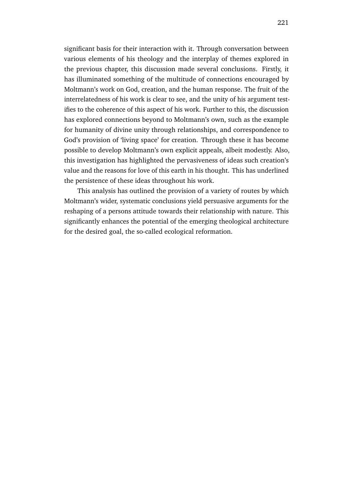significant basis for their interaction with it. Through conversation between various elements of his theology and the interplay of themes explored in the previous chapter, this discussion made several conclusions. Firstly, it has illuminated something of the multitude of connections encouraged by Moltmann's work on God, creation, and the human response. The fruit of the interrelatedness of his work is clear to see, and the unity of his argument testifies to the coherence of this aspect of his work. Further to this, the discussion has explored connections beyond to Moltmann's own, such as the example for humanity of divine unity through relationships, and correspondence to God's provision of 'living space' for creation. Through these it has become possible to develop Moltmann's own explicit appeals, albeit modestly. Also, this investigation has highlighted the pervasiveness of ideas such creation's value and the reasons for love of this earth in his thought. This has underlined the persistence of these ideas throughout his work.

This analysis has outlined the provision of a variety of routes by which Moltmann's wider, systematic conclusions yield persuasive arguments for the reshaping of a persons attitude towards their relationship with nature. This significantly enhances the potential of the emerging theological architecture for the desired goal, the so-called ecological reformation.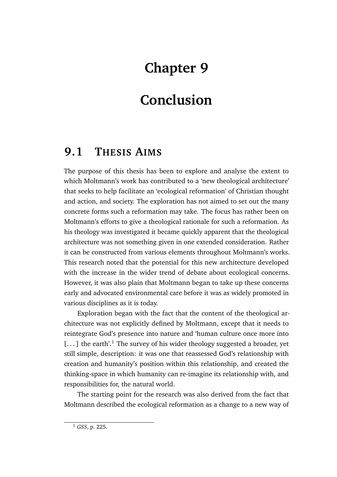# **Chapter 9**

# **Conclusion**

## **9.1 THESIS AIMS**

The purpose of this thesis has been to explore and analyse the extent to which Moltmann's work has contributed to a 'new theological architecture' that seeks to help facilitate an 'ecological reformation' of Christian thought and action, and society. The exploration has not aimed to set out the many concrete forms such a reformation may take. The focus has rather been on Moltmann's efforts to give a theological rationale for such a reformation. As his theology was investigated it became quickly apparent that the theological architecture was not something given in one extended consideration. Rather it can be constructed from various elements throughout Moltmann's works. This research noted that the potential for this new architecture developed with the increase in the wider trend of debate about ecological concerns. However, it was also plain that Moltmann began to take up these concerns early and advocated environmental care before it was as widely promoted in various disciplines as it is today.

Exploration began with the fact that the content of the theological architecture was not explicitly defined by Moltmann, except that it needs to reintegrate God's presence into nature and 'human culture once more into  $\left[ \ldots \right]$  the earth'.<sup>1</sup> The survey of his wider theology suggested a broader, yet still simple, description: it was one that reassessed God's relationship with creation and humanity's position within this relationship, and created the thinking-space in which humanity can re-imagine its relationship with, and responsibilities for, the natural world.

The starting point for the research was also derived from the fact that Moltmann described the ecological reformation as a change to a new way of

<sup>1</sup> *GSS*, p. 225.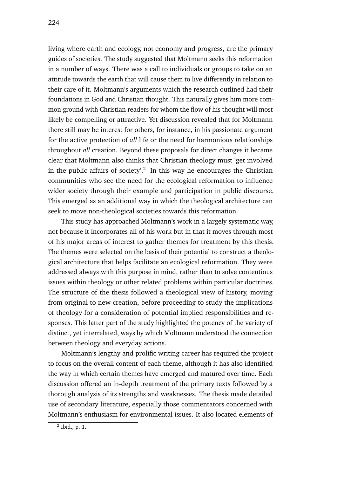living where earth and ecology, not economy and progress, are the primary guides of societies. The study suggested that Moltmann seeks this reformation in a number of ways. There was a call to individuals or groups to take on an attitude towards the earth that will cause them to live differently in relation to their care of it. Moltmann's arguments which the research outlined had their foundations in God and Christian thought. This naturally gives him more common ground with Christian readers for whom the flow of his thought will most likely be compelling or attractive. Yet discussion revealed that for Moltmann there still may be interest for others, for instance, in his passionate argument for the active protection of *all* life or the need for harmonious relationships throughout *all* creation. Beyond these proposals for direct changes it became clear that Moltmann also thinks that Christian theology must 'get involved in the public affairs of society'.<sup>2</sup> In this way he encourages the Christian communities who see the need for the ecological reformation to influence wider society through their example and participation in public discourse. This emerged as an additional way in which the theological architecture can seek to move non-theological societies towards this reformation.

This study has approached Moltmann's work in a largely systematic way, not because it incorporates all of his work but in that it moves through most of his major areas of interest to gather themes for treatment by this thesis. The themes were selected on the basis of their potential to construct a theological architecture that helps facilitate an ecological reformation. They were addressed always with this purpose in mind, rather than to solve contentious issues within theology or other related problems within particular doctrines. The structure of the thesis followed a theological view of history, moving from original to new creation, before proceeding to study the implications of theology for a consideration of potential implied responsibilities and responses. This latter part of the study highlighted the potency of the variety of distinct, yet interrelated, ways by which Moltmann understood the connection between theology and everyday actions.

Moltmann's lengthy and prolific writing career has required the project to focus on the overall content of each theme, although it has also identified the way in which certain themes have emerged and matured over time. Each discussion offered an in-depth treatment of the primary texts followed by a thorough analysis of its strengths and weaknesses. The thesis made detailed use of secondary literature, especially those commentators concerned with Moltmann's enthusiasm for environmental issues. It also located elements of

<sup>2</sup> Ibid., p. 1.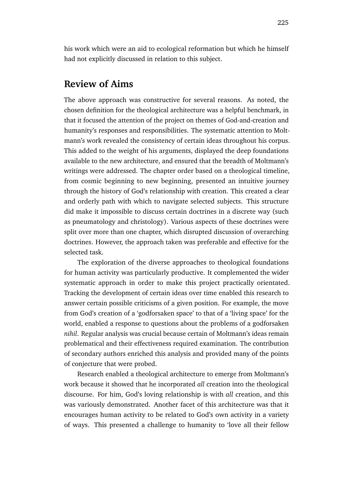#### **Review of Aims**

The above approach was constructive for several reasons. As noted, the chosen definition for the theological architecture was a helpful benchmark, in that it focused the attention of the project on themes of God-and-creation and humanity's responses and responsibilities. The systematic attention to Moltmann's work revealed the consistency of certain ideas throughout his corpus. This added to the weight of his arguments, displayed the deep foundations available to the new architecture, and ensured that the breadth of Moltmann's writings were addressed. The chapter order based on a theological timeline, from cosmic beginning to new beginning, presented an intuitive journey through the history of God's relationship with creation. This created a clear and orderly path with which to navigate selected subjects. This structure did make it impossible to discuss certain doctrines in a discrete way (such as pneumatology and christology). Various aspects of these doctrines were split over more than one chapter, which disrupted discussion of overarching doctrines. However, the approach taken was preferable and effective for the selected task.

The exploration of the diverse approaches to theological foundations for human activity was particularly productive. It complemented the wider systematic approach in order to make this project practically orientated. Tracking the development of certain ideas over time enabled this research to answer certain possible criticisms of a given position. For example, the move from God's creation of a 'godforsaken space' to that of a 'living space' for the world, enabled a response to questions about the problems of a godforsaken *nihil*. Regular analysis was crucial because certain of Moltmann's ideas remain problematical and their effectiveness required examination. The contribution of secondary authors enriched this analysis and provided many of the points of conjecture that were probed.

Research enabled a theological architecture to emerge from Moltmann's work because it showed that he incorporated *all* creation into the theological discourse. For him, God's loving relationship is with *all* creation, and this was variously demonstrated. Another facet of this architecture was that it encourages human activity to be related to God's own activity in a variety of ways. This presented a challenge to humanity to 'love all their fellow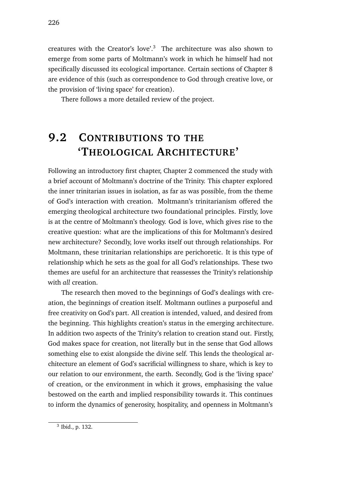creatures with the Creator's love'.<sup>3</sup> The architecture was also shown to emerge from some parts of Moltmann's work in which he himself had not specifically discussed its ecological importance. Certain sections of Chapter 8 are evidence of this (such as correspondence to God through creative love, or the provision of 'living space' for creation).

There follows a more detailed review of the project.

# **9.2 CONTRIBUTIONS TO THE 'THEOLOGICAL ARCHITECTURE'**

Following an introductory first chapter, Chapter 2 commenced the study with a brief account of Moltmann's doctrine of the Trinity. This chapter explored the inner trinitarian issues in isolation, as far as was possible, from the theme of God's interaction with creation. Moltmann's trinitarianism offered the emerging theological architecture two foundational principles. Firstly, love is at the centre of Moltmann's theology. God is love, which gives rise to the creative question: what are the implications of this for Moltmann's desired new architecture? Secondly, love works itself out through relationships. For Moltmann, these trinitarian relationships are perichoretic. It is this type of relationship which he sets as the goal for all God's relationships. These two themes are useful for an architecture that reassesses the Trinity's relationship with *all* creation.

The research then moved to the beginnings of God's dealings with creation, the beginnings of creation itself. Moltmann outlines a purposeful and free creativity on God's part. All creation is intended, valued, and desired from the beginning. This highlights creation's status in the emerging architecture. In addition two aspects of the Trinity's relation to creation stand out. Firstly, God makes space for creation, not literally but in the sense that God allows something else to exist alongside the divine self. This lends the theological architecture an element of God's sacrificial willingness to share, which is key to our relation to our environment, the earth. Secondly, God is the 'living space' of creation, or the environment in which it grows, emphasising the value bestowed on the earth and implied responsibility towards it. This continues to inform the dynamics of generosity, hospitality, and openness in Moltmann's

<sup>3</sup> Ibid., p. 132.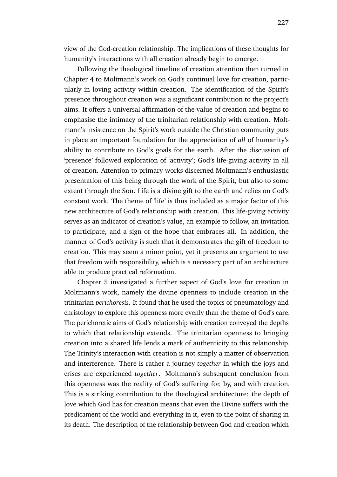view of the God-creation relationship. The implications of these thoughts for humanity's interactions with all creation already begin to emerge.

Following the theological timeline of creation attention then turned in Chapter 4 to Moltmann's work on God's continual love for creation, particularly in loving activity within creation. The identification of the Spirit's presence throughout creation was a significant contribution to the project's aims. It offers a universal affirmation of the value of creation and begins to emphasise the intimacy of the trinitarian relationship with creation. Moltmann's insistence on the Spirit's work outside the Christian community puts in place an important foundation for the appreciation of *all* of humanity's ability to contribute to God's goals for the earth. After the discussion of 'presence' followed exploration of 'activity'; God's life-giving activity in all of creation. Attention to primary works discerned Moltmann's enthusiastic presentation of this being through the work of the Spirit, but also to some extent through the Son. Life is a divine gift to the earth and relies on God's constant work. The theme of 'life' is thus included as a major factor of this new architecture of God's relationship with creation. This life-giving activity serves as an indicator of creation's value, an example to follow, an invitation to participate, and a sign of the hope that embraces all. In addition, the manner of God's activity is such that it demonstrates the gift of freedom to creation. This may seem a minor point, yet it presents an argument to use that freedom with responsibility, which is a necessary part of an architecture able to produce practical reformation.

Chapter 5 investigated a further aspect of God's love for creation in Moltmann's work, namely the divine openness to include creation in the trinitarian *perichoresis*. It found that he used the topics of pneumatology and christology to explore this openness more evenly than the theme of God's care. The perichoretic aims of God's relationship with creation conveyed the depths to which that relationship extends. The trinitarian openness to bringing creation into a shared life lends a mark of authenticity to this relationship. The Trinity's interaction with creation is not simply a matter of observation and interference. There is rather a journey *together* in which the joys and crises are experienced *together*. Moltmann's subsequent conclusion from this openness was the reality of God's suffering for, by, and with creation. This is a striking contribution to the theological architecture: the depth of love which God has for creation means that even the Divine suffers with the predicament of the world and everything in it, even to the point of sharing in its death. The description of the relationship between God and creation which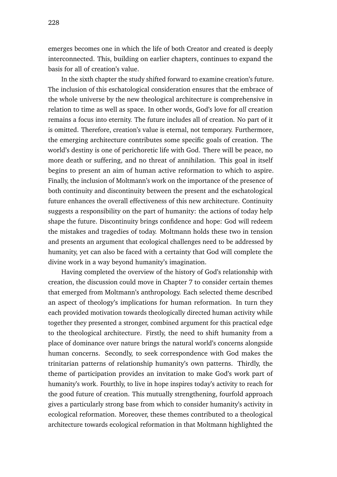emerges becomes one in which the life of both Creator and created is deeply interconnected. This, building on earlier chapters, continues to expand the basis for all of creation's value.

In the sixth chapter the study shifted forward to examine creation's future. The inclusion of this eschatological consideration ensures that the embrace of the whole universe by the new theological architecture is comprehensive in relation to time as well as space. In other words, God's love for *all* creation remains a focus into eternity. The future includes all of creation. No part of it is omitted. Therefore, creation's value is eternal, not temporary. Furthermore, the emerging architecture contributes some specific goals of creation. The world's destiny is one of perichoretic life with God. There will be peace, no more death or suffering, and no threat of annihilation. This goal in itself begins to present an aim of human active reformation to which to aspire. Finally, the inclusion of Moltmann's work on the importance of the presence of both continuity and discontinuity between the present and the eschatological future enhances the overall effectiveness of this new architecture. Continuity suggests a responsibility on the part of humanity: the actions of today help shape the future. Discontinuity brings confidence and hope: God will redeem the mistakes and tragedies of today. Moltmann holds these two in tension and presents an argument that ecological challenges need to be addressed by humanity, yet can also be faced with a certainty that God will complete the divine work in a way beyond humanity's imagination.

Having completed the overview of the history of God's relationship with creation, the discussion could move in Chapter 7 to consider certain themes that emerged from Moltmann's anthropology. Each selected theme described an aspect of theology's implications for human reformation. In turn they each provided motivation towards theologically directed human activity while together they presented a stronger, combined argument for this practical edge to the theological architecture. Firstly, the need to shift humanity from a place of dominance over nature brings the natural world's concerns alongside human concerns. Secondly, to seek correspondence with God makes the trinitarian patterns of relationship humanity's own patterns. Thirdly, the theme of participation provides an invitation to make God's work part of humanity's work. Fourthly, to live in hope inspires today's activity to reach for the good future of creation. This mutually strengthening, fourfold approach gives a particularly strong base from which to consider humanity's activity in ecological reformation. Moreover, these themes contributed to a theological architecture towards ecological reformation in that Moltmann highlighted the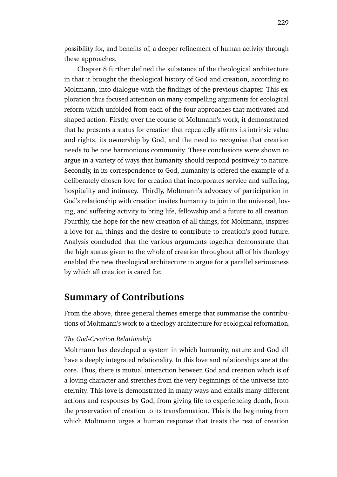possibility for, and benefits of, a deeper refinement of human activity through these approaches.

Chapter 8 further defined the substance of the theological architecture in that it brought the theological history of God and creation, according to Moltmann, into dialogue with the findings of the previous chapter. This exploration thus focused attention on many compelling arguments for ecological reform which unfolded from each of the four approaches that motivated and shaped action. Firstly, over the course of Moltmann's work, it demonstrated that he presents a status for creation that repeatedly affirms its intrinsic value and rights, its ownership by God, and the need to recognise that creation needs to be one harmonious community. These conclusions were shown to argue in a variety of ways that humanity should respond positively to nature. Secondly, in its correspondence to God, humanity is offered the example of a deliberately chosen love for creation that incorporates service and suffering, hospitality and intimacy. Thirdly, Moltmann's advocacy of participation in God's relationship with creation invites humanity to join in the universal, loving, and suffering activity to bring life, fellowship and a future to all creation. Fourthly, the hope for the new creation of all things, for Moltmann, inspires a love for all things and the desire to contribute to creation's good future. Analysis concluded that the various arguments together demonstrate that the high status given to the whole of creation throughout all of his theology enabled the new theological architecture to argue for a parallel seriousness by which all creation is cared for.

#### **Summary of Contributions**

From the above, three general themes emerge that summarise the contributions of Moltmann's work to a theology architecture for ecological reformation.

#### *The God-Creation Relationship*

Moltmann has developed a system in which humanity, nature and God all have a deeply integrated relationality. In this love and relationships are at the core. Thus, there is mutual interaction between God and creation which is of a loving character and stretches from the very beginnings of the universe into eternity. This love is demonstrated in many ways and entails many different actions and responses by God, from giving life to experiencing death, from the preservation of creation to its transformation. This is the beginning from which Moltmann urges a human response that treats the rest of creation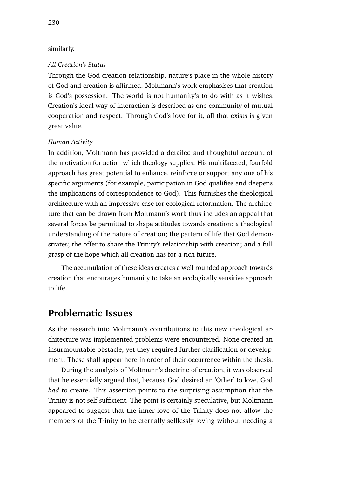#### similarly.

#### *All Creation's Status*

Through the God-creation relationship, nature's place in the whole history of God and creation is affirmed. Moltmann's work emphasises that creation is God's possession. The world is not humanity's to do with as it wishes. Creation's ideal way of interaction is described as one community of mutual cooperation and respect. Through God's love for it, all that exists is given great value.

#### *Human Activity*

In addition, Moltmann has provided a detailed and thoughtful account of the motivation for action which theology supplies. His multifaceted, fourfold approach has great potential to enhance, reinforce or support any one of his specific arguments (for example, participation in God qualifies and deepens the implications of correspondence to God). This furnishes the theological architecture with an impressive case for ecological reformation. The architecture that can be drawn from Moltmann's work thus includes an appeal that several forces be permitted to shape attitudes towards creation: a theological understanding of the nature of creation; the pattern of life that God demonstrates; the offer to share the Trinity's relationship with creation; and a full grasp of the hope which all creation has for a rich future.

The accumulation of these ideas creates a well rounded approach towards creation that encourages humanity to take an ecologically sensitive approach to life.

#### **Problematic Issues**

As the research into Moltmann's contributions to this new theological architecture was implemented problems were encountered. None created an insurmountable obstacle, yet they required further clarification or development. These shall appear here in order of their occurrence within the thesis.

During the analysis of Moltmann's doctrine of creation, it was observed that he essentially argued that, because God desired an 'Other' to love, God *had* to create. This assertion points to the surprising assumption that the Trinity is not self-sufficient. The point is certainly speculative, but Moltmann appeared to suggest that the inner love of the Trinity does not allow the members of the Trinity to be eternally selflessly loving without needing a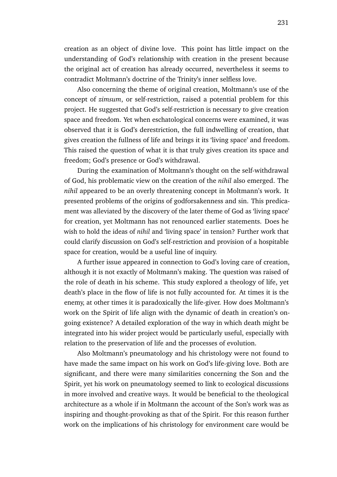creation as an object of divine love. This point has little impact on the understanding of God's relationship with creation in the present because the original act of creation has already occurred, nevertheless it seems to contradict Moltmann's doctrine of the Trinity's inner selfless love.

Also concerning the theme of original creation, Moltmann's use of the concept of *zimsum*, or self-restriction, raised a potential problem for this project. He suggested that God's self-restriction is necessary to give creation space and freedom. Yet when eschatological concerns were examined, it was observed that it is God's derestriction, the full indwelling of creation, that gives creation the fullness of life and brings it its 'living space' and freedom. This raised the question of what it is that truly gives creation its space and freedom; God's presence or God's withdrawal.

During the examination of Moltmann's thought on the self-withdrawal of God, his problematic view on the creation of the *nihil* also emerged. The *nihil* appeared to be an overly threatening concept in Moltmann's work. It presented problems of the origins of godforsakenness and sin. This predicament was alleviated by the discovery of the later theme of God as 'living space' for creation, yet Moltmann has not renounced earlier statements. Does he wish to hold the ideas of *nihil* and 'living space' in tension? Further work that could clarify discussion on God's self-restriction and provision of a hospitable space for creation, would be a useful line of inquiry.

A further issue appeared in connection to God's loving care of creation, although it is not exactly of Moltmann's making. The question was raised of the role of death in his scheme. This study explored a theology of life, yet death's place in the flow of life is not fully accounted for. At times it is the enemy, at other times it is paradoxically the life-giver. How does Moltmann's work on the Spirit of life align with the dynamic of death in creation's ongoing existence? A detailed exploration of the way in which death might be integrated into his wider project would be particularly useful, especially with relation to the preservation of life and the processes of evolution.

Also Moltmann's pneumatology and his christology were not found to have made the same impact on his work on God's life-giving love. Both are significant, and there were many similarities concerning the Son and the Spirit, yet his work on pneumatology seemed to link to ecological discussions in more involved and creative ways. It would be beneficial to the theological architecture as a whole if in Moltmann the account of the Son's work was as inspiring and thought-provoking as that of the Spirit. For this reason further work on the implications of his christology for environment care would be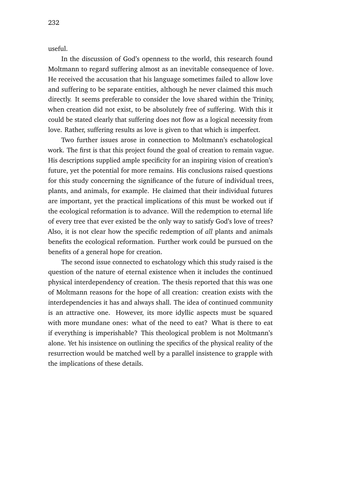useful.

In the discussion of God's openness to the world, this research found Moltmann to regard suffering almost as an inevitable consequence of love. He received the accusation that his language sometimes failed to allow love and suffering to be separate entities, although he never claimed this much directly. It seems preferable to consider the love shared within the Trinity, when creation did not exist, to be absolutely free of suffering. With this it could be stated clearly that suffering does not flow as a logical necessity from love. Rather, suffering results as love is given to that which is imperfect.

Two further issues arose in connection to Moltmann's eschatological work. The first is that this project found the goal of creation to remain vague. His descriptions supplied ample specificity for an inspiring vision of creation's future, yet the potential for more remains. His conclusions raised questions for this study concerning the significance of the future of individual trees, plants, and animals, for example. He claimed that their individual futures are important, yet the practical implications of this must be worked out if the ecological reformation is to advance. Will the redemption to eternal life of every tree that ever existed be the only way to satisfy God's love of trees? Also, it is not clear how the specific redemption of *all* plants and animals benefits the ecological reformation. Further work could be pursued on the benefits of a general hope for creation.

The second issue connected to eschatology which this study raised is the question of the nature of eternal existence when it includes the continued physical interdependency of creation. The thesis reported that this was one of Moltmann reasons for the hope of all creation: creation exists with the interdependencies it has and always shall. The idea of continued community is an attractive one. However, its more idyllic aspects must be squared with more mundane ones: what of the need to eat? What is there to eat if everything is imperishable? This theological problem is not Moltmann's alone. Yet his insistence on outlining the specifics of the physical reality of the resurrection would be matched well by a parallel insistence to grapple with the implications of these details.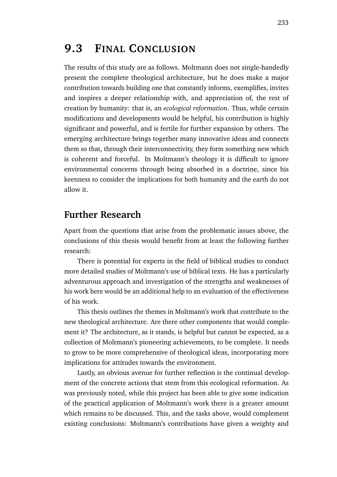## **9.3 FINAL CONCLUSION**

The results of this study are as follows. Moltmann does not single-handedly present the complete theological architecture, but he does make a major contribution towards building one that constantly informs, exemplifies, invites and inspires a deeper relationship with, and appreciation of, the rest of creation by humanity: that is, an *ecological reformation*. Thus, while certain modifications and developments would be helpful, his contribution is highly significant and powerful, and is fertile for further expansion by others. The emerging architecture brings together many innovative ideas and connects them so that, through their interconnectivity, they form something new which is coherent and forceful. In Moltmann's theology it is difficult to ignore environmental concerns through being absorbed in a doctrine, since his keenness to consider the implications for both humanity and the earth do not allow it.

#### **Further Research**

Apart from the questions that arise from the problematic issues above, the conclusions of this thesis would benefit from at least the following further research:

There is potential for experts in the field of biblical studies to conduct more detailed studies of Moltmann's use of biblical texts. He has a particularly adventurous approach and investigation of the strengths and weaknesses of his work here would be an additional help to an evaluation of the effectiveness of his work.

This thesis outlines the themes in Moltmann's work that contribute to the new theological architecture. Are there other components that would complement it? The architecture, as it stands, is helpful but cannot be expected, as a collection of Moltmann's pioneering achievements, to be complete. It needs to grow to be more comprehensive of theological ideas, incorporating more implications for attitudes towards the environment.

Lastly, an obvious avenue for further reflection is the continual development of the concrete actions that stem from this ecological reformation. As was previously noted, while this project has been able to give some indication of the practical application of Moltmann's work there is a greater amount which remains to be discussed. This, and the tasks above, would complement existing conclusions: Moltmann's contributions have given a weighty and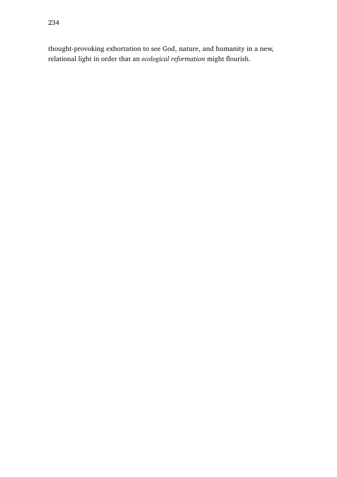thought-provoking exhortation to see God, nature, and humanity in a new, relational light in order that an *ecological reformation* might flourish.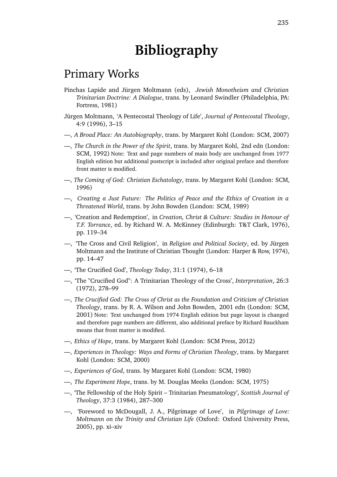# **Bibliography**

### Primary Works

- Pinchas Lapide and Jürgen Moltmann (eds), *Jewish Monotheism and Christian Trinitarian Doctrine: A Dialogue*, trans. by Leonard Swindler (Philadelphia, PA: Fortress, 1981)
- Jürgen Moltmann, 'A Pentecostal Theology of Life', *Journal of Pentecostal Theology*, 4:9 (1996), 3–15
- —, *A Broad Place: An Autobiography*, trans. by Margaret Kohl (London: SCM, 2007)
- —, *The Church in the Power of the Spirit*, trans. by Margaret Kohl, 2nd edn (London: SCM, 1992) Note: Text and page numbers of main body are unchanged from 1977 English edition but additional postscript is included after original preface and therefore front matter is modified.
- —, *The Coming of God: Christian Eschatology*, trans. by Margaret Kohl (London: SCM, 1996)
- —, *Creating a Just Future: The Politics of Peace and the Ethics of Creation in a Threatened World*, trans. by John Bowden (London: SCM, 1989)
- —, 'Creation and Redemption', in *Creation, Christ & Culture: Studies in Honour of T.F. Torrance*, ed. by Richard W. A. McKinney (Edinburgh: T&T Clark, 1976), pp. 119–34
- —, 'The Cross and Civil Religion', in *Religion and Political Society*, ed. by Jürgen Moltmann and the Institute of Christian Thought (London: Harper & Row, 1974), pp. 14–47
- —, 'The Crucified God', *Theology Today*, 31:1 (1974), 6–18
- —, 'The "Crucified God": A Trinitarian Theology of the Cross', *Interpretation*, 26:3 (1972), 278–99
- —, *The Crucified God: The Cross of Christ as the Foundation and Criticism of Christian Theology*, trans. by R. A. Wilson and John Bowden, 2001 edn (London: SCM, 2001) Note: Text unchanged from 1974 English edition but page layout is changed and therefore page numbers are different, also additional preface by Richard Bauckham means that front matter is modified.
- —, *Ethics of Hope*, trans. by Margaret Kohl (London: SCM Press, 2012)
- —, *Experiences in Theology: Ways and Forms of Christian Theology*, trans. by Margaret Kohl (London: SCM, 2000)
- —, *Experiences of God*, trans. by Margaret Kohl (London: SCM, 1980)
- —, *The Experiment Hope*, trans. by M. Douglas Meeks (London: SCM, 1975)
- —, 'The Fellowship of the Holy Spirit Trinitarian Pneumatology', *Scottish Journal of Theology*, 37:3 (1984), 287–300
- —, 'Foreword to McDougall, J. A., Pilgrimage of Love', in *Pilgrimage of Love: Moltmann on the Trinity and Christian Life* (Oxford: Oxford University Press, 2005), pp. xi–xiv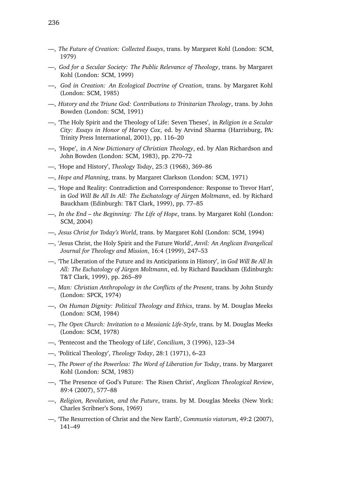- —, *The Future of Creation: Collected Essays*, trans. by Margaret Kohl (London: SCM, 1979)
- —, *God for a Secular Society: The Public Relevance of Theology*, trans. by Margaret Kohl (London: SCM, 1999)
- —, *God in Creation: An Ecological Doctrine of Creation*, trans. by Margaret Kohl (London: SCM, 1985)
- —, *History and the Triune God: Contributions to Trinitarian Theology*, trans. by John Bowden (London: SCM, 1991)
- —, 'The Holy Spirit and the Theology of Life: Seven Theses', in *Religion in a Secular City: Essays in Honor of Harvey Cox*, ed. by Arvind Sharma (Harrisburg, PA: Trinity Press International, 2001), pp. 116–20
- —, 'Hope', in *A New Dictionary of Christian Theology*, ed. by Alan Richardson and John Bowden (London: SCM, 1983), pp. 270–72
- —, 'Hope and History', *Theology Today*, 25:3 (1968), 369–86
- —, *Hope and Planning*, trans. by Margaret Clarkson (London: SCM, 1971)
- —, 'Hope and Reality: Contradiction and Correspondence: Response to Trevor Hart', in *God Will Be All In All: The Eschatology of Jürgen Moltmann*, ed. by Richard Bauckham (Edinburgh: T&T Clark, 1999), pp. 77–85
- —, *In the End the Beginning: The Life of Hope*, trans. by Margaret Kohl (London: SCM, 2004)
- —, *Jesus Christ for Today's World*, trans. by Margaret Kohl (London: SCM, 1994)
- —, 'Jesus Christ, the Holy Spirit and the Future World', *Anvil: An Anglican Evangelical Journal for Theology and Mission*, 16:4 (1999), 247–53
- —, 'The Liberation of the Future and its Anticipations in History', in *God Will Be All In All: The Eschatology of Jürgen Moltmann*, ed. by Richard Bauckham (Edinburgh: T&T Clark, 1999), pp. 265–89
- —, *Man: Christian Anthropology in the Conflicts of the Present*, trans. by John Sturdy (London: SPCK, 1974)
- —, *On Human Dignity: Political Theology and Ethics*, trans. by M. Douglas Meeks (London: SCM, 1984)
- —, *The Open Church: Invitation to a Messianic Life-Style*, trans. by M. Douglas Meeks (London: SCM, 1978)
- —, 'Pentecost and the Theology of Life', *Concilium*, 3 (1996), 123–34
- —, 'Political Theology', *Theology Today*, 28:1 (1971), 6–23
- —, *The Power of the Powerless: The Word of Liberation for Today*, trans. by Margaret Kohl (London: SCM, 1983)
- —, 'The Presence of God's Future: The Risen Christ', *Anglican Theological Review*, 89:4 (2007), 577–88
- —, *Religion, Revolution, and the Future*, trans. by M. Douglas Meeks (New York: Charles Scribner's Sons, 1969)
- —, 'The Resurrection of Christ and the New Earth', *Communio viatorum*, 49:2 (2007), 141–49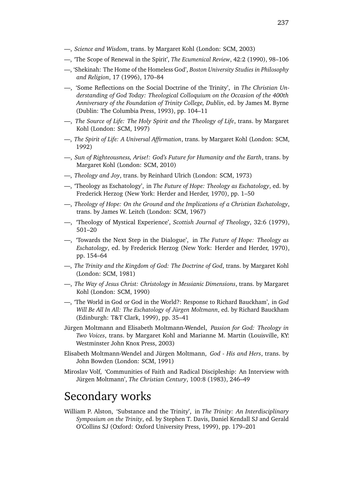- —, *Science and Wisdom*, trans. by Margaret Kohl (London: SCM, 2003)
- —, 'The Scope of Renewal in the Spirit', *The Ecumenical Review*, 42:2 (1990), 98–106
- —, 'Shekinah: The Home of the Homeless God', *Boston University Studies in Philosophy and Religion*, 17 (1996), 170–84
- —, 'Some Reflections on the Social Doctrine of the Trinity', in *The Christian Understanding of God Today: Theological Colloquium on the Occasion of the 400th Anniversary of the Foundation of Trinity College, Dublin*, ed. by James M. Byrne (Dublin: The Columbia Press, 1993), pp. 104–11
- —, *The Source of Life: The Holy Spirit and the Theology of Life*, trans. by Margaret Kohl (London: SCM, 1997)
- —, *The Spirit of Life: A Universal Affirmation*, trans. by Margaret Kohl (London: SCM, 1992)
- —, *Sun of Righteousness, Arise!: God's Future for Humanity and the Earth*, trans. by Margaret Kohl (London: SCM, 2010)
- —, *Theology and Joy*, trans. by Reinhard Ulrich (London: SCM, 1973)
- —, 'Theology as Eschatology', in *The Future of Hope: Theology as Eschatology*, ed. by Frederick Herzog (New York: Herder and Herder, 1970), pp. 1–50
- —, *Theology of Hope: On the Ground and the Implications of a Christian Eschatology*, trans. by James W. Leitch (London: SCM, 1967)
- —, 'Theology of Mystical Experience', *Scottish Journal of Theology*, 32:6 (1979), 501–20
- —, 'Towards the Next Step in the Dialogue', in *The Future of Hope: Theology as Eschatology*, ed. by Frederick Herzog (New York: Herder and Herder, 1970), pp. 154–64
- —, *The Trinity and the Kingdom of God: The Doctrine of God*, trans. by Margaret Kohl (London: SCM, 1981)
- —, *The Way of Jesus Christ: Christology in Messianic Dimensions*, trans. by Margaret Kohl (London: SCM, 1990)
- —, 'The World in God or God in the World?: Response to Richard Bauckham', in *God Will Be All In All: The Eschatology of Jürgen Moltmann*, ed. by Richard Bauckham (Edinburgh: T&T Clark, 1999), pp. 35–41
- Jürgen Moltmann and Elisabeth Moltmann-Wendel, *Passion for God: Theology in Two Voices*, trans. by Margaret Kohl and Marianne M. Martin (Louisville, KY: Westminster John Knox Press, 2003)
- Elisabeth Moltmann-Wendel and Jürgen Moltmann, *God His and Hers*, trans. by John Bowden (London: SCM, 1991)
- Miroslav Volf, 'Communities of Faith and Radical Discipleship: An Interview with Jürgen Moltmann', *The Christian Century*, 100:8 (1983), 246–49

## Secondary works

William P. Alston, 'Substance and the Trinity', in *The Trinity: An Interdisciplinary Symposium on the Trinity*, ed. by Stephen T. Davis, Daniel Kendall SJ and Gerald O'Collins SJ (Oxford: Oxford University Press, 1999), pp. 179–201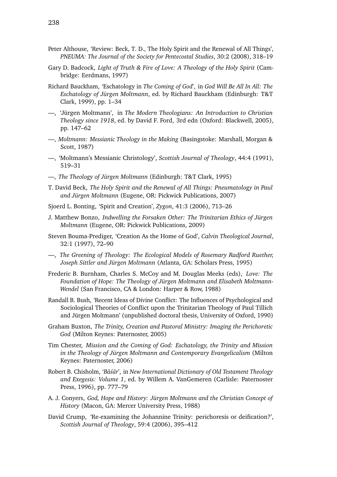- Peter Althouse, 'Review: Beck, T. D., The Holy Spirit and the Renewal of All Things', *PNEUMA: The Journal of the Society for Pentecostal Studies*, 30:2 (2008), 318–19
- Gary D. Badcock, *Light of Truth & Fire of Love: A Theology of the Holy Spirit* (Cambridge: Eerdmans, 1997)
- Richard Bauckham, 'Eschatology in *The Coming of God*', in *God Will Be All In All: The Eschatology of Jürgen Moltmann*, ed. by Richard Bauckham (Edinburgh: T&T Clark, 1999), pp. 1–34
- —, 'Jürgen Moltmann', in *The Modern Theologians: An Introduction to Christian Theology since 1918*, ed. by David F. Ford, 3rd edn (Oxford: Blackwell, 2005), pp. 147–62
- —, *Moltmann: Messianic Theology in the Making* (Basingstoke: Marshall, Morgan & Scott, 1987)
- —, 'Moltmann's Messianic Christology', *Scottish Journal of Theology*, 44:4 (1991), 519–31
- —, *The Theology of Jürgen Moltmann* (Edinburgh: T&T Clark, 1995)
- T. David Beck, *The Holy Spirit and the Renewal of All Things: Pneumatology in Paul and Jürgen Moltmann* (Eugene, OR: Pickwick Publications, 2007)
- Sjoerd L. Bonting, 'Spirit and Creation', *Zygon*, 41:3 (2006), 713–26
- J. Matthew Bonzo, *Indwelling the Forsaken Other: The Trinitarian Ethics of Jürgen Moltmann* (Eugene, OR: Pickwick Publications, 2009)
- Steven Bouma-Prediger, 'Creation As the Home of God', *Calvin Theological Journal*, 32:1 (1997), 72–90
- —, *The Greening of Theology: The Ecological Models of Rosemary Radford Ruether, Joseph Sittler and Jürgen Moltmann* (Atlanta, GA: Scholars Press, 1995)
- Frederic B. Burnham, Charles S. McCoy and M. Douglas Meeks (eds), *Love: The Foundation of Hope: The Theology of Jürgen Moltmann and Elisabeth Moltmann-Wendel* (San Francisco, CA & London: Harper & Row, 1988)
- Randall B. Bush, 'Recent Ideas of Divine Conflict: The Influences of Psychological and Sociological Theories of Conflict upon the Trinitarian Theology of Paul Tillich and Jürgen Moltmann' (unpublished doctoral thesis, University of Oxford, 1990)
- Graham Buxton, *The Trinity, Creation and Pastoral Ministry: Imaging the Perichoretic God* (Milton Keynes: Paternoster, 2005)
- Tim Chester, *Mission and the Coming of God: Eschatology, the Trinity and Mission in the Theology of Jürgen Moltmann and Contemporary Evangelicalism* (Milton Keynes: Paternoster, 2006)
- Robert B. Chisholm, '*Ba´s ¯ ar¯* ', in *New International Dictionary of Old Testament Theology and Exegesis: Volume 1*, ed. by Willem A. VanGemeren (Carlisle: Paternoster Press, 1996), pp. 777–79
- A. J. Conyers, *God, Hope and History: Jürgen Moltmann and the Christian Concept of History* (Macon, GA: Mercer University Press, 1988)
- David Crump, 'Re-examining the Johannine Trinity: perichoresis or deification?', *Scottish Journal of Theology*, 59:4 (2006), 395–412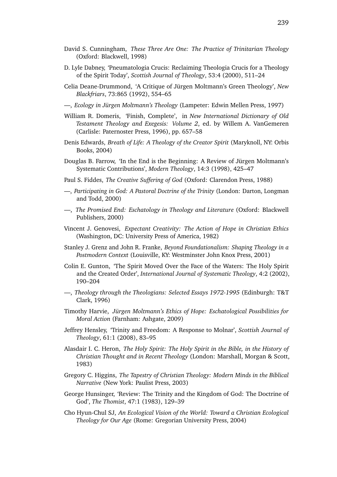- David S. Cunningham, *These Three Are One: The Practice of Trinitarian Theology* (Oxford: Blackwell, 1998)
- D. Lyle Dabney, 'Pneumatologia Crucis: Reclaiming Theologia Crucis for a Theology of the Spirit Today', *Scottish Journal of Theology*, 53:4 (2000), 511–24
- Celia Deane-Drummond, 'A Critique of Jürgen Moltmann's Green Theology', *New Blackfriars*, 73:865 (1992), 554–65
- —, *Ecology in Jürgen Moltmann's Theology* (Lampeter: Edwin Mellen Press, 1997)
- William R. Domeris, 'Finish, Complete', in *New International Dictionary of Old Testament Theology and Exegesis: Volume 2*, ed. by Willem A. VanGemeren (Carlisle: Paternoster Press, 1996), pp. 657–58
- Denis Edwards, *Breath of Life: A Theology of the Creator Spirit* (Maryknoll, NY: Orbis Books, 2004)
- Douglas B. Farrow, 'In the End is the Beginning: A Review of Jürgen Moltmann's Systematic Contributions', *Modern Theology*, 14:3 (1998), 425–47
- Paul S. Fiddes, *The Creative Suffering of God* (Oxford: Clarendon Press, 1988)
- —, *Participating in God: A Pastoral Doctrine of the Trinity* (London: Darton, Longman and Todd, 2000)
- —, *The Promised End: Eschatology in Theology and Literature* (Oxford: Blackwell Publishers, 2000)
- Vincent J. Genovesi, *Expectant Creativity: The Action of Hope in Christian Ethics* (Washington, DC: University Press of America, 1982)
- Stanley J. Grenz and John R. Franke, *Beyond Foundationalism: Shaping Theology in a Postmodern Context* (Louisville, KY: Westminster John Knox Press, 2001)
- Colin E. Gunton, 'The Spirit Moved Over the Face of the Waters: The Holy Spirit and the Created Order', *International Journal of Systematic Theology*, 4:2 (2002), 190–204
- —, *Theology through the Theologians: Selected Essays 1972-1995* (Edinburgh: T&T Clark, 1996)
- Timothy Harvie, *Jürgen Moltmann's Ethics of Hope: Eschatological Possibilities for Moral Action* (Farnham: Ashgate, 2009)
- Jeffrey Hensley, 'Trinity and Freedom: A Response to Molnar', *Scottish Journal of Theology*, 61:1 (2008), 83–95
- Alasdair I. C. Heron, *The Holy Spirit: The Holy Spirit in the Bible, in the History of Christian Thought and in Recent Theology* (London: Marshall, Morgan & Scott, 1983)
- Gregory C. Higgins, *The Tapestry of Christian Theology: Modern Minds in the Biblical Narrative* (New York: Paulist Press, 2003)
- George Hunsinger, 'Review: The Trinity and the Kingdom of God: The Doctrine of God', *The Thomist*, 47:1 (1983), 129–39
- Cho Hyun-Chul SJ, *An Ecological Vision of the World: Toward a Christian Ecological Theology for Our Age* (Rome: Gregorian University Press, 2004)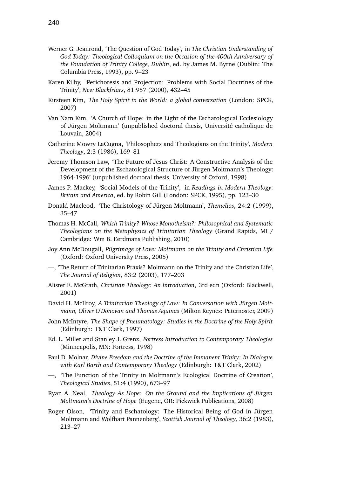- Werner G. Jeanrond, 'The Question of God Today', in *The Christian Understanding of God Today: Theological Colloquium on the Occasion of the 400th Anniversary of the Foundation of Trinity College, Dublin*, ed. by James M. Byrne (Dublin: The Columbia Press, 1993), pp. 9–23
- Karen Kilby, 'Perichoresis and Projection: Problems with Social Doctrines of the Trinity', *New Blackfriars*, 81:957 (2000), 432–45
- Kirsteen Kim, *The Holy Spirit in the World: a global conversation* (London: SPCK, 2007)
- Van Nam Kim, 'A Church of Hope: in the Light of the Eschatological Ecclesiology of Jürgen Moltmann' (unpublished doctoral thesis, Université catholique de Louvain, 2004)
- Catherine Mowry LaCugna, 'Philosophers and Theologians on the Trinity', *Modern Theology*, 2:3 (1986), 169–81
- Jeremy Thomson Law, 'The Future of Jesus Christ: A Constructive Analysis of the Development of the Eschatological Structure of Jürgen Moltmann's Theology: 1964-1996' (unpublished doctoral thesis, University of Oxford, 1998)
- James P. Mackey, 'Social Models of the Trinity', in *Readings in Modern Theology: Britain and America*, ed. by Robin Gill (London: SPCK, 1995), pp. 123–30
- Donald Macleod, 'The Christology of Jürgen Moltmann', *Themelios*, 24:2 (1999), 35–47
- Thomas H. McCall, *Which Trinity? Whose Monotheism?: Philosophical and Systematic Theologians on the Metaphysics of Trinitarian Theology* (Grand Rapids, MI / Cambridge: Wm B. Eerdmans Publishing, 2010)
- Joy Ann McDougall, *Pilgrimage of Love: Moltmann on the Trinity and Christian Life* (Oxford: Oxford University Press, 2005)
- —, 'The Return of Trinitarian Praxis? Moltmann on the Trinity and the Christian Life', *The Journal of Religion*, 83:2 (2003), 177–203
- Alister E. McGrath, *Christian Theology: An Introduction*, 3rd edn (Oxford: Blackwell, 2001)
- David H. McIlroy, *A Trinitarian Theology of Law: In Conversation with Jürgen Moltmann, Oliver O'Donovan and Thomas Aquinas* (Milton Keynes: Paternoster, 2009)
- John McIntyre, *The Shape of Pneumatology: Studies in the Doctrine of the Holy Spirit* (Edinburgh: T&T Clark, 1997)
- Ed. L. Miller and Stanley J. Grenz, *Fortress Introduction to Contemporary Theologies* (Minneapolis, MN: Fortress, 1998)
- Paul D. Molnar, *Divine Freedom and the Doctrine of the Immanent Trinity: In Dialogue with Karl Barth and Contemporary Theology* (Edinburgh: T&T Clark, 2002)
- —, 'The Function of the Trinity in Moltmann's Ecological Doctrine of Creation', *Theological Studies*, 51:4 (1990), 673–97
- Ryan A. Neal, *Theology As Hope: On the Ground and the Implications of Jürgen Moltmann's Doctrine of Hope* (Eugene, OR: Pickwick Publications, 2008)
- Roger Olson, 'Trinity and Eschatology: The Historical Being of God in Jürgen Moltmann and Wolfhart Pannenberg', *Scottish Journal of Theology*, 36:2 (1983), 213–27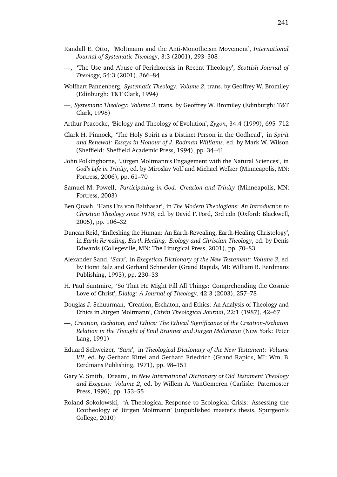- Randall E. Otto, 'Moltmann and the Anti-Monotheism Movement', *International Journal of Systematic Theology*, 3:3 (2001), 293–308
- —, 'The Use and Abuse of Perichoresis in Recent Theology', *Scottish Journal of Theology*, 54:3 (2001), 366–84
- Wolfhart Pannenberg, *Systematic Theology: Volume 2*, trans. by Geoffrey W. Bromiley (Edinburgh: T&T Clark, 1994)
- —, *Systematic Theology: Volume 3*, trans. by Geoffrey W. Bromiley (Edinburgh: T&T Clark, 1998)
- Arthur Peacocke, 'Biology and Theology of Evolution', *Zygon*, 34:4 (1999), 695–712
- Clark H. Pinnock, 'The Holy Spirit as a Distinct Person in the Godhead', in *Spirit and Renewal: Essays in Honour of J. Rodman Williams*, ed. by Mark W. Wilson (Sheffield: Sheffield Academic Press, 1994), pp. 34–41
- John Polkinghorne, 'Jürgen Moltmann's Engagement with the Natural Sciences', in *God's Life in Trinity*, ed. by Miroslav Volf and Michael Welker (Minneapolis, MN: Fortress, 2006), pp. 61–70
- Samuel M. Powell, *Participating in God: Creation and Trinity* (Minneapolis, MN: Fortress, 2003)
- Ben Quash, 'Hans Urs von Balthasar', in *The Modern Theologians: An Introduction to Christian Theology since 1918*, ed. by David F. Ford, 3rd edn (Oxford: Blackwell, 2005), pp. 106–32
- Duncan Reid, 'Enfleshing the Human: An Earth-Revealing, Earth-Healing Christology', in *Earth Revealing, Earth Healing: Ecology and Christian Theology*, ed. by Denis Edwards (Collegeville, MN: The Liturgical Press, 2001), pp. 70–83
- Alexander Sand, '*Sarx*', in *Exegetical Dictionary of the New Testament: Volume 3*, ed. by Horst Balz and Gerhard Schneider (Grand Rapids, MI: William B. Eerdmans Publishing, 1993), pp. 230–33
- H. Paul Santmire, 'So That He Might Fill All Things: Comprehending the Cosmic Love of Christ', *Dialog: A Journal of Theology*, 42:3 (2003), 257–78
- Douglas J. Schuurman, 'Creation, Eschaton, and Ethics: An Analysis of Theology and Ethics in Jürgen Moltmann', *Calvin Theological Journal*, 22:1 (1987), 42–67
- —, *Creation, Eschaton, and Ethics: The Ethical Significance of the Creation-Eschaton Relation in the Thought of Emil Brunner and Jürgen Moltmann* (New York: Peter Lang, 1991)
- Eduard Schweizer, '*Sarx*', in *Theological Dictionary of the New Testament: Volume VII*, ed. by Gerhard Kittel and Gerhard Friedrich (Grand Rapids, MI: Wm. B. Eerdmans Publishing, 1971), pp. 98–151
- Gary V. Smith, 'Dream', in *New International Dictionary of Old Testament Theology and Exegesis: Volume 2*, ed. by Willem A. VanGemeren (Carlisle: Paternoster Press, 1996), pp. 153–55
- Roland Sokolowski, 'A Theological Response to Ecological Crisis: Assessing the Ecotheology of Jürgen Moltmann' (unpublished master's thesis, Spurgeon's College, 2010)